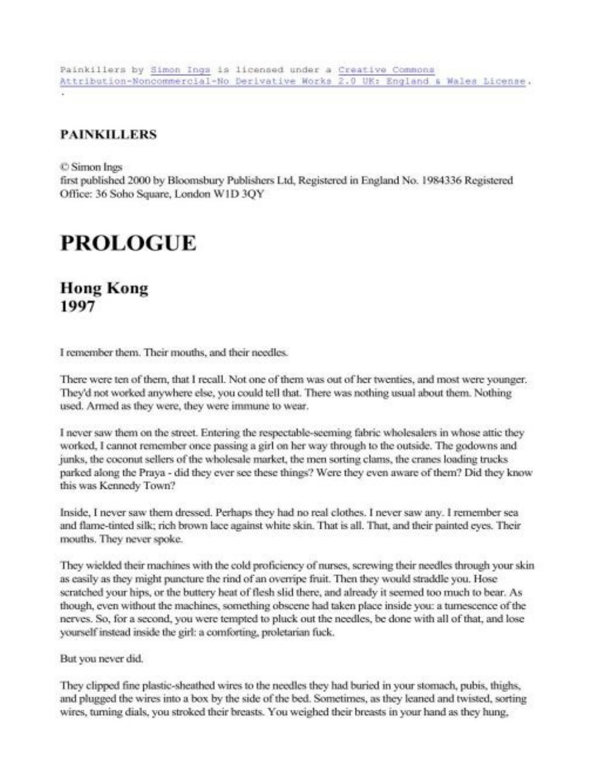Painkillers by Simon Ings is licensed under a Creative Commons Attribution-Noncommercial-No Derivative Morks 2.0 UK: England & Wales License.

#### **PAINKILLERS**

© Simon Ings

first published 2000 by Bloomsbury Publishers Ltd. Registered in England No. 1984336 Registered Office: 36 Soho Square, London W1D 3OY

### **PROLOGUE**

#### **Hong Kong** 1997

I remember them. Their mouths, and their needles,

There were ten of them, that I recall. Not one of them was out of her twenties, and most were younger. They'd not worked anywhere else, you could tell that. There was nothing usual about them. Nothing used. Armed as they were, they were immune to wear.

I never saw them on the street. Entering the respectable-seeming fabric wholesalers in whose attic they worked, I cannot remember once passing a girl on her way through to the outside. The godowns and junks, the coconut sellers of the wholesale market, the men sorting clams, the cranes loading trucks parked along the Praya - did they ever see these things? Were they even aware of them? Did they know this was Kennedy Town?

Inside, I never saw them dressed. Perhaps they had no real clothes. I never saw any, I remember sea and flame-tinted silk; rich brown lace against white skin. That is all. That, and their painted eyes. Their mouths. They never spoke.

They wielded their machines with the cold proficiency of nurses, screwing their needles through your skin as easily as they might puncture the rind of an overripe fruit. Then they would straddle you. Hose scratched your hips, or the buttery heat of flesh slid there, and already it seemed too much to bear. As though, even without the machines, something obscene had taken place inside you: a tumescence of the nerves. So, for a second, you were tempted to pluck out the needles, be done with all of that, and lose yourself instead inside the girl: a comforting, proletarian fuck.

But you never did.

They clipped fine plastic-sheathed wires to the needles they had buried in your stomach, pubis, thighs, and plugged the wires into a box by the side of the bed. Sometimes, as they leaned and twisted, sorting wires, turning dials, you stroked their breasts. You weighed their breasts in your hand as they hung,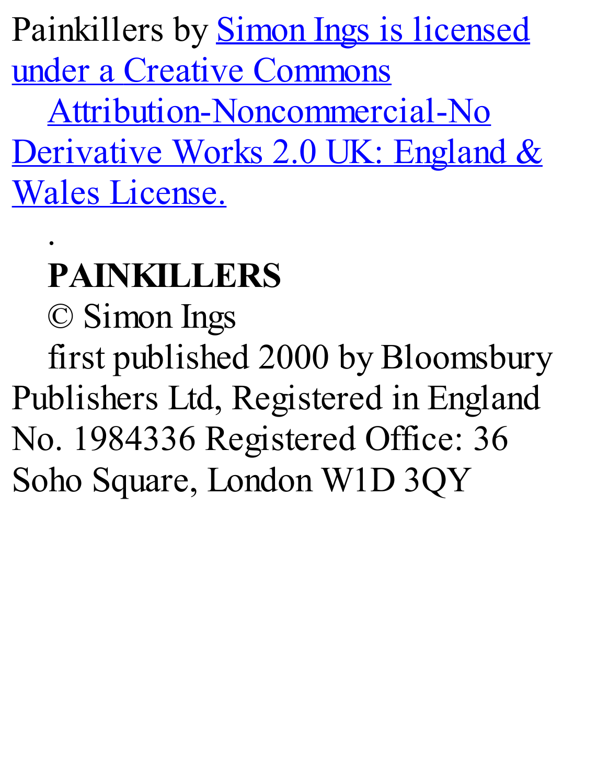Painkillers by Simon Ings is licensed under a Creative Commons Attribution-Noncommercial-No Derivative Works 2.0 UK: England & Wales License.

### **PAINKILLERS**

.

© Simon Ings first published 2000 by Bloomsbury Publishers Ltd, Registered in England No. 1984336 Registered Office: 36 Soho Square, London W1D 3QY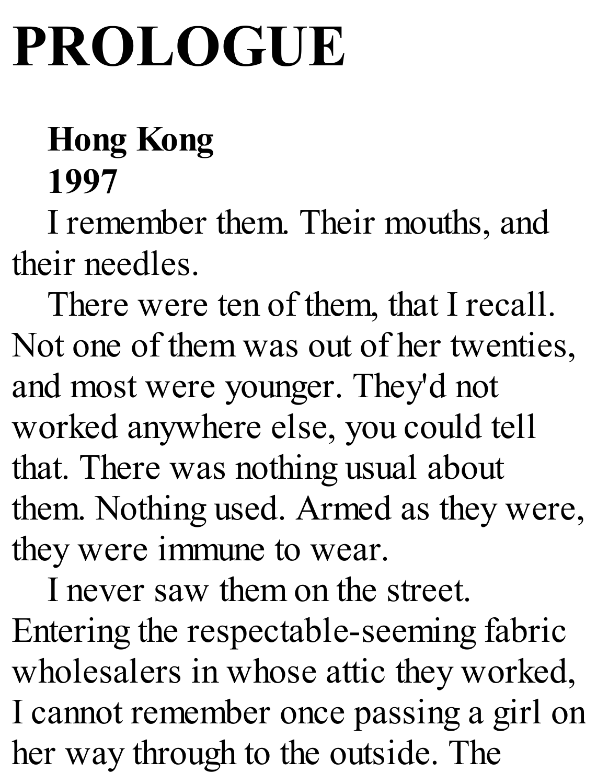# **PROLOGUE**

### **Hong Kong 1997**

I remember them. Their mouths, and their needles.

There were ten of them, that I recall. Not one of them was out of her twenties, and most were younger. They'd not worked anywhere else, you could tell that. There was nothing usual about them. Nothing used. Armed as they were, they were immune to wear.

I never saw them on the street. Entering the respectable-seeming fabric wholesalers in whose attic they worked, I cannot remember once passing a girl on her way through to the outside. The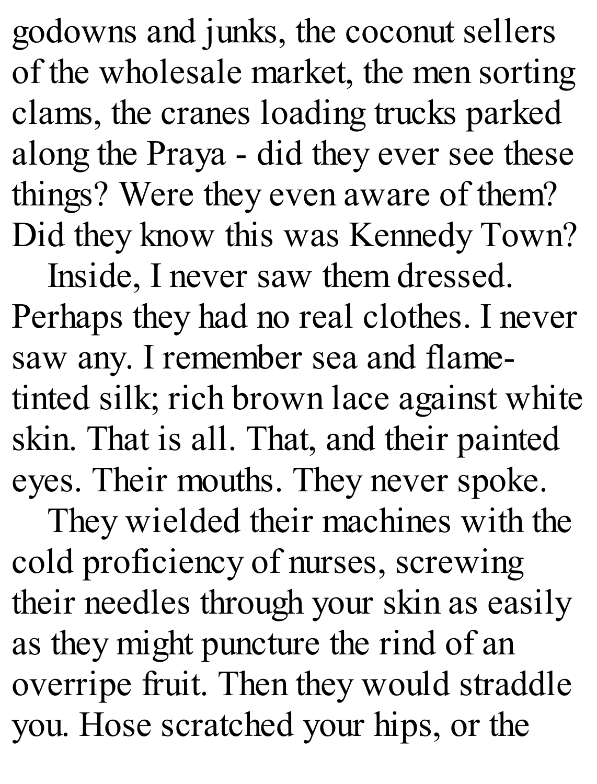godowns and junks, the coconut sellers of the wholesale market, the men sorting clams, the cranes loading trucks parked along the Praya - did they ever see these things? Were they even aware of them? Did they know this was Kennedy Town?

Inside, I never saw them dressed. Perhaps they had no real clothes. I never saw any. I remember sea and flametinted silk; rich brown lace against white skin. That is all. That, and their painted eyes. Their mouths. They never spoke.

They wielded their machines with the cold proficiency of nurses, screwing their needles through your skin as easily as they might puncture the rind of an overripe fruit. Then they would straddle you. Hose scratched your hips, or the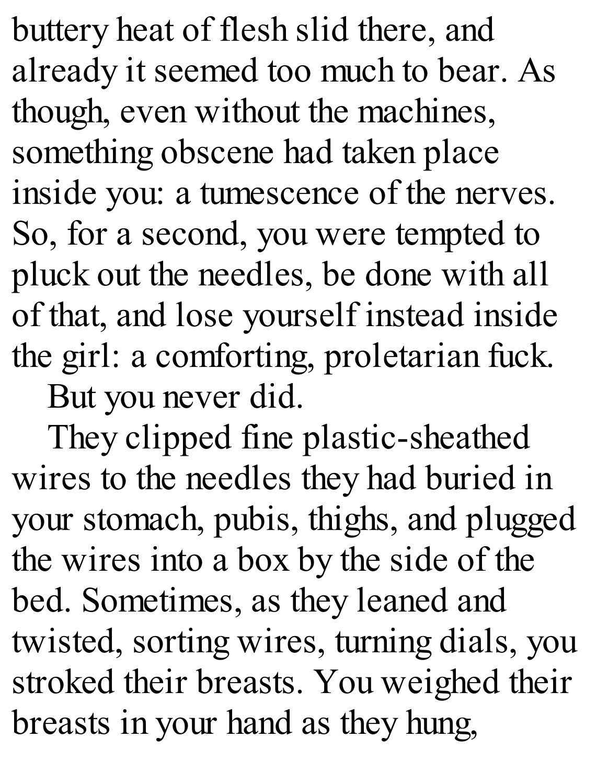buttery heat of flesh slid there, and already it seemed too much to bear. As though, even without the machines, something obscene had taken place inside you: a tumescence of the nerves. So, for a second, you were tempted to pluck out the needles, be done with all of that, and lose yourself instead inside the girl: a comforting, proletarian fuck. But you never did.

They clipped fine plastic-sheathed wires to the needles they had buried in your stomach, pubis, thighs, and plugged the wires into a box by the side of the bed. Sometimes, as they leaned and twisted, sorting wires, turning dials, you stroked their breasts. You weighed their breasts in your hand as they hung,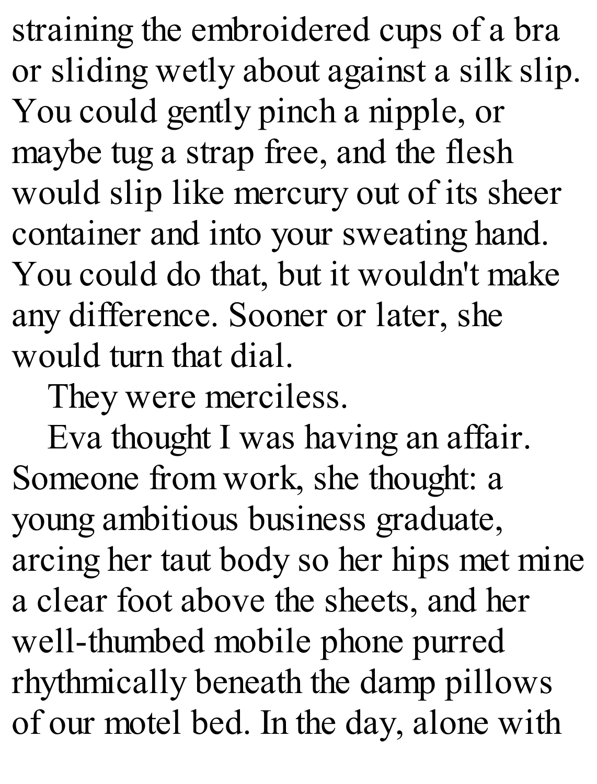straining the embroidered cups of a bra or sliding wetly about against a silk slip. You could gently pinch a nipple, or maybe tug a strap free, and the flesh would slip like mercury out of its sheer container and into your sweating hand. You could do that, but it wouldn't make any difference. Sooner or later, she would turn that dial.

They were merciless.

Eva thought I was having an affair. Someone from work, she thought: a young ambitious business graduate, arcing her taut body so her hips met mine a clear foot above the sheets, and her well-thumbed mobile phone purred rhythmically beneath the damp pillows of our motel bed. In the day, alone with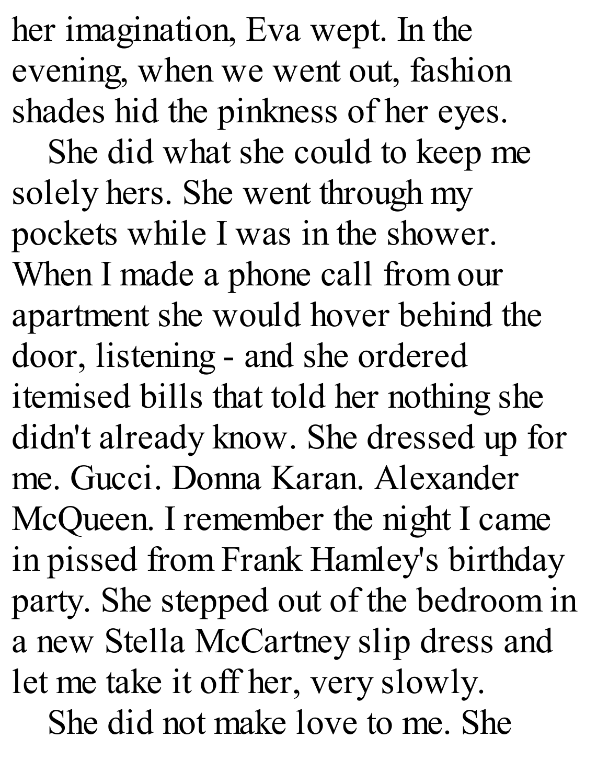her imagination, Eva wept. In the evening, when we went out, fashion shades hid the pinkness of her eyes.

She did what she could to keep me solely hers. She went through my pockets while I was in the shower. When I made a phone call from our apartment she would hover behind the door, listening - and she ordered itemised bills that told her nothing she didn't already know. She dressed up for me. Gucci. Donna Karan. Alexander McQueen. I remember the night I came in pissed from Frank Hamley's birthday party. She stepped out of the bedroom in a new Stella McCartney slip dress and let me take it off her, very slowly. She did not make love to me. She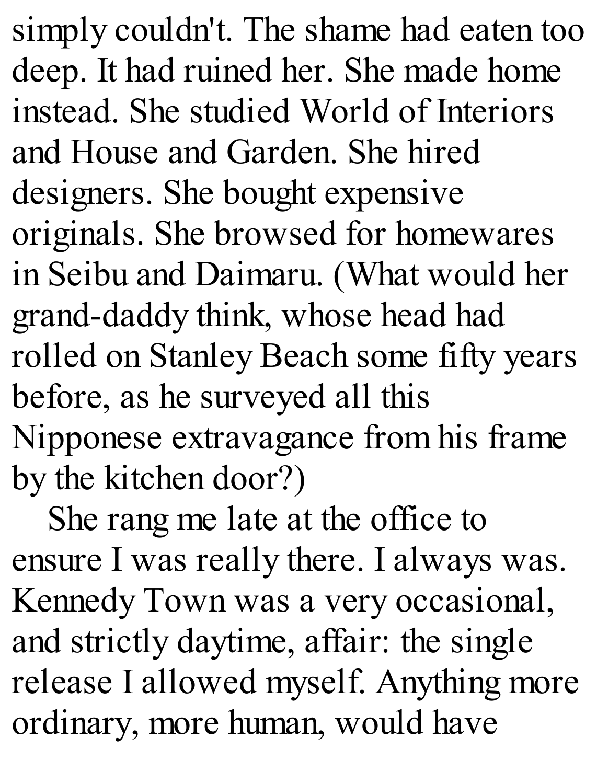simply couldn't. The shame had eaten too deep. It had ruined her. She made home instead. She studied World of Interiors and House and Garden. She hired designers. She bought expensive originals. She browsed for homewares in Seibu and Daimaru. (What would her grand-daddy think, whose head had rolled on Stanley Beach some fifty years before, as he surveyed all this Nipponese extravagance from his frame by the kitchen door?)

She rang me late at the office to ensure I was really there. I always was. Kennedy Town was a very occasional, and strictly daytime, affair: the single release I allowed myself. Anything more ordinary, more human, would have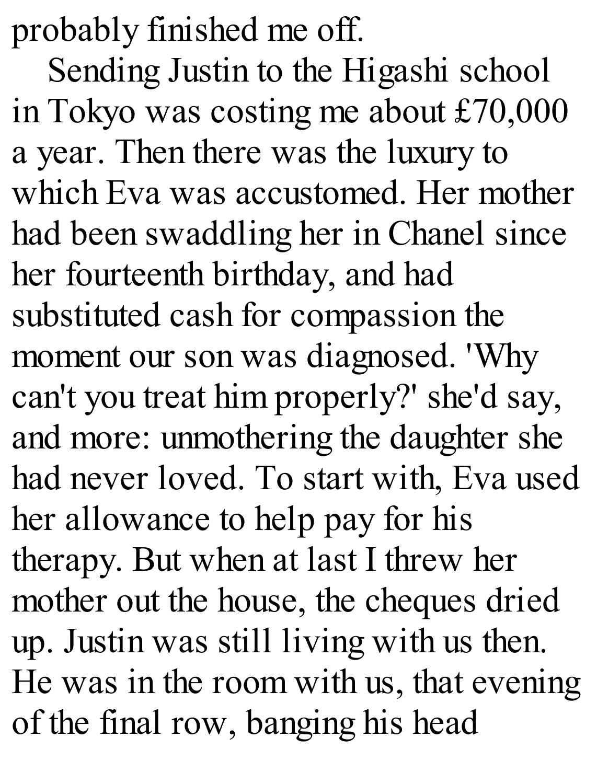probably finished me off.

Sending Justin to the Higashi school in Tokyo was costing me about £70,000 a year. Then there was the luxury to which Eva was accustomed. Her mother had been swaddling her in Chanel since her fourteenth birthday, and had substituted cash for compassion the moment our son was diagnosed. 'Why can't you treat him properly?' she'd say, and more: unmothering the daughter she had never loved. To start with, Eva used her allowance to help pay for his therapy. But when at last I threw her mother out the house, the cheques dried up. Justin was still living with us then. He was in the room with us, that evening of the final row, banging his head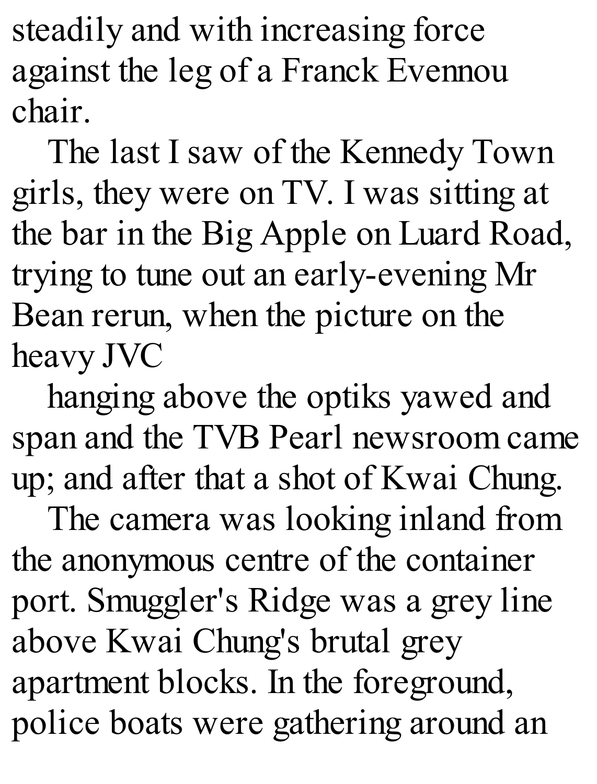steadily and with increasing force against the leg of a Franck Evennou chair.

The last I saw of the Kennedy Town girls, they were on TV. I was sitting at the bar in the Big Apple on Luard Road, trying to tune out an early-evening Mr Bean rerun, when the picture on the heavy JVC

hanging above the optiks yawed and span and the TVB Pearl newsroom came up; and after that a shot of Kwai Chung.

The camera was looking inland from the anonymous centre of the container port. Smuggler's Ridge was a grey line above Kwai Chung's brutal grey apartment blocks. In the foreground, police boats were gathering around an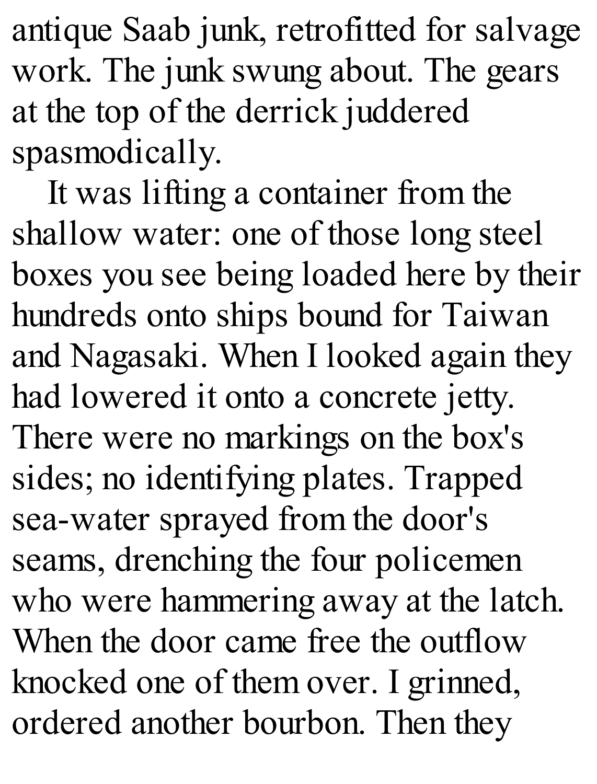antique Saab junk, retrofitted for salvage work. The junk swung about. The gears at the top of the derrick juddered spasmodically.

It was lifting a container from the shallow water: one of those long steel boxes you see being loaded here by their hundreds onto ships bound for Taiwan and Nagasaki. When I looked again they had lowered it onto a concrete jetty. There were no markings on the box's sides; no identifying plates. Trapped sea-water sprayed from the door's seams, drenching the four policemen who were hammering away at the latch. When the door came free the outflow knocked one of them over. I grinned, ordered another bourbon. Then they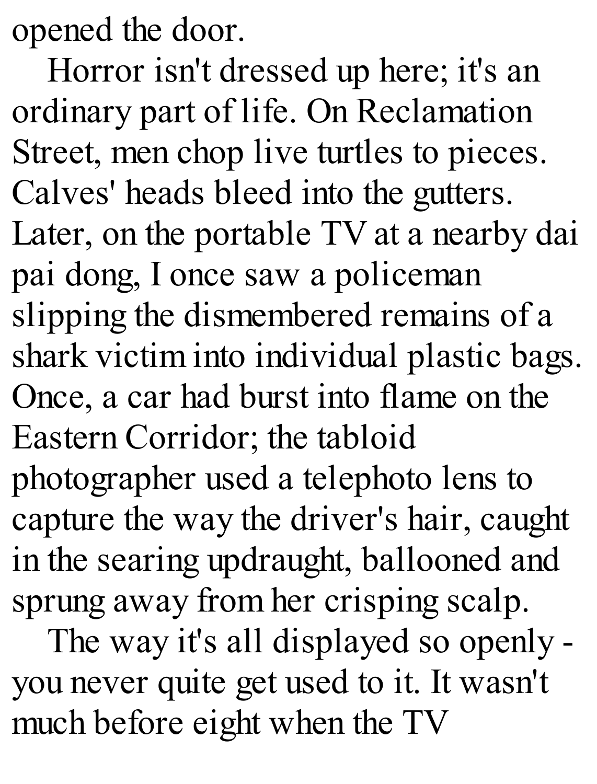opened the door.

Horror isn't dressed up here; it's an ordinary part of life. On Reclamation Street, men chop live turtles to pieces. Calves' heads bleed into the gutters. Later, on the portable TV at a nearby dai pai dong, I once saw a policeman slipping the dismembered remains of a shark victim into individual plastic bags. Once, a car had burst into flame on the Eastern Corridor; the tabloid photographer used a telephoto lens to capture the way the driver's hair, caught in the searing updraught, ballooned and sprung away from her crisping scalp.

The way it's all displayed so openly you never quite get used to it. It wasn't much before eight when the TV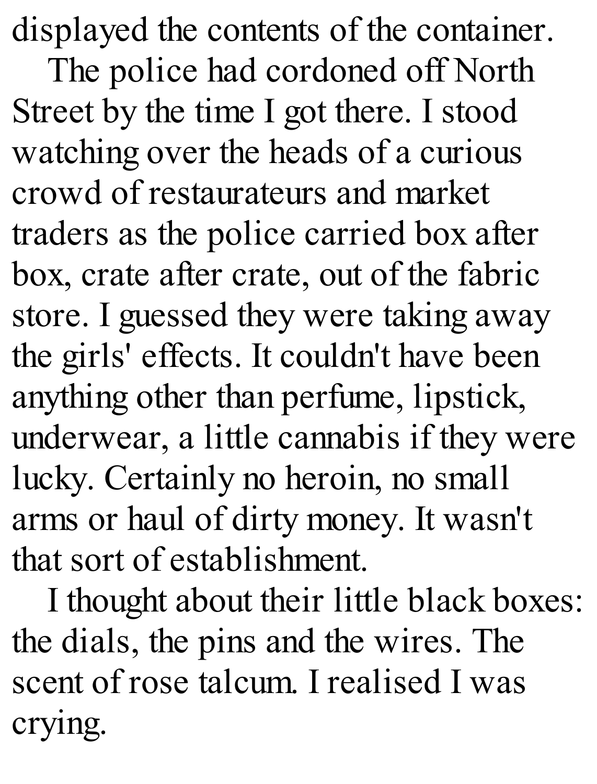displayed the contents of the container.

The police had cordoned off North Street by the time I got there. I stood watching over the heads of a curious crowd of restaurateurs and market traders as the police carried box after box, crate after crate, out of the fabric store. I guessed they were taking away the girls' effects. It couldn't have been anything other than perfume, lipstick, underwear, a little cannabis if they were lucky. Certainly no heroin, no small arms or haul of dirty money. It wasn't that sort of establishment.

I thought about their little black boxes: the dials, the pins and the wires. The scent of rose talcum. I realised I was crying.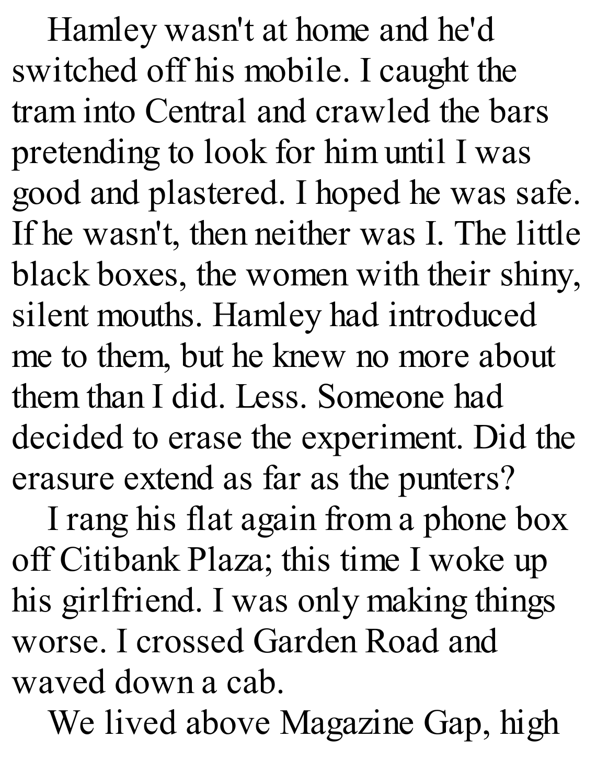Hamley wasn't at home and he'd switched off his mobile. I caught the tram into Central and crawled the bars pretending to look for him until I was good and plastered. I hoped he was safe. If he wasn't, then neither was I. The little black boxes, the women with their shiny, silent mouths. Hamley had introduced me to them, but he knew no more about them than I did. Less. Someone had decided to erase the experiment. Did the erasure extend as far as the punters?

I rang his flat again from a phone box off Citibank Plaza; this time I woke up his girlfriend. I was only making things worse. I crossed Garden Road and waved down a cab.

We lived above Magazine Gap, high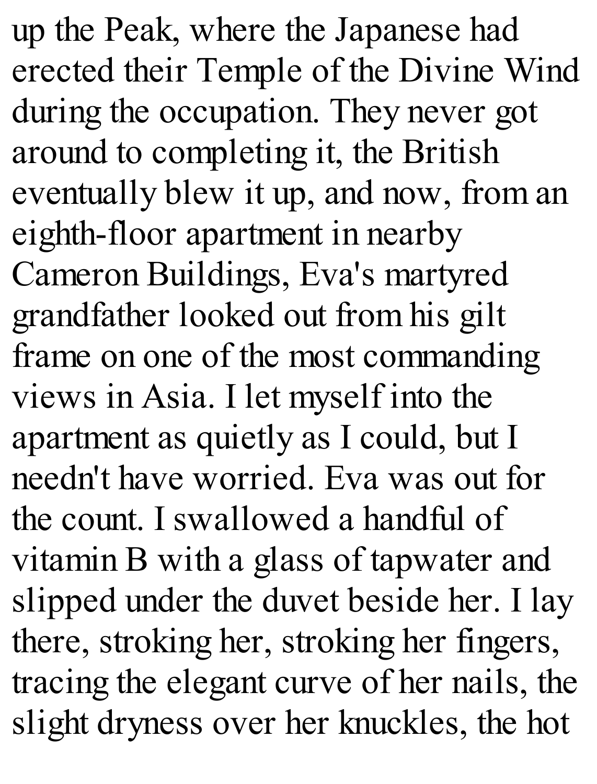up the Peak, where the Japanese had erected their Temple of the Divine Wind during the occupation. They never got around to completing it, the British eventually blew it up, and now, from an eighth-floor apartment in nearby Cameron Buildings, Eva's martyred grandfather looked out from his gilt frame on one of the most commanding views in Asia. I let myself into the apartment as quietly as I could, but I needn't have worried. Eva was out for the count. I swallowed a handful of vitamin B with a glass of tapwater and slipped under the duvet beside her. I lay there, stroking her, stroking her fingers, tracing the elegant curve of her nails, the slight dryness over her knuckles, the hot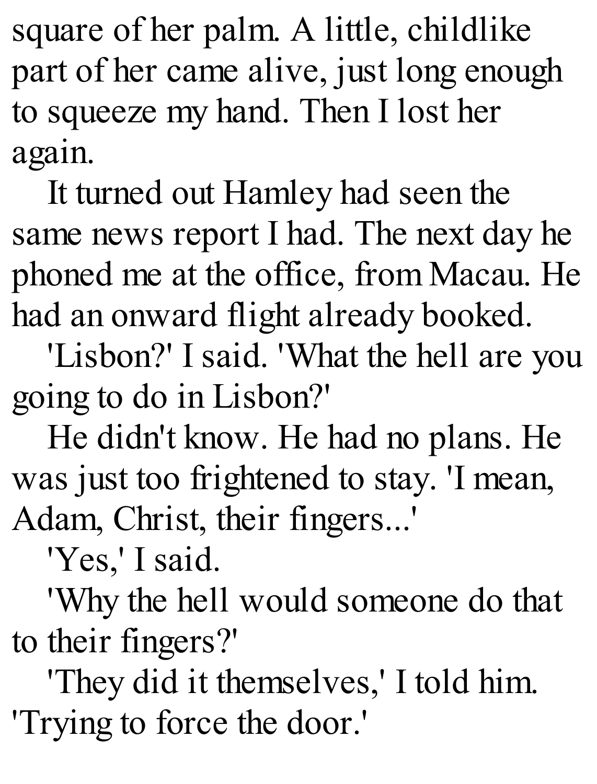square of her palm. A little, childlike part of her came alive, just long enough to squeeze my hand. Then I lost her again.

It turned out Hamley had seen the same news report I had. The next day he phoned me at the office, from Macau. He had an onward flight already booked.

'Lisbon?' I said. 'What the hell are you going to do in Lisbon?'

He didn't know. He had no plans. He was just too frightened to stay. 'I mean, Adam, Christ, their fingers...'

'Yes,' I said.

'Why the hell would someone do that to their fingers?'

'They did it themselves,' I told him. 'Trying to force the door.'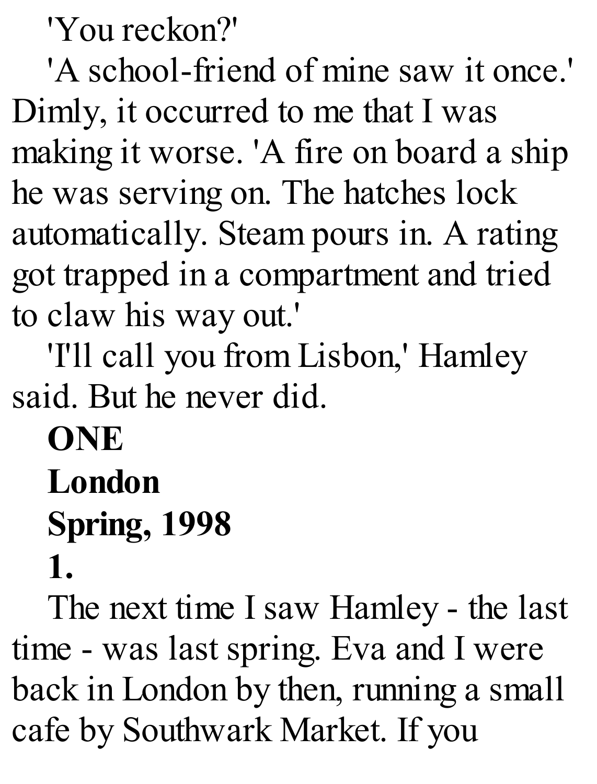'You reckon?'

'A school-friend of mine saw it once.' Dimly, it occurred to me that I was making it worse. 'A fire on board a ship he was serving on. The hatches lock automatically. Steam pours in. A rating got trapped in a compartment and tried to claw his way out.'

'I'll call you from Lisbon,' Hamley said. But he never did.

**ONE**

**London**

## **Spring, 1998**

**1.**

The next time I saw Hamley - the last time - was last spring. Eva and I were back in London by then, running a small cafe by Southwark Market. If you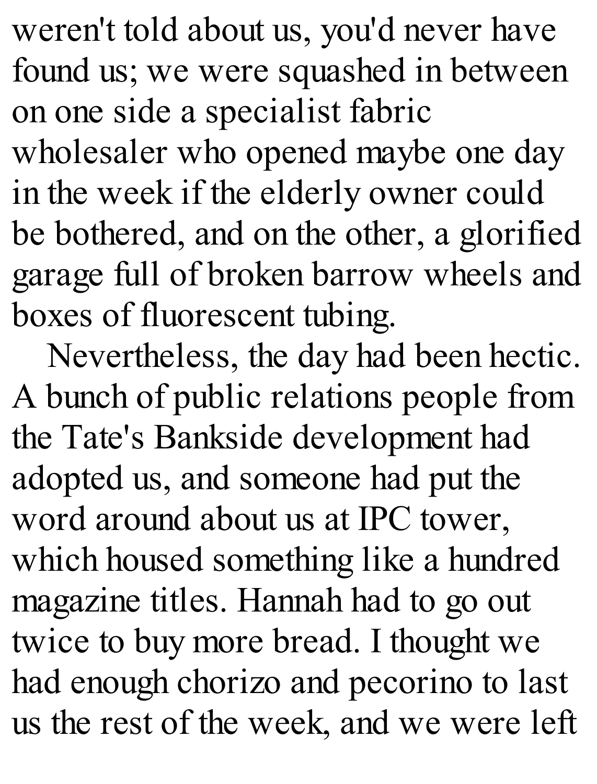weren't told about us, you'd never have found us; we were squashed in between on one side a specialist fabric

wholesaler who opened maybe one day in the week if the elderly owner could be bothered, and on the other, a glorified garage full of broken barrow wheels and boxes of fluorescent tubing.

Nevertheless, the day had been hectic. A bunch of public relations people from the Tate's Bankside development had adopted us, and someone had put the word around about us at IPC tower, which housed something like a hundred magazine titles. Hannah had to go out twice to buy more bread. I thought we had enough chorizo and pecorino to last us the rest of the week, and we were left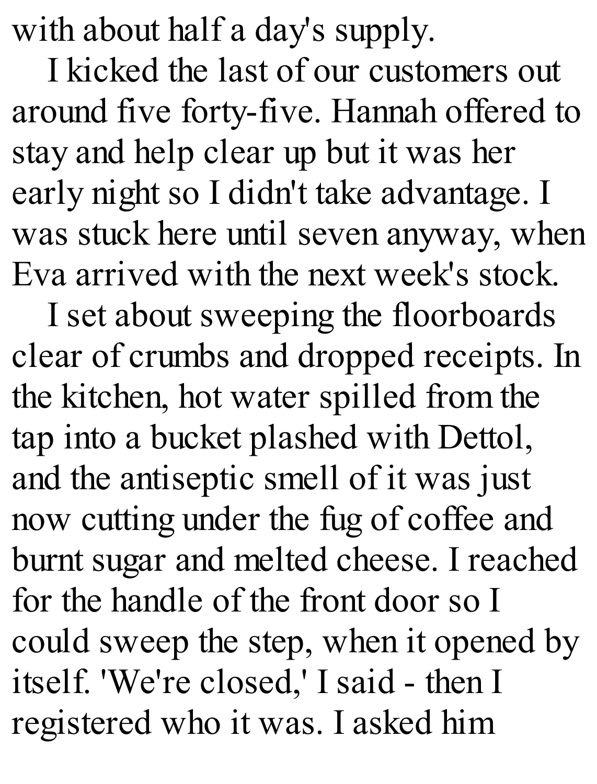with about half a day's supply.

I kicked the last of our customers out around five forty-five. Hannah offered to stay and help clear up but it was her early night so I didn't take advantage. I was stuck here until seven anyway, when Eva arrived with the next week's stock.

I set about sweeping the floorboards clear of crumbs and dropped receipts. In the kitchen, hot water spilled from the tap into a bucket plashed with Dettol, and the antiseptic smell of it was just now cutting under the fug of coffee and burnt sugar and melted cheese. I reached for the handle of the front door so I could sweep the step, when it opened by itself. 'We're closed,' I said - then I registered who it was. I asked him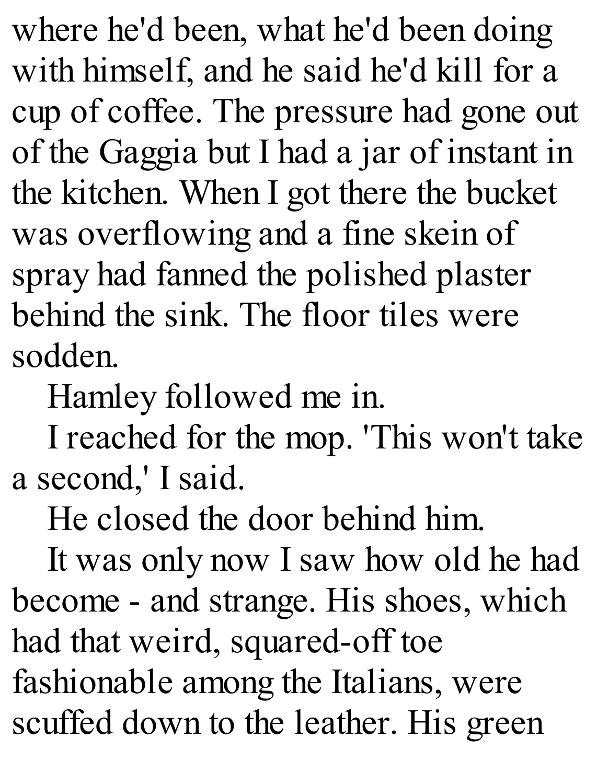where he'd been, what he'd been doing with himself, and he said he'd kill for a cup of coffee. The pressure had gone out of the Gaggia but I had a jar of instant in the kitchen. When I got there the bucket was overflowing and a fine skein of spray had fanned the polished plaster behind the sink. The floor tiles were sodden.

Hamley followed me in.

I reached for the mop. 'This won't take a second,' I said.

He closed the door behind him.

It was only now I saw how old he had become - and strange. His shoes, which had that weird, squared-off toe fashionable among the Italians, were scuffed down to the leather. His green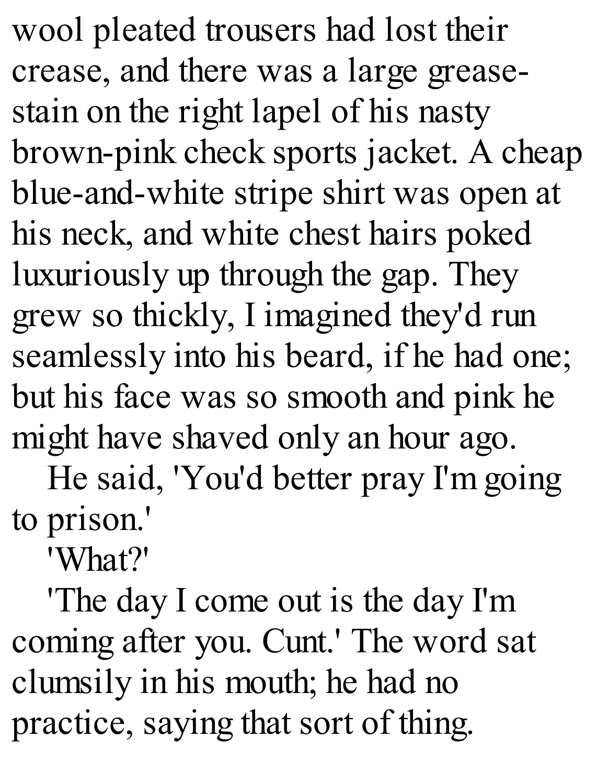wool pleated trousers had lost their crease, and there was a large greasestain on the right lapel of his nasty brown-pink check sports jacket. A cheap blue-and-white stripe shirt was open at his neck, and white chest hairs poked luxuriously up through the gap. They grew so thickly, I imagined they'd run seamlessly into his beard, if he had one; but his face was so smooth and pink he might have shaved only an hour ago.

He said, 'You'd better pray I'm going to prison.'

'What?'

'The day I come out is the day I'm coming after you. Cunt.' The word sat clumsily in his mouth; he had no practice, saying that sort of thing.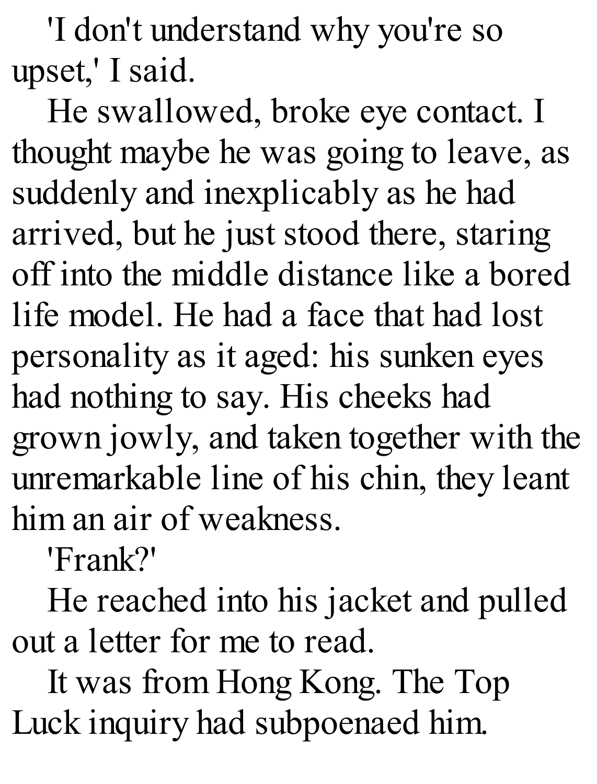'I don't understand why you're so upset,' I said.

He swallowed, broke eye contact. I thought maybe he was going to leave, as suddenly and inexplicably as he had arrived, but he just stood there, staring off into the middle distance like a bored life model. He had a face that had lost personality as it aged: his sunken eyes had nothing to say. His cheeks had grown jowly, and taken together with the unremarkable line of his chin, they leant him an air of weakness.

'Frank?'

He reached into his jacket and pulled out a letter for me to read.

It was from Hong Kong. The Top Luck inquiry had subpoenaed him.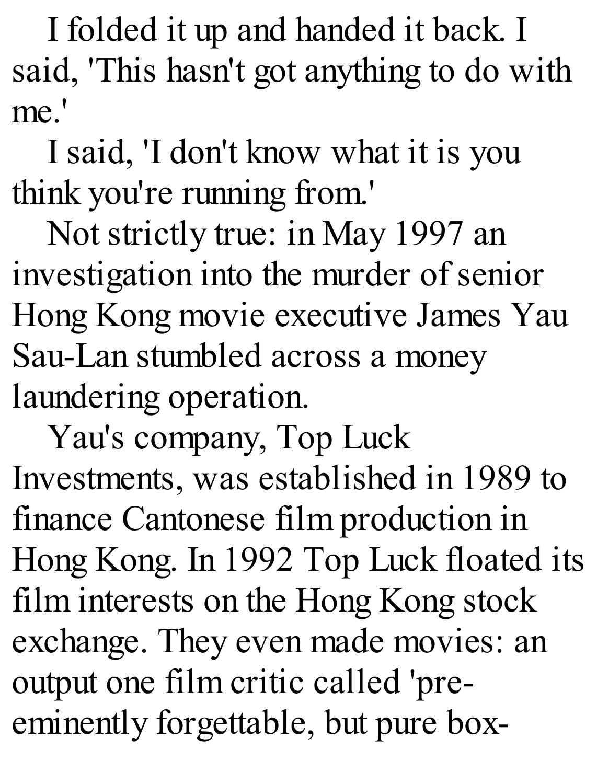I folded it up and handed it back. I said, 'This hasn't got anything to do with me.'

I said, 'I don't know what it is you think you're running from.'

Not strictly true: in May 1997 an investigation into the murder of senior Hong Kong movie executive James Yau Sau-Lan stumbled across a money laundering operation.

Yau's company, Top Luck Investments, was established in 1989 to finance Cantonese film production in Hong Kong. In 1992 Top Luck floated its film interests on the Hong Kong stock exchange. They even made movies: an output one film critic called 'preeminently forgettable, but pure box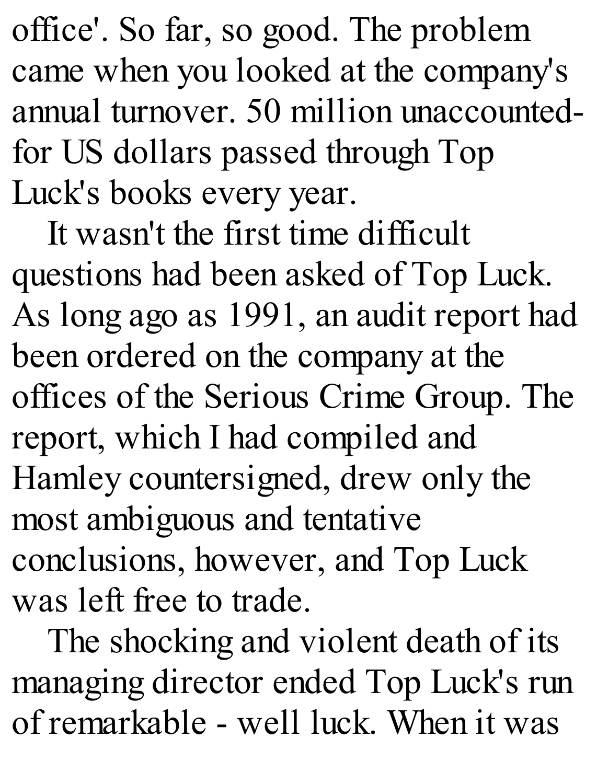office'. So far, so good. The problem came when you looked at the company's annual turnover. 50 million unaccountedfor US dollars passed through Top Luck's books every year.

It wasn't the first time difficult questions had been asked of Top Luck. As long ago as 1991, an audit report had been ordered on the company at the offices of the Serious Crime Group. The report, which I had compiled and Hamley countersigned, drew only the most ambiguous and tentative conclusions, however, and Top Luck was left free to trade.

The shocking and violent death of its managing director ended Top Luck's run of remarkable - well luck. When it was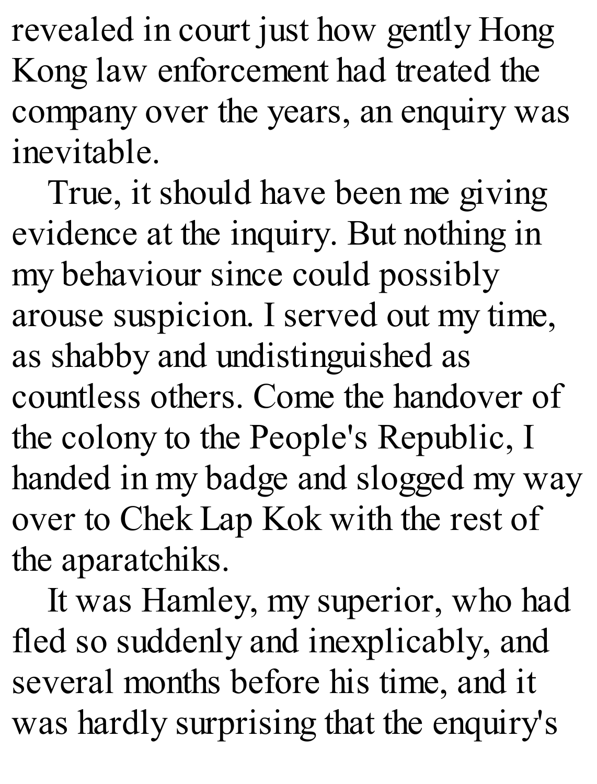revealed in court just how gently Hong Kong law enforcement had treated the company over the years, an enquiry was inevitable.

True, it should have been me giving evidence at the inquiry. But nothing in my behaviour since could possibly arouse suspicion. I served out my time, as shabby and undistinguished as countless others. Come the handover of the colony to the People's Republic, I handed in my badge and slogged my way over to Chek Lap Kok with the rest of the aparatchiks.

It was Hamley, my superior, who had fled so suddenly and inexplicably, and several months before his time, and it was hardly surprising that the enquiry's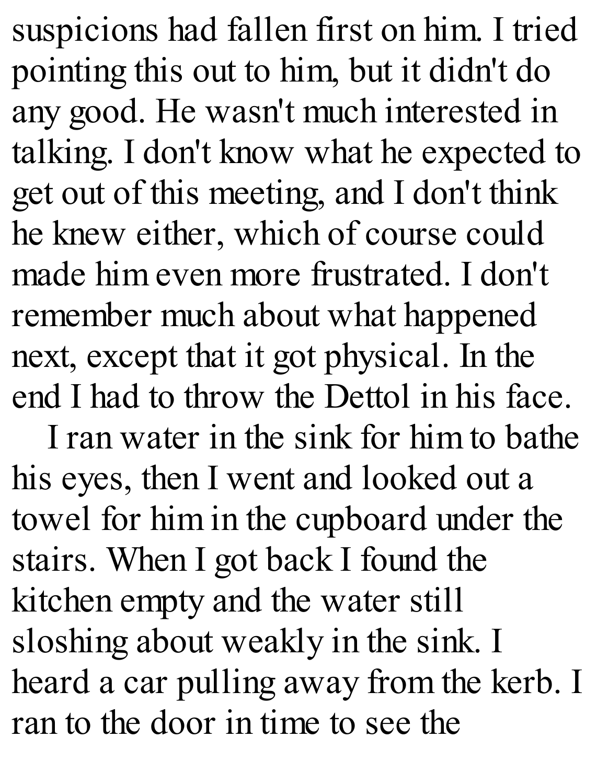suspicions had fallen first on him. I tried pointing this out to him, but it didn't do any good. He wasn't much interested in talking. I don't know what he expected to get out of this meeting, and I don't think he knew either, which of course could made him even more frustrated. I don't remember much about what happened next, except that it got physical. In the end I had to throw the Dettol in his face.

I ran water in the sink for him to bathe his eyes, then I went and looked out a towel for him in the cupboard under the stairs. When I got back I found the kitchen empty and the water still sloshing about weakly in the sink. I heard a car pulling away from the kerb. I ran to the door in time to see the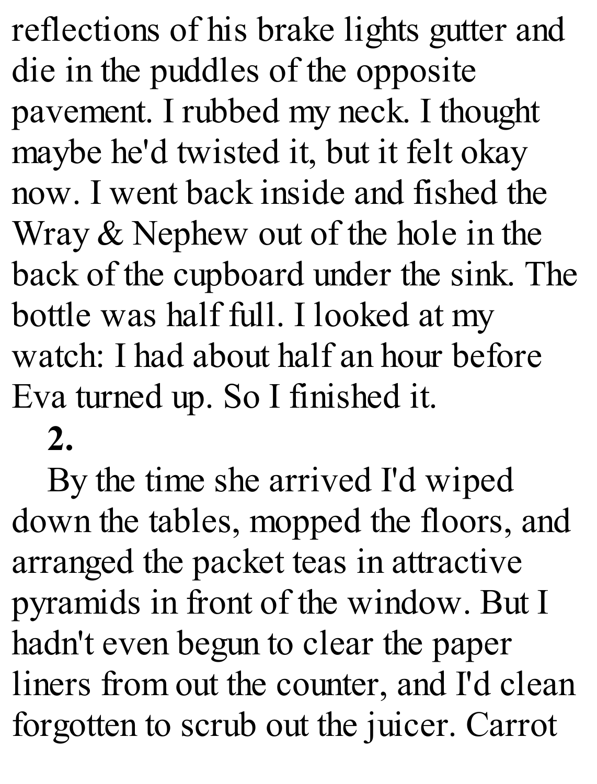reflections of his brake lights gutter and die in the puddles of the opposite pavement. I rubbed my neck. I thought maybe he'd twisted it, but it felt okay now. I went back inside and fished the Wray & Nephew out of the hole in the back of the cupboard under the sink. The bottle was half full. I looked at my watch: I had about half an hour before Eva turned up. So I finished it.

**2.**

By the time she arrived I'd wiped down the tables, mopped the floors, and arranged the packet teas in attractive pyramids in front of the window. But I hadn't even begun to clear the paper liners from out the counter, and I'd clean forgotten to scrub out the juicer. Carrot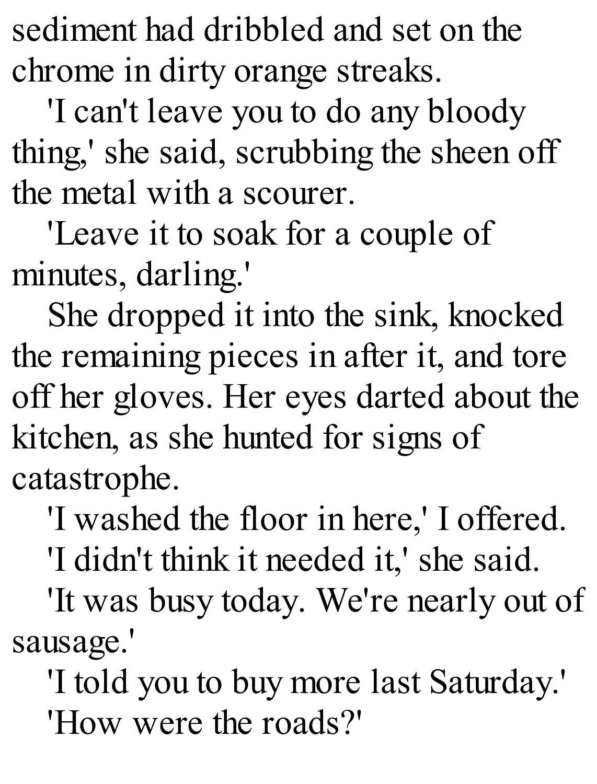sediment had dribbled and set on the chrome in dirty orange streaks.

'I can't leave you to do any bloody thing,' she said, scrubbing the sheen off the metal with a scourer.

'Leave it to soak for a couple of minutes, darling.'

She dropped it into the sink, knocked the remaining pieces in after it, and tore off her gloves. Her eyes darted about the kitchen, as she hunted for signs of catastrophe.

'I washed the floor in here,' I offered.

'I didn't think it needed it,' she said.

'It was busy today. We're nearly out of sausage.'

'I told you to buy more last Saturday.' 'How were the roads?'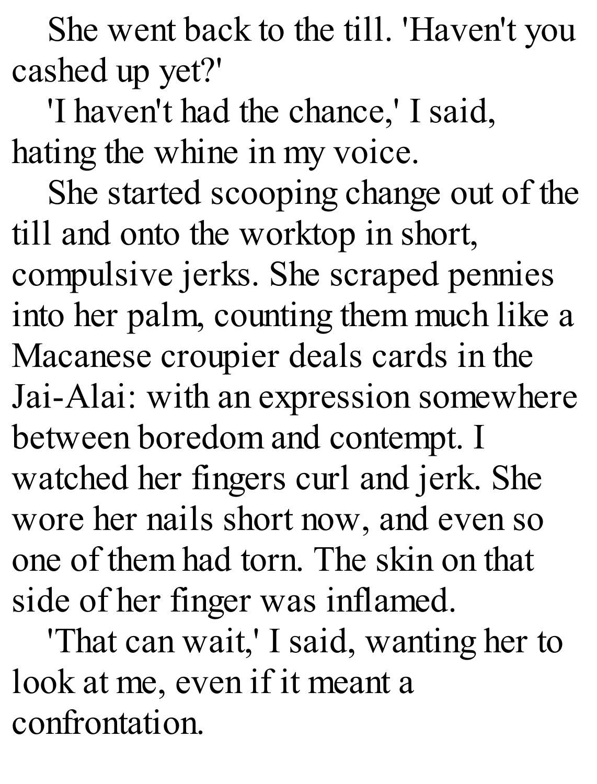She went back to the till. 'Haven't you cashed up yet?'

'I haven't had the chance,' I said, hating the whine in my voice.

She started scooping change out of the till and onto the worktop in short, compulsive jerks. She scraped pennies into her palm, counting them much like a Macanese croupier deals cards in the Jai-Alai: with an expression somewhere between boredom and contempt. I watched her fingers curl and jerk. She wore her nails short now, and even so one of them had torn. The skin on that side of her finger was inflamed.

'That can wait,' I said, wanting her to look at me, even if it meant a confrontation.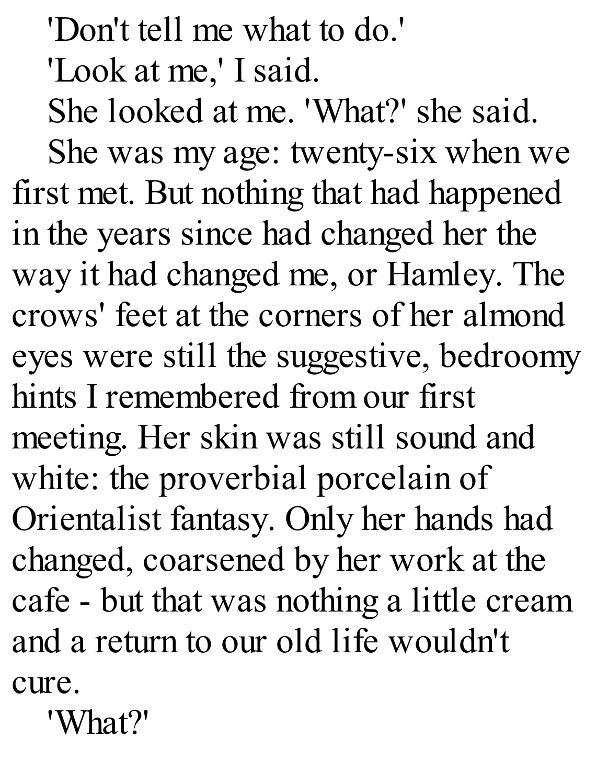'Don't tell me what to do.' 'Look at me,' I said.

She looked at me. 'What?' she said. She was my age: twenty-six when we first met. But nothing that had happened in the years since had changed her the way it had changed me, or Hamley. The crows' feet at the corners of her almond eyes were still the suggestive, bedroomy hints I remembered from our first meeting. Her skin was still sound and white: the proverbial porcelain of Orientalist fantasy. Only her hands had changed, coarsened by her work at the cafe - but that was nothing a little cream and a return to our old life wouldn't cure.

'What?'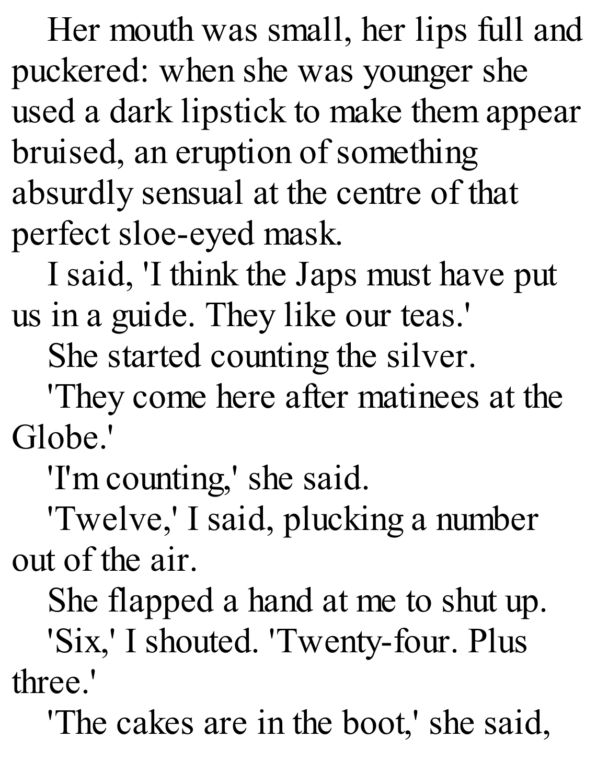Her mouth was small, her lips full and puckered: when she was younger she used a dark lipstick to make them appear bruised, an eruption of something absurdly sensual at the centre of that perfect sloe-eyed mask.

I said, 'I think the Japs must have put us in a guide. They like our teas.'

She started counting the silver.

'They come here after matinees at the Globe.'

'I'm counting,' she said.

'Twelve,' I said, plucking a number out of the air.

She flapped a hand at me to shut up. 'Six,' I shouted. 'Twenty-four. Plus three.'

'The cakes are in the boot,' she said,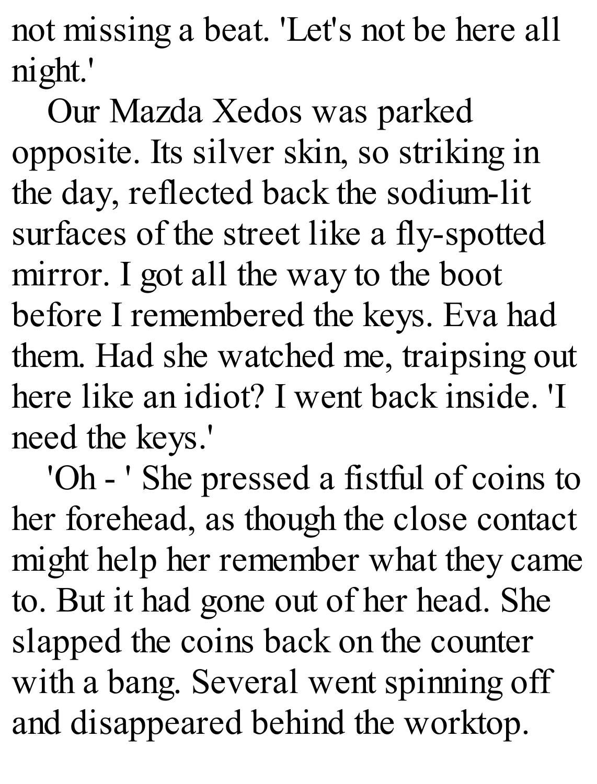not missing a beat. 'Let's not be here all night.'

Our Mazda Xedos was parked opposite. Its silver skin, so striking in the day, reflected back the sodium-lit surfaces of the street like a fly-spotted mirror. I got all the way to the boot before I remembered the keys. Eva had them. Had she watched me, traipsing out here like an idiot? I went back inside. 'I need the keys.'

'Oh - ' She pressed a fistful of coins to her forehead, as though the close contact might help her remember what they came to. But it had gone out of her head. She slapped the coins back on the counter with a bang. Several went spinning off and disappeared behind the worktop.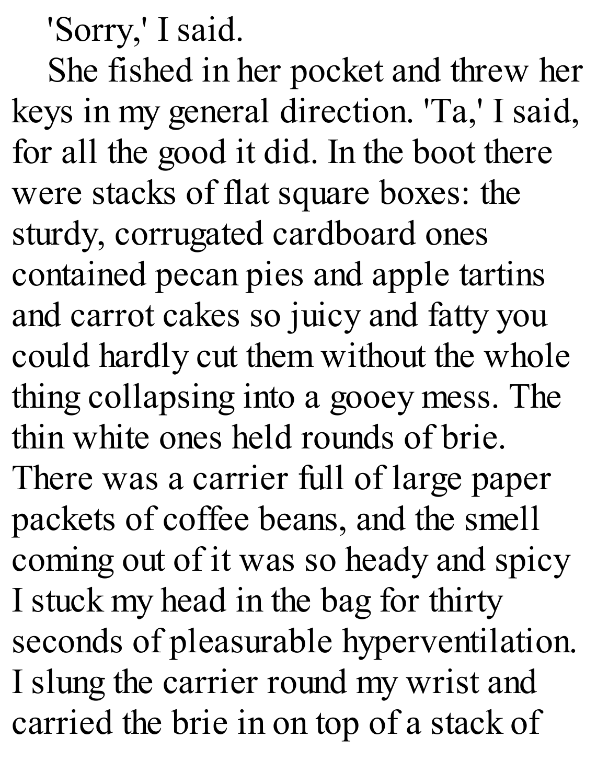'Sorry,' I said.

She fished in her pocket and threw her keys in my general direction. 'Ta,' I said, for all the good it did. In the boot there were stacks of flat square boxes: the sturdy, corrugated cardboard ones contained pecan pies and apple tartins and carrot cakes so juicy and fatty you could hardly cut them without the whole thing collapsing into a gooey mess. The thin white ones held rounds of brie. There was a carrier full of large paper packets of coffee beans, and the smell coming out of it was so heady and spicy I stuck my head in the bag for thirty seconds of pleasurable hyperventilation. I slung the carrier round my wrist and carried the brie in on top of a stack of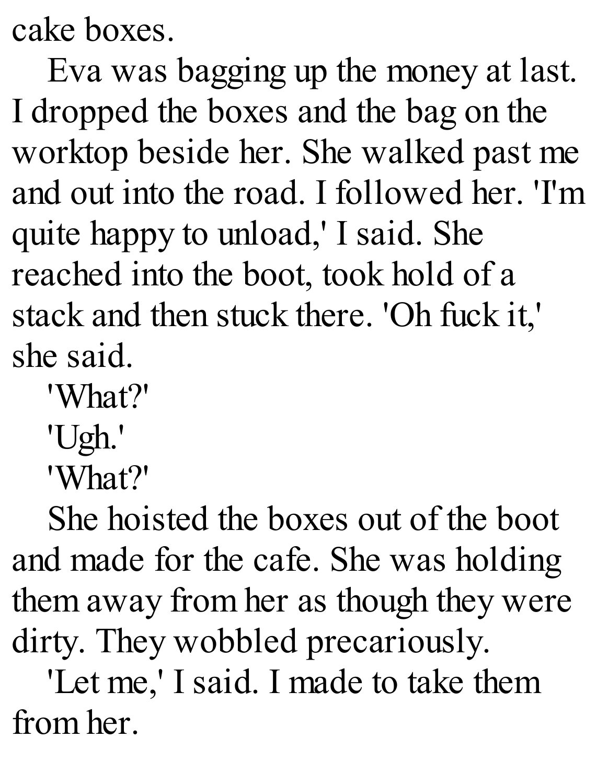cake boxes.

Eva was bagging up the money at last. I dropped the boxes and the bag on the worktop beside her. She walked past me and out into the road. I followed her. 'I'm quite happy to unload,' I said. She reached into the boot, took hold of a stack and then stuck there. 'Oh fuck it,' she said.

'What?'

'Ugh.'

'What?'

She hoisted the boxes out of the boot and made for the cafe. She was holding them away from her as though they were dirty. They wobbled precariously.

'Let me,' I said. I made to take them from her.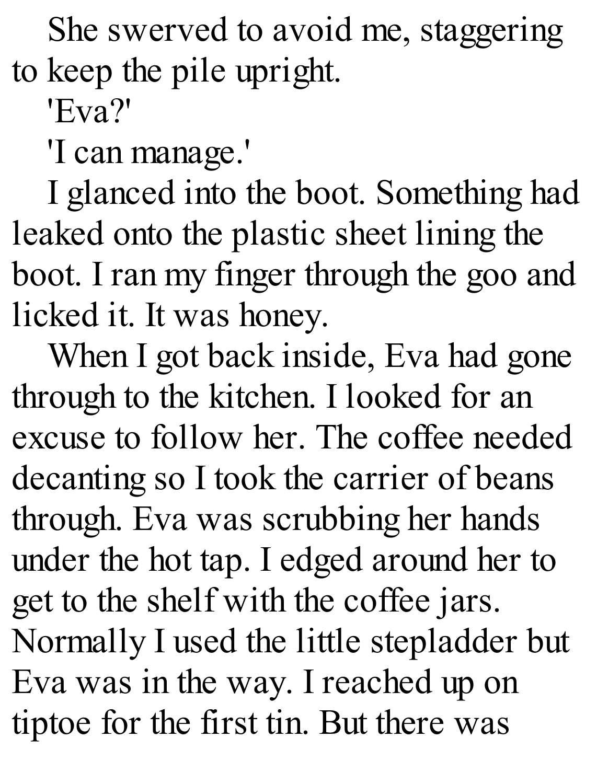She swerved to avoid me, staggering to keep the pile upright.

'Eva?'

'I can manage.'

I glanced into the boot. Something had leaked onto the plastic sheet lining the boot. I ran my finger through the goo and licked it. It was honey.

When I got back inside, Eva had gone through to the kitchen. I looked for an excuse to follow her. The coffee needed decanting so I took the carrier of beans through. Eva was scrubbing her hands under the hot tap. I edged around her to get to the shelf with the coffee jars. Normally I used the little stepladder but Eva was in the way. I reached up on tiptoe for the first tin. But there was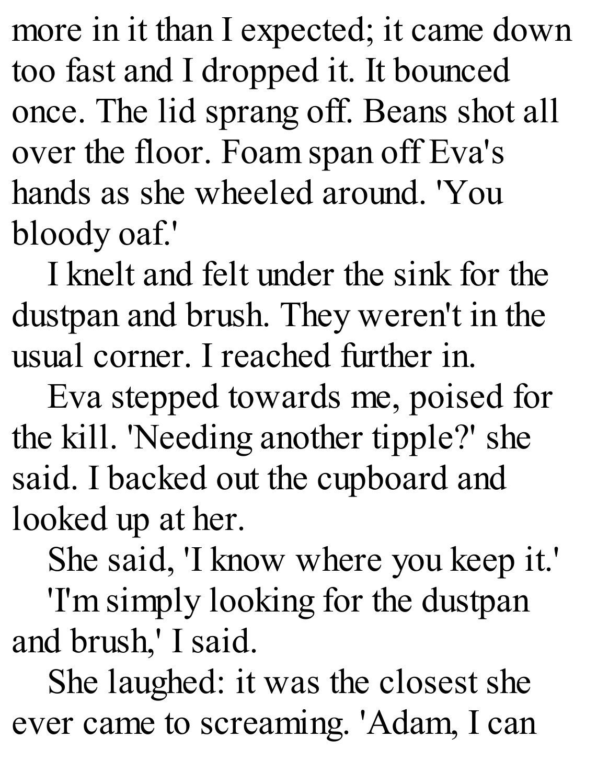more in it than I expected; it came down too fast and I dropped it. It bounced once. The lid sprang off. Beans shot all over the floor. Foam span off Eva's hands as she wheeled around. 'You bloody oaf.'

I knelt and felt under the sink for the dustpan and brush. They weren't in the usual corner. I reached further in.

Eva stepped towards me, poised for the kill. 'Needing another tipple?' she said. I backed out the cupboard and looked up at her.

She said, 'I know where you keep it.' 'I'm simply looking for the dustpan and brush,' I said.

She laughed: it was the closest she ever came to screaming. 'Adam, I can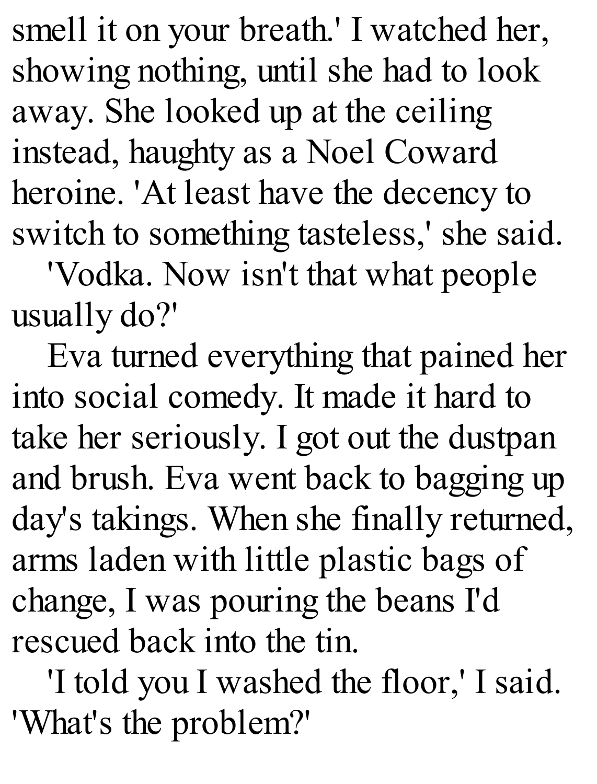smell it on your breath.' I watched her, showing nothing, until she had to look away. She looked up at the ceiling instead, haughty as a Noel Coward heroine. 'At least have the decency to switch to something tasteless,' she said.

'Vodka. Now isn't that what people usually do?'

Eva turned everything that pained her into social comedy. It made it hard to take her seriously. I got out the dustpan and brush. Eva went back to bagging up day's takings. When she finally returned, arms laden with little plastic bags of change, I was pouring the beans I'd rescued back into the tin.

'I told you I washed the floor,' I said. 'What's the problem?'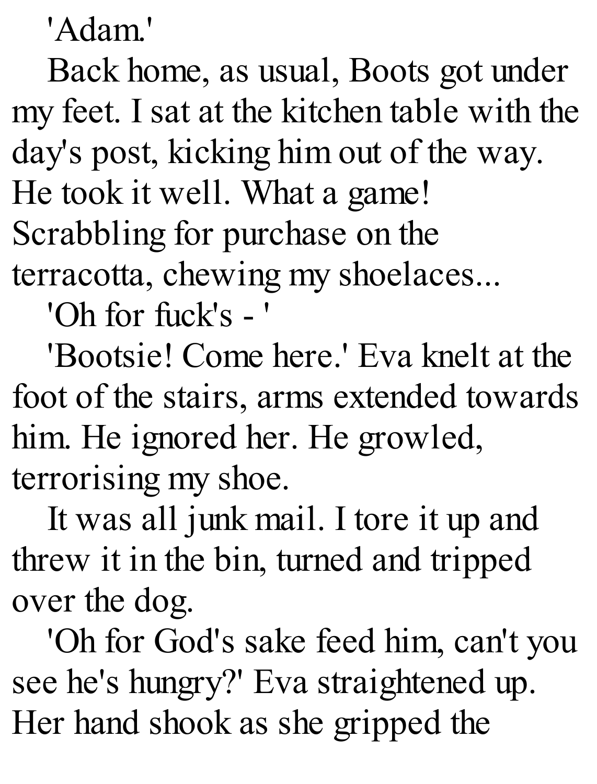'Adam.'

Back home, as usual, Boots got under my feet. I sat at the kitchen table with the day's post, kicking him out of the way. He took it well. What a game! Scrabbling for purchase on the terracotta, chewing my shoelaces...

'Oh for fuck's - '

'Bootsie! Come here.' Eva knelt at the foot of the stairs, arms extended towards him. He ignored her. He growled, terrorising my shoe.

It was all junk mail. I tore it up and threw it in the bin, turned and tripped over the dog.

'Oh for God's sake feed him, can't you see he's hungry?' Eva straightened up. Her hand shook as she gripped the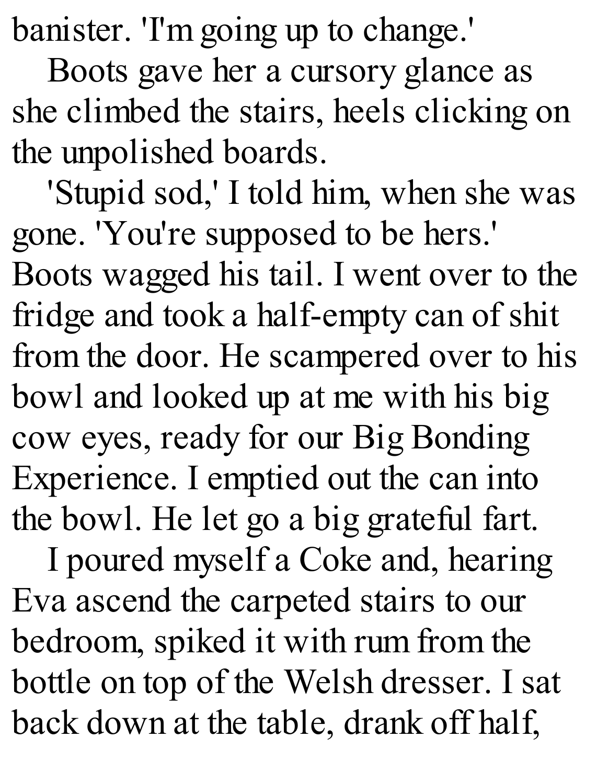banister. 'I'm going up to change.'

Boots gave her a cursory glance as she climbed the stairs, heels clicking on the unpolished boards.

'Stupid sod,' I told him, when she was gone. 'You're supposed to be hers.' Boots wagged his tail. I went over to the fridge and took a half-empty can of shit from the door. He scampered over to his bowl and looked up at me with his big cow eyes, ready for our Big Bonding Experience. I emptied out the can into the bowl. He let go a big grateful fart.

I poured myself a Coke and, hearing Eva ascend the carpeted stairs to our bedroom, spiked it with rum from the bottle on top of the Welsh dresser. I sat back down at the table, drank off half,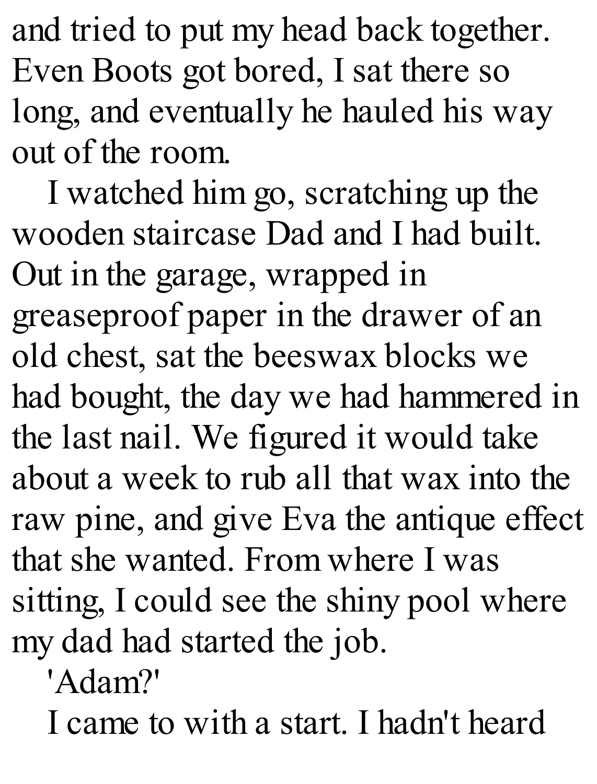and tried to put my head back together. Even Boots got bored, I sat there so long, and eventually he hauled his way out of the room.

I watched him go, scratching up the wooden staircase Dad and I had built. Out in the garage, wrapped in greaseproof paper in the drawer of an old chest, sat the beeswax blocks we had bought, the day we had hammered in the last nail. We figured it would take about a week to rub all that wax into the raw pine, and give Eva the antique effect that she wanted. From where I was sitting, I could see the shiny pool where my dad had started the job.

'Adam?'

I came to with a start. I hadn't heard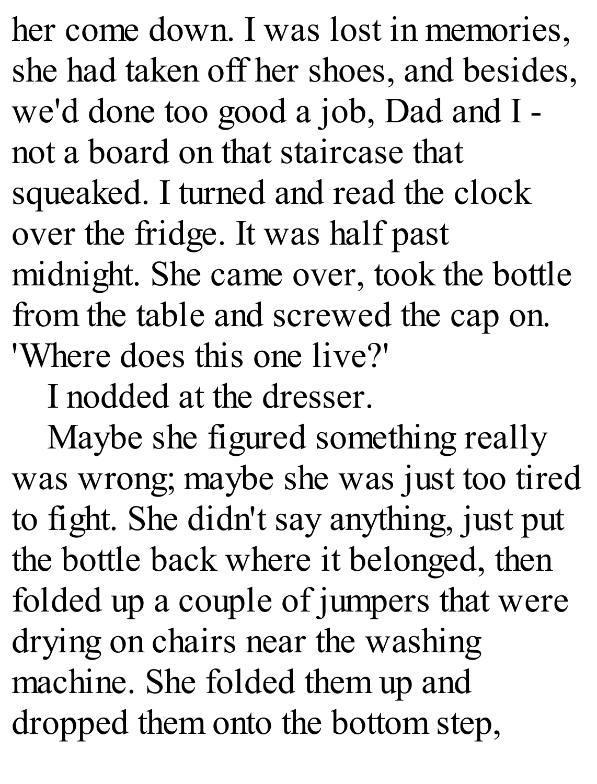her come down. I was lost in memories, she had taken off her shoes, and besides, we'd done too good a job, Dad and I not a board on that staircase that squeaked. I turned and read the clock over the fridge. It was half past midnight. She came over, took the bottle from the table and screwed the cap on. 'Where does this one live?'

I nodded at the dresser.

Maybe she figured something really was wrong; maybe she was just too tired to fight. She didn't say anything, just put the bottle back where it belonged, then folded up a couple of jumpers that were drying on chairs near the washing machine. She folded them up and dropped them onto the bottom step,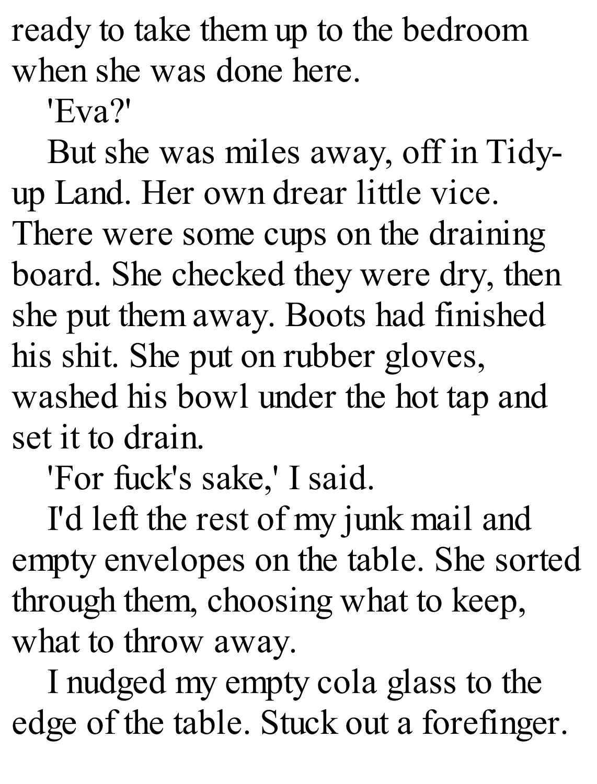ready to take them up to the bedroom when she was done here.

'Eva?'

But she was miles away, off in Tidyup Land. Her own drear little vice. There were some cups on the draining board. She checked they were dry, then she put them away. Boots had finished his shit. She put on rubber gloves, washed his bowl under the hot tap and set it to drain.

'For fuck's sake,' I said.

I'd left the rest of my junk mail and empty envelopes on the table. She sorted through them, choosing what to keep, what to throw away.

I nudged my empty cola glass to the edge of the table. Stuck out a forefinger.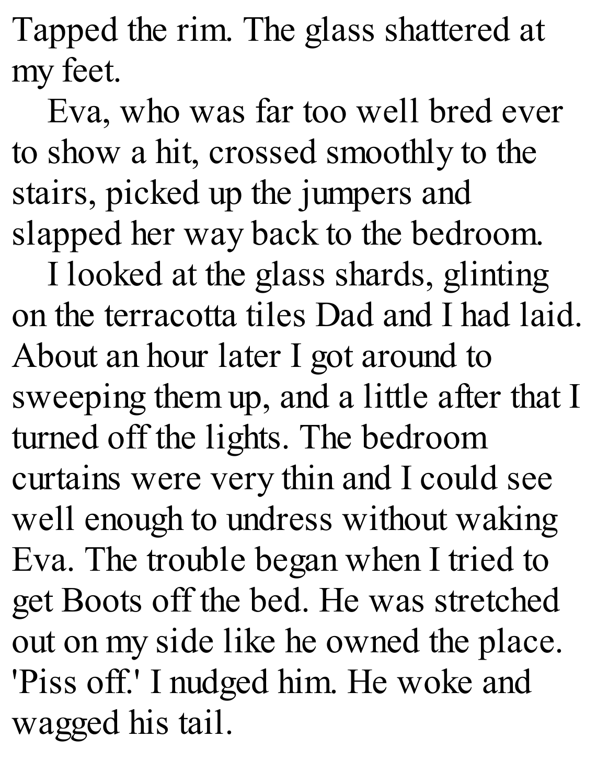Tapped the rim. The glass shattered at my feet.

Eva, who was far too well bred ever to show a hit, crossed smoothly to the stairs, picked up the jumpers and slapped her way back to the bedroom.

I looked at the glass shards, glinting on the terracotta tiles Dad and I had laid. About an hour later I got around to sweeping them up, and a little after that I turned off the lights. The bedroom curtains were very thin and I could see well enough to undress without waking Eva. The trouble began when I tried to get Boots off the bed. He was stretched out on my side like he owned the place. 'Piss off.' I nudged him. He woke and wagged his tail.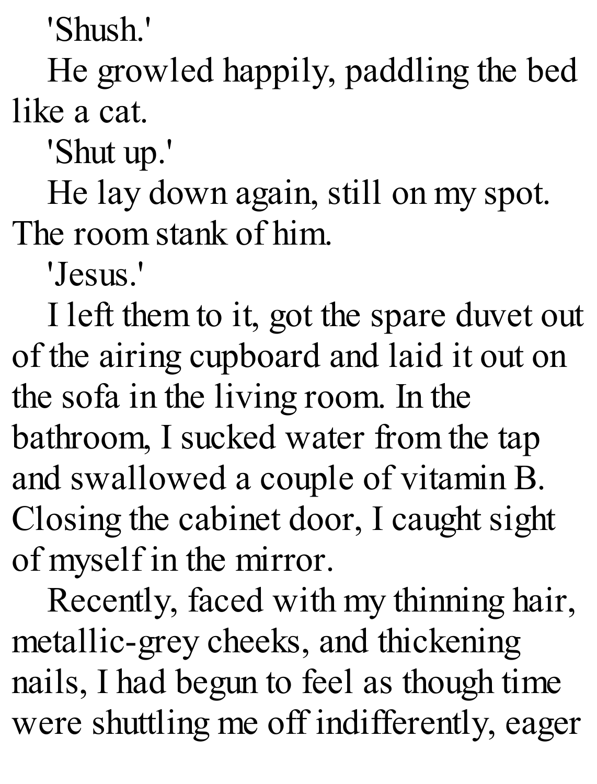'Shush.'

He growled happily, paddling the bed like a cat.

'Shut up.'

He lay down again, still on my spot. The room stank of him.

'Jesus.'

I left them to it, got the spare duvet out of the airing cupboard and laid it out on the sofa in the living room. In the bathroom, I sucked water from the tap and swallowed a couple of vitamin B. Closing the cabinet door, I caught sight of myself in the mirror.

Recently, faced with my thinning hair, metallic-grey cheeks, and thickening nails, I had begun to feel as though time were shuttling me off indifferently, eager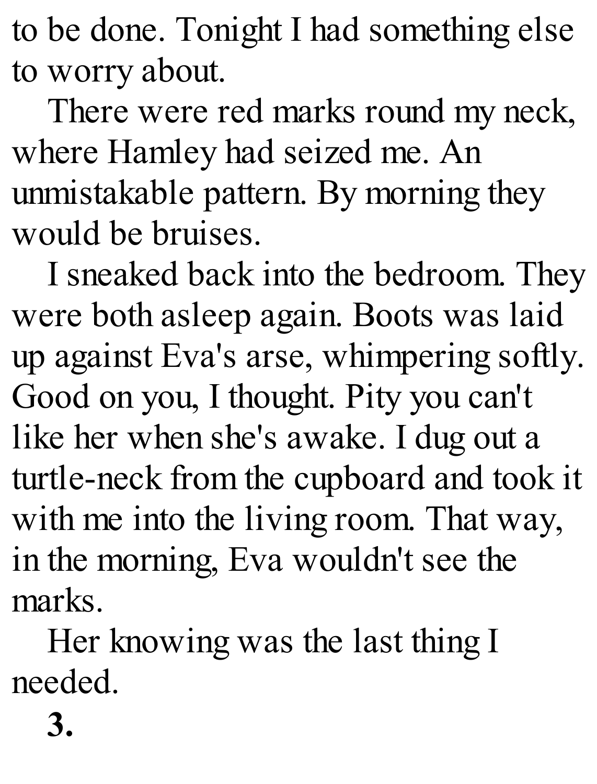to be done. Tonight I had something else to worry about.

There were red marks round my neck, where Hamley had seized me. An unmistakable pattern. By morning they would be bruises.

I sneaked back into the bedroom. They were both asleep again. Boots was laid up against Eva's arse, whimpering softly. Good on you, I thought. Pity you can't like her when she's awake. I dug out a turtle-neck from the cupboard and took it with me into the living room. That way, in the morning, Eva wouldn't see the marks.

Her knowing was the last thing I needed.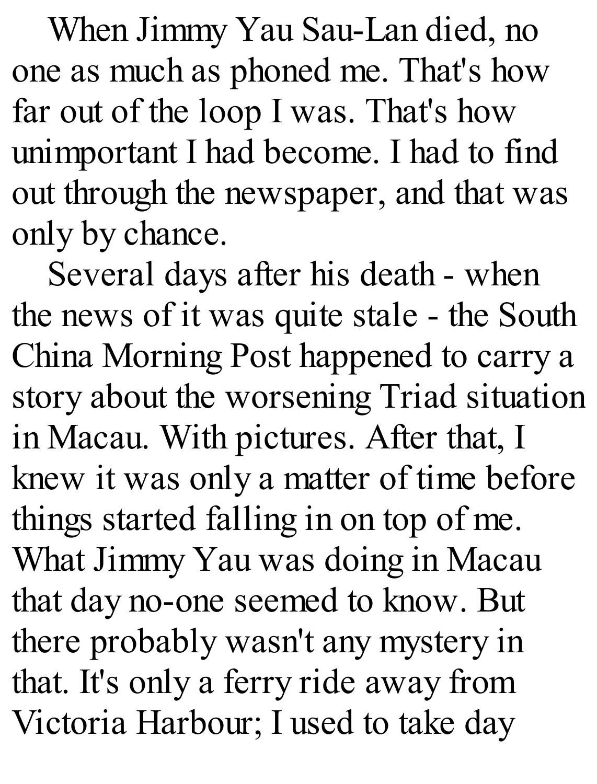When Jimmy Yau Sau-Lan died, no one as much as phoned me. That's how far out of the loop I was. That's how unimportant I had become. I had to find out through the newspaper, and that was only by chance.

Several days after his death - when the news of it was quite stale - the South China Morning Post happened to carry a story about the worsening Triad situation in Macau. With pictures. After that, I knew it was only a matter of time before things started falling in on top of me. What Jimmy Yau was doing in Macau that day no-one seemed to know. But there probably wasn't any mystery in that. It's only a ferry ride away from Victoria Harbour; I used to take day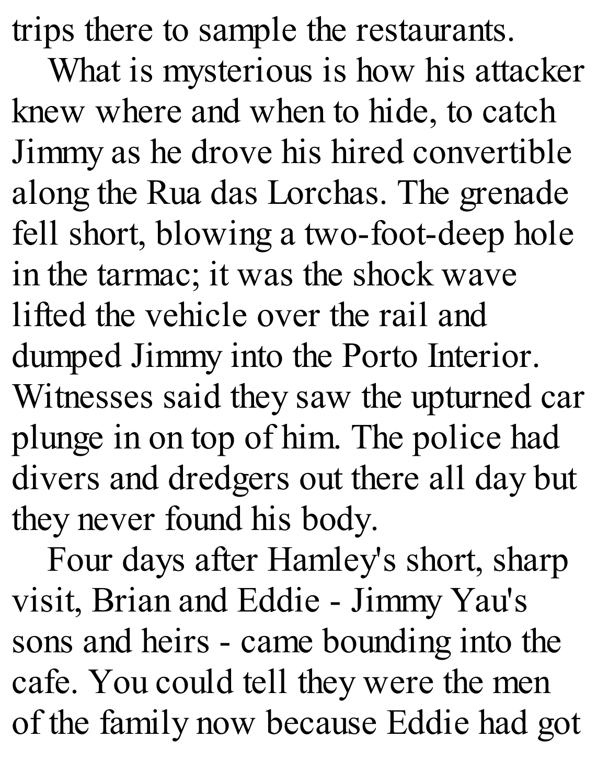trips there to sample the restaurants.

What is mysterious is how his attacker knew where and when to hide, to catch Jimmy as he drove his hired convertible along the Rua das Lorchas. The grenade fell short, blowing a two-foot-deep hole in the tarmac; it was the shock wave lifted the vehicle over the rail and dumped Jimmy into the Porto Interior. Witnesses said they saw the upturned car plunge in on top of him. The police had divers and dredgers out there all day but they never found his body.

Four days after Hamley's short, sharp visit, Brian and Eddie - Jimmy Yau's sons and heirs - came bounding into the cafe. You could tell they were the men of the family now because Eddie had got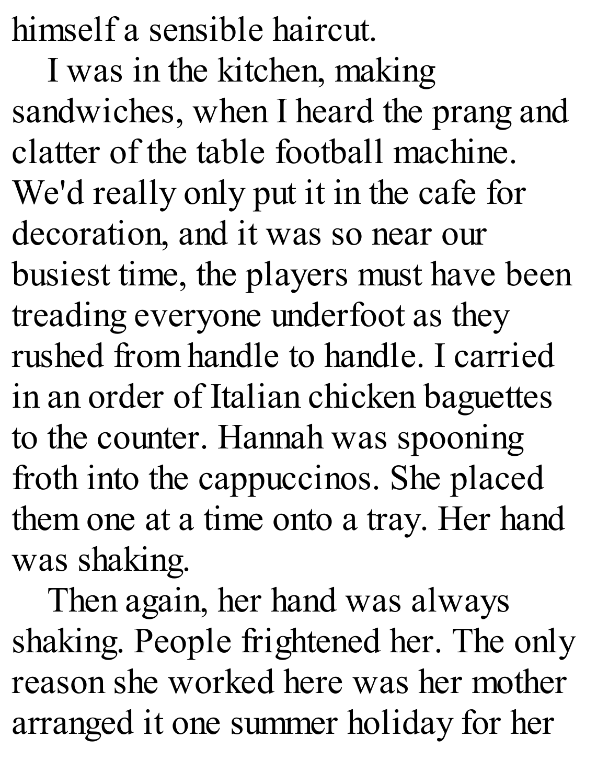himself a sensible haircut.

I was in the kitchen, making sandwiches, when I heard the prang and clatter of the table football machine. We'd really only put it in the cafe for decoration, and it was so near our busiest time, the players must have been treading everyone underfoot as they rushed from handle to handle. I carried in an order of Italian chicken baguettes to the counter. Hannah was spooning froth into the cappuccinos. She placed them one at a time onto a tray. Her hand was shaking.

Then again, her hand was always shaking. People frightened her. The only reason she worked here was her mother arranged it one summer holiday for her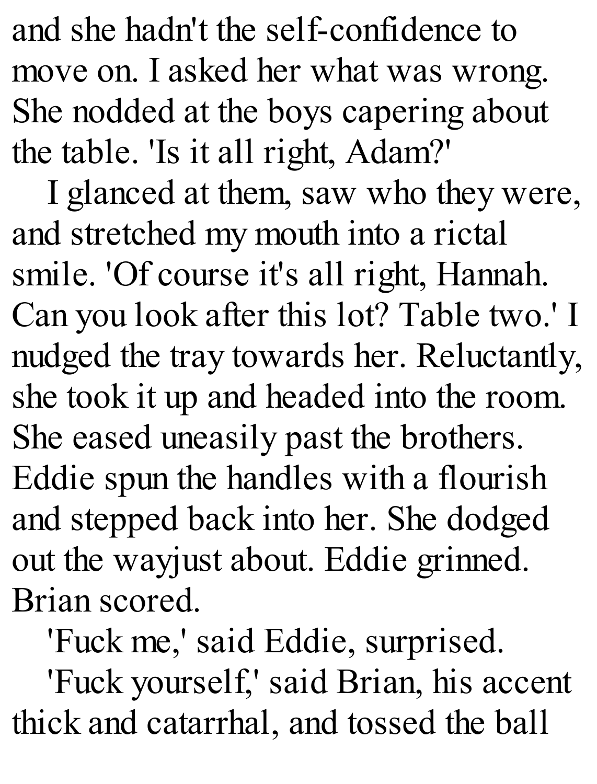and she hadn't the self-confidence to move on. I asked her what was wrong. She nodded at the boys capering about the table. 'Is it all right, Adam?'

I glanced at them, saw who they were, and stretched my mouth into a rictal smile. 'Of course it's all right, Hannah. Can you look after this lot? Table two.' I nudged the tray towards her. Reluctantly, she took it up and headed into the room. She eased uneasily past the brothers. Eddie spun the handles with a flourish and stepped back into her. She dodged out the wayjust about. Eddie grinned. Brian scored.

'Fuck me,' said Eddie, surprised.

'Fuck yourself,' said Brian, his accent thick and catarrhal, and tossed the ball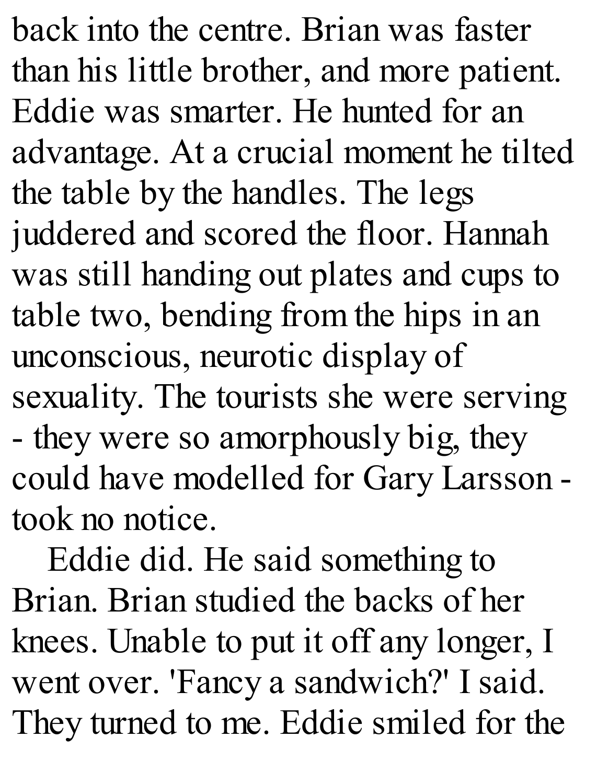back into the centre. Brian was faster than his little brother, and more patient. Eddie was smarter. He hunted for an advantage. At a crucial moment he tilted the table by the handles. The legs juddered and scored the floor. Hannah was still handing out plates and cups to table two, bending from the hips in an unconscious, neurotic display of sexuality. The tourists she were serving - they were so amorphously big, they could have modelled for Gary Larsson took no notice.

Eddie did. He said something to Brian. Brian studied the backs of her knees. Unable to put it off any longer, I went over. 'Fancy a sandwich?' I said. They turned to me. Eddie smiled for the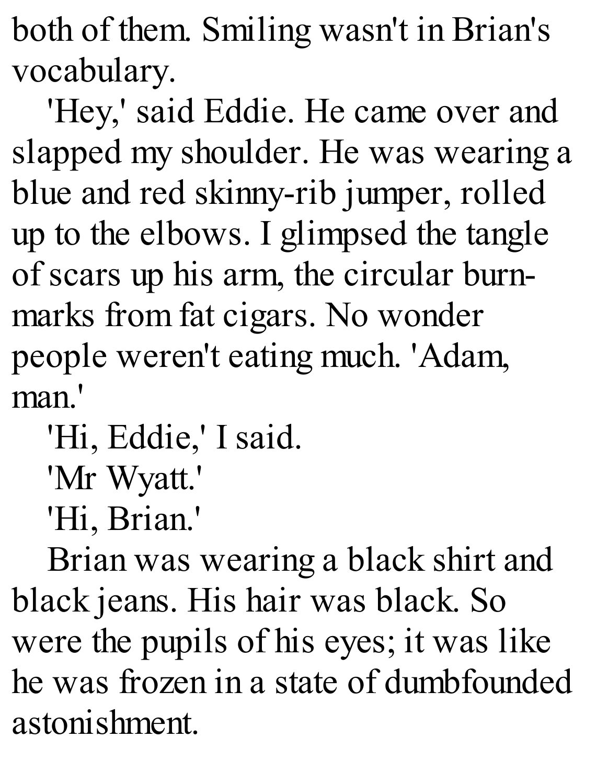both of them. Smiling wasn't in Brian's vocabulary.

'Hey,' said Eddie. He came over and slapped my shoulder. He was wearing a blue and red skinny-rib jumper, rolled up to the elbows. I glimpsed the tangle of scars up his arm, the circular burnmarks from fat cigars. No wonder people weren't eating much. 'Adam, man.'

'Hi, Eddie,' I said.

'Mr Wyatt.'

'Hi, Brian.'

Brian was wearing a black shirt and black jeans. His hair was black. So were the pupils of his eyes; it was like he was frozen in a state of dumbfounded astonishment.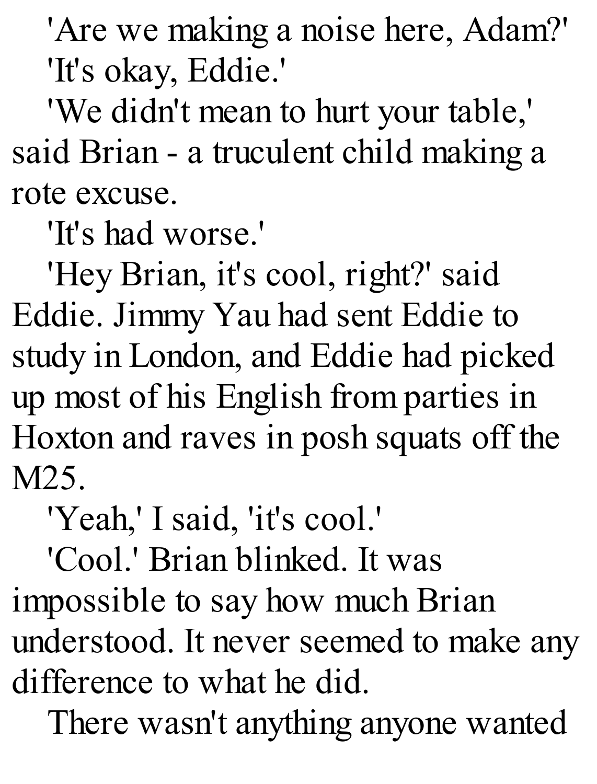'Are we making a noise here, Adam?' 'It's okay, Eddie.'

'We didn't mean to hurt your table,' said Brian - a truculent child making a rote excuse.

'It's had worse.'

'Hey Brian, it's cool, right?' said Eddie. Jimmy Yau had sent Eddie to study in London, and Eddie had picked up most of his English from parties in Hoxton and raves in posh squats off the M<sub>25</sub>.

'Yeah,' I said, 'it's cool.'

'Cool.' Brian blinked. It was impossible to say how much Brian understood. It never seemed to make any difference to what he did.

There wasn't anything anyone wanted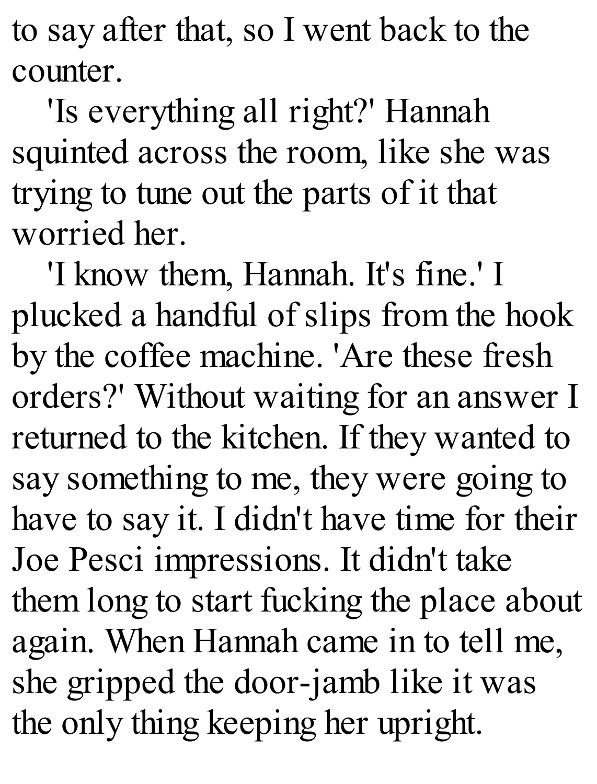to say after that, so I went back to the counter.

'Is everything all right?' Hannah squinted across the room, like she was trying to tune out the parts of it that worried her.

'I know them, Hannah. It's fine.' I plucked a handful of slips from the hook by the coffee machine. 'Are these fresh orders?' Without waiting for an answer I returned to the kitchen. If they wanted to say something to me, they were going to have to say it. I didn't have time for their Joe Pesci impressions. It didn't take them long to start fucking the place about again. When Hannah came in to tell me, she gripped the door-jamb like it was the only thing keeping her upright.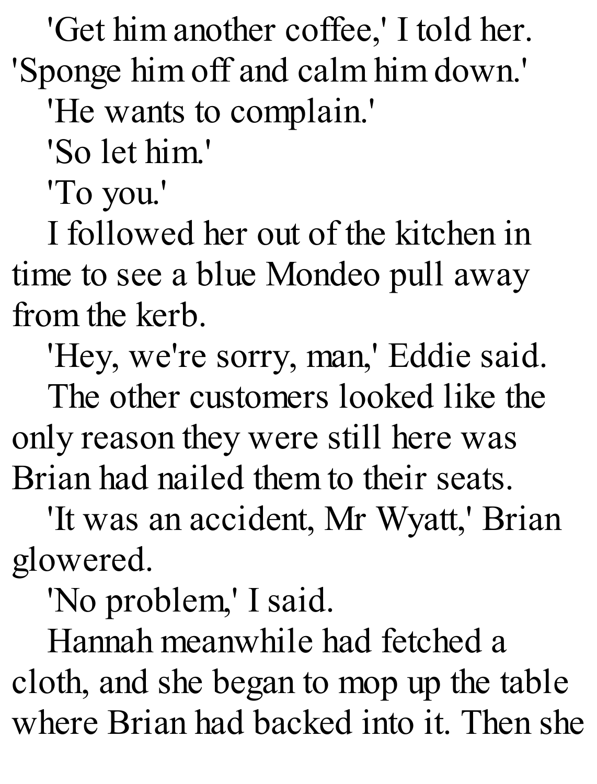'Get him another coffee,' I told her.

'Sponge him off and calm him down.' 'He wants to complain.'

'So let him.'

'To you.'

I followed her out of the kitchen in time to see a blue Mondeo pull away from the kerb.

'Hey, we're sorry, man,' Eddie said.

The other customers looked like the only reason they were still here was Brian had nailed them to their seats.

'It was an accident, Mr Wyatt,' Brian glowered.

'No problem,' I said.

Hannah meanwhile had fetched a cloth, and she began to mop up the table where Brian had backed into it. Then she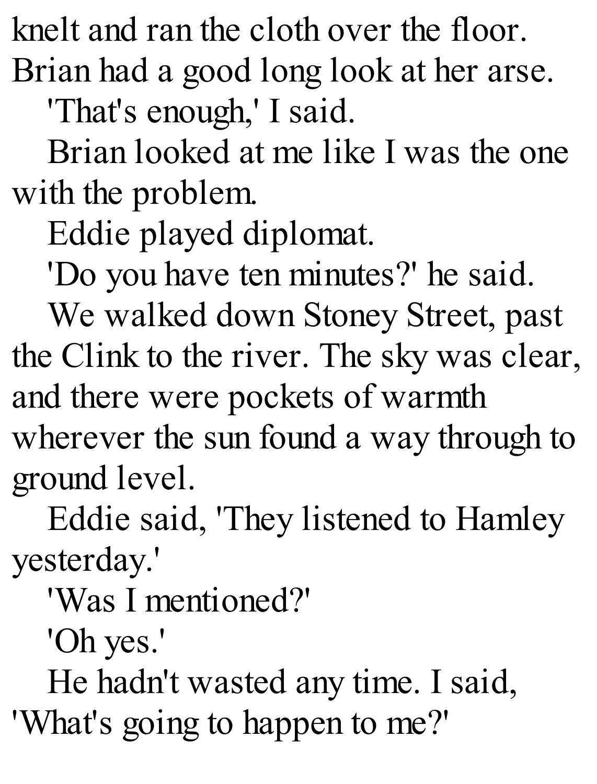knelt and ran the cloth over the floor.

Brian had a good long look at her arse. 'That's enough,' I said.

Brian looked at me like I was the one with the problem.

Eddie played diplomat.

'Do you have ten minutes?' he said.

We walked down Stoney Street, past the Clink to the river. The sky was clear, and there were pockets of warmth wherever the sun found a way through to ground level.

Eddie said, 'They listened to Hamley yesterday.'

'Was I mentioned?'

'Oh yes.'

He hadn't wasted any time. I said,

'What's going to happen to me?'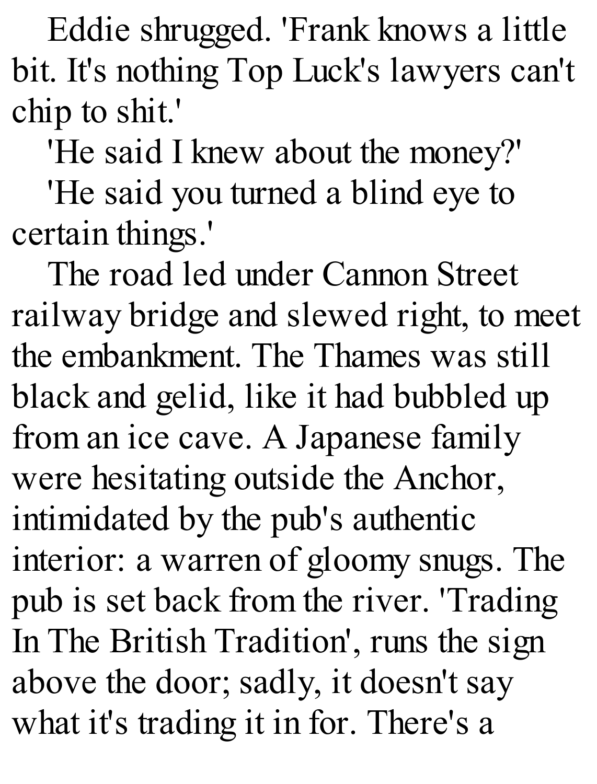Eddie shrugged. 'Frank knows a little bit. It's nothing Top Luck's lawyers can't chip to shit.'

'He said I knew about the money?'

'He said you turned a blind eye to certain things.'

The road led under Cannon Street railway bridge and slewed right, to meet the embankment. The Thames was still black and gelid, like it had bubbled up from an ice cave. A Japanese family were hesitating outside the Anchor, intimidated by the pub's authentic interior: a warren of gloomy snugs. The pub is set back from the river. 'Trading In The British Tradition', runs the sign above the door; sadly, it doesn't say what it's trading it in for. There's a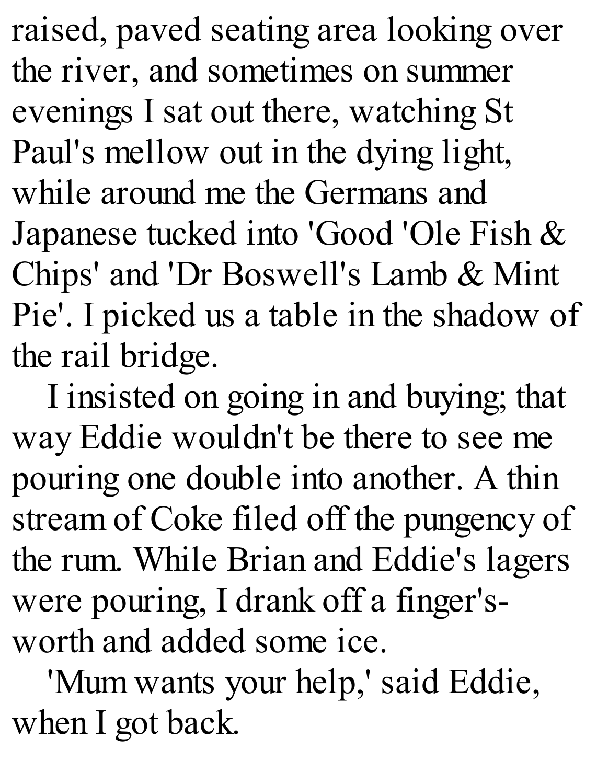raised, paved seating area looking over the river, and sometimes on summer evenings I sat out there, watching St Paul's mellow out in the dying light, while around me the Germans and Japanese tucked into 'Good 'Ole Fish & Chips' and 'Dr Boswell's Lamb & Mint Pie'. I picked us a table in the shadow of the rail bridge.

I insisted on going in and buying; that way Eddie wouldn't be there to see me pouring one double into another. A thin stream of Coke filed off the pungency of the rum. While Brian and Eddie's lagers were pouring, I drank off a finger'sworth and added some ice.

'Mum wants your help,' said Eddie, when I got back.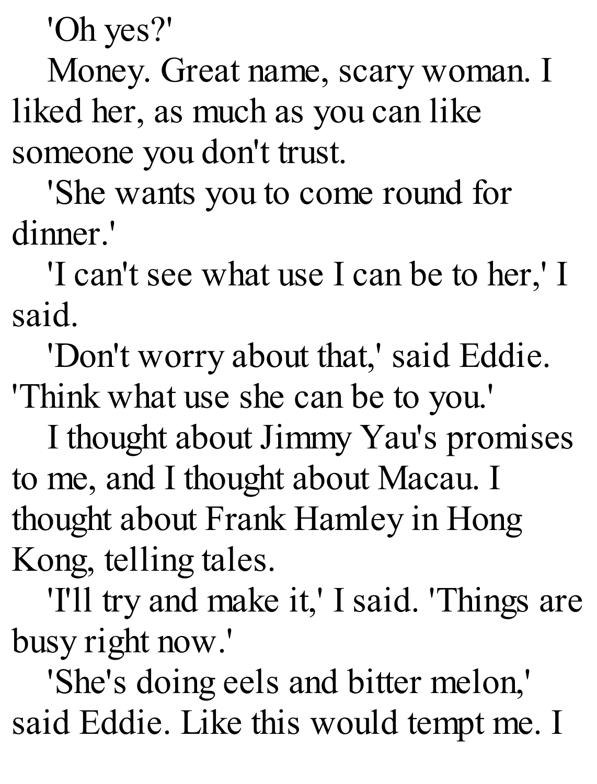'Oh yes?'

Money. Great name, scary woman. I liked her, as much as you can like someone you don't trust.

'She wants you to come round for dinner.'

'I can't see what use I can be to her,' I said.

'Don't worry about that,' said Eddie. 'Think what use she can be to you.'

I thought about Jimmy Yau's promises to me, and I thought about Macau. I thought about Frank Hamley in Hong Kong, telling tales.

'I'll try and make it,' I said. 'Things are busy right now.'

'She's doing eels and bitter melon,' said Eddie. Like this would tempt me. I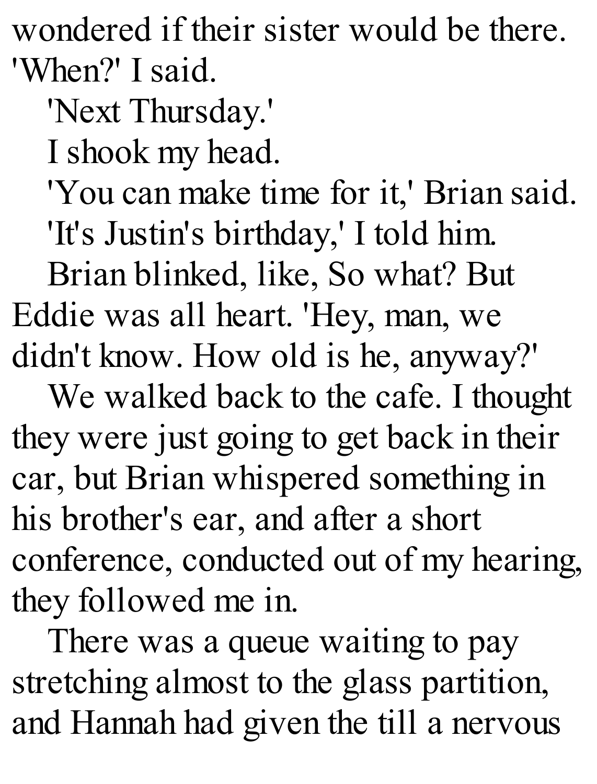wondered if their sister would be there. 'When?' I said.

'Next Thursday.'

I shook my head.

'You can make time for it,' Brian said. 'It's Justin's birthday,' I told him. Brian blinked, like, So what? But Eddie was all heart. 'Hey, man, we

didn't know. How old is he, anyway?'

We walked back to the cafe. I thought they were just going to get back in their car, but Brian whispered something in his brother's ear, and after a short conference, conducted out of my hearing, they followed me in.

There was a queue waiting to pay stretching almost to the glass partition, and Hannah had given the till a nervous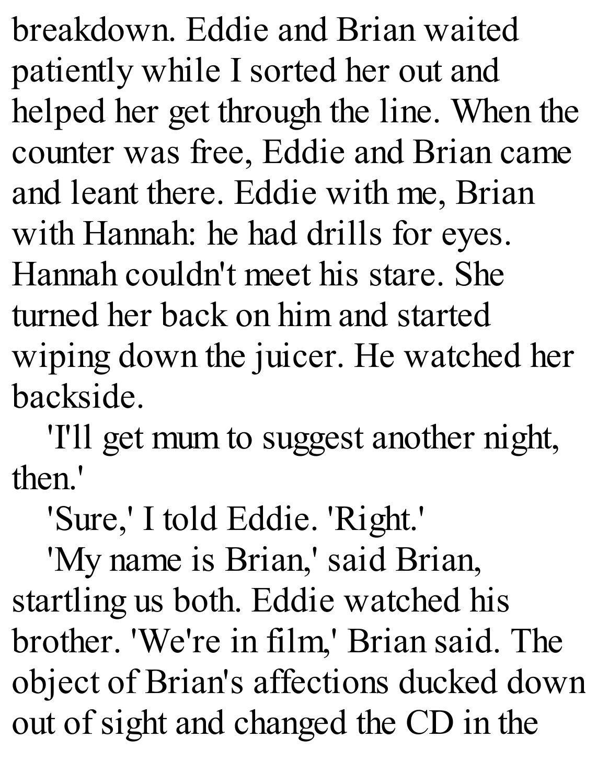breakdown. Eddie and Brian waited patiently while I sorted her out and helped her get through the line. When the counter was free, Eddie and Brian came and leant there. Eddie with me, Brian with Hannah: he had drills for eyes. Hannah couldn't meet his stare. She turned her back on him and started wiping down the juicer. He watched her backside.

'I'll get mum to suggest another night, then.'

'Sure,' I told Eddie. 'Right.'

'My name is Brian,' said Brian, startling us both. Eddie watched his brother. 'We're in film,' Brian said. The object of Brian's affections ducked down out of sight and changed the CD in the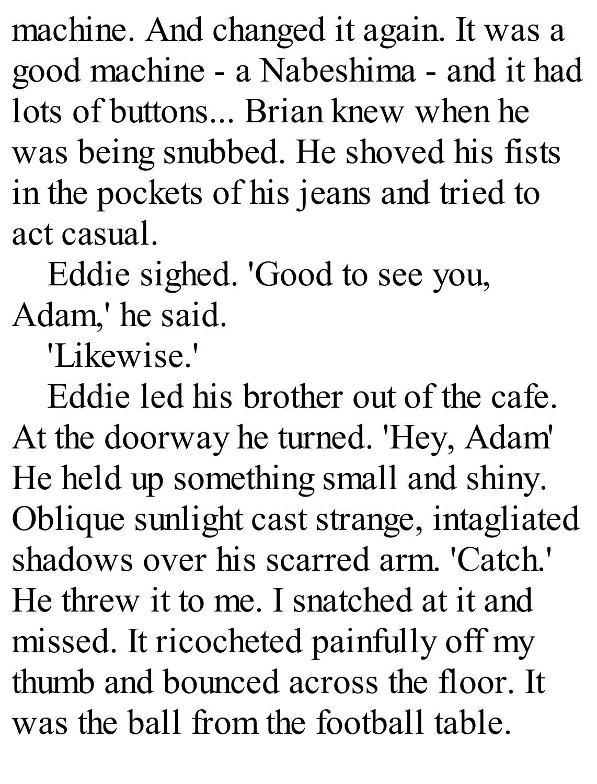machine. And changed it again. It was a good machine - a Nabeshima - and it had lots of buttons... Brian knew when he was being snubbed. He shoved his fists in the pockets of his jeans and tried to act casual.

Eddie sighed. 'Good to see you, Adam,' he said.

'Likewise.'

Eddie led his brother out of the cafe. At the doorway he turned. 'Hey, Adam' He held up something small and shiny. Oblique sunlight cast strange, intagliated shadows over his scarred arm. 'Catch.' He threw it to me. I snatched at it and missed. It ricocheted painfully off my thumb and bounced across the floor. It was the ball from the football table.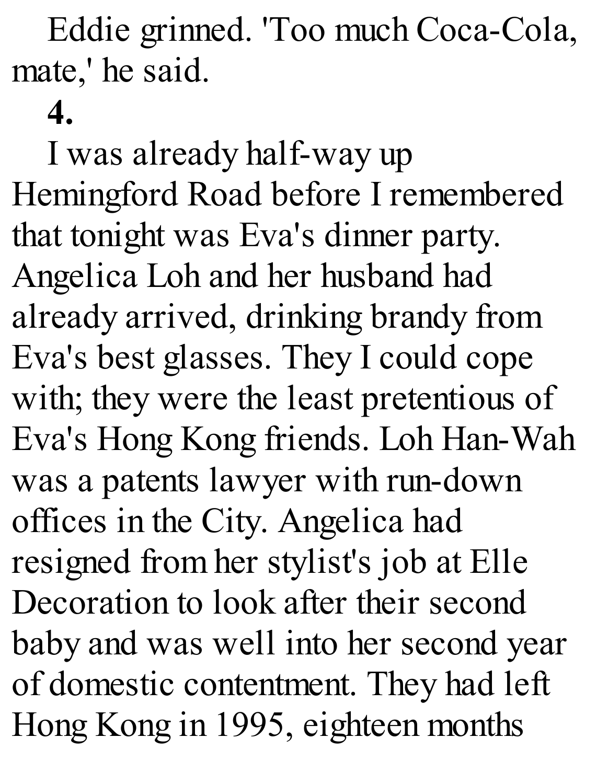Eddie grinned. 'Too much Coca-Cola, mate,' he said.

## **4.**

I was already half-way up Hemingford Road before I remembered that tonight was Eva's dinner party. Angelica Loh and her husband had already arrived, drinking brandy from Eva's best glasses. They I could cope with; they were the least pretentious of Eva's Hong Kong friends. Loh Han-Wah was a patents lawyer with run-down offices in the City. Angelica had resigned from her stylist's job at Elle Decoration to look after their second baby and was well into her second year of domestic contentment. They had left Hong Kong in 1995, eighteen months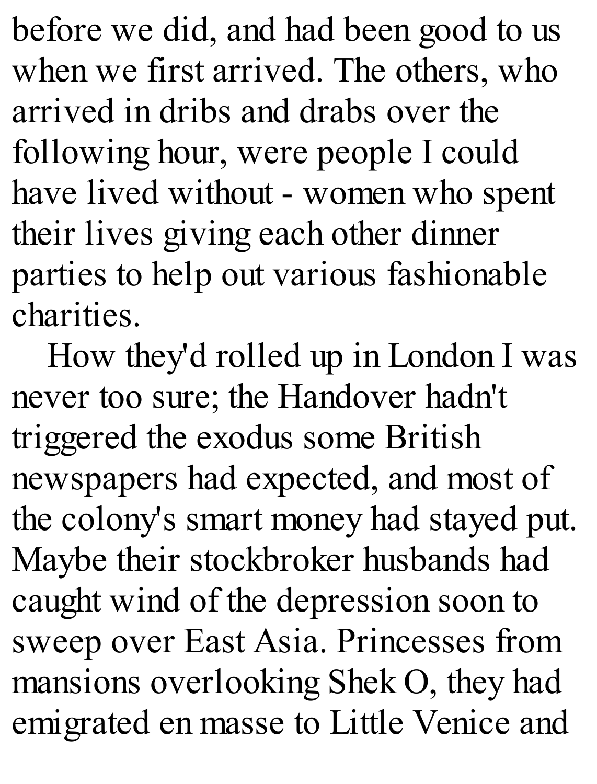before we did, and had been good to us when we first arrived. The others, who arrived in dribs and drabs over the following hour, were people I could have lived without - women who spent their lives giving each other dinner parties to help out various fashionable charities.

How they'd rolled up in London I was never too sure; the Handover hadn't triggered the exodus some British newspapers had expected, and most of the colony's smart money had stayed put. Maybe their stockbroker husbands had caught wind of the depression soon to sweep over East Asia. Princesses from mansions overlooking Shek O, they had emigrated en masse to Little Venice and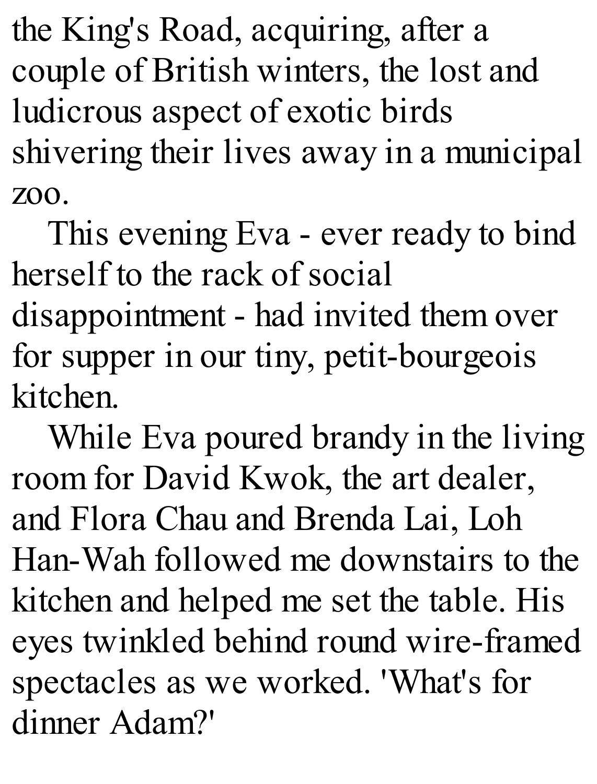the King's Road, acquiring, after a couple of British winters, the lost and ludicrous aspect of exotic birds shivering their lives away in a municipal zoo.

This evening Eva - ever ready to bind herself to the rack of social disappointment - had invited them over for supper in our tiny, petit-bourgeois kitchen.

While Eva poured brandy in the living room for David Kwok, the art dealer, and Flora Chau and Brenda Lai, Loh Han-Wah followed me downstairs to the kitchen and helped me set the table. His eyes twinkled behind round wire-framed spectacles as we worked. 'What's for dinner Adam?'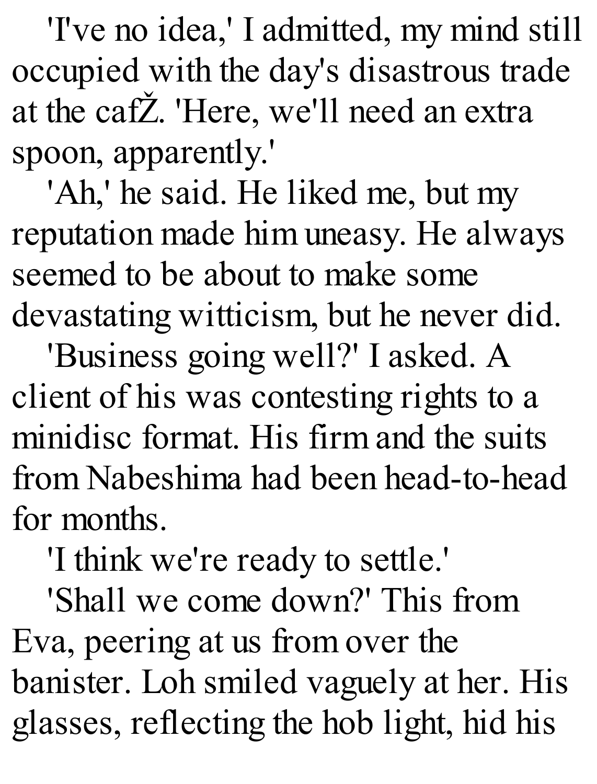'I've no idea,' I admitted, my mind still occupied with the day's disastrous trade at the cafŽ. 'Here, we'll need an extra spoon, apparently.'

'Ah,' he said. He liked me, but my reputation made him uneasy. He always seemed to be about to make some devastating witticism, but he never did.

'Business going well?' I asked. A client of his was contesting rights to a minidisc format. His firm and the suits from Nabeshima had been head-to-head for months.

'I think we're ready to settle.'

'Shall we come down?' This from Eva, peering at us from over the banister. Loh smiled vaguely at her. His glasses, reflecting the hob light, hid his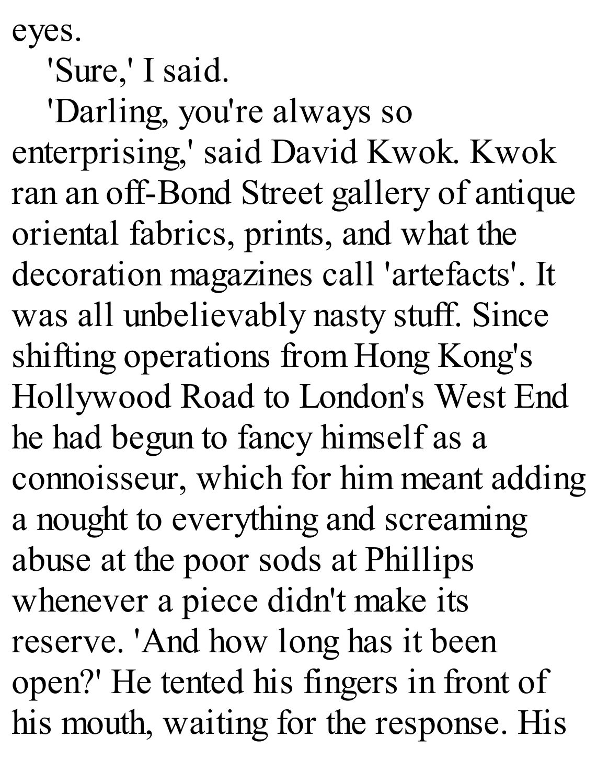eyes.

'Sure,' I said.

'Darling, you're always so

enterprising,' said David Kwok. Kwok ran an off-Bond Street gallery of antique oriental fabrics, prints, and what the decoration magazines call 'artefacts'. It was all unbelievably nasty stuff. Since shifting operations from Hong Kong's Hollywood Road to London's West End he had begun to fancy himself as a connoisseur, which for him meant adding a nought to everything and screaming abuse at the poor sods at Phillips whenever a piece didn't make its reserve. 'And how long has it been open?' He tented his fingers in front of his mouth, waiting for the response. His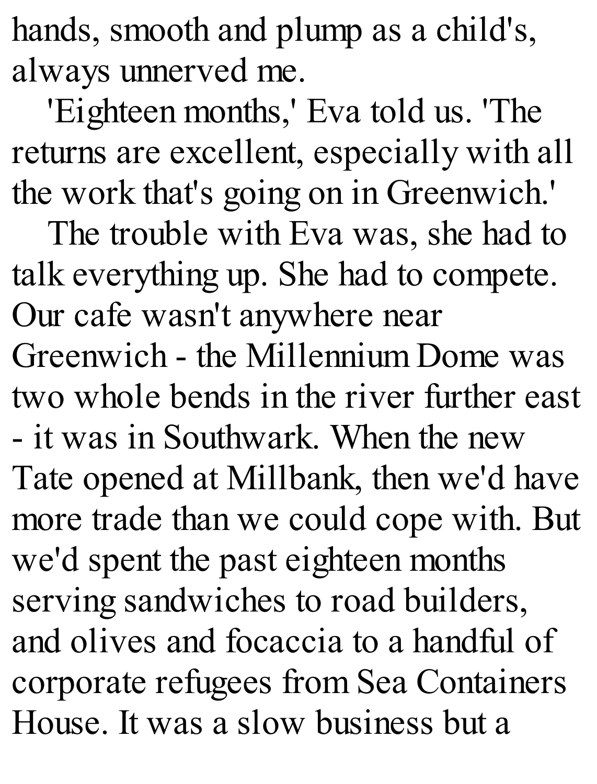hands, smooth and plump as a child's, always unnerved me.

'Eighteen months,' Eva told us. 'The returns are excellent, especially with all the work that's going on in Greenwich.'

The trouble with Eva was, she had to talk everything up. She had to compete. Our cafe wasn't anywhere near Greenwich - the Millennium Dome was two whole bends in the river further east - it was in Southwark. When the new Tate opened at Millbank, then we'd have more trade than we could cope with. But we'd spent the past eighteen months serving sandwiches to road builders, and olives and focaccia to a handful of corporate refugees from Sea Containers House. It was a slow business but a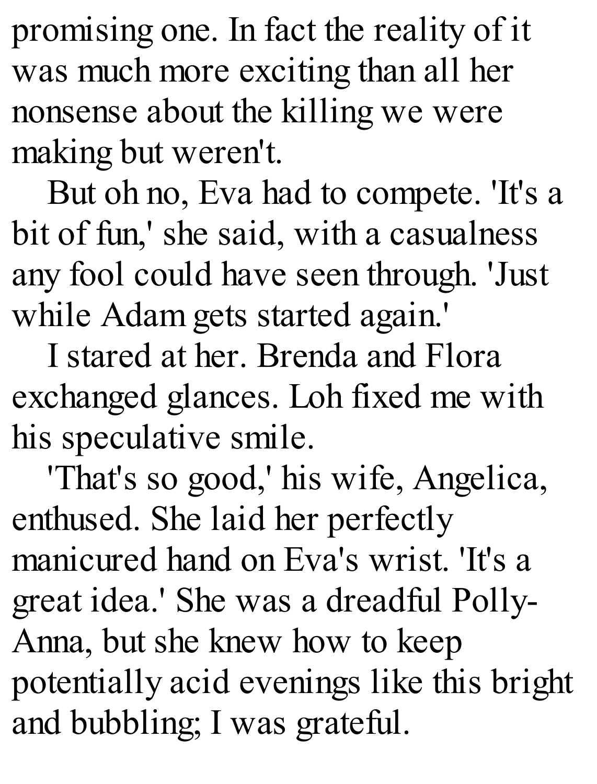promising one. In fact the reality of it was much more exciting than all her nonsense about the killing we were making but weren't.

But oh no, Eva had to compete. 'It's a bit of fun,' she said, with a casualness any fool could have seen through. 'Just while Adam gets started again.'

I stared at her. Brenda and Flora exchanged glances. Loh fixed me with his speculative smile.

'That's so good,' his wife, Angelica, enthused. She laid her perfectly manicured hand on Eva's wrist. 'It's a great idea.' She was a dreadful Polly-Anna, but she knew how to keep potentially acid evenings like this bright and bubbling; I was grateful.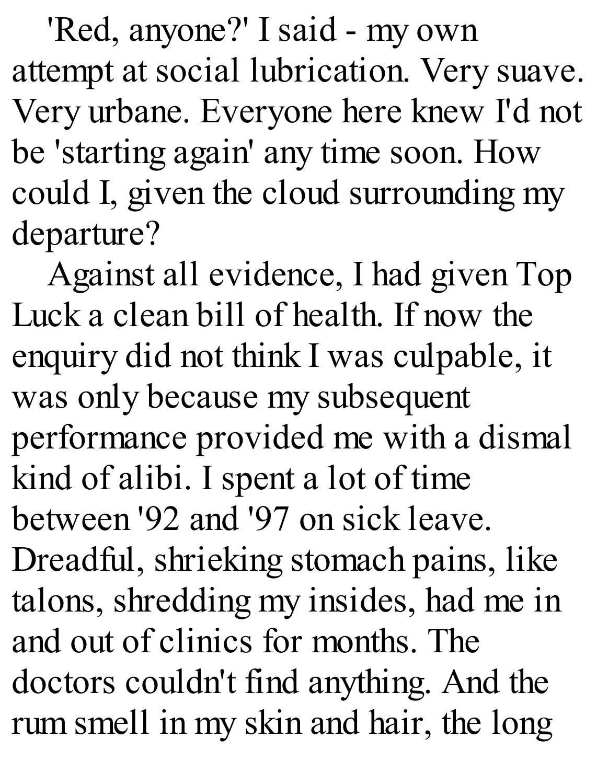'Red, anyone?' I said - my own attempt at social lubrication. Very suave. Very urbane. Everyone here knew I'd not be 'starting again' any time soon. How could I, given the cloud surrounding my departure?

Against all evidence, I had given Top Luck a clean bill of health. If now the enquiry did not think I was culpable, it was only because my subsequent performance provided me with a dismal kind of alibi. I spent a lot of time between '92 and '97 on sick leave. Dreadful, shrieking stomach pains, like talons, shredding my insides, had me in and out of clinics for months. The doctors couldn't find anything. And the rum smell in my skin and hair, the long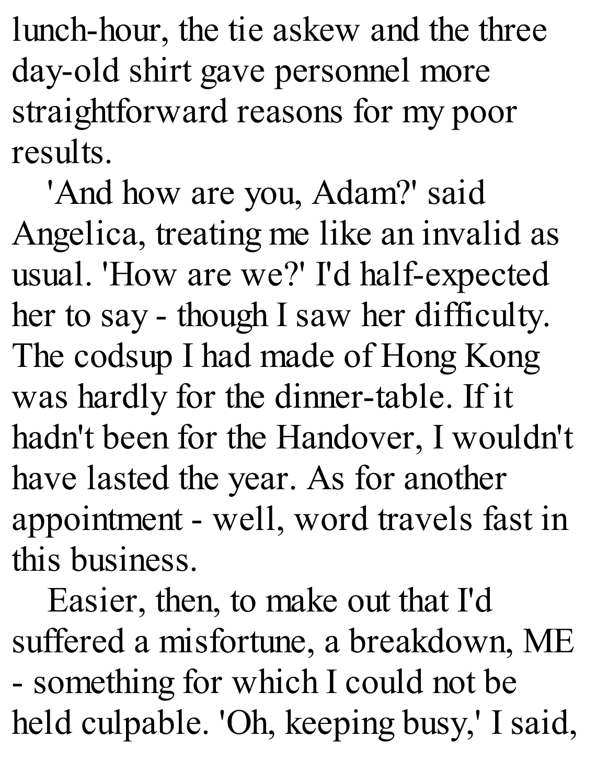lunch-hour, the tie askew and the three day-old shirt gave personnel more straightforward reasons for my poor results.

'And how are you, Adam?' said Angelica, treating me like an invalid as usual. 'How are we?' I'd half-expected her to say - though I saw her difficulty. The codsup I had made of Hong Kong was hardly for the dinner-table. If it hadn't been for the Handover, I wouldn't have lasted the year. As for another appointment - well, word travels fast in this business.

Easier, then, to make out that I'd suffered a misfortune, a breakdown, ME - something for which I could not be held culpable. 'Oh, keeping busy,' I said,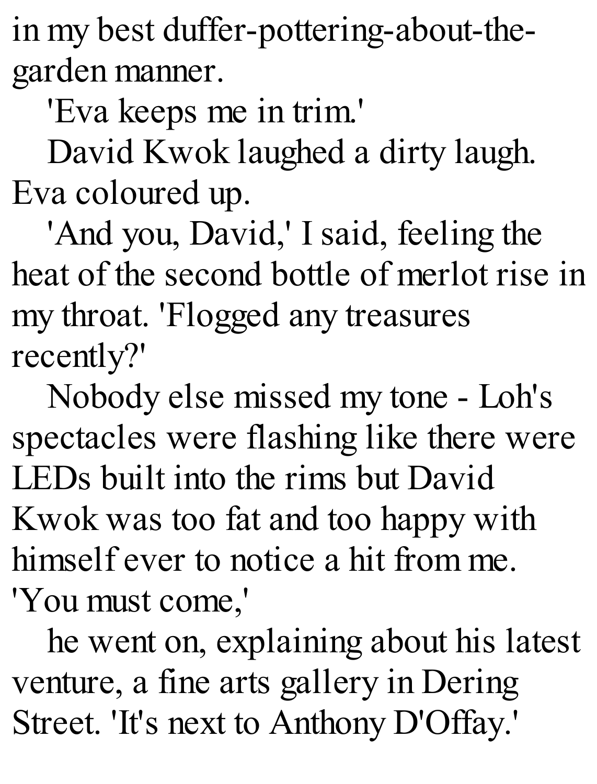in my best duffer-pottering-about-thegarden manner.

'Eva keeps me in trim.'

David Kwok laughed a dirty laugh. Eva coloured up.

'And you, David,' I said, feeling the heat of the second bottle of merlot rise in my throat. 'Flogged any treasures recently?'

Nobody else missed my tone - Loh's spectacles were flashing like there were LEDs built into the rims but David Kwok was too fat and too happy with himself ever to notice a hit from me. 'You must come,'

he went on, explaining about his latest venture, a fine arts gallery in Dering Street. 'It's next to Anthony D'Offay.'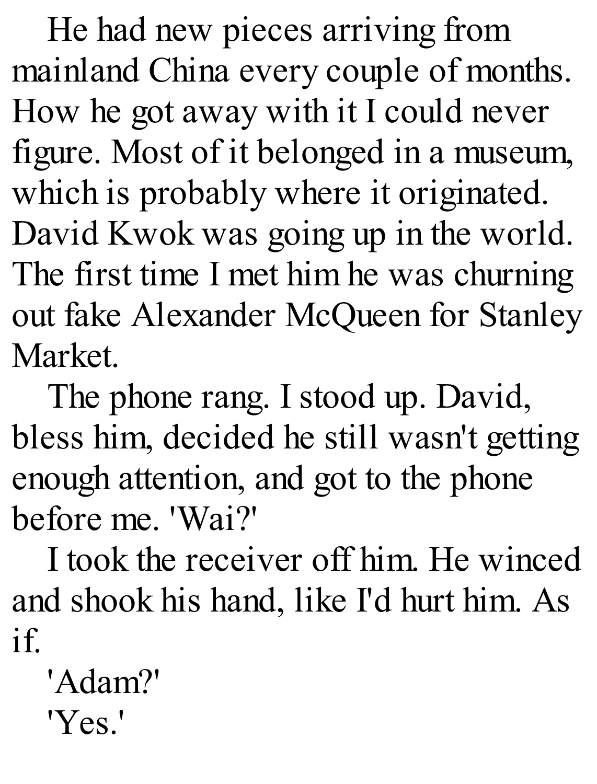He had new pieces arriving from mainland China every couple of months. How he got away with it I could never figure. Most of it belonged in a museum, which is probably where it originated. David Kwok was going up in the world. The first time I met him he was churning out fake Alexander McQueen for Stanley Market.

The phone rang. I stood up. David, bless him, decided he still wasn't getting enough attention, and got to the phone before me. 'Wai?'

I took the receiver off him. He winced and shook his hand, like I'd hurt him. As if.

'Adam?' 'Yes.'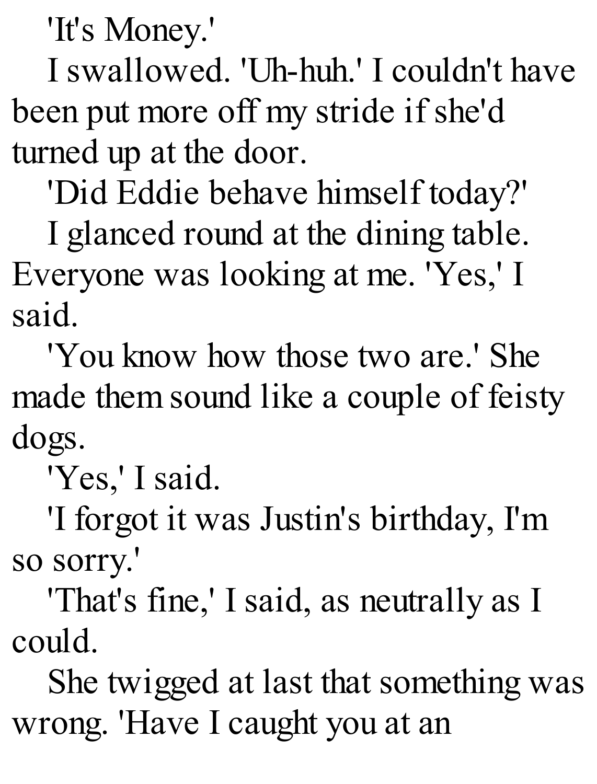'It's Money.'

I swallowed. 'Uh-huh.' I couldn't have been put more off my stride if she'd turned up at the door.

'Did Eddie behave himself today?'

I glanced round at the dining table. Everyone was looking at me. 'Yes,' I said.

'You know how those two are.' She made them sound like a couple of feisty dogs.

'Yes,' I said.

'I forgot it was Justin's birthday, I'm so sorry.'

'That's fine,' I said, as neutrally as I could.

She twigged at last that something was wrong. 'Have I caught you at an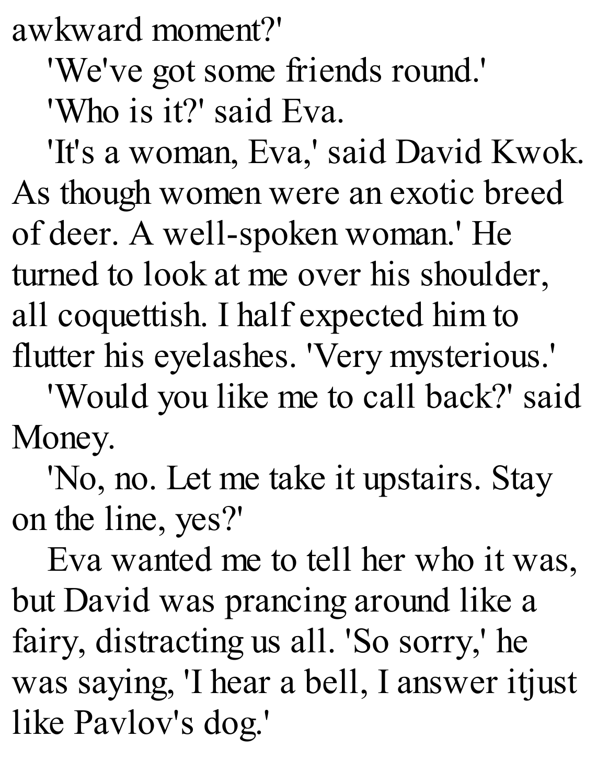awkward moment?'

'We've got some friends round.'

'Who is it?' said Eva.

'It's a woman, Eva,' said David Kwok. As though women were an exotic breed of deer. A well-spoken woman.' He turned to look at me over his shoulder, all coquettish. I half expected him to flutter his eyelashes. 'Very mysterious.'

'Would you like me to call back?' said Money.

'No, no. Let me take it upstairs. Stay on the line, yes?'

Eva wanted me to tell her who it was, but David was prancing around like a fairy, distracting us all. 'So sorry,' he was saying, 'I hear a bell, I answer itjust like Pavlov's dog.'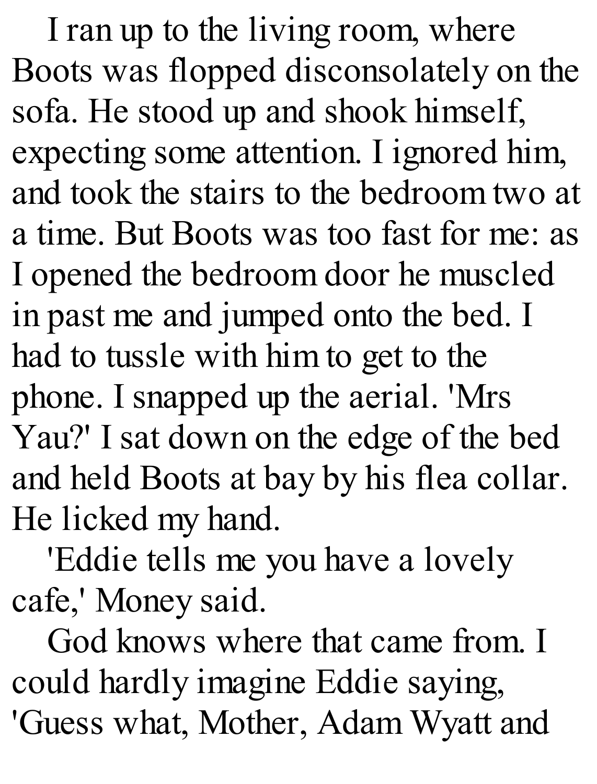I ran up to the living room, where Boots was flopped disconsolately on the sofa. He stood up and shook himself, expecting some attention. I ignored him, and took the stairs to the bedroom two at a time. But Boots was too fast for me: as I opened the bedroom door he muscled in past me and jumped onto the bed. I had to tussle with him to get to the phone. I snapped up the aerial. 'Mrs Yau?' I sat down on the edge of the bed and held Boots at bay by his flea collar. He licked my hand.

'Eddie tells me you have a lovely cafe,' Money said.

God knows where that came from. I could hardly imagine Eddie saying, 'Guess what, Mother, Adam Wyatt and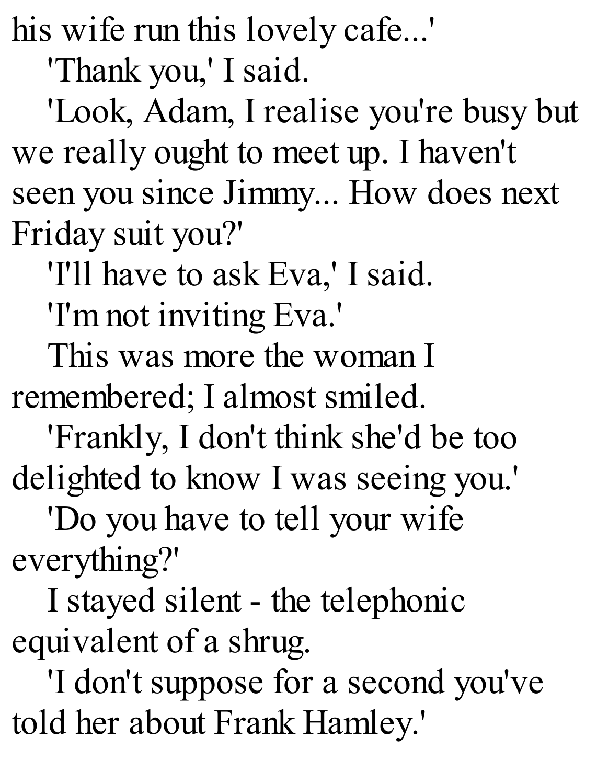his wife run this lovely cafe...'

'Thank you,' I said.

'Look, Adam, I realise you're busy but we really ought to meet up. I haven't seen you since Jimmy... How does next Friday suit you?'

'I'll have to ask Eva,' I said.

'I'm not inviting Eva.'

This was more the woman I

remembered; I almost smiled.

'Frankly, I don't think she'd be too delighted to know I was seeing you.'

'Do you have to tell your wife everything?'

I stayed silent - the telephonic equivalent of a shrug.

'I don't suppose for a second you've told her about Frank Hamley.'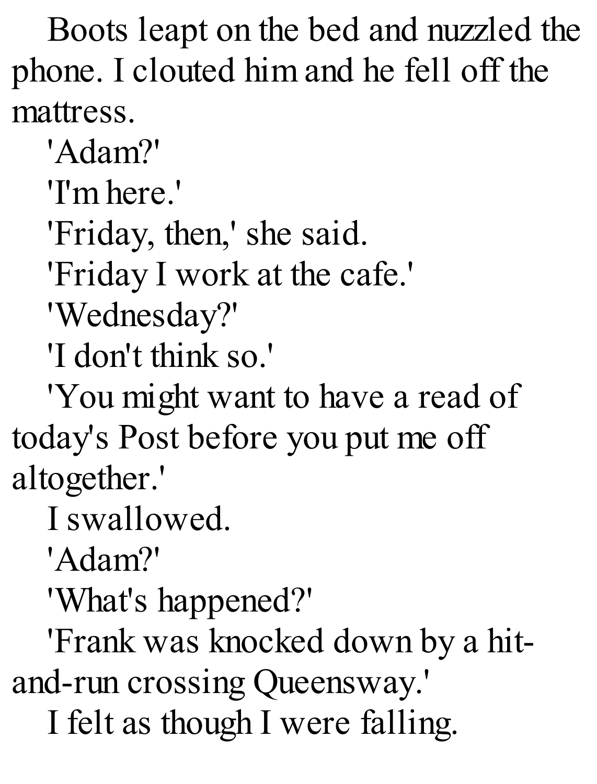Boots leapt on the bed and nuzzled the phone. I clouted him and he fell off the mattress.

'Adam?' 'I'm here.' 'Friday, then,' she said. 'Friday I work at the cafe.' 'Wednesday?' 'I don't think so.'

'You might want to have a read of today's Post before you put me off altogether.'

I swallowed.

'Adam?'

'What's happened?'

'Frank was knocked down by a hit-

and-run crossing Queensway.'

I felt as though I were falling.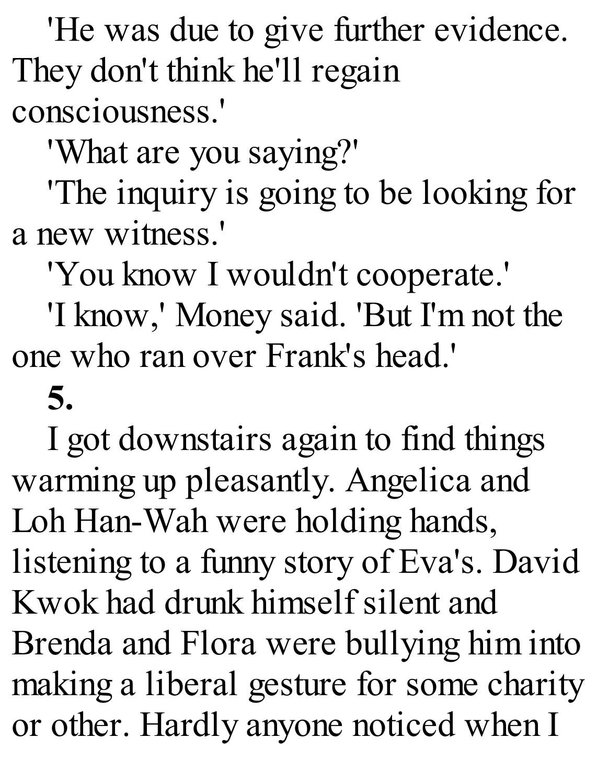'He was due to give further evidence. They don't think he'll regain consciousness.'

'What are you saying?'

'The inquiry is going to be looking for a new witness.'

'You know I wouldn't cooperate.'

'I know,' Money said. 'But I'm not the one who ran over Frank's head.'

## **5.**

I got downstairs again to find things warming up pleasantly. Angelica and Loh Han-Wah were holding hands, listening to a funny story of Eva's. David Kwok had drunk himself silent and Brenda and Flora were bullying him into making a liberal gesture for some charity or other. Hardly anyone noticed when I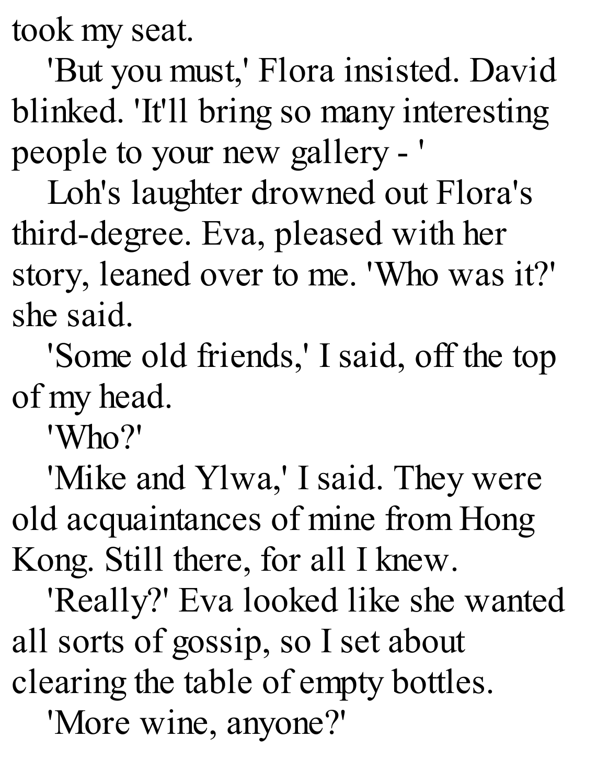took my seat.

'But you must,' Flora insisted. David blinked. 'It'll bring so many interesting people to your new gallery - '

Loh's laughter drowned out Flora's third-degree. Eva, pleased with her story, leaned over to me. 'Who was it?' she said.

'Some old friends,' I said, off the top of my head.

'Who?'

'Mike and Ylwa,' I said. They were old acquaintances of mine from Hong Kong. Still there, for all I knew.

'Really?' Eva looked like she wanted all sorts of gossip, so I set about clearing the table of empty bottles. 'More wine, anyone?'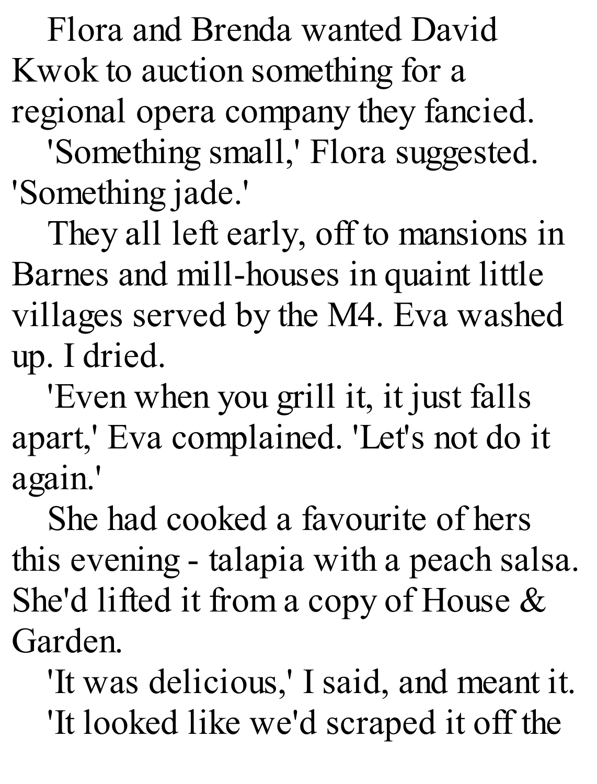Flora and Brenda wanted David Kwok to auction something for a regional opera company they fancied.

'Something small,' Flora suggested. 'Something jade.'

They all left early, off to mansions in Barnes and mill-houses in quaint little villages served by the M4. Eva washed up. I dried.

'Even when you grill it, it just falls apart,' Eva complained. 'Let's not do it again.'

She had cooked a favourite of hers this evening - talapia with a peach salsa. She'd lifted it from a copy of House & Garden.

'It was delicious,' I said, and meant it. 'It looked like we'd scraped it off the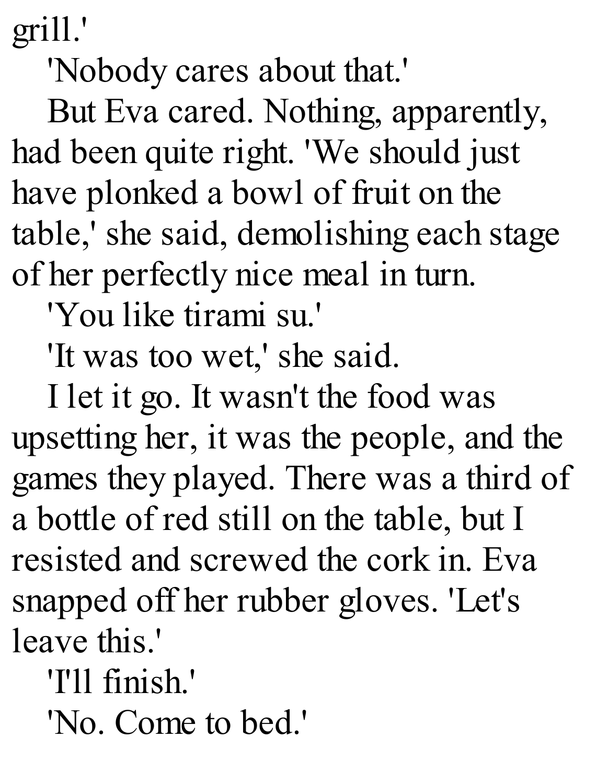grill.'

'Nobody cares about that.'

But Eva cared. Nothing, apparently, had been quite right. 'We should just have plonked a bowl of fruit on the table,' she said, demolishing each stage of her perfectly nice meal in turn.

'You like tirami su.'

'It was too wet,' she said.

I let it go. It wasn't the food was upsetting her, it was the people, and the games they played. There was a third of a bottle of red still on the table, but I resisted and screwed the cork in. Eva snapped off her rubber gloves. 'Let's leave this.'

'I'll finish.'

'No. Come to bed.'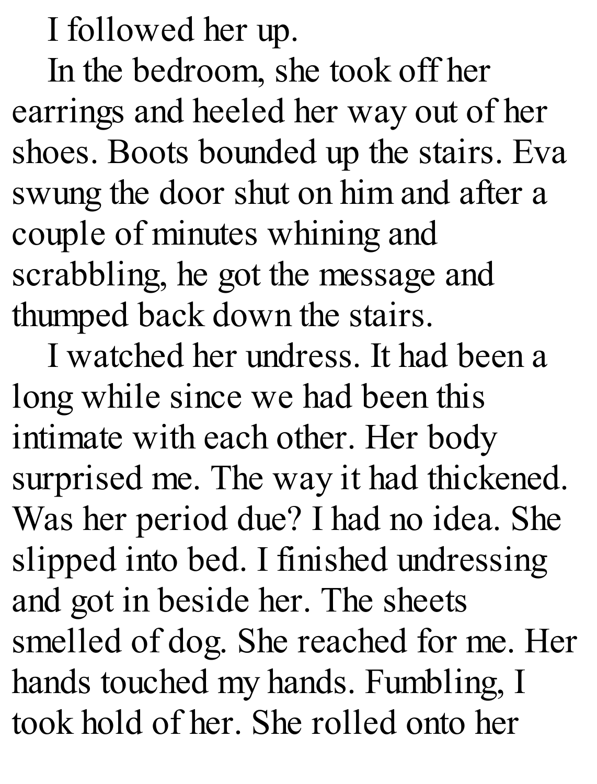I followed her up.

In the bedroom, she took off her earrings and heeled her way out of her shoes. Boots bounded up the stairs. Eva swung the door shut on him and after a couple of minutes whining and scrabbling, he got the message and thumped back down the stairs.

I watched her undress. It had been a long while since we had been this intimate with each other. Her body surprised me. The way it had thickened. Was her period due? I had no idea. She slipped into bed. I finished undressing and got in beside her. The sheets smelled of dog. She reached for me. Her hands touched my hands. Fumbling, I took hold of her. She rolled onto her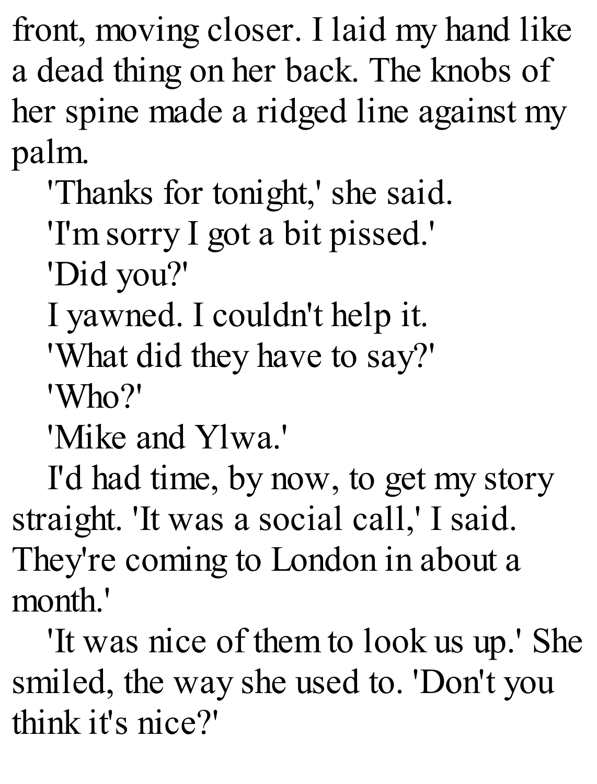front, moving closer. I laid my hand like a dead thing on her back. The knobs of her spine made a ridged line against my palm.

'Thanks for tonight,' she said.

'I'm sorry I got a bit pissed.'

'Did you?'

I yawned. I couldn't help it.

'What did they have to say?'

'Who?'

'Mike and Ylwa.'

I'd had time, by now, to get my story straight. 'It was a social call,' I said. They're coming to London in about a month.'

'It was nice of them to look us up.' She smiled, the way she used to. 'Don't you think it's nice?'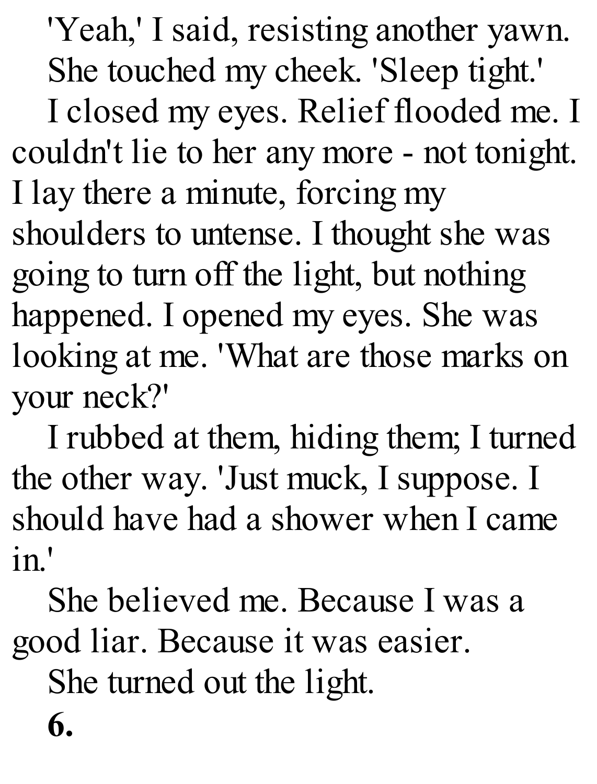'Yeah,' I said, resisting another yawn. She touched my cheek. 'Sleep tight.' I closed my eyes. Relief flooded me. I couldn't lie to her any more - not tonight. I lay there a minute, forcing my shoulders to untense. I thought she was going to turn off the light, but nothing happened. I opened my eyes. She was looking at me. 'What are those marks on your neck?'

I rubbed at them, hiding them; I turned the other way. 'Just muck, I suppose. I should have had a shower when I came  $in'$ 

She believed me. Because I was a good liar. Because it was easier.

She turned out the light.

**6.**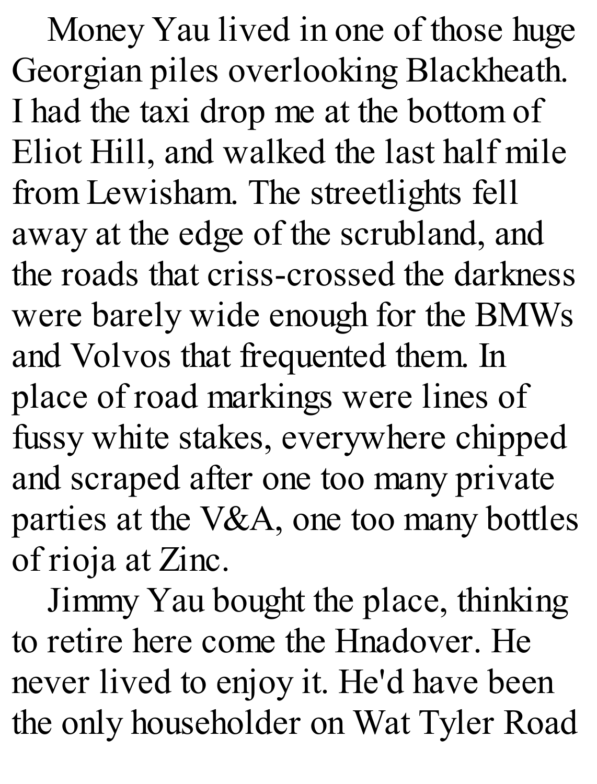Money Yau lived in one of those huge Georgian piles overlooking Blackheath. I had the taxi drop me at the bottom of Eliot Hill, and walked the last half mile from Lewisham. The streetlights fell away at the edge of the scrubland, and the roads that criss-crossed the darkness were barely wide enough for the BMWs and Volvos that frequented them. In place of road markings were lines of fussy white stakes, everywhere chipped and scraped after one too many private parties at the V&A, one too many bottles of rioja at Zinc.

Jimmy Yau bought the place, thinking to retire here come the Hnadover. He never lived to enjoy it. He'd have been the only householder on Wat Tyler Road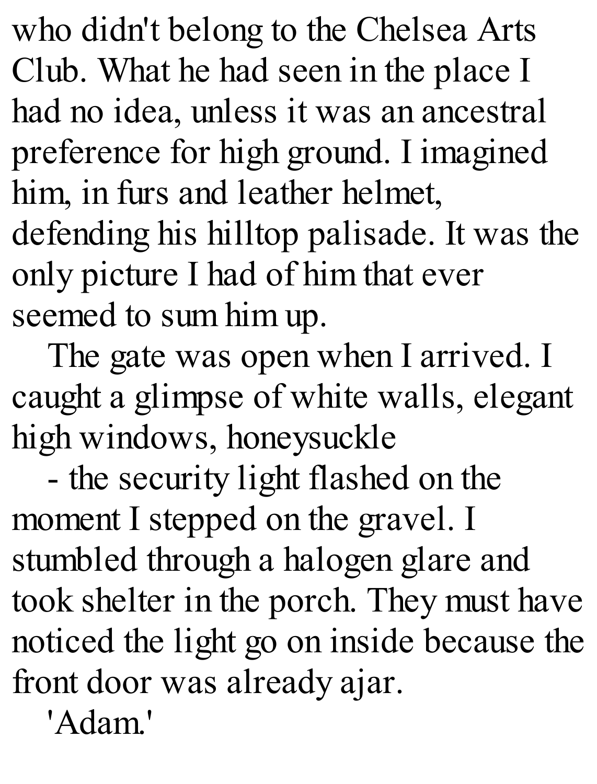who didn't belong to the Chelsea Arts Club. What he had seen in the place I had no idea, unless it was an ancestral preference for high ground. I imagined him, in furs and leather helmet, defending his hilltop palisade. It was the only picture I had of him that ever seemed to sum him up.

The gate was open when I arrived. I caught a glimpse of white walls, elegant high windows, honeysuckle

- the security light flashed on the moment I stepped on the gravel. I stumbled through a halogen glare and took shelter in the porch. They must have noticed the light go on inside because the front door was already ajar.

'Adam.'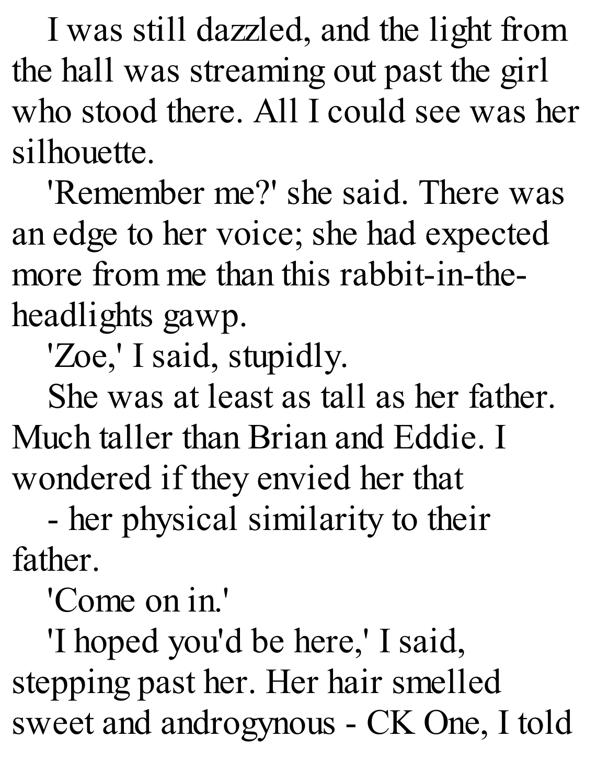I was still dazzled, and the light from the hall was streaming out past the girl who stood there. All I could see was her silhouette.

'Remember me?' she said. There was an edge to her voice; she had expected more from me than this rabbit-in-theheadlights gawp.

'Zoe,' I said, stupidly.

She was at least as tall as her father. Much taller than Brian and Eddie. I wondered if they envied her that

- her physical similarity to their father.

'Come on in.'

'I hoped you'd be here,' I said, stepping past her. Her hair smelled sweet and androgynous - CK One, I told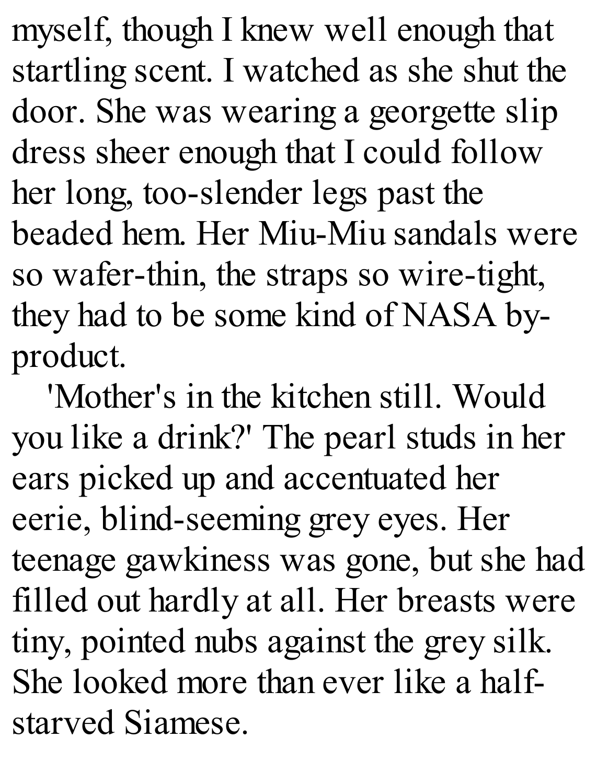myself, though I knew well enough that startling scent. I watched as she shut the door. She was wearing a georgette slip dress sheer enough that I could follow her long, too-slender legs past the beaded hem. Her Miu-Miu sandals were so wafer-thin, the straps so wire-tight, they had to be some kind of NASA byproduct.

'Mother's in the kitchen still. Would you like a drink?' The pearl studs in her ears picked up and accentuated her eerie, blind-seeming grey eyes. Her teenage gawkiness was gone, but she had filled out hardly at all. Her breasts were tiny, pointed nubs against the grey silk. She looked more than ever like a halfstarved Siamese.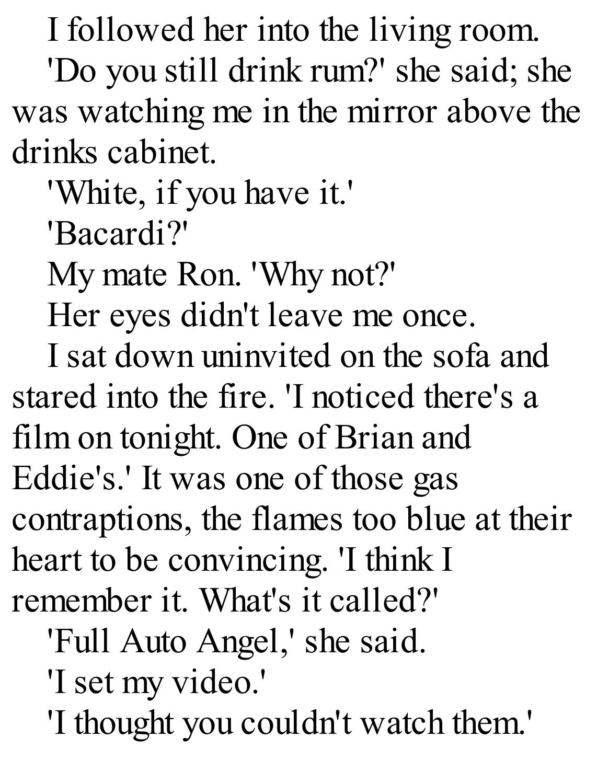I followed her into the living room.

'Do you still drink rum?' she said; she was watching me in the mirror above the drinks cabinet.

'White, if you have it.'

'Bacardi?'

My mate Ron. 'Why not?'

Her eyes didn't leave me once.

I sat down uninvited on the sofa and stared into the fire. 'I noticed there's a film on tonight. One of Brian and Eddie's.' It was one of those gas contraptions, the flames too blue at their heart to be convincing. 'I think I remember it. What's it called?'

'Full Auto Angel,' she said.

'I set my video.'

'I thought you couldn't watch them.'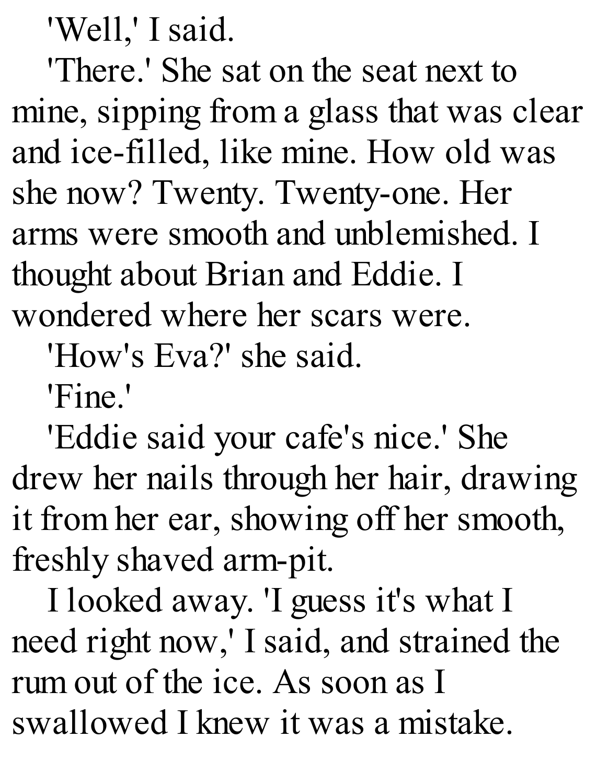'Well,' I said.

'There.' She sat on the seat next to mine, sipping from a glass that was clear and ice-filled, like mine. How old was she now? Twenty. Twenty-one. Her arms were smooth and unblemished. I thought about Brian and Eddie. I wondered where her scars were.

'How's Eva?' she said.

'Fine.'

'Eddie said your cafe's nice.' She drew her nails through her hair, drawing it from her ear, showing off her smooth, freshly shaved arm-pit.

I looked away. 'I guess it's what I need right now,' I said, and strained the rum out of the ice. As soon as I swallowed I knew it was a mistake.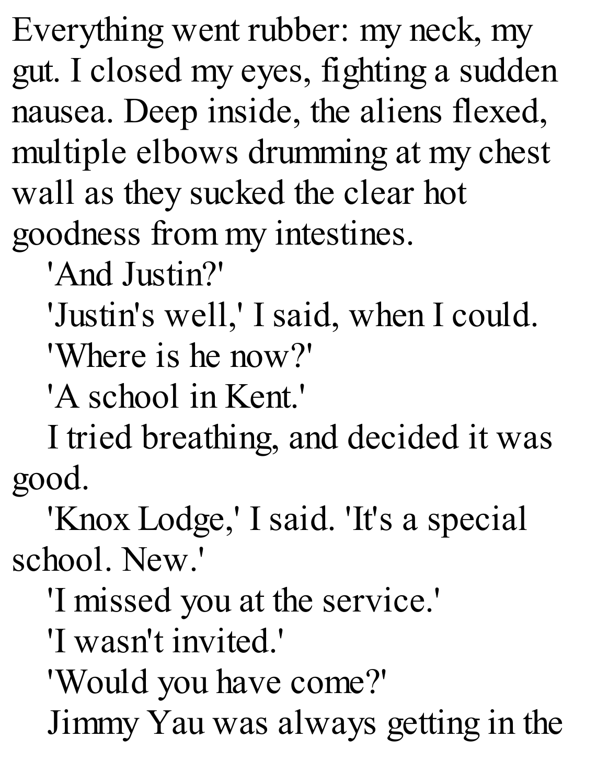Everything went rubber: my neck, my gut. I closed my eyes, fighting a sudden nausea. Deep inside, the aliens flexed, multiple elbows drumming at my chest wall as they sucked the clear hot goodness from my intestines.

'And Justin?'

'Justin's well,' I said, when I could.

'Where is he now?'

'A school in Kent.'

I tried breathing, and decided it was good.

'Knox Lodge,' I said. 'It's a special school. New.'

'I missed you at the service.'

'I wasn't invited.'

'Would you have come?'

Jimmy Yau was always getting in the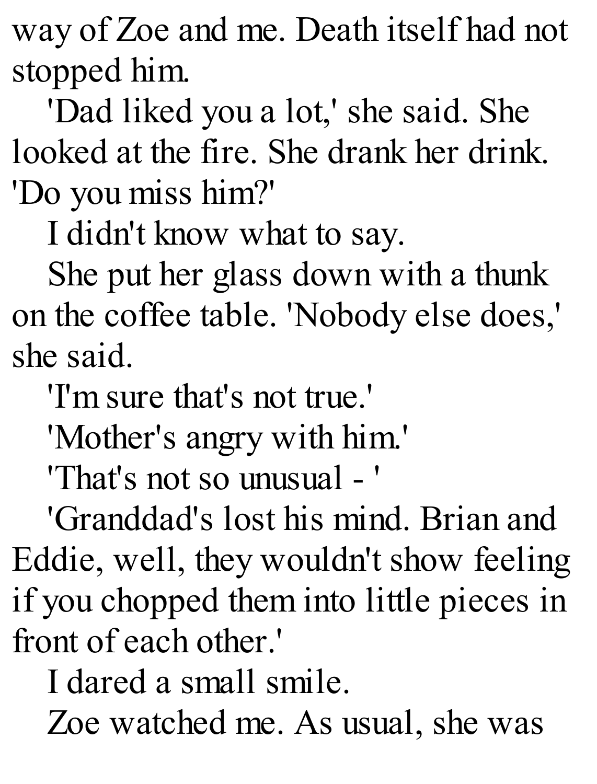way of Zoe and me. Death itself had not stopped him.

'Dad liked you a lot,' she said. She looked at the fire. She drank her drink. 'Do you miss him?'

I didn't know what to say.

She put her glass down with a thunk on the coffee table. 'Nobody else does,' she said.

'I'm sure that's not true.'

'Mother's angry with him.'

'That's not so unusual - '

'Granddad's lost his mind. Brian and Eddie, well, they wouldn't show feeling if you chopped them into little pieces in front of each other.'

I dared a small smile.

Zoe watched me. As usual, she was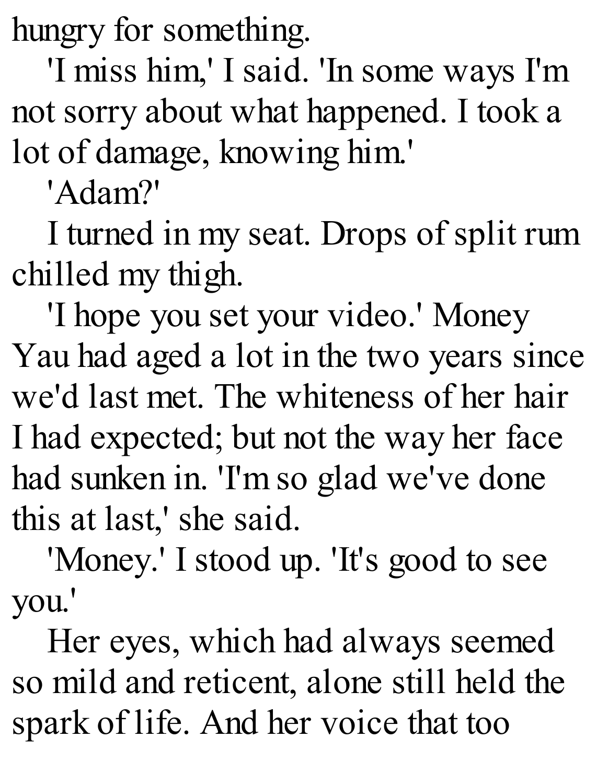hungry for something.

'I miss him,' I said. 'In some ways I'm not sorry about what happened. I took a lot of damage, knowing him.'

'Adam?'

I turned in my seat. Drops of split rum chilled my thigh.

'I hope you set your video.' Money Yau had aged a lot in the two years since we'd last met. The whiteness of her hair I had expected; but not the way her face had sunken in. 'I'm so glad we've done this at last,' she said.

'Money.' I stood up. 'It's good to see you.'

Her eyes, which had always seemed so mild and reticent, alone still held the spark of life. And her voice that too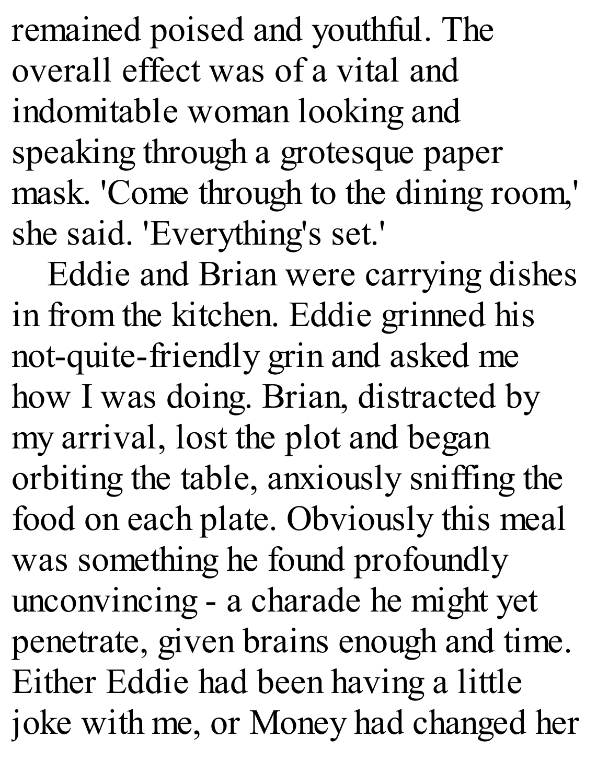remained poised and youthful. The overall effect was of a vital and indomitable woman looking and speaking through a grotesque paper mask. 'Come through to the dining room,' she said. 'Everything's set.'

Eddie and Brian were carrying dishes in from the kitchen. Eddie grinned his not-quite-friendly grin and asked me how I was doing. Brian, distracted by my arrival, lost the plot and began orbiting the table, anxiously sniffing the food on each plate. Obviously this meal was something he found profoundly unconvincing - a charade he might yet penetrate, given brains enough and time. Either Eddie had been having a little joke with me, or Money had changed her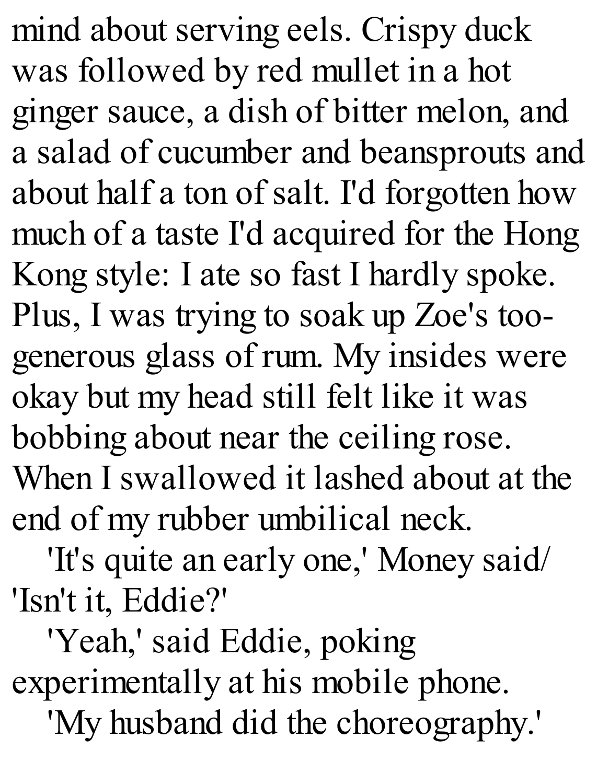mind about serving eels. Crispy duck was followed by red mullet in a hot ginger sauce, a dish of bitter melon, and a salad of cucumber and beansprouts and about half a ton of salt. I'd forgotten how much of a taste I'd acquired for the Hong Kong style: I ate so fast I hardly spoke. Plus, I was trying to soak up Zoe's toogenerous glass of rum. My insides were okay but my head still felt like it was bobbing about near the ceiling rose. When I swallowed it lashed about at the end of my rubber umbilical neck.

'It's quite an early one,' Money said/ 'Isn't it, Eddie?'

'Yeah,' said Eddie, poking experimentally at his mobile phone. 'My husband did the choreography.'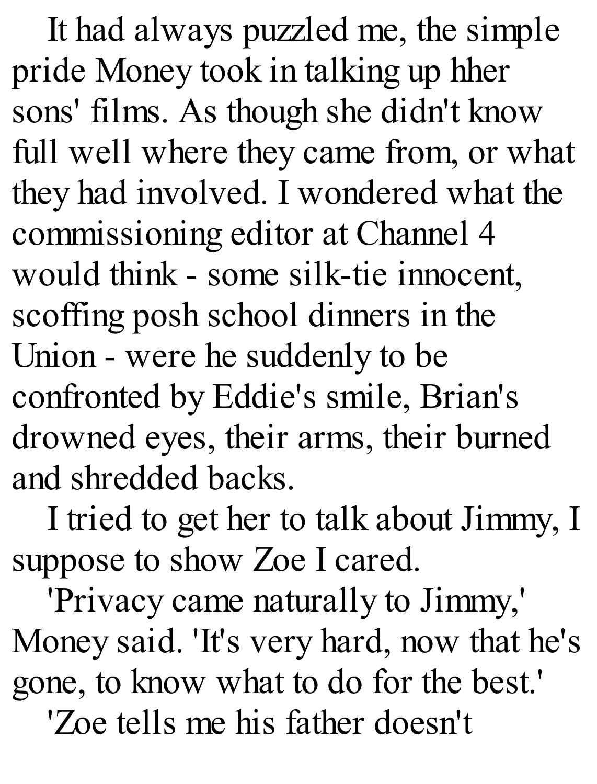It had always puzzled me, the simple pride Money took in talking up hher sons' films. As though she didn't know full well where they came from, or what they had involved. I wondered what the commissioning editor at Channel 4 would think - some silk-tie innocent, scoffing posh school dinners in the Union - were he suddenly to be confronted by Eddie's smile, Brian's drowned eyes, their arms, their burned and shredded backs.

I tried to get her to talk about Jimmy, I suppose to show Zoe I cared.

'Privacy came naturally to Jimmy,' Money said. 'It's very hard, now that he's gone, to know what to do for the best.'

'Zoe tells me his father doesn't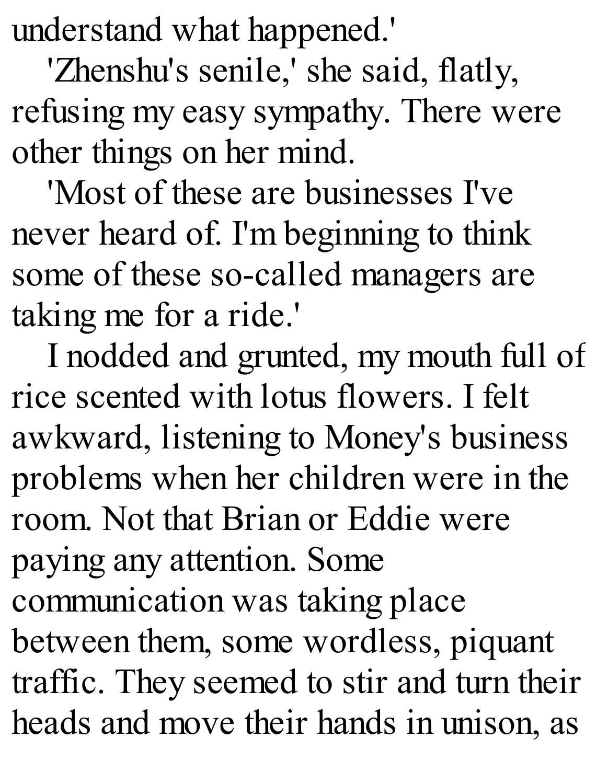understand what happened.'

'Zhenshu's senile,' she said, flatly, refusing my easy sympathy. There were other things on her mind.

'Most of these are businesses I've never heard of. I'm beginning to think some of these so-called managers are taking me for a ride.'

I nodded and grunted, my mouth full of rice scented with lotus flowers. I felt awkward, listening to Money's business problems when her children were in the room. Not that Brian or Eddie were paying any attention. Some communication was taking place between them, some wordless, piquant traffic. They seemed to stir and turn their heads and move their hands in unison, as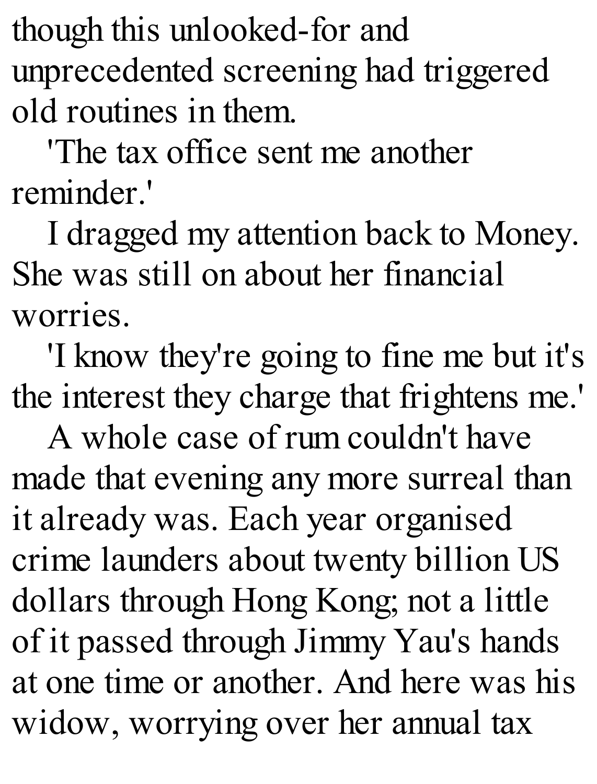though this unlooked-for and unprecedented screening had triggered old routines in them.

'The tax office sent me another reminder.'

I dragged my attention back to Money. She was still on about her financial worries.

'I know they're going to fine me but it's the interest they charge that frightens me.'

A whole case of rum couldn't have made that evening any more surreal than it already was. Each year organised crime launders about twenty billion US dollars through Hong Kong; not a little of it passed through Jimmy Yau's hands at one time or another. And here was his widow, worrying over her annual tax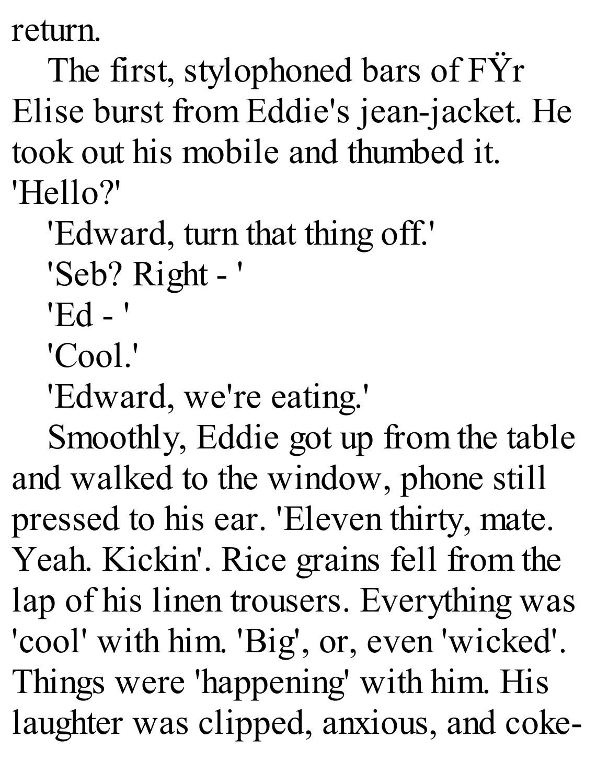return.

The first, stylophoned bars of FŸr Elise burst from Eddie's jean-jacket. He took out his mobile and thumbed it. 'Hello?'

'Edward, turn that thing off.'

'Seb? Right - '

'Ed - '

'Cool.'

'Edward, we're eating.'

Smoothly, Eddie got up from the table and walked to the window, phone still pressed to his ear. 'Eleven thirty, mate. Yeah. Kickin'. Rice grains fell from the lap of his linen trousers. Everything was 'cool' with him. 'Big', or, even 'wicked'. Things were 'happening' with him. His laughter was clipped, anxious, and coke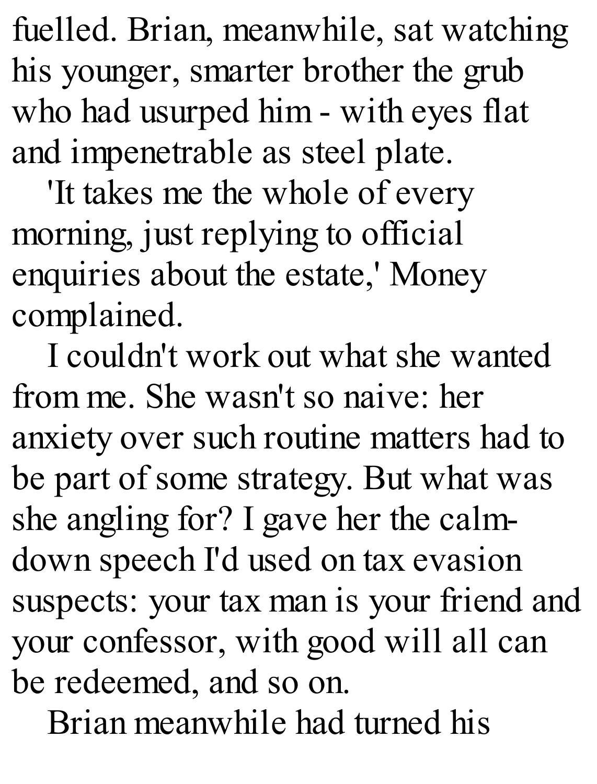fuelled. Brian, meanwhile, sat watching his younger, smarter brother the grub who had usurped him - with eyes flat and impenetrable as steel plate.

'It takes me the whole of every morning, just replying to official enquiries about the estate,' Money complained.

I couldn't work out what she wanted from me. She wasn't so naive: her anxiety over such routine matters had to be part of some strategy. But what was she angling for? I gave her the calmdown speech I'd used on tax evasion suspects: your tax man is your friend and your confessor, with good will all can be redeemed, and so on.

Brian meanwhile had turned his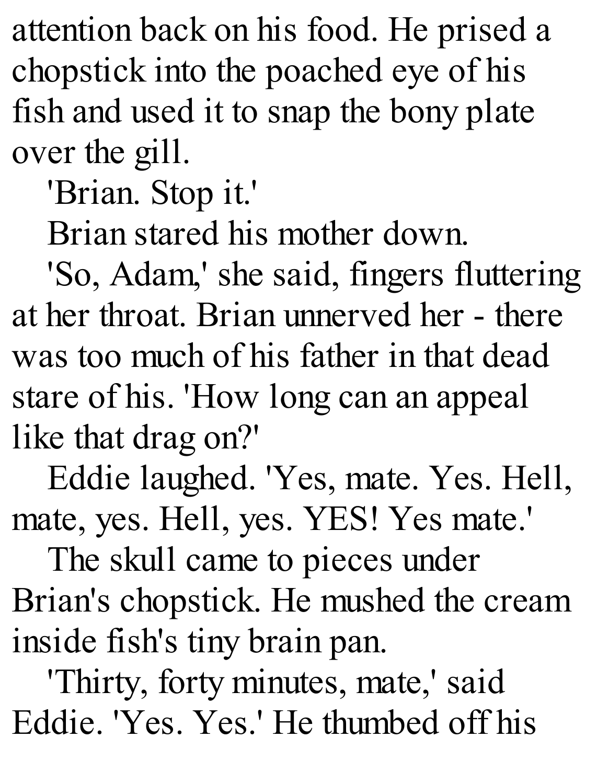attention back on his food. He prised a chopstick into the poached eye of his fish and used it to snap the bony plate over the gill.

'Brian. Stop it.'

Brian stared his mother down.

'So, Adam,' she said, fingers fluttering at her throat. Brian unnerved her - there was too much of his father in that dead stare of his. 'How long can an appeal like that drag on?'

Eddie laughed. 'Yes, mate. Yes. Hell, mate, yes. Hell, yes. YES! Yes mate.'

The skull came to pieces under Brian's chopstick. He mushed the cream inside fish's tiny brain pan.

'Thirty, forty minutes, mate,' said Eddie. 'Yes. Yes.' He thumbed off his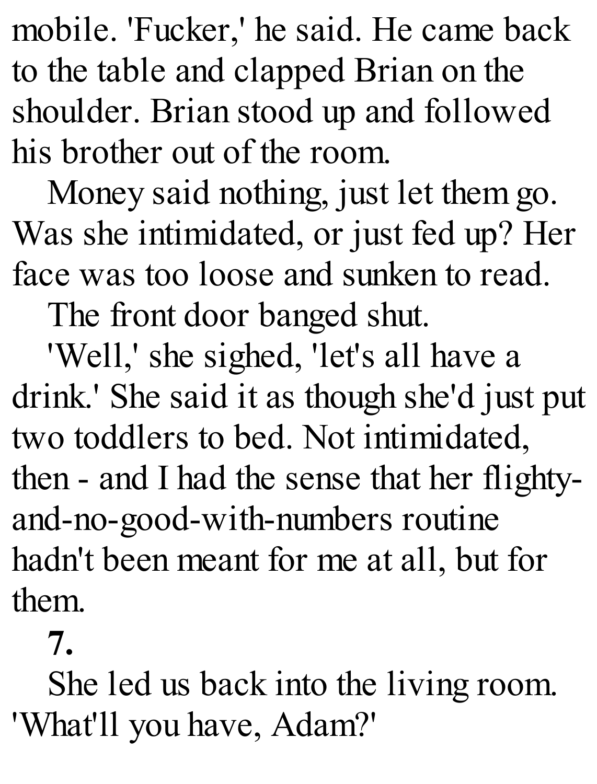mobile. 'Fucker,' he said. He came back to the table and clapped Brian on the shoulder. Brian stood up and followed his brother out of the room.

Money said nothing, just let them go. Was she intimidated, or just fed up? Her face was too loose and sunken to read.

The front door banged shut.

'Well,' she sighed, 'let's all have a drink.' She said it as though she'd just put two toddlers to bed. Not intimidated, then - and I had the sense that her flightyand-no-good-with-numbers routine hadn't been meant for me at all, but for them.

**7.**

She led us back into the living room. 'What'll you have, Adam?'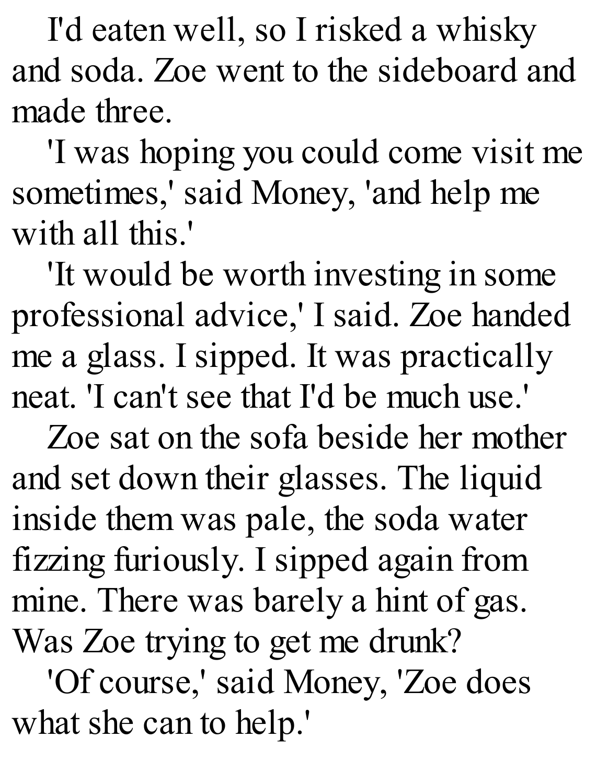I'd eaten well, so I risked a whisky and soda. Zoe went to the sideboard and made three.

'I was hoping you could come visit me sometimes,' said Money, 'and help me with all this.'

'It would be worth investing in some professional advice,' I said. Zoe handed me a glass. I sipped. It was practically neat. 'I can't see that I'd be much use.'

Zoe sat on the sofa beside her mother and set down their glasses. The liquid inside them was pale, the soda water fizzing furiously. I sipped again from mine. There was barely a hint of gas. Was Zoe trying to get me drunk?

'Of course,' said Money, 'Zoe does what she can to help.'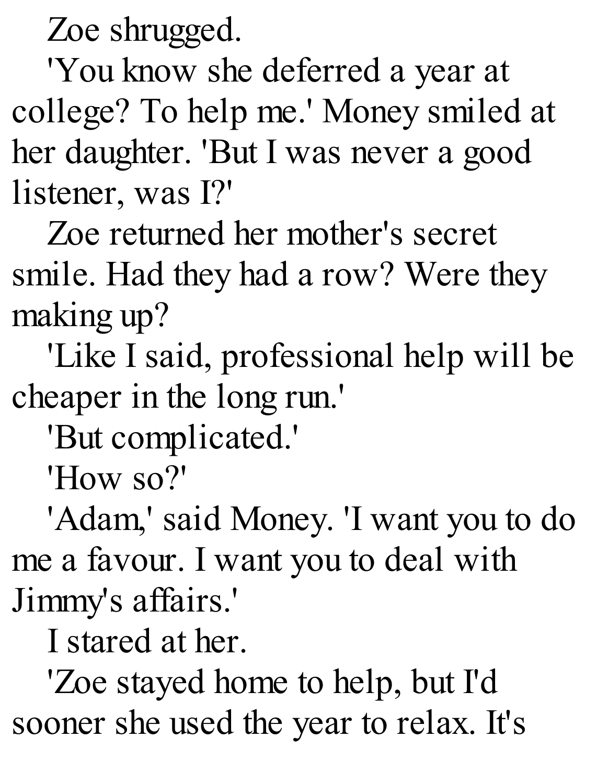Zoe shrugged.

'You know she deferred a year at college? To help me.' Money smiled at her daughter. 'But I was never a good listener, was I?'

Zoe returned her mother's secret smile. Had they had a row? Were they making up?

'Like I said, professional help will be cheaper in the long run.'

'But complicated.'

'How so?'

'Adam,' said Money. 'I want you to do me a favour. I want you to deal with Jimmy's affairs.'

I stared at her.

'Zoe stayed home to help, but I'd sooner she used the year to relax. It's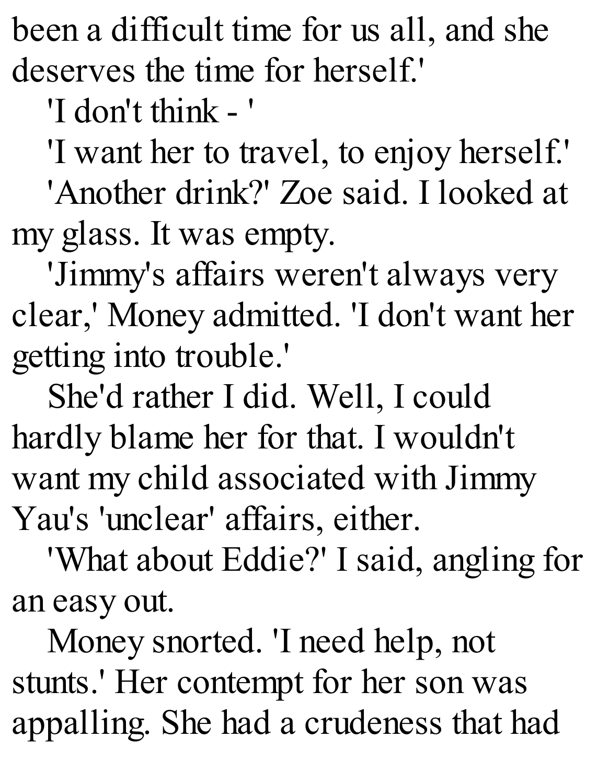been a difficult time for us all, and she deserves the time for herself.'

'I don't think - '

'I want her to travel, to enjoy herself.'

'Another drink?' Zoe said. I looked at my glass. It was empty.

'Jimmy's affairs weren't always very clear,' Money admitted. 'I don't want her getting into trouble.'

She'd rather I did. Well, I could hardly blame her for that. I wouldn't want my child associated with Jimmy Yau's 'unclear' affairs, either.

'What about Eddie?' I said, angling for an easy out.

Money snorted. 'I need help, not stunts.' Her contempt for her son was appalling. She had a crudeness that had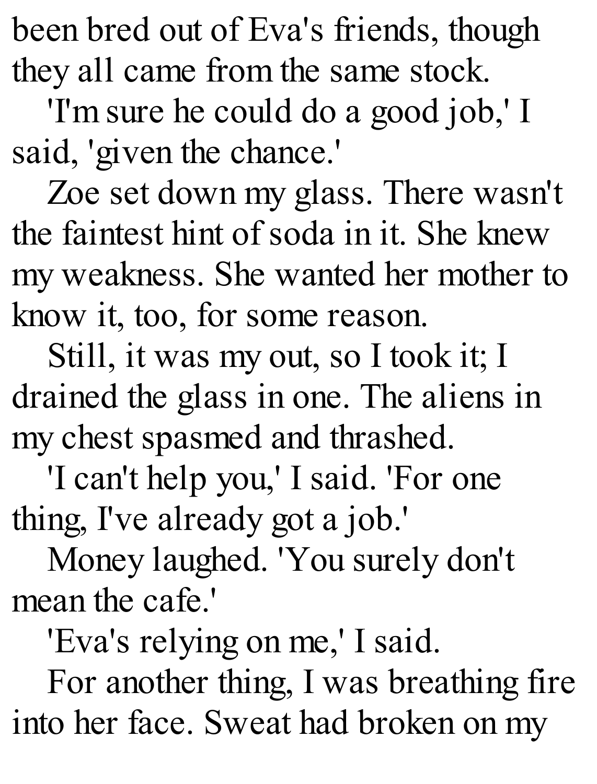been bred out of Eva's friends, though they all came from the same stock.

'I'm sure he could do a good job,' I said, 'given the chance.'

Zoe set down my glass. There wasn't the faintest hint of soda in it. She knew my weakness. She wanted her mother to know it, too, for some reason.

Still, it was my out, so I took it; I drained the glass in one. The aliens in my chest spasmed and thrashed.

'I can't help you,' I said. 'For one thing, I've already got a job.'

Money laughed. 'You surely don't mean the cafe.'

'Eva's relying on me,' I said.

For another thing, I was breathing fire into her face. Sweat had broken on my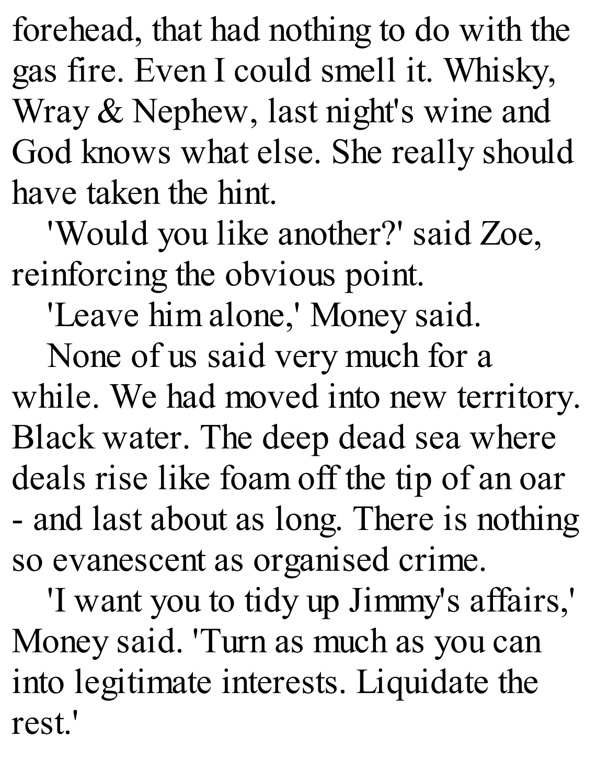forehead, that had nothing to do with the gas fire. Even I could smell it. Whisky, Wray & Nephew, last night's wine and God knows what else. She really should have taken the hint.

'Would you like another?' said Zoe, reinforcing the obvious point.

'Leave him alone,' Money said.

None of us said very much for a while. We had moved into new territory. Black water. The deep dead sea where deals rise like foam off the tip of an oar - and last about as long. There is nothing so evanescent as organised crime.

'I want you to tidy up Jimmy's affairs,' Money said. 'Turn as much as you can into legitimate interests. Liquidate the rest.'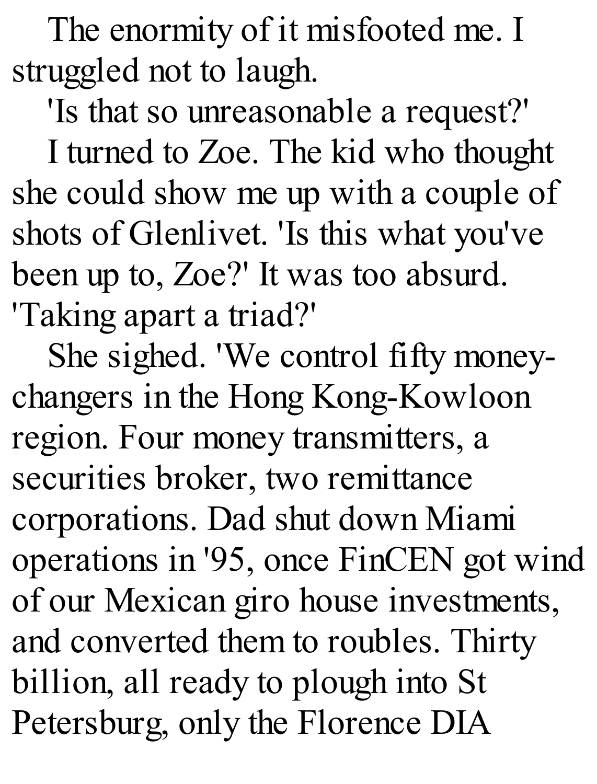The enormity of it misfooted me. I struggled not to laugh.

'Is that so unreasonable a request?'

I turned to Zoe. The kid who thought she could show me up with a couple of shots of Glenlivet. 'Is this what you've been up to, Zoe?' It was too absurd. 'Taking apart a triad?'

She sighed. 'We control fifty moneychangers in the Hong Kong-Kowloon region. Four money transmitters, a securities broker, two remittance corporations. Dad shut down Miami operations in '95, once FinCEN got wind of our Mexican giro house investments, and converted them to roubles. Thirty billion, all ready to plough into St Petersburg, only the Florence DIA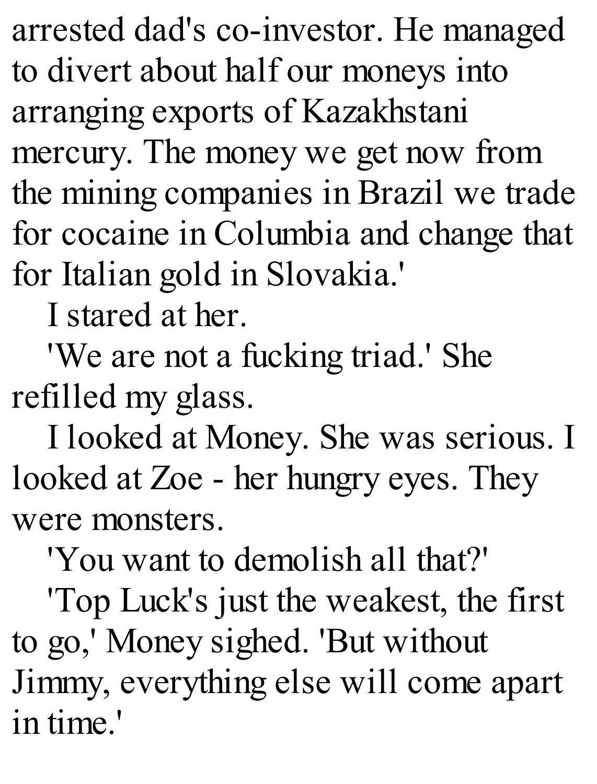arrested dad's co-investor. He managed to divert about half our moneys into arranging exports of Kazakhstani mercury. The money we get now from the mining companies in Brazil we trade for cocaine in Columbia and change that for Italian gold in Slovakia.'

I stared at her.

'We are not a fucking triad.' She refilled my glass.

I looked at Money. She was serious. I looked at Zoe - her hungry eyes. They were monsters.

'You want to demolish all that?'

'Top Luck's just the weakest, the first to go,' Money sighed. 'But without Jimmy, everything else will come apart in time.'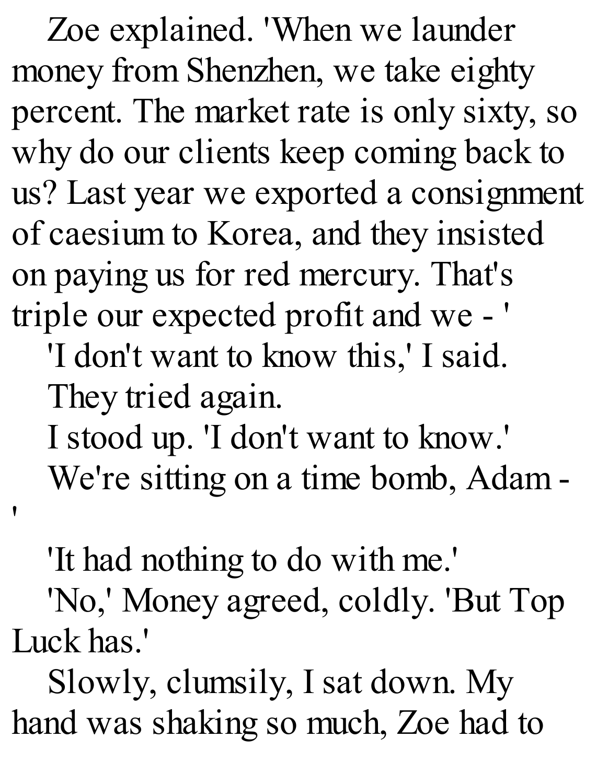Zoe explained. 'When we launder money from Shenzhen, we take eighty percent. The market rate is only sixty, so why do our clients keep coming back to us? Last year we exported a consignment of caesium to Korea, and they insisted on paying us for red mercury. That's triple our expected profit and we - '

'I don't want to know this,' I said. They tried again.

I stood up. 'I don't want to know.' We're sitting on a time bomb, Adam -

'It had nothing to do with me.'

'

'No,' Money agreed, coldly. 'But Top Luck has.'

Slowly, clumsily, I sat down. My hand was shaking so much, Zoe had to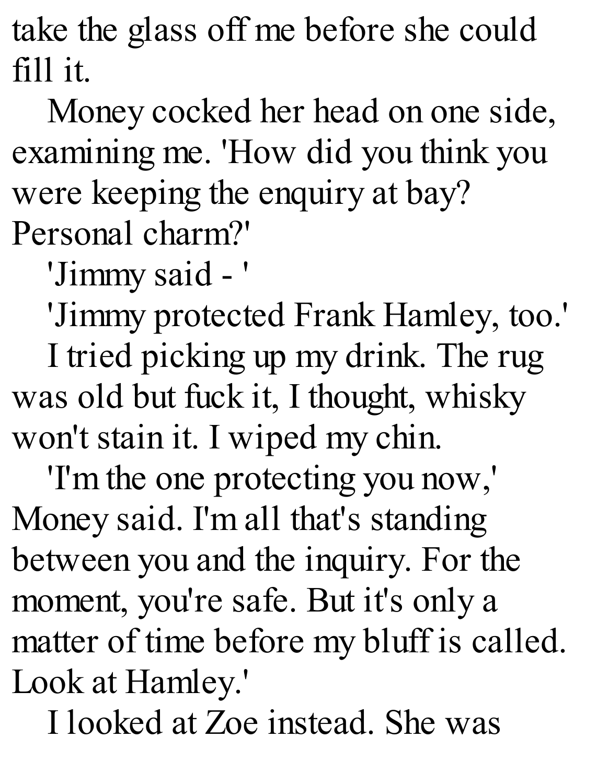take the glass off me before she could fill it.

Money cocked her head on one side, examining me. 'How did you think you were keeping the enquiry at bay? Personal charm?'

'Jimmy said - '

'Jimmy protected Frank Hamley, too.' I tried picking up my drink. The rug was old but fuck it, I thought, whisky won't stain it. I wiped my chin.

'I'm the one protecting you now,' Money said. I'm all that's standing between you and the inquiry. For the moment, you're safe. But it's only a matter of time before my bluff is called. Look at Hamley.'

I looked at Zoe instead. She was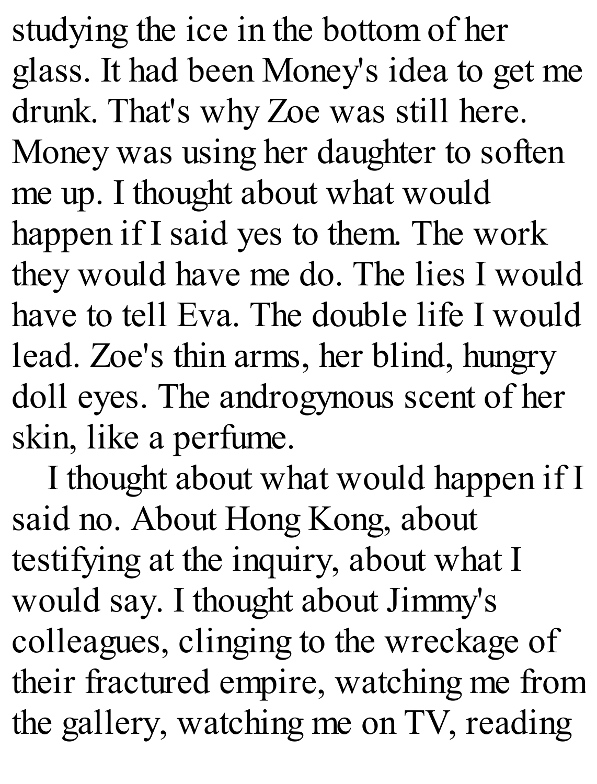studying the ice in the bottom of her glass. It had been Money's idea to get me drunk. That's why Zoe was still here. Money was using her daughter to soften me up. I thought about what would happen if I said yes to them. The work they would have me do. The lies I would have to tell Eva. The double life I would lead. Zoe's thin arms, her blind, hungry doll eyes. The androgynous scent of her skin, like a perfume.

I thought about what would happen if I said no. About Hong Kong, about testifying at the inquiry, about what I would say. I thought about Jimmy's colleagues, clinging to the wreckage of their fractured empire, watching me from the gallery, watching me on TV, reading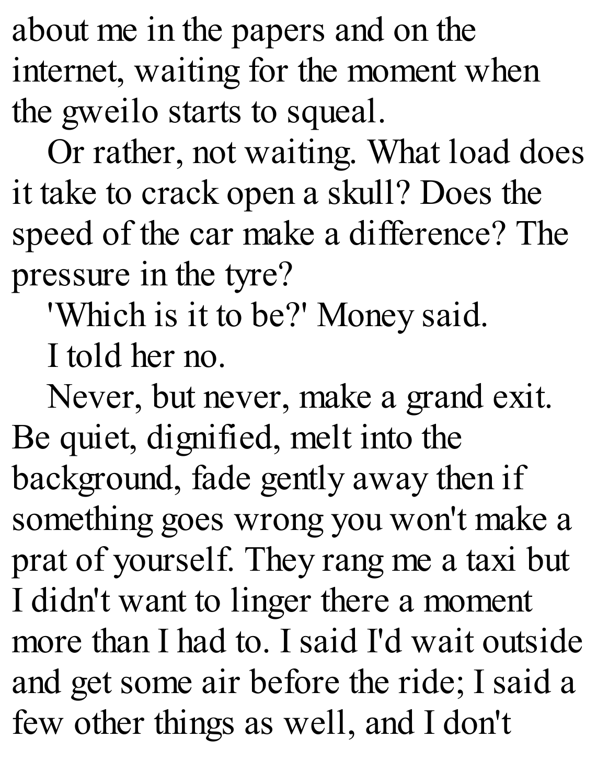about me in the papers and on the internet, waiting for the moment when the gweilo starts to squeal.

Or rather, not waiting. What load does it take to crack open a skull? Does the speed of the car make a difference? The pressure in the tyre?

'Which is it to be?' Money said.

I told her no.

Never, but never, make a grand exit. Be quiet, dignified, melt into the background, fade gently away then if something goes wrong you won't make a prat of yourself. They rang me a taxi but I didn't want to linger there a moment more than I had to. I said I'd wait outside and get some air before the ride; I said a few other things as well, and I don't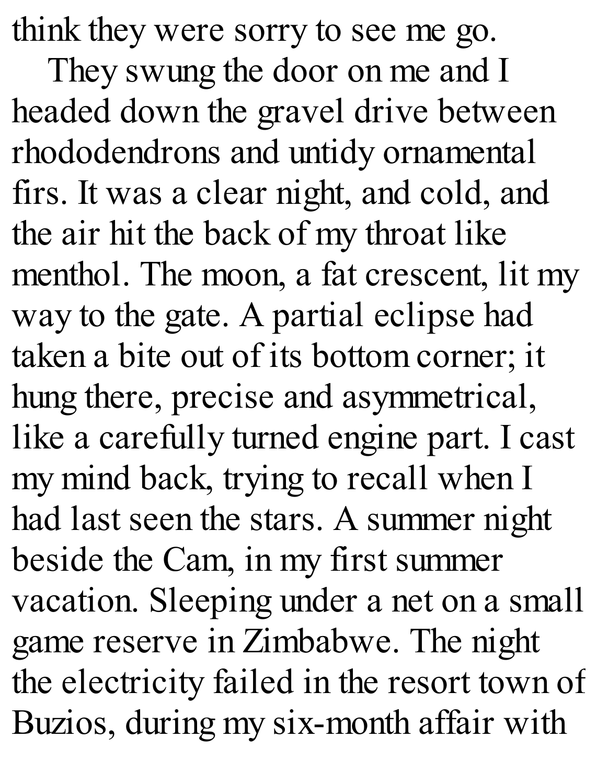think they were sorry to see me go.

They swung the door on me and I headed down the gravel drive between rhododendrons and untidy ornamental firs. It was a clear night, and cold, and the air hit the back of my throat like menthol. The moon, a fat crescent, lit my way to the gate. A partial eclipse had taken a bite out of its bottom corner; it hung there, precise and asymmetrical, like a carefully turned engine part. I cast my mind back, trying to recall when I had last seen the stars. A summer night beside the Cam, in my first summer vacation. Sleeping under a net on a small game reserve in Zimbabwe. The night the electricity failed in the resort town of Buzios, during my six-month affair with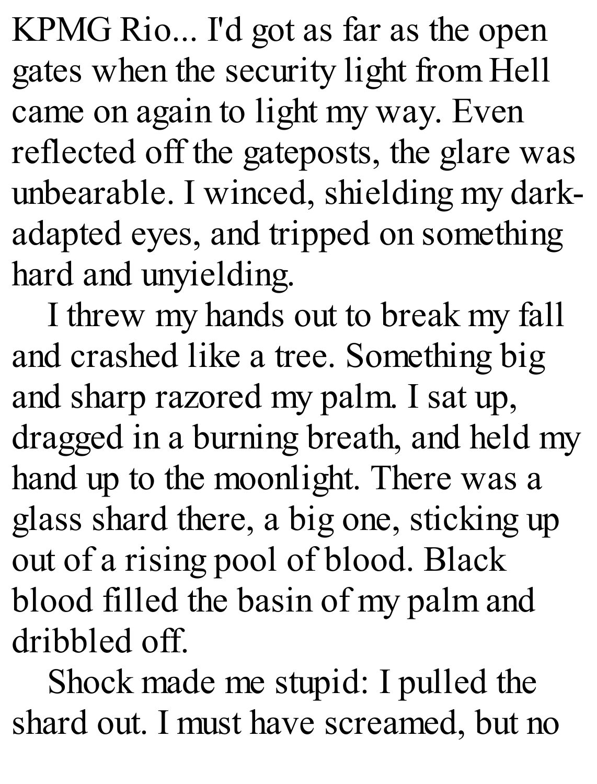KPMG Rio... I'd got as far as the open gates when the security light from Hell came on again to light my way. Even reflected off the gateposts, the glare was unbearable. I winced, shielding my darkadapted eyes, and tripped on something hard and unyielding.

I threw my hands out to break my fall and crashed like a tree. Something big and sharp razored my palm. I sat up, dragged in a burning breath, and held my hand up to the moonlight. There was a glass shard there, a big one, sticking up out of a rising pool of blood. Black blood filled the basin of my palm and dribbled off.

Shock made me stupid: I pulled the shard out. I must have screamed, but no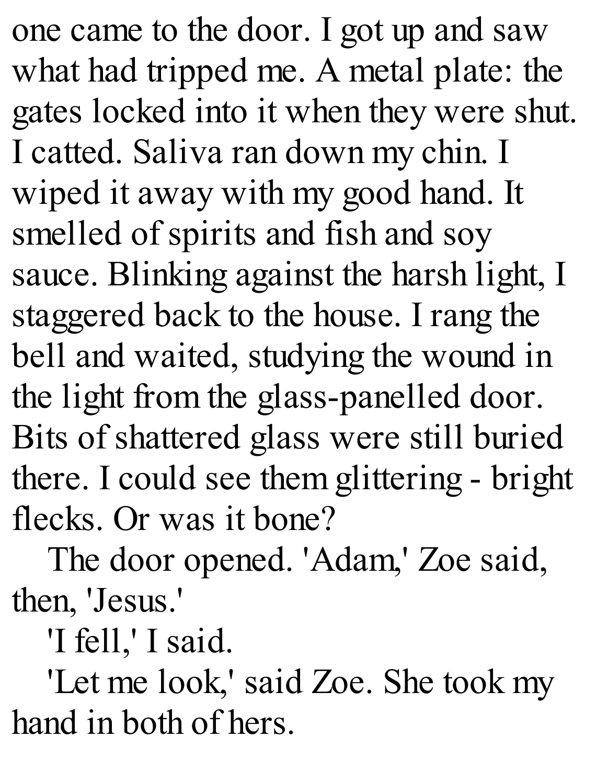one came to the door. I got up and saw what had tripped me. A metal plate: the gates locked into it when they were shut. I catted. Saliva ran down my chin. I wiped it away with my good hand. It smelled of spirits and fish and soy sauce. Blinking against the harsh light, I staggered back to the house. I rang the bell and waited, studying the wound in the light from the glass-panelled door. Bits of shattered glass were still buried there. I could see them glittering - bright flecks. Or was it bone?

The door opened. 'Adam,' Zoe said, then, 'Jesus.'

'I fell,' I said.

'Let me look,' said Zoe. She took my hand in both of hers.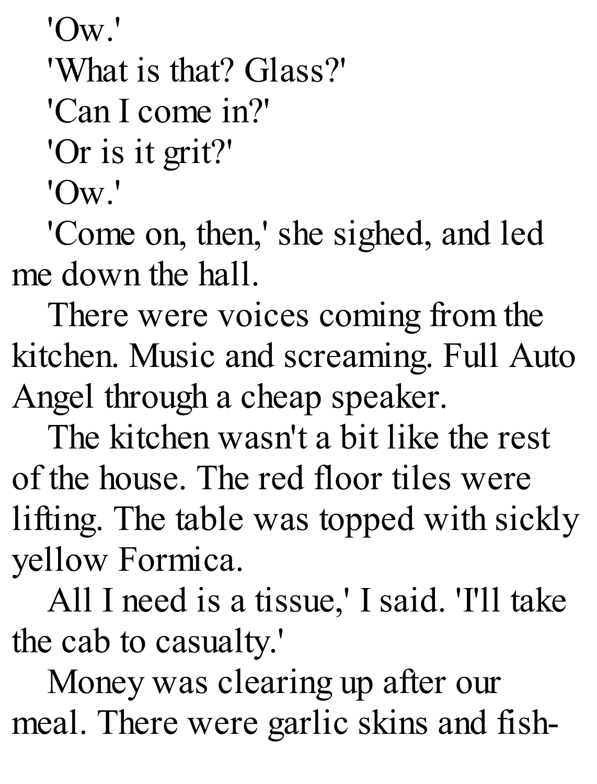$'$ Ow $'$ 

'What is that? Glass?'

'Can I come in?'

'Or is it grit?'

'Ow.'

'Come on, then,' she sighed, and led me down the hall.

There were voices coming from the kitchen. Music and screaming. Full Auto Angel through a cheap speaker.

The kitchen wasn't a bit like the rest of the house. The red floor tiles were lifting. The table was topped with sickly yellow Formica.

All I need is a tissue,' I said. 'I'll take the cab to casualty.'

Money was clearing up after our meal. There were garlic skins and fish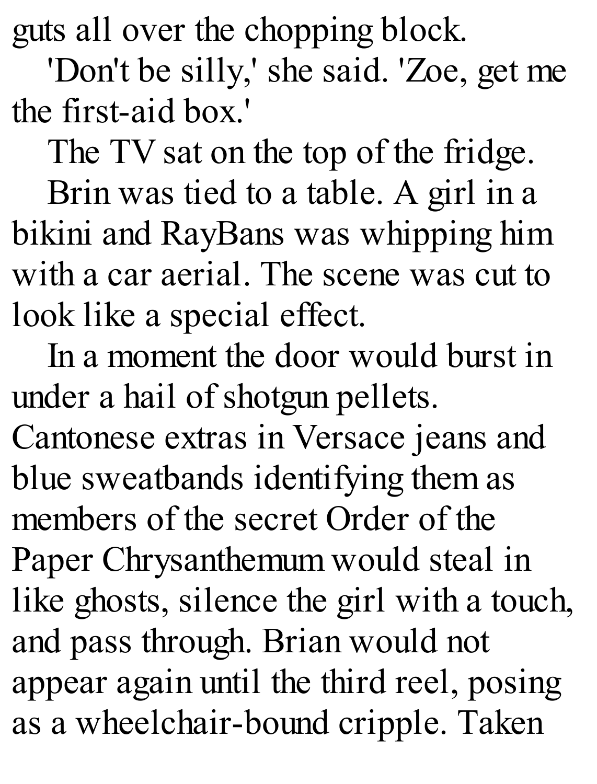guts all over the chopping block.

'Don't be silly,' she said. 'Zoe, get me the first-aid box.'

The TV sat on the top of the fridge.

Brin was tied to a table. A girl in a bikini and RayBans was whipping him with a car aerial. The scene was cut to look like a special effect.

In a moment the door would burst in under a hail of shotgun pellets.

Cantonese extras in Versace jeans and blue sweatbands identifying them as members of the secret Order of the Paper Chrysanthemum would steal in like ghosts, silence the girl with a touch, and pass through. Brian would not appear again until the third reel, posing as a wheelchair-bound cripple. Taken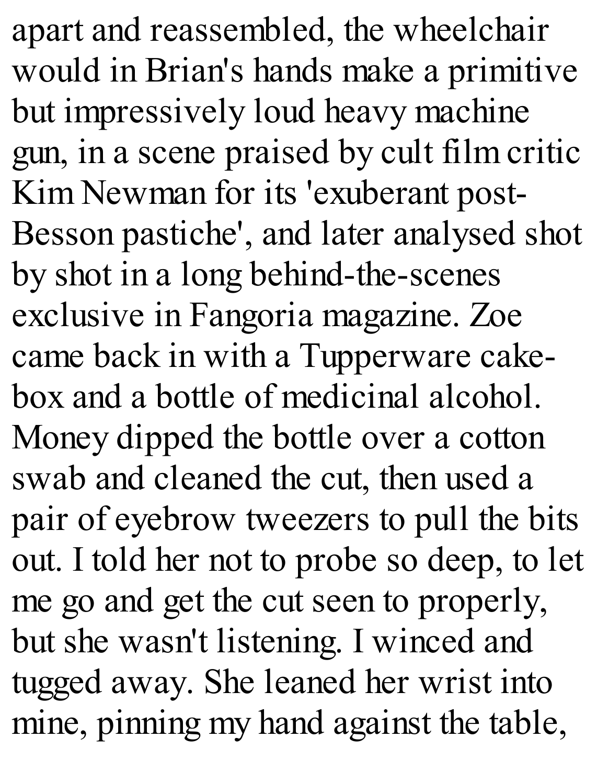apart and reassembled, the wheelchair would in Brian's hands make a primitive but impressively loud heavy machine gun, in a scene praised by cult film critic Kim Newman for its 'exuberant post-Besson pastiche', and later analysed shot by shot in a long behind-the-scenes exclusive in Fangoria magazine. Zoe came back in with a Tupperware cakebox and a bottle of medicinal alcohol. Money dipped the bottle over a cotton swab and cleaned the cut, then used a pair of eyebrow tweezers to pull the bits out. I told her not to probe so deep, to let me go and get the cut seen to properly, but she wasn't listening. I winced and tugged away. She leaned her wrist into mine, pinning my hand against the table,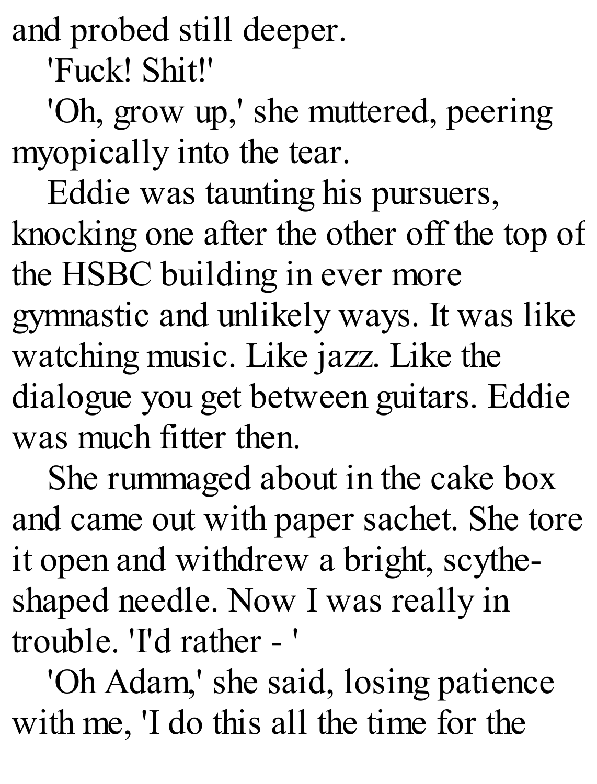and probed still deeper.

'Fuck! Shit!'

'Oh, grow up,' she muttered, peering myopically into the tear.

Eddie was taunting his pursuers, knocking one after the other off the top of the HSBC building in ever more gymnastic and unlikely ways. It was like watching music. Like jazz. Like the dialogue you get between guitars. Eddie was much fitter then.

She rummaged about in the cake box and came out with paper sachet. She tore it open and withdrew a bright, scytheshaped needle. Now I was really in trouble. 'I'd rather - '

'Oh Adam,' she said, losing patience with me, 'I do this all the time for the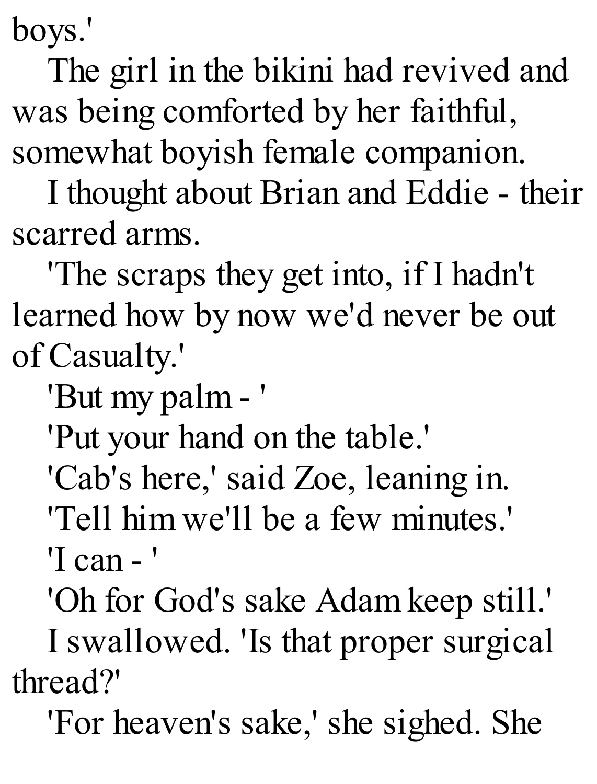boys.'

The girl in the bikini had revived and was being comforted by her faithful, somewhat boyish female companion.

I thought about Brian and Eddie - their scarred arms.

'The scraps they get into, if I hadn't learned how by now we'd never be out of Casualty.'

'But my palm - '

'Put your hand on the table.'

'Cab's here,' said Zoe, leaning in.

'Tell him we'll be a few minutes.'

'I can  $-$ '

'Oh for God's sake Adam keep still.'

I swallowed. 'Is that proper surgical thread?'

'For heaven's sake,' she sighed. She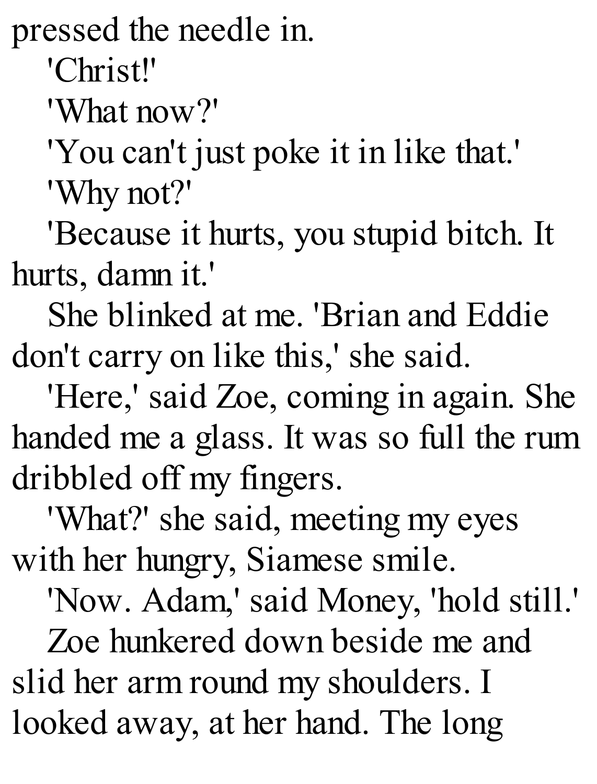pressed the needle in.

'Christ!'

'What now?'

'You can't just poke it in like that.'

'Why not?'

'Because it hurts, you stupid bitch. It hurts, damn it.'

She blinked at me. 'Brian and Eddie don't carry on like this,' she said.

'Here,' said Zoe, coming in again. She handed me a glass. It was so full the rum dribbled off my fingers.

'What?' she said, meeting my eyes with her hungry, Siamese smile.

'Now. Adam,' said Money, 'hold still.' Zoe hunkered down beside me and slid her arm round my shoulders. I looked away, at her hand. The long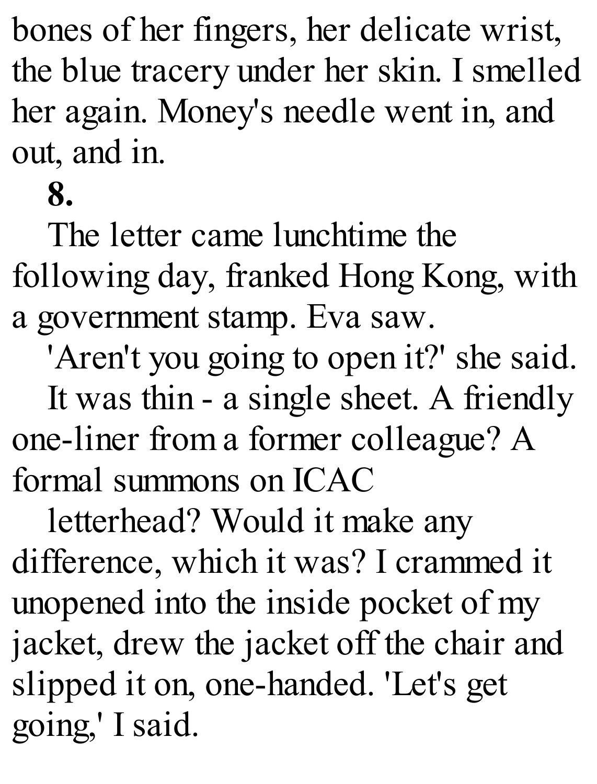bones of her fingers, her delicate wrist, the blue tracery under her skin. I smelled her again. Money's needle went in, and out, and in.

**8.**

The letter came lunchtime the following day, franked Hong Kong, with

a government stamp. Eva saw.

'Aren't you going to open it?' she said.

It was thin - a single sheet. A friendly one-liner from a former colleague? A formal summons on ICAC

letterhead? Would it make any difference, which it was? I crammed it unopened into the inside pocket of my jacket, drew the jacket off the chair and slipped it on, one-handed. 'Let's get going,' I said.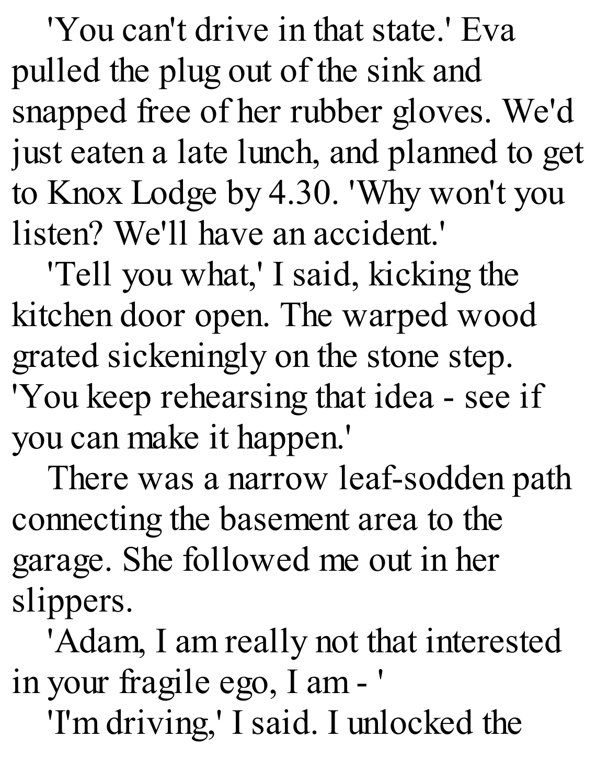'You can't drive in that state.' Eva pulled the plug out of the sink and snapped free of her rubber gloves. We'd just eaten a late lunch, and planned to get to Knox Lodge by 4.30. 'Why won't you listen? We'll have an accident.'

'Tell you what,' I said, kicking the kitchen door open. The warped wood grated sickeningly on the stone step. 'You keep rehearsing that idea - see if you can make it happen.'

There was a narrow leaf-sodden path connecting the basement area to the garage. She followed me out in her slippers.

'Adam, I am really not that interested in your fragile ego, I am - '

'I'm driving,' I said. I unlocked the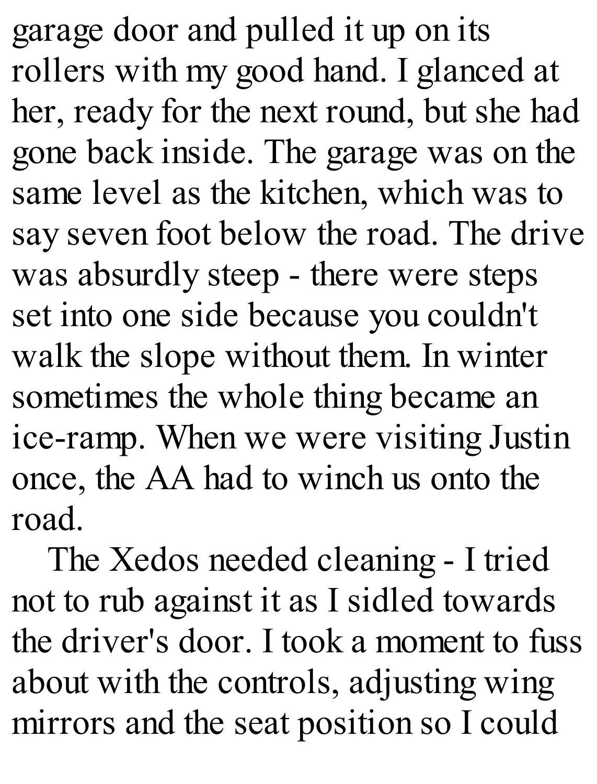garage door and pulled it up on its rollers with my good hand. I glanced at her, ready for the next round, but she had gone back inside. The garage was on the same level as the kitchen, which was to say seven foot below the road. The drive was absurdly steep - there were steps set into one side because you couldn't walk the slope without them. In winter sometimes the whole thing became an ice-ramp. When we were visiting Justin once, the AA had to winch us onto the road.

The Xedos needed cleaning - I tried not to rub against it as I sidled towards the driver's door. I took a moment to fuss about with the controls, adjusting wing mirrors and the seat position so I could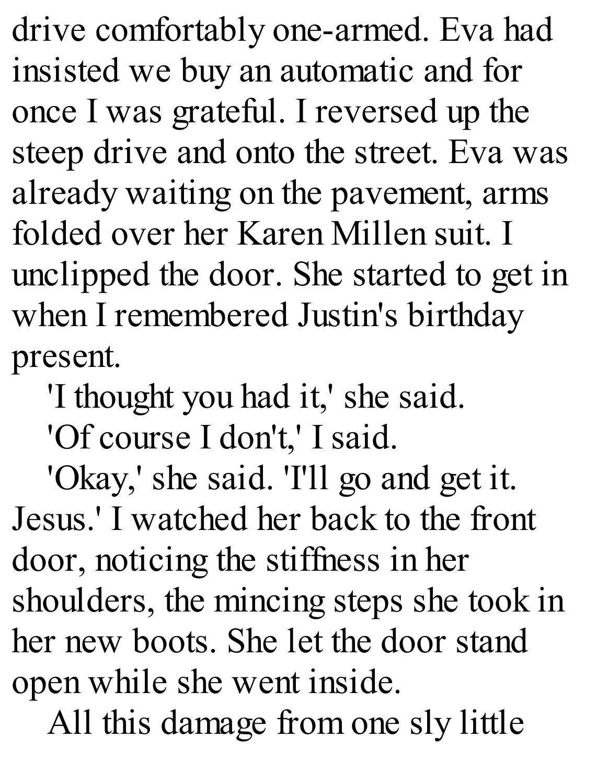drive comfortably one-armed. Eva had insisted we buy an automatic and for once I was grateful. I reversed up the steep drive and onto the street. Eva was already waiting on the pavement, arms folded over her Karen Millen suit. I unclipped the door. She started to get in when I remembered Justin's birthday present.

'I thought you had it,' she said.

'Of course I don't,' I said.

'Okay,' she said. 'I'll go and get it. Jesus.' I watched her back to the front door, noticing the stiffness in her shoulders, the mincing steps she took in her new boots. She let the door stand open while she went inside.

All this damage from one sly little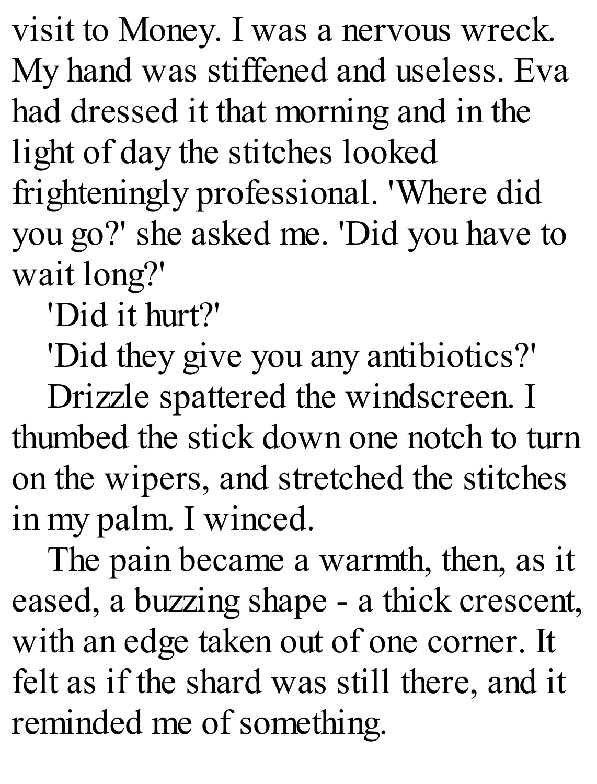visit to Money. I was a nervous wreck. My hand was stiffened and useless. Eva had dressed it that morning and in the light of day the stitches looked frighteningly professional. 'Where did you go?' she asked me. 'Did you have to wait long?'

'Did it hurt?'

'Did they give you any antibiotics?'

Drizzle spattered the windscreen. I thumbed the stick down one notch to turn on the wipers, and stretched the stitches in my palm. I winced.

The pain became a warmth, then, as it eased, a buzzing shape - a thick crescent, with an edge taken out of one corner. It felt as if the shard was still there, and it reminded me of something.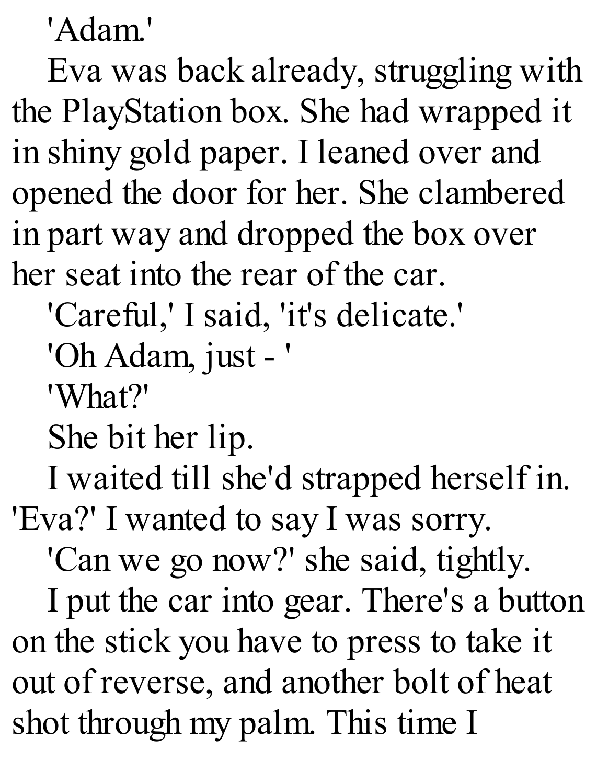'Adam.'

Eva was back already, struggling with the PlayStation box. She had wrapped it in shiny gold paper. I leaned over and opened the door for her. She clambered in part way and dropped the box over her seat into the rear of the car.

'Careful,' I said, 'it's delicate.'

'Oh Adam, just - '

'What?'

She bit her lip.

I waited till she'd strapped herself in.

'Eva?' I wanted to say I was sorry.

'Can we go now?' she said, tightly.

I put the car into gear. There's a button on the stick you have to press to take it out of reverse, and another bolt of heat shot through my palm. This time I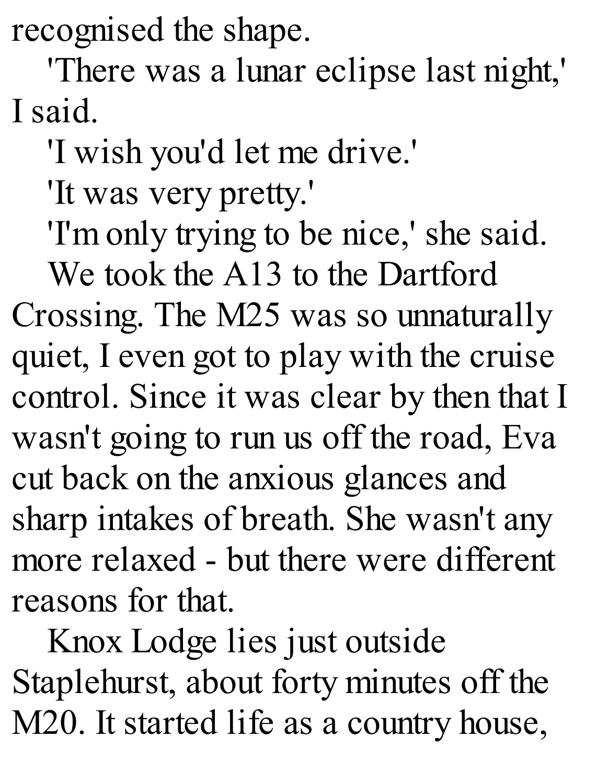recognised the shape.

'There was a lunar eclipse last night,' I said.

'I wish you'd let me drive.'

'It was very pretty.'

'I'm only trying to be nice,' she said.

We took the A13 to the Dartford

Crossing. The M25 was so unnaturally quiet, I even got to play with the cruise control. Since it was clear by then that I wasn't going to run us off the road, Eva cut back on the anxious glances and sharp intakes of breath. She wasn't any more relaxed - but there were different reasons for that.

Knox Lodge lies just outside Staplehurst, about forty minutes off the M20. It started life as a country house,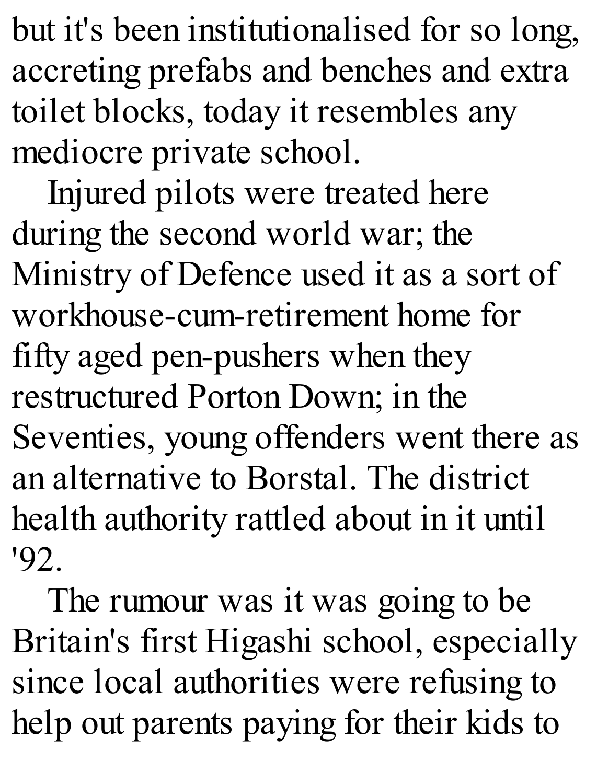but it's been institutionalised for so long, accreting prefabs and benches and extra toilet blocks, today it resembles any mediocre private school.

Injured pilots were treated here during the second world war; the Ministry of Defence used it as a sort of workhouse-cum-retirement home for fifty aged pen-pushers when they restructured Porton Down; in the Seventies, young offenders went there as an alternative to Borstal. The district health authority rattled about in it until '92.

The rumour was it was going to be Britain's first Higashi school, especially since local authorities were refusing to help out parents paying for their kids to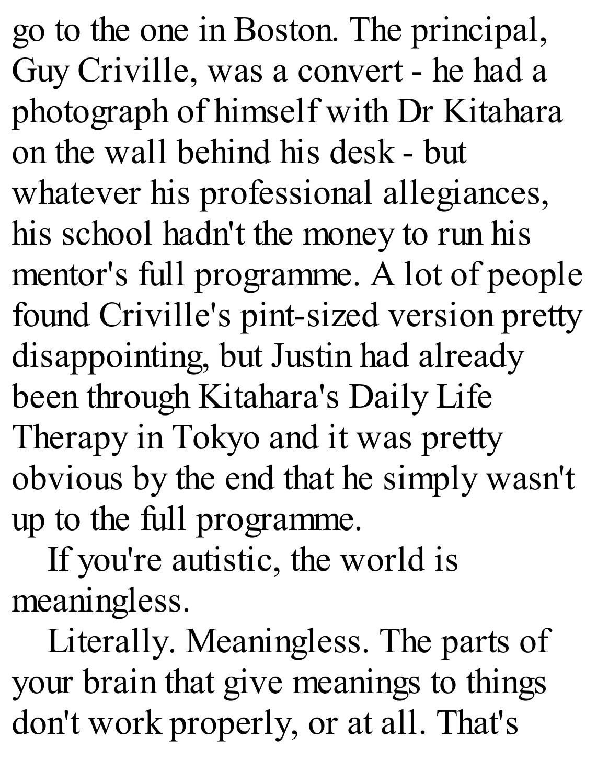go to the one in Boston. The principal, Guy Criville, was a convert - he had a photograph of himself with Dr Kitahara on the wall behind his desk - but whatever his professional allegiances, his school hadn't the money to run his mentor's full programme. A lot of people found Criville's pint-sized version pretty disappointing, but Justin had already been through Kitahara's Daily Life Therapy in Tokyo and it was pretty obvious by the end that he simply wasn't up to the full programme.

If you're autistic, the world is meaningless.

Literally. Meaningless. The parts of your brain that give meanings to things don't work properly, or at all. That's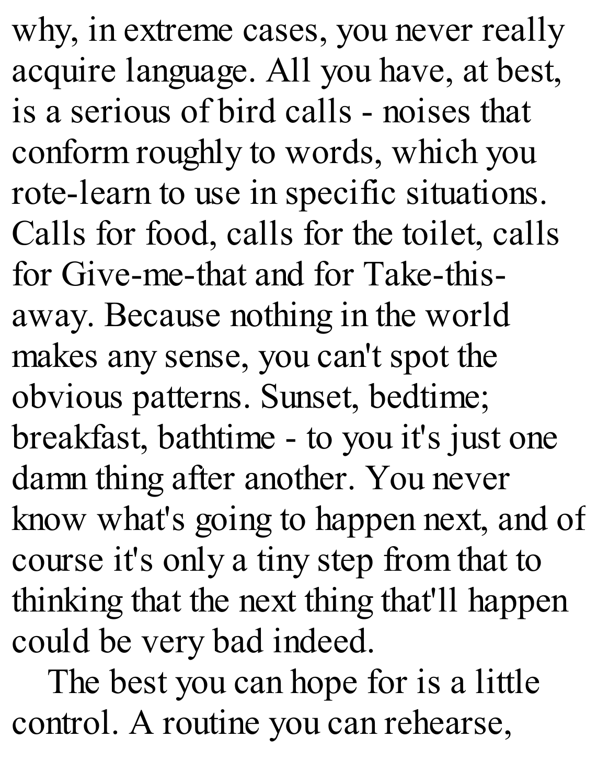why, in extreme cases, you never really acquire language. All you have, at best, is a serious of bird calls - noises that conform roughly to words, which you rote-learn to use in specific situations. Calls for food, calls for the toilet, calls for Give-me-that and for Take-thisaway. Because nothing in the world makes any sense, you can't spot the obvious patterns. Sunset, bedtime; breakfast, bathtime - to you it's just one damn thing after another. You never know what's going to happen next, and of course it's only a tiny step from that to thinking that the next thing that'll happen could be very bad indeed.

The best you can hope for is a little control. A routine you can rehearse,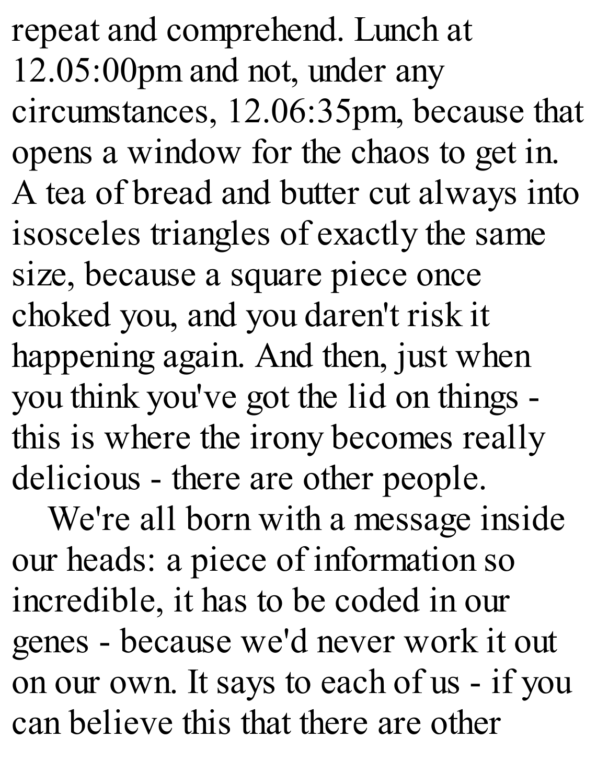repeat and comprehend. Lunch at 12.05:00pm and not, under any circumstances, 12.06:35pm, because that opens a window for the chaos to get in. A tea of bread and butter cut always into isosceles triangles of exactly the same size, because a square piece once choked you, and you daren't risk it happening again. And then, just when you think you've got the lid on things this is where the irony becomes really delicious - there are other people.

We're all born with a message inside our heads: a piece of information so incredible, it has to be coded in our genes - because we'd never work it out on our own. It says to each of us - if you can believe this that there are other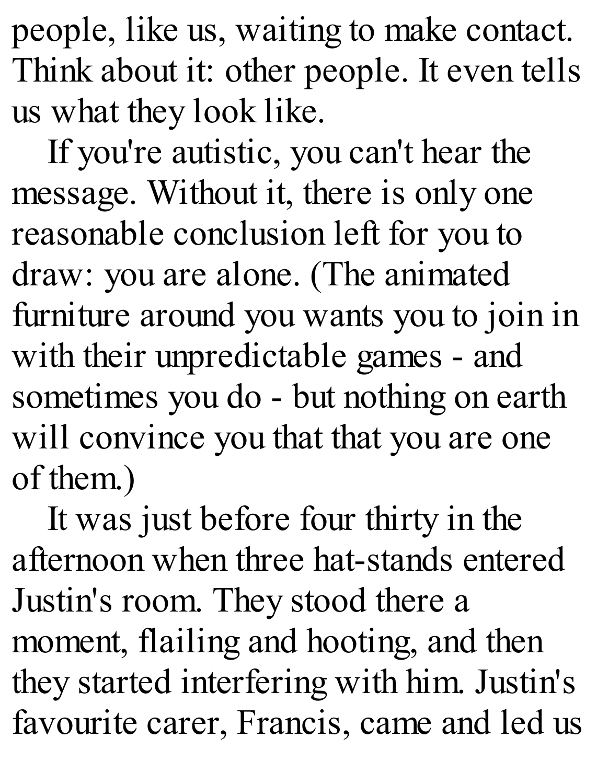people, like us, waiting to make contact. Think about it: other people. It even tells us what they look like.

If you're autistic, you can't hear the message. Without it, there is only one reasonable conclusion left for you to draw: you are alone. (The animated furniture around you wants you to join in with their unpredictable games - and sometimes you do - but nothing on earth will convince you that that you are one of them.)

It was just before four thirty in the afternoon when three hat-stands entered Justin's room. They stood there a moment, flailing and hooting, and then they started interfering with him. Justin's favourite carer, Francis, came and led us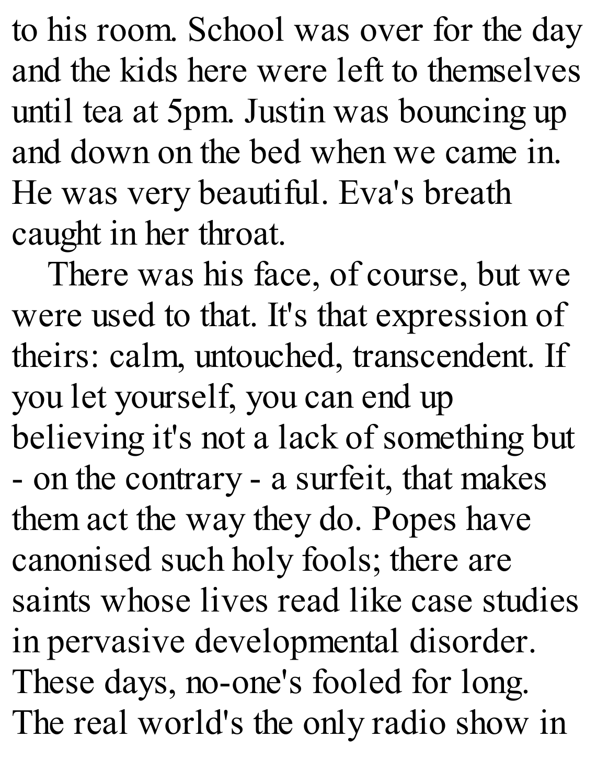to his room. School was over for the day and the kids here were left to themselves until tea at 5pm. Justin was bouncing up and down on the bed when we came in. He was very beautiful. Eva's breath caught in her throat.

There was his face, of course, but we were used to that. It's that expression of theirs: calm, untouched, transcendent. If you let yourself, you can end up believing it's not a lack of something but - on the contrary - a surfeit, that makes them act the way they do. Popes have canonised such holy fools; there are saints whose lives read like case studies in pervasive developmental disorder. These days, no-one's fooled for long. The real world's the only radio show in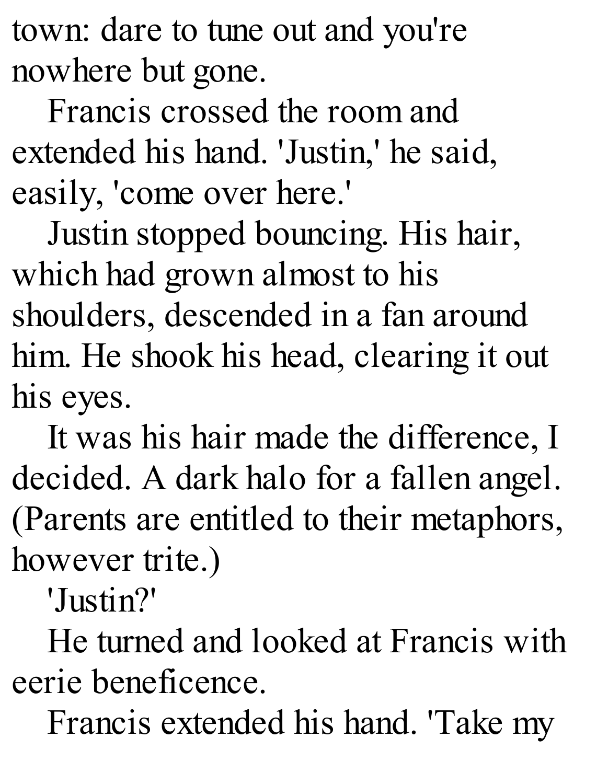town: dare to tune out and you're nowhere but gone.

Francis crossed the room and extended his hand. 'Justin,' he said, easily, 'come over here.'

Justin stopped bouncing. His hair, which had grown almost to his shoulders, descended in a fan around him. He shook his head, clearing it out his eyes.

It was his hair made the difference, I decided. A dark halo for a fallen angel. (Parents are entitled to their metaphors, however trite.)

'Justin?'

He turned and looked at Francis with eerie beneficence.

Francis extended his hand. 'Take my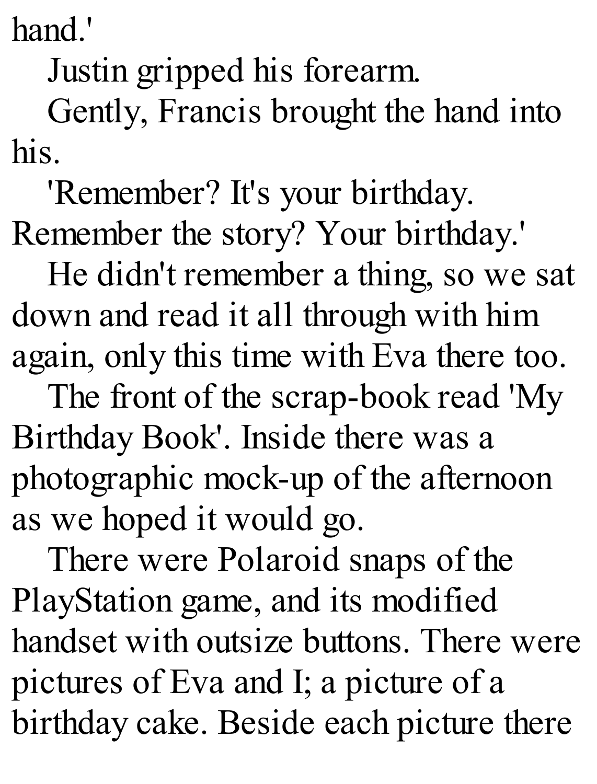hand<sup>'</sup>

Justin gripped his forearm.

Gently, Francis brought the hand into his.

'Remember? It's your birthday. Remember the story? Your birthday.'

He didn't remember a thing, so we sat down and read it all through with him again, only this time with Eva there too.

The front of the scrap-book read 'My Birthday Book'. Inside there was a photographic mock-up of the afternoon as we hoped it would go.

There were Polaroid snaps of the PlayStation game, and its modified handset with outsize buttons. There were pictures of Eva and I; a picture of a birthday cake. Beside each picture there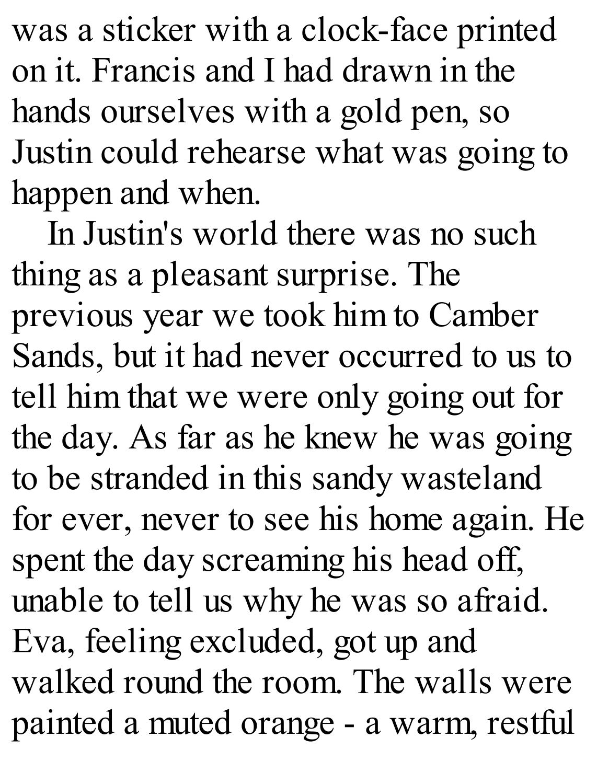was a sticker with a clock-face printed on it. Francis and I had drawn in the hands ourselves with a gold pen, so Justin could rehearse what was going to happen and when.

In Justin's world there was no such thing as a pleasant surprise. The previous year we took him to Camber Sands, but it had never occurred to us to tell him that we were only going out for the day. As far as he knew he was going to be stranded in this sandy wasteland for ever, never to see his home again. He spent the day screaming his head off, unable to tell us why he was so afraid. Eva, feeling excluded, got up and walked round the room. The walls were painted a muted orange - a warm, restful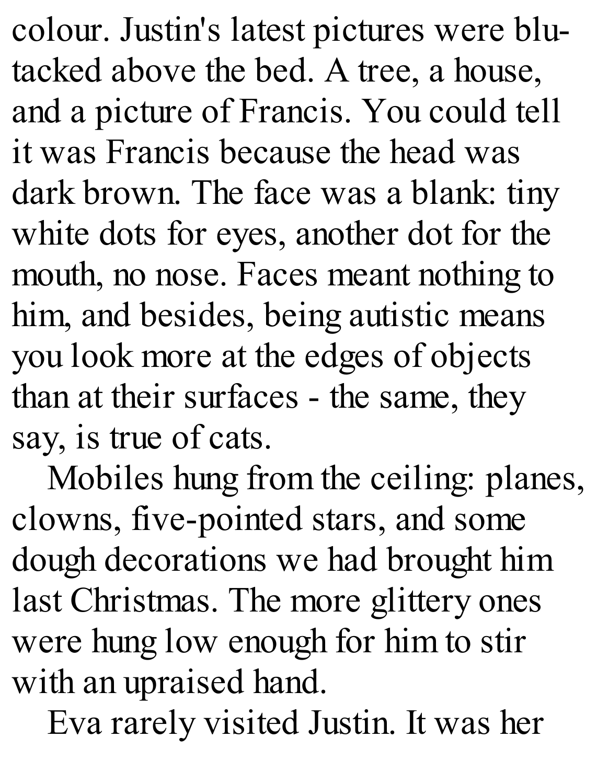colour. Justin's latest pictures were blutacked above the bed. A tree, a house, and a picture of Francis. You could tell it was Francis because the head was dark brown. The face was a blank: tiny white dots for eyes, another dot for the mouth, no nose. Faces meant nothing to him, and besides, being autistic means you look more at the edges of objects than at their surfaces - the same, they say, is true of cats.

Mobiles hung from the ceiling: planes, clowns, five-pointed stars, and some dough decorations we had brought him last Christmas. The more glittery ones were hung low enough for him to stir with an upraised hand.

Eva rarely visited Justin. It was her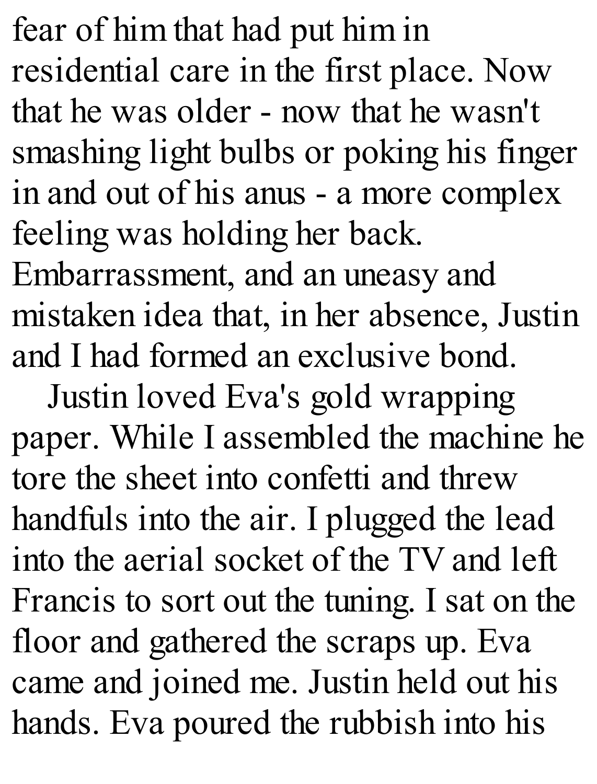fear of him that had put him in residential care in the first place. Now that he was older - now that he wasn't smashing light bulbs or poking his finger in and out of his anus - a more complex feeling was holding her back. Embarrassment, and an uneasy and

mistaken idea that, in her absence, Justin and I had formed an exclusive bond.

Justin loved Eva's gold wrapping paper. While I assembled the machine he tore the sheet into confetti and threw handfuls into the air. I plugged the lead into the aerial socket of the TV and left Francis to sort out the tuning. I sat on the floor and gathered the scraps up. Eva came and joined me. Justin held out his hands. Eva poured the rubbish into his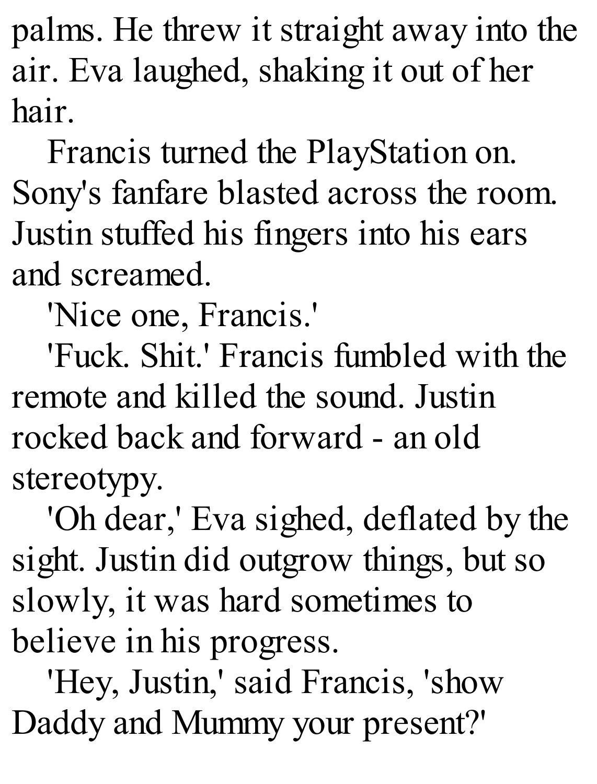palms. He threw it straight away into the air. Eva laughed, shaking it out of her hair.

Francis turned the PlayStation on. Sony's fanfare blasted across the room. Justin stuffed his fingers into his ears and screamed.

'Nice one, Francis.'

'Fuck. Shit.' Francis fumbled with the remote and killed the sound. Justin rocked back and forward - an old stereotypy.

'Oh dear,' Eva sighed, deflated by the sight. Justin did outgrow things, but so slowly, it was hard sometimes to believe in his progress.

'Hey, Justin,' said Francis, 'show Daddy and Mummy your present?'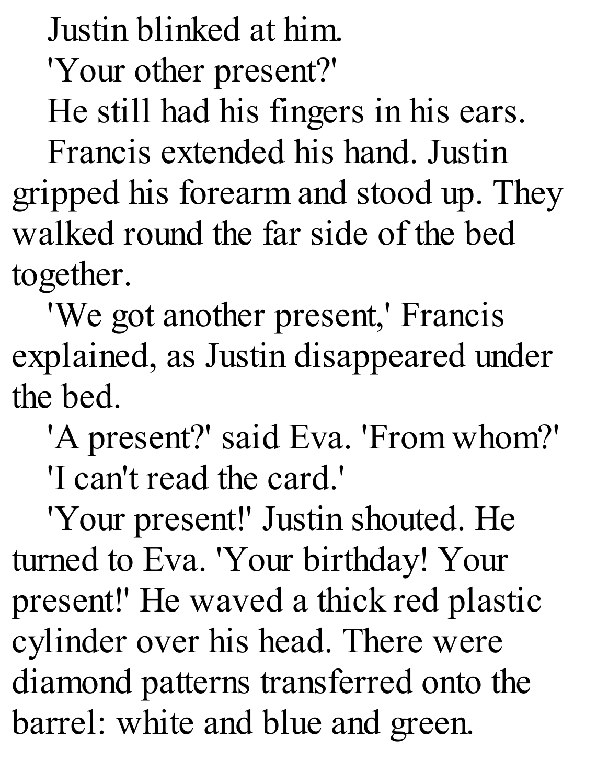Justin blinked at him. 'Your other present?'

He still had his fingers in his ears.

Francis extended his hand. Justin gripped his forearm and stood up. They walked round the far side of the bed together.

'We got another present,' Francis explained, as Justin disappeared under the bed.

'A present?' said Eva. 'From whom?' 'I can't read the card.'

'Your present!' Justin shouted. He turned to Eva. 'Your birthday! Your present!' He waved a thick red plastic cylinder over his head. There were diamond patterns transferred onto the barrel: white and blue and green.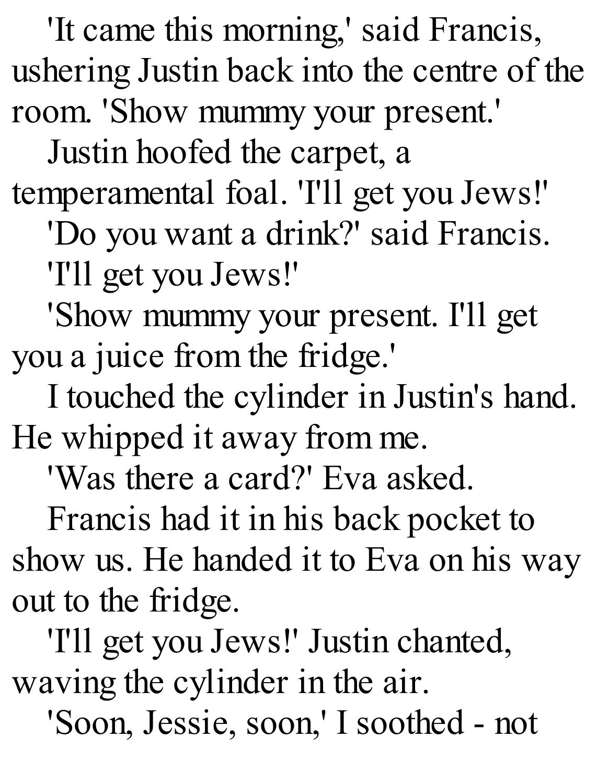'It came this morning,' said Francis, ushering Justin back into the centre of the room. 'Show mummy your present.'

Justin hoofed the carpet, a temperamental foal. 'I'll get you Jews!' 'Do you want a drink?' said Francis.

'I'll get you Jews!'

'Show mummy your present. I'll get you a juice from the fridge.'

I touched the cylinder in Justin's hand. He whipped it away from me.

'Was there a card?' Eva asked.

Francis had it in his back pocket to show us. He handed it to Eva on his way out to the fridge.

'I'll get you Jews!' Justin chanted, waving the cylinder in the air.

'Soon, Jessie, soon,' I soothed - not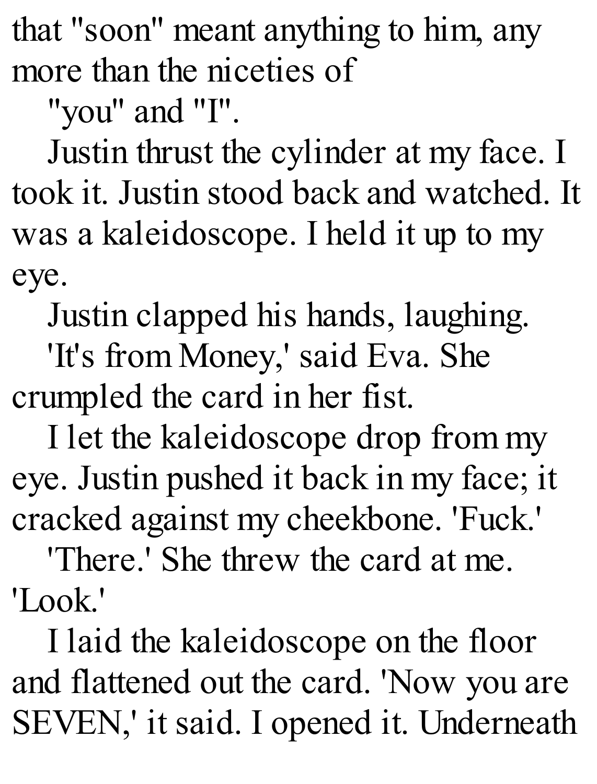that "soon" meant anything to him, any more than the niceties of

"you" and "I".

Justin thrust the cylinder at my face. I took it. Justin stood back and watched. It was a kaleidoscope. I held it up to my eye.

Justin clapped his hands, laughing.

'It's from Money,' said Eva. She crumpled the card in her fist.

I let the kaleidoscope drop from my eye. Justin pushed it back in my face; it cracked against my cheekbone. 'Fuck.'

'There.' She threw the card at me. 'Look.'

I laid the kaleidoscope on the floor and flattened out the card. 'Now you are SEVEN,' it said. I opened it. Underneath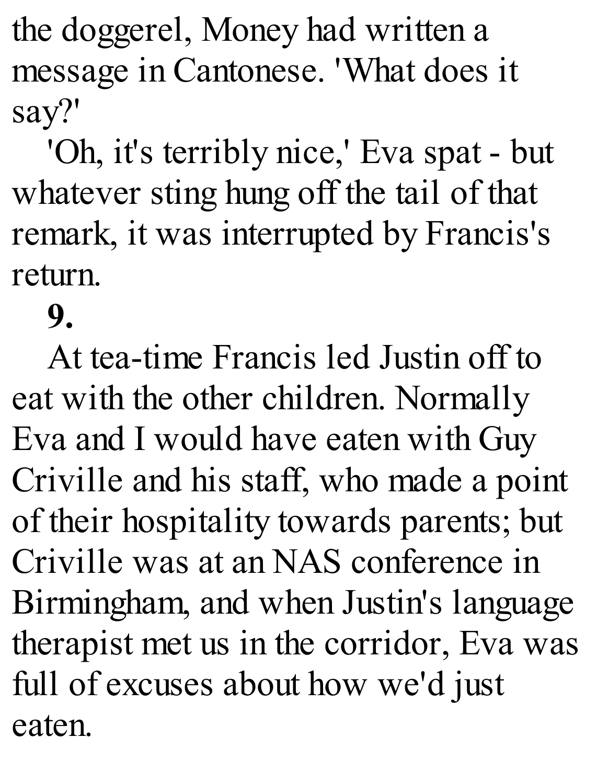the doggerel, Money had written a message in Cantonese. 'What does it say?'

'Oh, it's terribly nice,' Eva spat - but whatever sting hung off the tail of that remark, it was interrupted by Francis's return.

## **9.**

At tea-time Francis led Justin off to eat with the other children. Normally Eva and I would have eaten with Guy Criville and his staff, who made a point of their hospitality towards parents; but Criville was at an NAS conference in Birmingham, and when Justin's language therapist met us in the corridor, Eva was full of excuses about how we'd just eaten.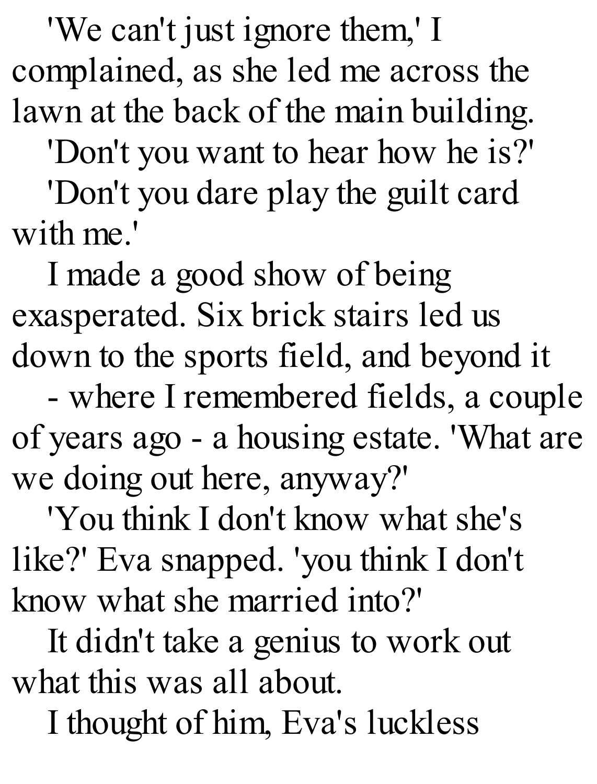'We can't just ignore them,' I complained, as she led me across the lawn at the back of the main building.

'Don't you want to hear how he is?'

'Don't you dare play the guilt card with me'

I made a good show of being exasperated. Six brick stairs led us down to the sports field, and beyond it

- where I remembered fields, a couple of years ago - a housing estate. 'What are we doing out here, anyway?'

'You think I don't know what she's like?' Eva snapped. 'you think I don't know what she married into?'

It didn't take a genius to work out what this was all about.

I thought of him, Eva's luckless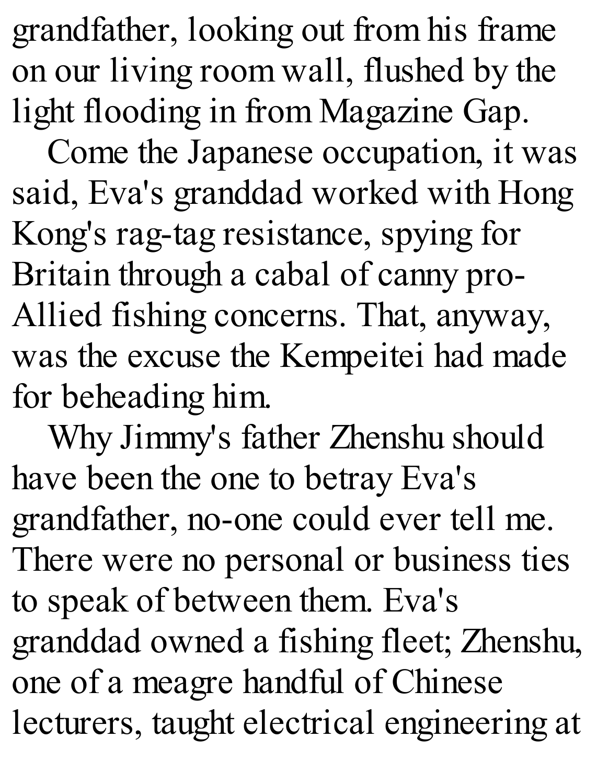grandfather, looking out from his frame on our living room wall, flushed by the light flooding in from Magazine Gap.

Come the Japanese occupation, it was said, Eva's granddad worked with Hong Kong's rag-tag resistance, spying for Britain through a cabal of canny pro-Allied fishing concerns. That, anyway, was the excuse the Kempeitei had made for beheading him.

Why Jimmy's father Zhenshu should have been the one to betray Eva's grandfather, no-one could ever tell me. There were no personal or business ties to speak of between them. Eva's granddad owned a fishing fleet; Zhenshu, one of a meagre handful of Chinese lecturers, taught electrical engineering at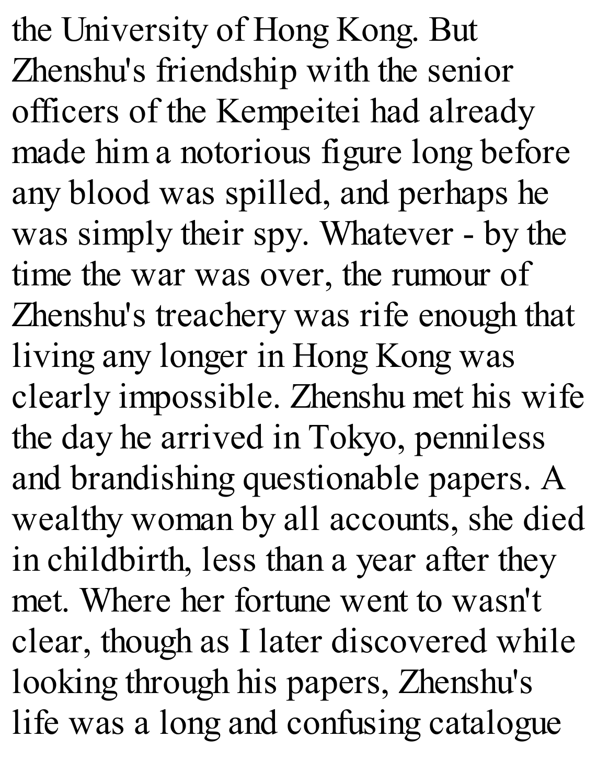the University of Hong Kong. But Zhenshu's friendship with the senior officers of the Kempeitei had already made him a notorious figure long before any blood was spilled, and perhaps he was simply their spy. Whatever - by the time the war was over, the rumour of Zhenshu's treachery was rife enough that living any longer in Hong Kong was clearly impossible. Zhenshu met his wife the day he arrived in Tokyo, penniless and brandishing questionable papers. A wealthy woman by all accounts, she died in childbirth, less than a year after they met. Where her fortune went to wasn't clear, though as I later discovered while looking through his papers, Zhenshu's life was a long and confusing catalogue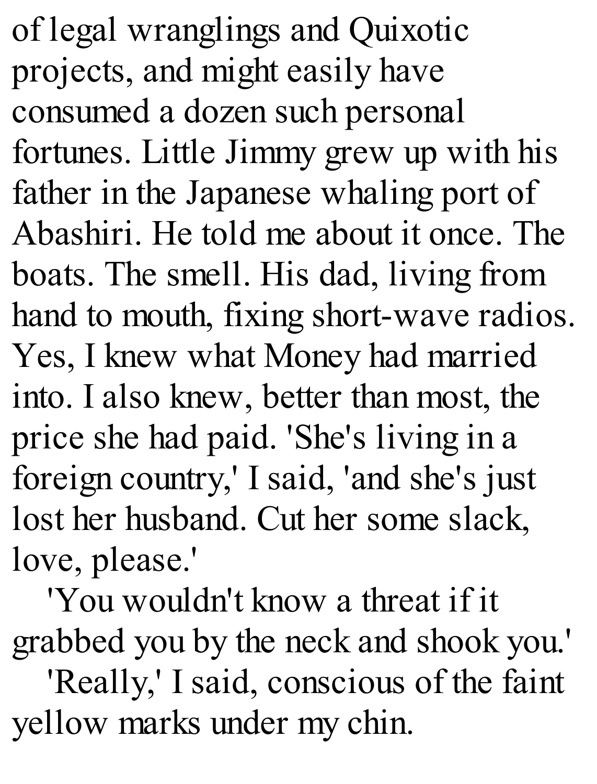of legal wranglings and Quixotic projects, and might easily have consumed a dozen such personal fortunes. Little Jimmy grew up with his father in the Japanese whaling port of Abashiri. He told me about it once. The boats. The smell. His dad, living from hand to mouth, fixing short-wave radios. Yes, I knew what Money had married into. I also knew, better than most, the price she had paid. 'She's living in a foreign country,' I said, 'and she's just lost her husband. Cut her some slack, love, please.'

'You wouldn't know a threat if it grabbed you by the neck and shook you.' 'Really,' I said, conscious of the faint yellow marks under my chin.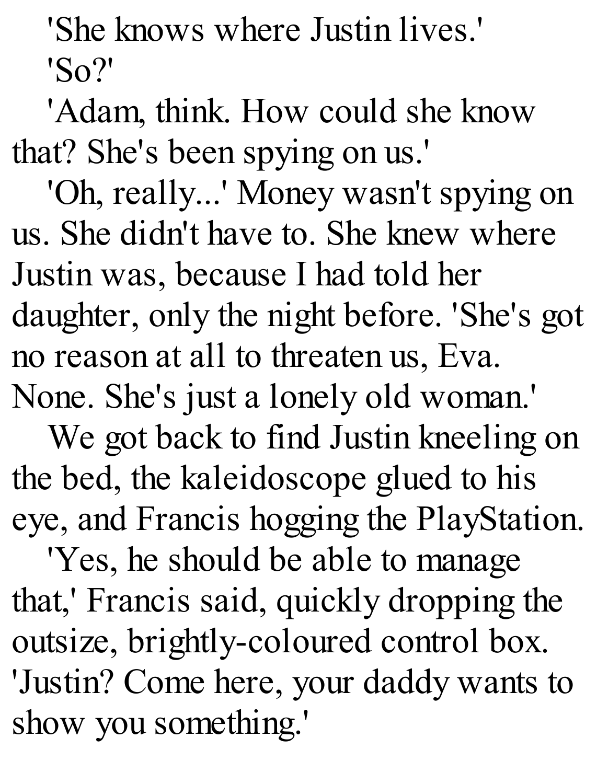'She knows where Justin lives.' 'So?'

'Adam, think. How could she know that? She's been spying on us.'

'Oh, really...' Money wasn't spying on us. She didn't have to. She knew where Justin was, because I had told her daughter, only the night before. 'She's got no reason at all to threaten us, Eva. None. She's just a lonely old woman.'

We got back to find Justin kneeling on the bed, the kaleidoscope glued to his eye, and Francis hogging the PlayStation.

'Yes, he should be able to manage that,' Francis said, quickly dropping the outsize, brightly-coloured control box. 'Justin? Come here, your daddy wants to show you something.'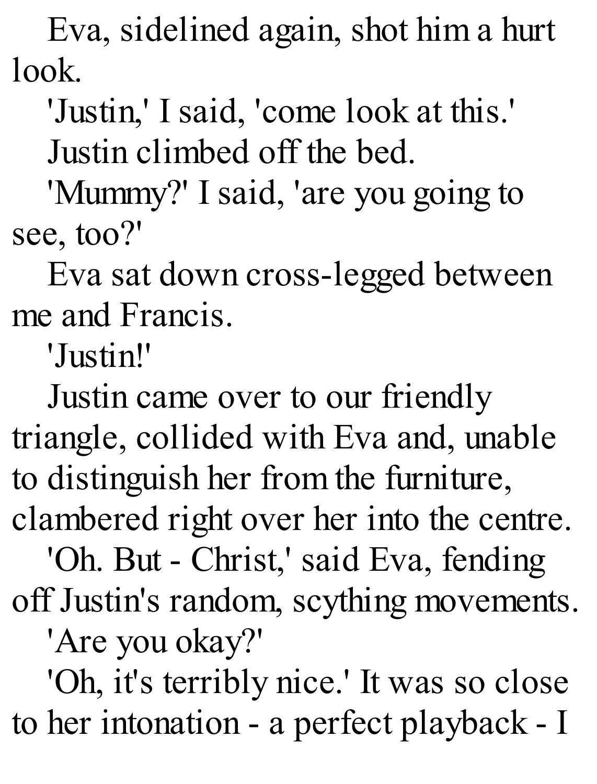Eva, sidelined again, shot him a hurt look.

'Justin,' I said, 'come look at this.' Justin climbed off the bed.

'Mummy?' I said, 'are you going to see, too?'

Eva sat down cross-legged between me and Francis.

'Justin!'

Justin came over to our friendly triangle, collided with Eva and, unable to distinguish her from the furniture, clambered right over her into the centre.

'Oh. But - Christ,' said Eva, fending off Justin's random, scything movements.

'Are you okay?'

'Oh, it's terribly nice.' It was so close to her intonation - a perfect playback - I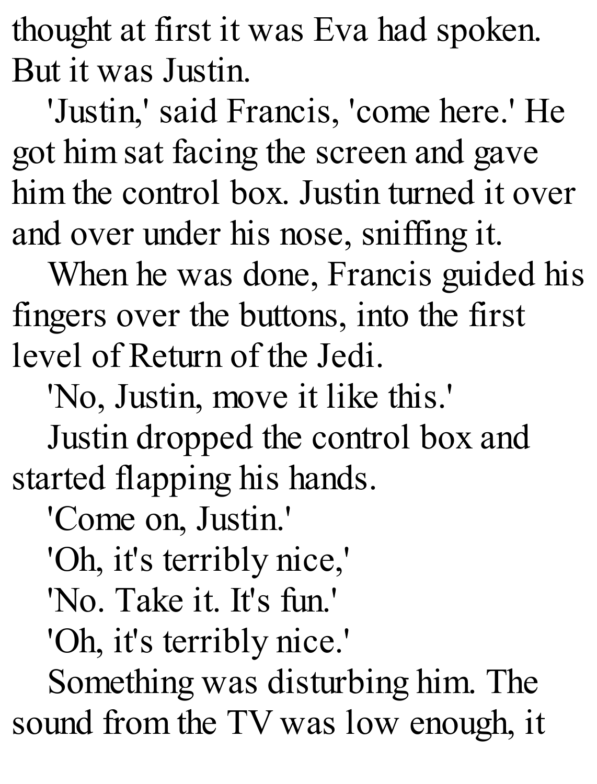thought at first it was Eva had spoken. But it was Justin.

'Justin,' said Francis, 'come here.' He got him sat facing the screen and gave him the control box. Justin turned it over and over under his nose, sniffing it.

When he was done, Francis guided his fingers over the buttons, into the first level of Return of the Jedi.

'No, Justin, move it like this.'

Justin dropped the control box and started flapping his hands.

'Come on, Justin.'

'Oh, it's terribly nice,'

'No. Take it. It's fun.'

'Oh, it's terribly nice.'

Something was disturbing him. The sound from the TV was low enough, it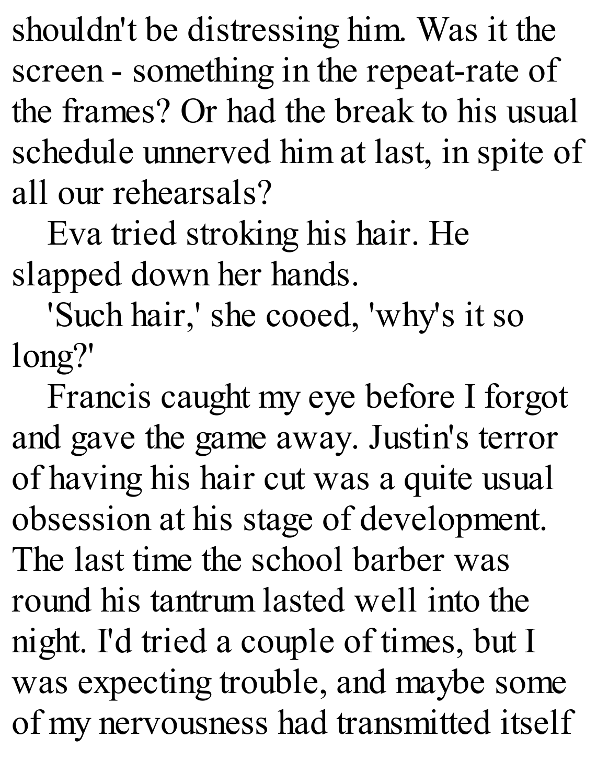shouldn't be distressing him. Was it the screen - something in the repeat-rate of the frames? Or had the break to his usual schedule unnerved him at last, in spite of all our rehearsals?

Eva tried stroking his hair. He slapped down her hands.

'Such hair,' she cooed, 'why's it so long?'

Francis caught my eye before I forgot and gave the game away. Justin's terror of having his hair cut was a quite usual obsession at his stage of development. The last time the school barber was round his tantrum lasted well into the night. I'd tried a couple of times, but I was expecting trouble, and maybe some of my nervousness had transmitted itself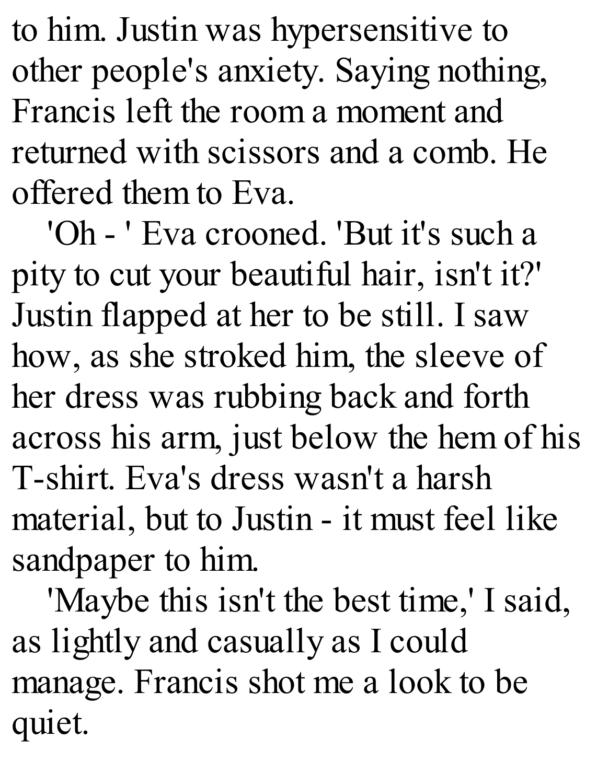to him. Justin was hypersensitive to other people's anxiety. Saying nothing, Francis left the room a moment and returned with scissors and a comb. He offered them to Eva.

'Oh - ' Eva crooned. 'But it's such a pity to cut your beautiful hair, isn't it?' Justin flapped at her to be still. I saw how, as she stroked him, the sleeve of her dress was rubbing back and forth across his arm, just below the hem of his T-shirt. Eva's dress wasn't a harsh material, but to Justin - it must feel like sandpaper to him.

'Maybe this isn't the best time,' I said, as lightly and casually as I could manage. Francis shot me a look to be quiet.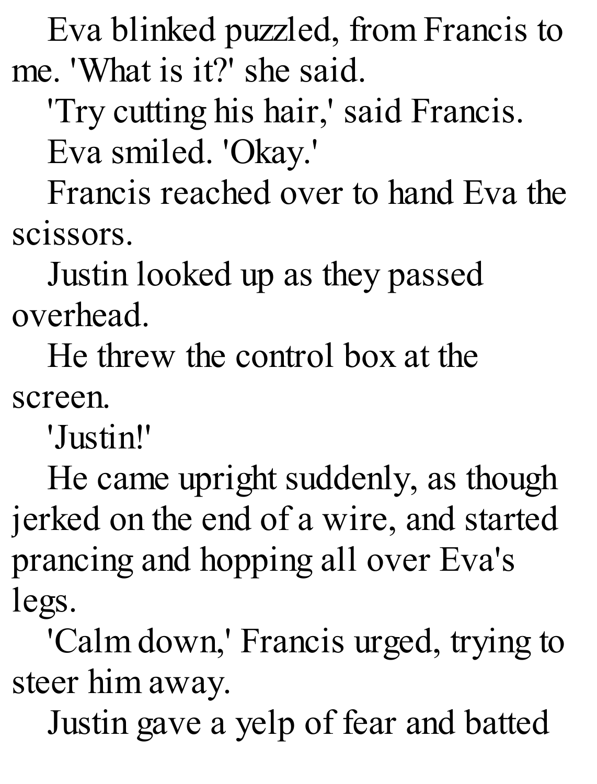Eva blinked puzzled, from Francis to me. 'What is it?' she said.

'Try cutting his hair,' said Francis.

Eva smiled. 'Okay.'

Francis reached over to hand Eva the scissors.

Justin looked up as they passed overhead.

He threw the control box at the screen.

'Justin!'

He came upright suddenly, as though jerked on the end of a wire, and started prancing and hopping all over Eva's legs.

'Calm down,' Francis urged, trying to steer him away.

Justin gave a yelp of fear and batted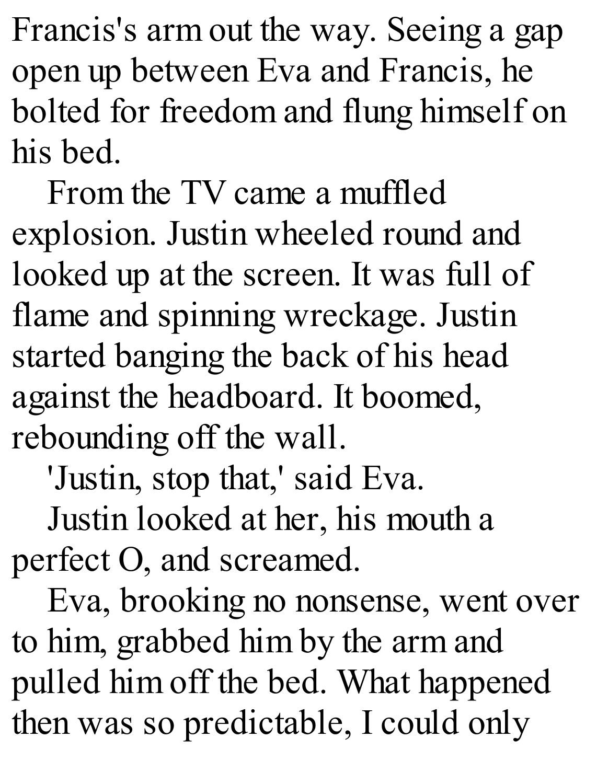Francis's arm out the way. Seeing a gap open up between Eva and Francis, he bolted for freedom and flung himself on his bed.

From the TV came a muffled explosion. Justin wheeled round and looked up at the screen. It was full of flame and spinning wreckage. Justin started banging the back of his head against the headboard. It boomed, rebounding off the wall.

'Justin, stop that,' said Eva.

Justin looked at her, his mouth a perfect O, and screamed.

Eva, brooking no nonsense, went over to him, grabbed him by the arm and pulled him off the bed. What happened then was so predictable, I could only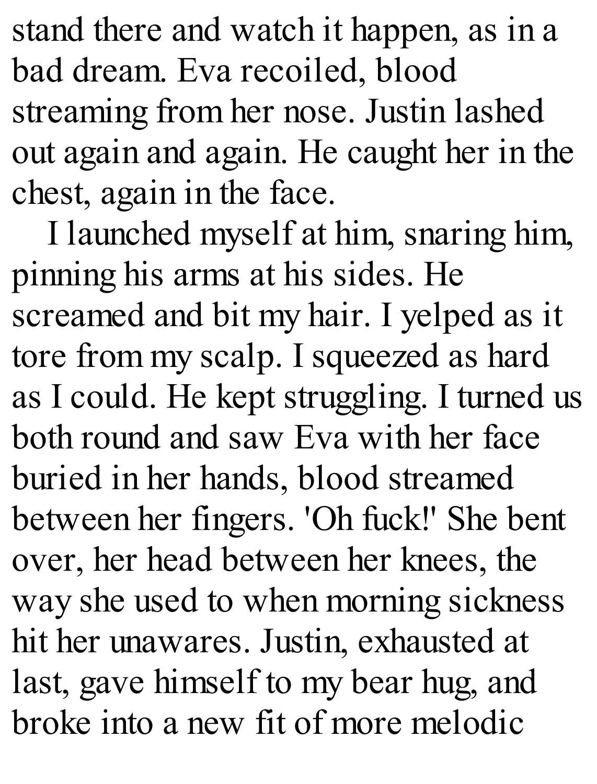stand there and watch it happen, as in a bad dream. Eva recoiled, blood streaming from her nose. Justin lashed out again and again. He caught her in the chest, again in the face.

I launched myself at him, snaring him, pinning his arms at his sides. He screamed and bit my hair. I yelped as it tore from my scalp. I squeezed as hard as I could. He kept struggling. I turned us both round and saw Eva with her face buried in her hands, blood streamed between her fingers. 'Oh fuck!' She bent over, her head between her knees, the way she used to when morning sickness hit her unawares. Justin, exhausted at last, gave himself to my bear hug, and broke into a new fit of more melodic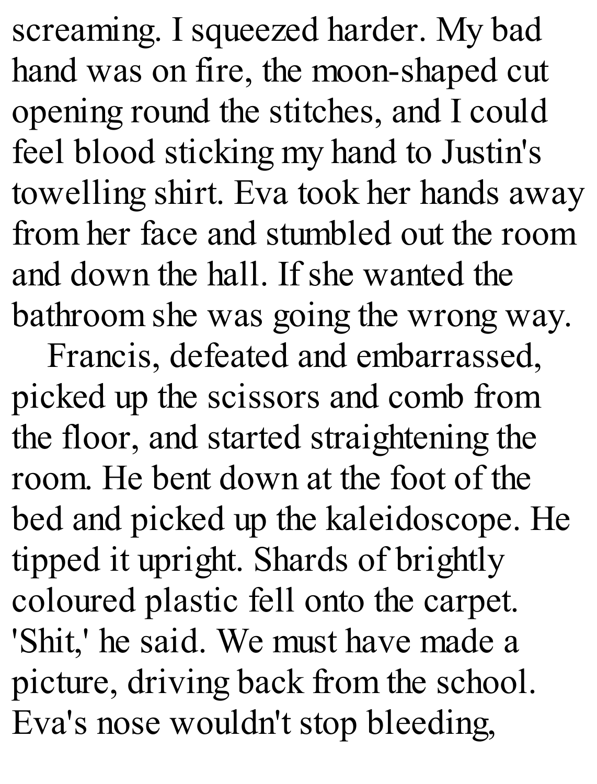screaming. I squeezed harder. My bad hand was on fire, the moon-shaped cut opening round the stitches, and I could feel blood sticking my hand to Justin's towelling shirt. Eva took her hands away from her face and stumbled out the room and down the hall. If she wanted the bathroom she was going the wrong way.

Francis, defeated and embarrassed, picked up the scissors and comb from the floor, and started straightening the room. He bent down at the foot of the bed and picked up the kaleidoscope. He tipped it upright. Shards of brightly coloured plastic fell onto the carpet. 'Shit,' he said. We must have made a picture, driving back from the school. Eva's nose wouldn't stop bleeding,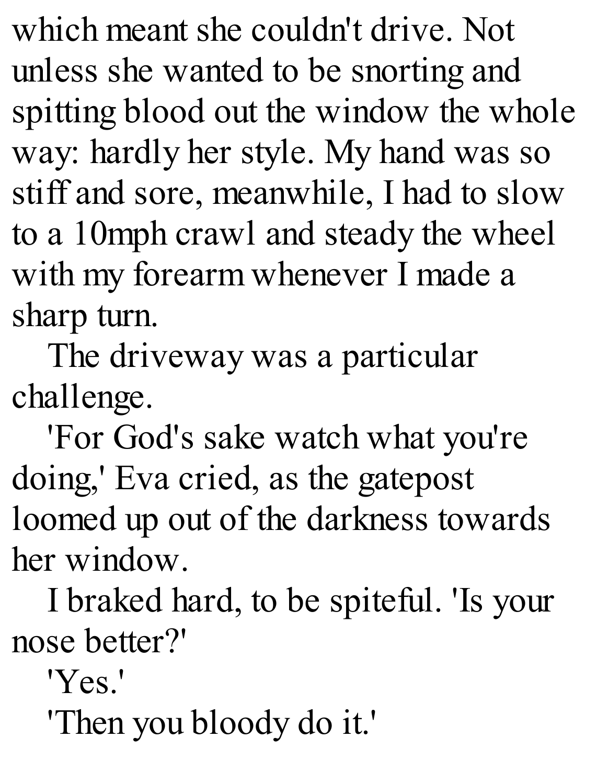which meant she couldn't drive. Not unless she wanted to be snorting and spitting blood out the window the whole way: hardly her style. My hand was so stiff and sore, meanwhile, I had to slow to a 10mph crawl and steady the wheel with my forearm whenever I made a sharp turn.

The driveway was a particular challenge.

'For God's sake watch what you're doing,' Eva cried, as the gatepost loomed up out of the darkness towards her window.

I braked hard, to be spiteful. 'Is your nose better?'

'Yes.'

'Then you bloody do it.'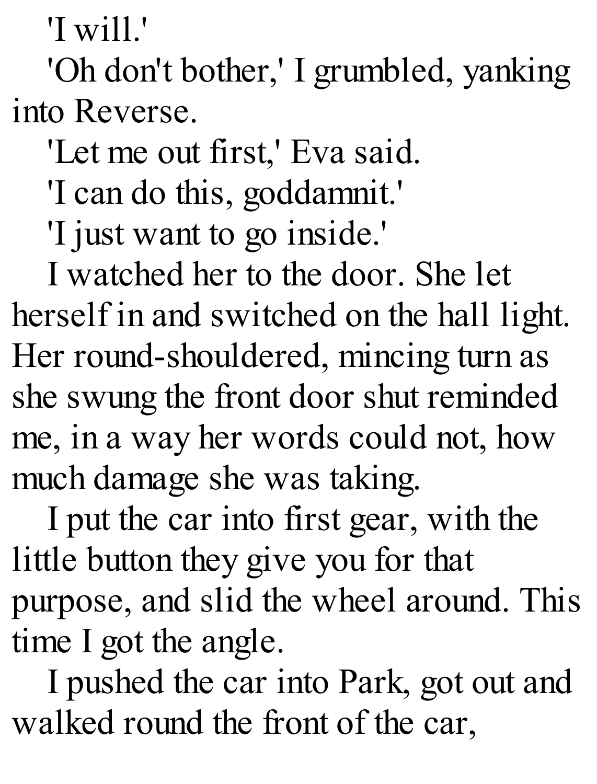'I will.'

'Oh don't bother,' I grumbled, yanking into Reverse.

'Let me out first,' Eva said.

'I can do this, goddamnit.'

'I just want to go inside.'

I watched her to the door. She let herself in and switched on the hall light. Her round-shouldered, mincing turn as she swung the front door shut reminded me, in a way her words could not, how much damage she was taking.

I put the car into first gear, with the little button they give you for that purpose, and slid the wheel around. This time I got the angle.

I pushed the car into Park, got out and walked round the front of the car,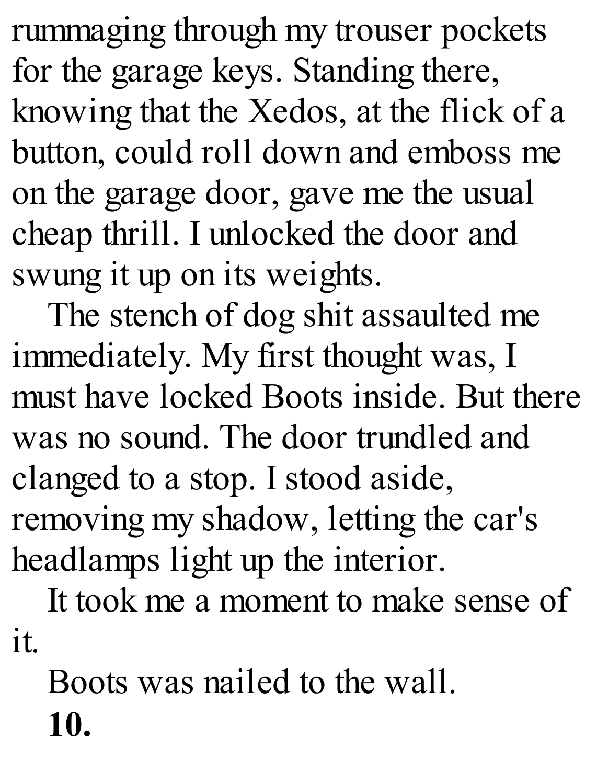rummaging through my trouser pockets for the garage keys. Standing there, knowing that the Xedos, at the flick of a button, could roll down and emboss me on the garage door, gave me the usual cheap thrill. I unlocked the door and swung it up on its weights.

The stench of dog shit assaulted me immediately. My first thought was, I must have locked Boots inside. But there was no sound. The door trundled and clanged to a stop. I stood aside, removing my shadow, letting the car's headlamps light up the interior.

It took me a moment to make sense of it.

Boots was nailed to the wall. **10.**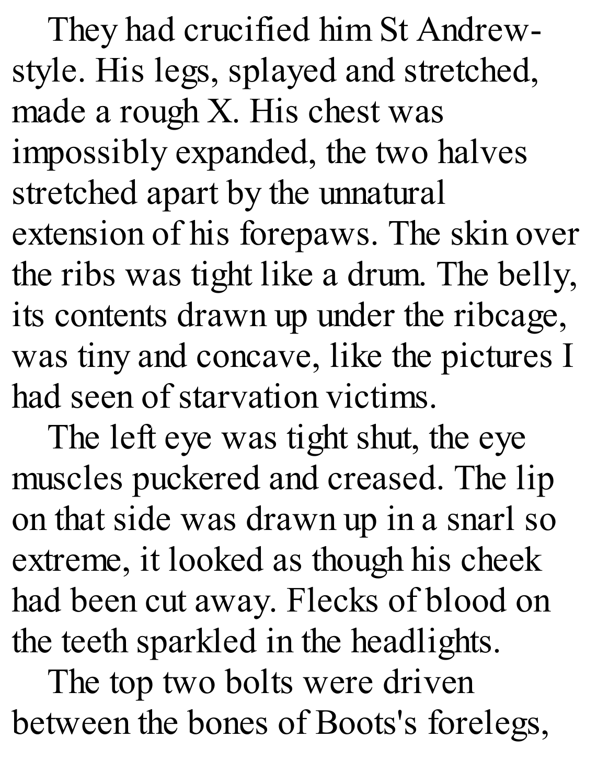They had crucified him St Andrewstyle. His legs, splayed and stretched, made a rough X. His chest was impossibly expanded, the two halves stretched apart by the unnatural extension of his forepaws. The skin over the ribs was tight like a drum. The belly, its contents drawn up under the ribcage, was tiny and concave, like the pictures I had seen of starvation victims.

The left eye was tight shut, the eye muscles puckered and creased. The lip on that side was drawn up in a snarl so extreme, it looked as though his cheek had been cut away. Flecks of blood on the teeth sparkled in the headlights.

The top two bolts were driven between the bones of Boots's forelegs,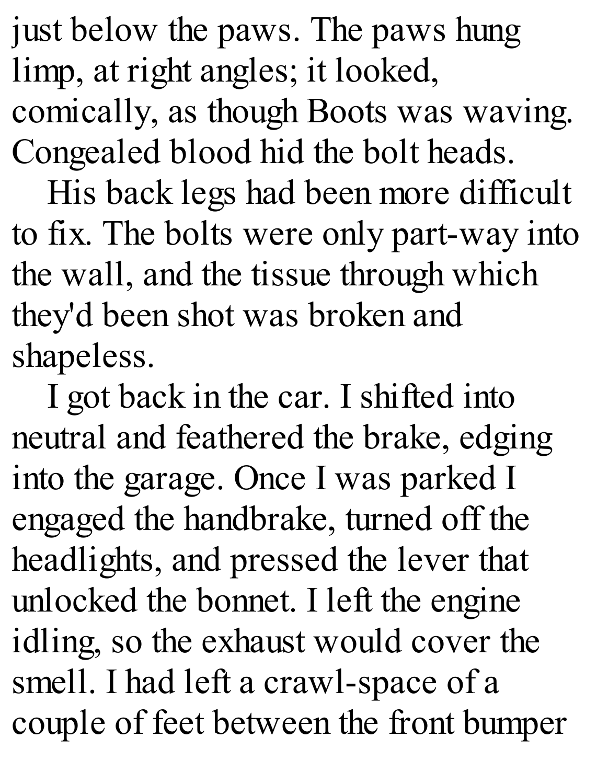just below the paws. The paws hung limp, at right angles; it looked, comically, as though Boots was waving. Congealed blood hid the bolt heads.

His back legs had been more difficult to fix. The bolts were only part-way into the wall, and the tissue through which they'd been shot was broken and shapeless.

I got back in the car. I shifted into neutral and feathered the brake, edging into the garage. Once I was parked I engaged the handbrake, turned off the headlights, and pressed the lever that unlocked the bonnet. I left the engine idling, so the exhaust would cover the smell. I had left a crawl-space of a couple of feet between the front bumper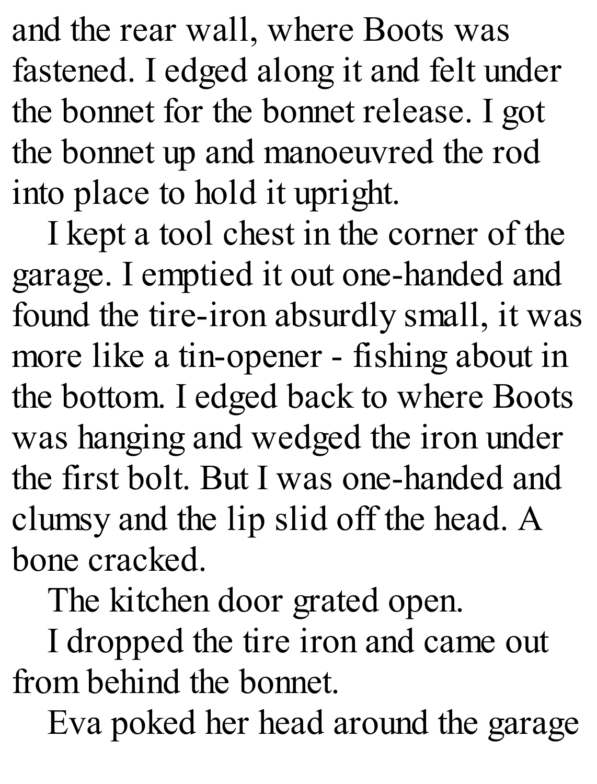and the rear wall, where Boots was fastened. I edged along it and felt under the bonnet for the bonnet release. I got the bonnet up and manoeuvred the rod into place to hold it upright.

I kept a tool chest in the corner of the garage. I emptied it out one-handed and found the tire-iron absurdly small, it was more like a tin-opener - fishing about in the bottom. I edged back to where Boots was hanging and wedged the iron under the first bolt. But I was one-handed and clumsy and the lip slid off the head. A bone cracked.

The kitchen door grated open.

I dropped the tire iron and came out from behind the bonnet.

Eva poked her head around the garage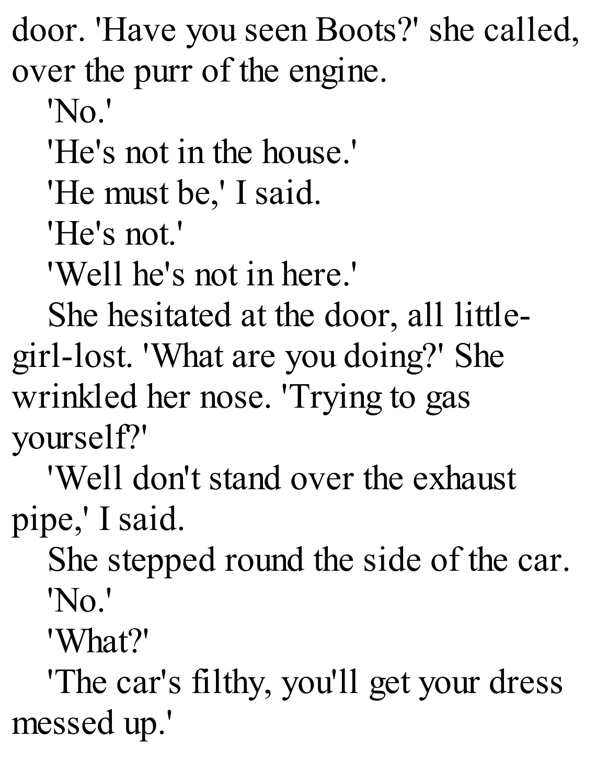door. 'Have you seen Boots?' she called, over the purr of the engine.

'No.'

'He's not in the house.'

'He must be,' I said.

'He's not.'

'Well he's not in here.'

She hesitated at the door, all littlegirl-lost. 'What are you doing?' She wrinkled her nose. 'Trying to gas yourself?'

'Well don't stand over the exhaust pipe,' I said.

She stepped round the side of the car. 'No.'

'What?'

'The car's filthy, you'll get your dress messed up.'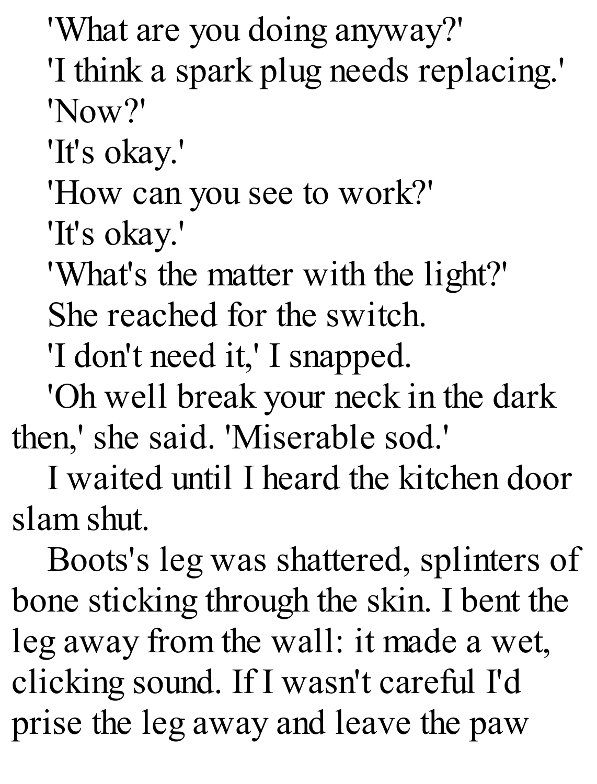'What are you doing anyway?'

'I think a spark plug needs replacing.' 'Now?'

'It's okay.'

'How can you see to work?'

'It's okay.'

'What's the matter with the light?'

She reached for the switch.

'I don't need it,' I snapped.

'Oh well break your neck in the dark then,' she said. 'Miserable sod.'

I waited until I heard the kitchen door slam shut.

Boots's leg was shattered, splinters of bone sticking through the skin. I bent the leg away from the wall: it made a wet, clicking sound. If I wasn't careful I'd prise the leg away and leave the paw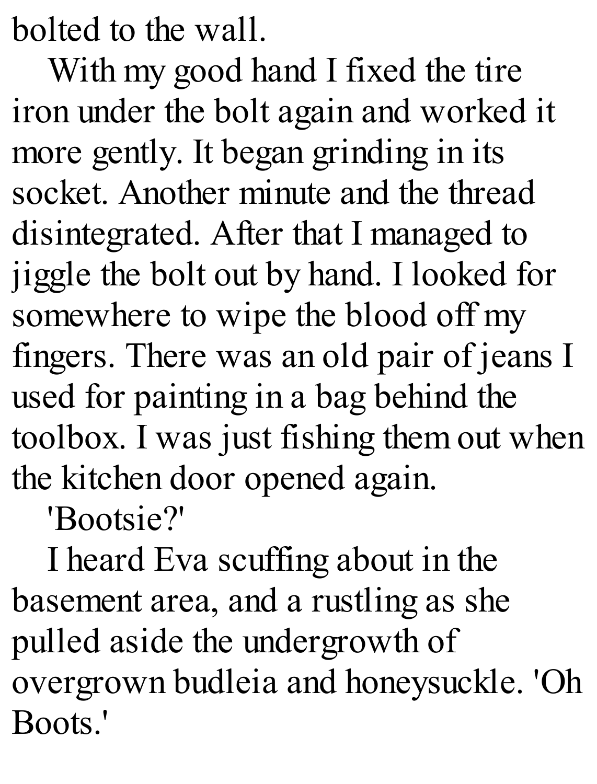bolted to the wall.

With my good hand I fixed the tire iron under the bolt again and worked it more gently. It began grinding in its socket. Another minute and the thread disintegrated. After that I managed to jiggle the bolt out by hand. I looked for somewhere to wipe the blood off my fingers. There was an old pair of jeans I used for painting in a bag behind the toolbox. I was just fishing them out when the kitchen door opened again.

'Bootsie?'

I heard Eva scuffing about in the basement area, and a rustling as she pulled aside the undergrowth of overgrown budleia and honeysuckle. 'Oh Boots.'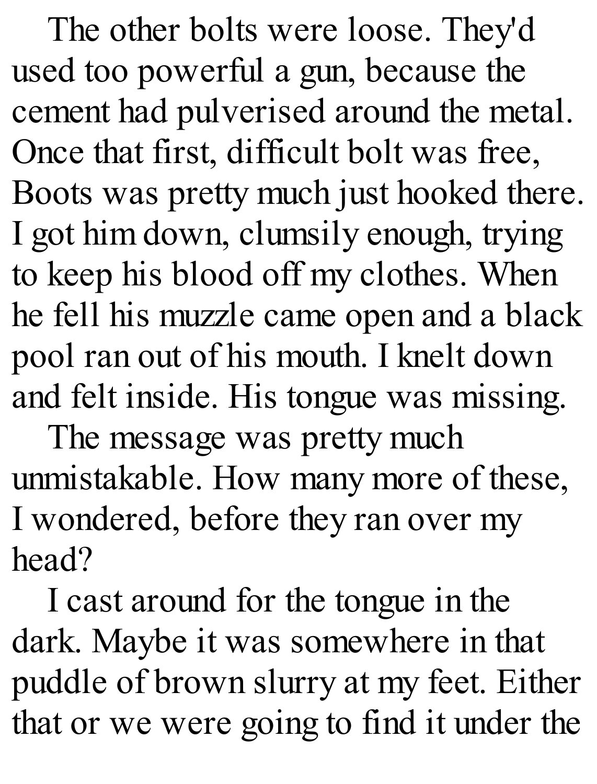The other bolts were loose. They'd used too powerful a gun, because the cement had pulverised around the metal. Once that first, difficult bolt was free, Boots was pretty much just hooked there. I got him down, clumsily enough, trying to keep his blood off my clothes. When he fell his muzzle came open and a black pool ran out of his mouth. I knelt down and felt inside. His tongue was missing.

The message was pretty much unmistakable. How many more of these, I wondered, before they ran over my head?

I cast around for the tongue in the dark. Maybe it was somewhere in that puddle of brown slurry at my feet. Either that or we were going to find it under the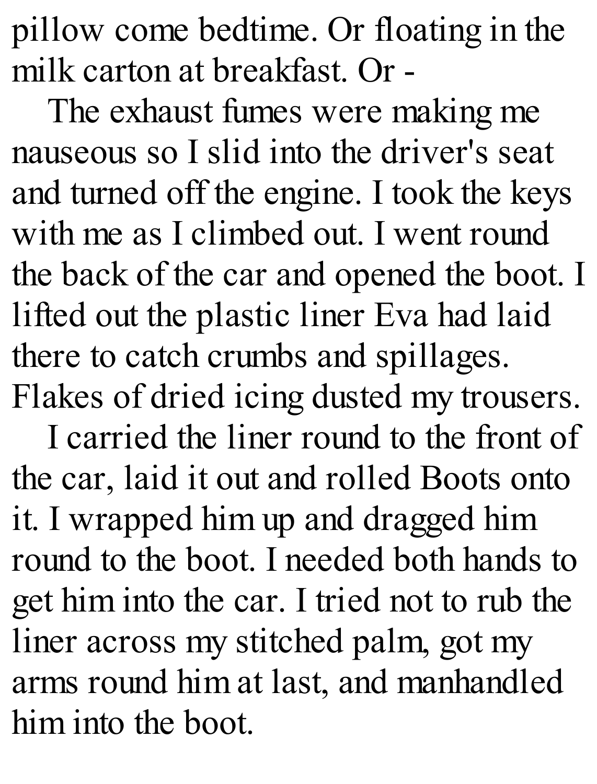pillow come bedtime. Or floating in the milk carton at breakfast. Or -

The exhaust fumes were making me nauseous so I slid into the driver's seat and turned off the engine. I took the keys with me as I climbed out. I went round the back of the car and opened the boot. I lifted out the plastic liner Eva had laid there to catch crumbs and spillages. Flakes of dried icing dusted my trousers.

I carried the liner round to the front of the car, laid it out and rolled Boots onto it. I wrapped him up and dragged him round to the boot. I needed both hands to get him into the car. I tried not to rub the liner across my stitched palm, got my arms round him at last, and manhandled him into the boot.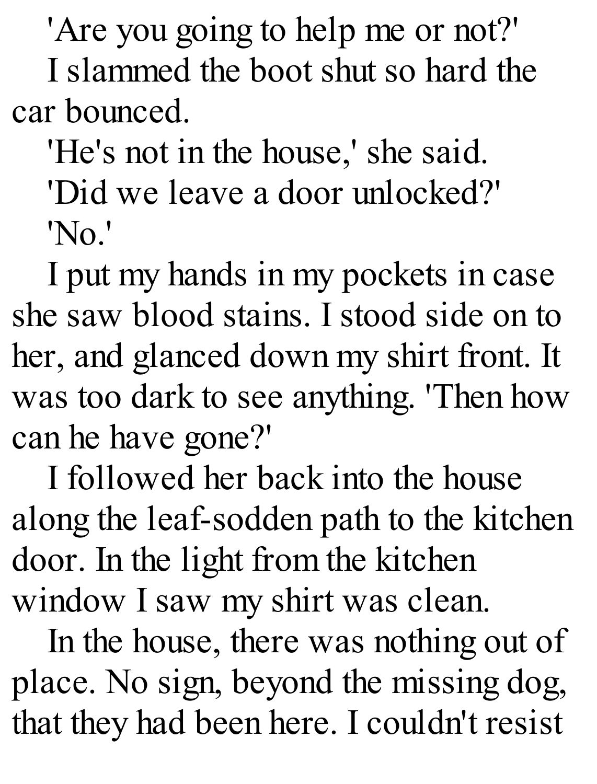'Are you going to help me or not?'

I slammed the boot shut so hard the car bounced.

'He's not in the house,' she said. 'Did we leave a door unlocked?' 'No.'

I put my hands in my pockets in case she saw blood stains. I stood side on to her, and glanced down my shirt front. It was too dark to see anything. 'Then how can he have gone?'

I followed her back into the house along the leaf-sodden path to the kitchen door. In the light from the kitchen window I saw my shirt was clean.

In the house, there was nothing out of place. No sign, beyond the missing dog, that they had been here. I couldn't resist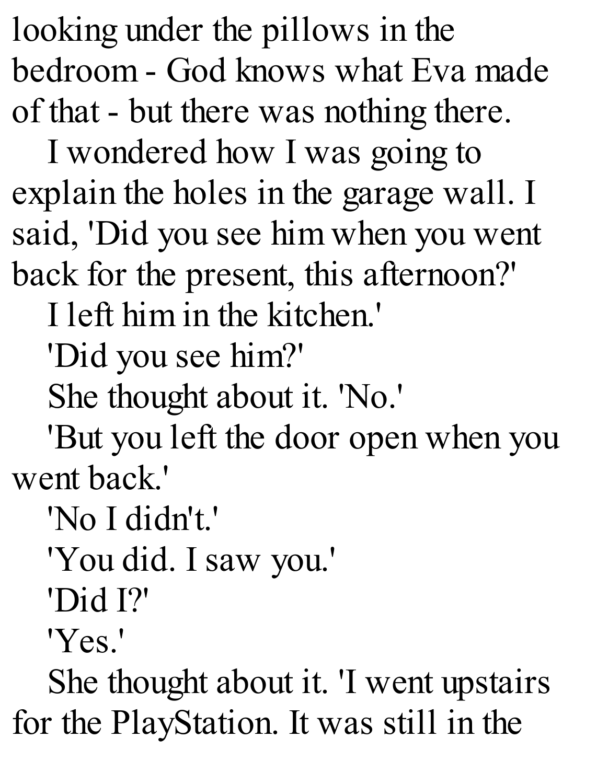looking under the pillows in the bedroom - God knows what Eva made of that - but there was nothing there.

I wondered how I was going to explain the holes in the garage wall. I said, 'Did you see him when you went back for the present, this afternoon?' I left him in the kitchen.'

'Did you see him?'

She thought about it. 'No.'

'But you left the door open when you went back.'

'No I didn't.'

'You did. I saw you.'

'Did I?'

'Yes.'

She thought about it. 'I went upstairs for the PlayStation. It was still in the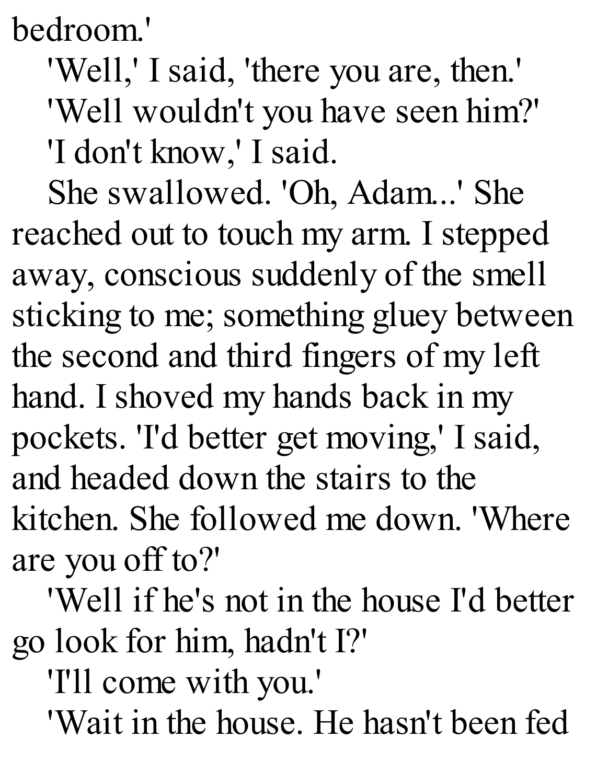bedroom.'

'Well,' I said, 'there you are, then.' 'Well wouldn't you have seen him?' 'I don't know,' I said.

She swallowed. 'Oh, Adam...' She reached out to touch my arm. I stepped away, conscious suddenly of the smell sticking to me; something gluey between the second and third fingers of my left hand. I shoved my hands back in my pockets. 'I'd better get moving,' I said, and headed down the stairs to the kitchen. She followed me down. 'Where are you off to?'

'Well if he's not in the house I'd better go look for him, hadn't I?'

'I'll come with you.'

'Wait in the house. He hasn't been fed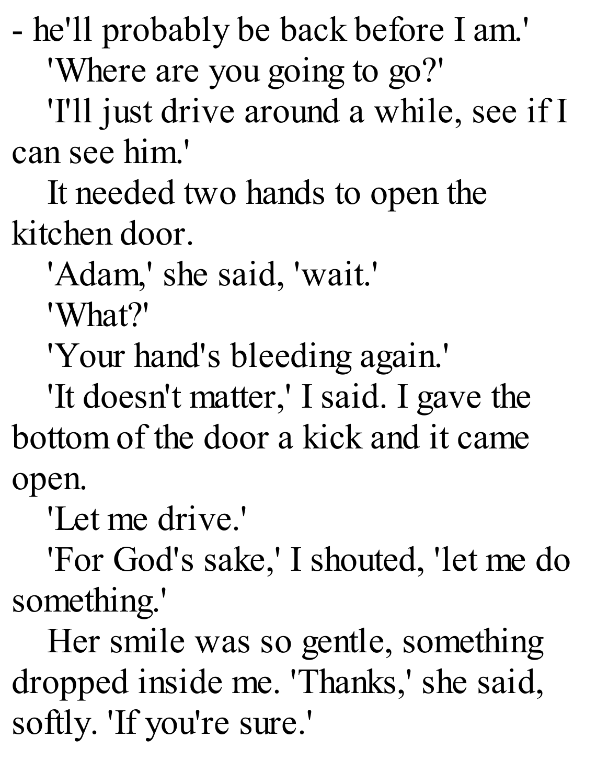- he'll probably be back before I am.'

'Where are you going to go?'

'I'll just drive around a while, see if I can see him.'

It needed two hands to open the kitchen door.

'Adam,' she said, 'wait.'

'What?'

'Your hand's bleeding again.'

'It doesn't matter,' I said. I gave the bottom of the door a kick and it came open.

'Let me drive.'

'For God's sake,' I shouted, 'let me do something.'

Her smile was so gentle, something dropped inside me. 'Thanks,' she said, softly. 'If you're sure.'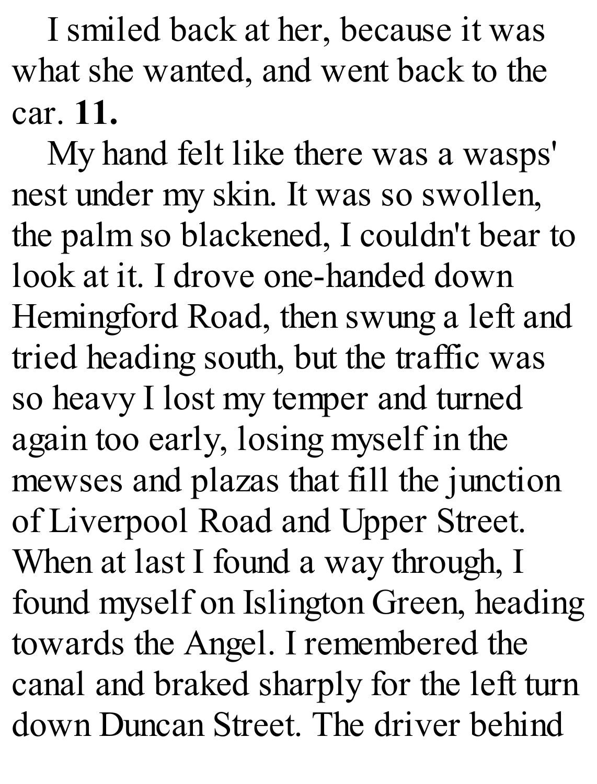I smiled back at her, because it was what she wanted, and went back to the car. **11.**

My hand felt like there was a wasps' nest under my skin. It was so swollen, the palm so blackened, I couldn't bear to look at it. I drove one-handed down Hemingford Road, then swung a left and tried heading south, but the traffic was so heavy I lost my temper and turned again too early, losing myself in the mewses and plazas that fill the junction of Liverpool Road and Upper Street. When at last I found a way through, I found myself on Islington Green, heading towards the Angel. I remembered the canal and braked sharply for the left turn down Duncan Street. The driver behind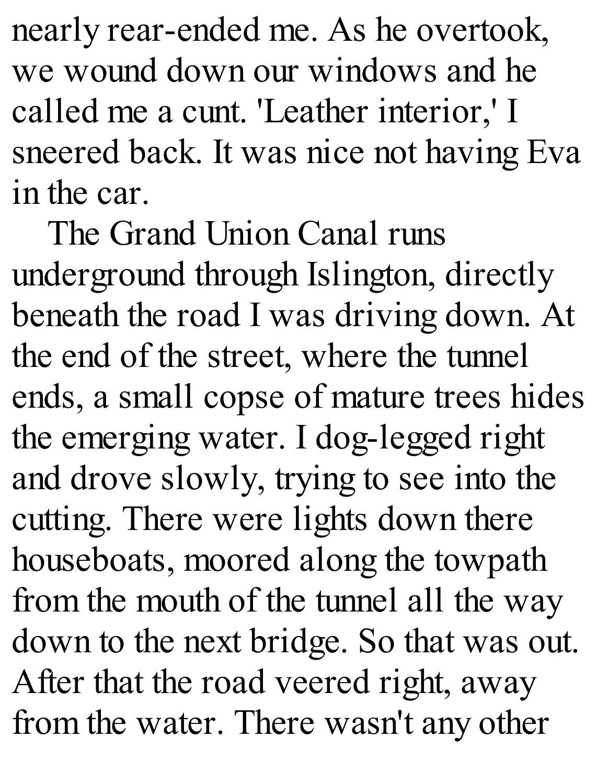nearly rear-ended me. As he overtook, we wound down our windows and he called me a cunt. 'Leather interior,' I sneered back. It was nice not having Eva in the car.

The Grand Union Canal runs underground through Islington, directly beneath the road I was driving down. At the end of the street, where the tunnel ends, a small copse of mature trees hides the emerging water. I dog-legged right and drove slowly, trying to see into the cutting. There were lights down there houseboats, moored along the towpath from the mouth of the tunnel all the way down to the next bridge. So that was out. After that the road veered right, away from the water. There wasn't any other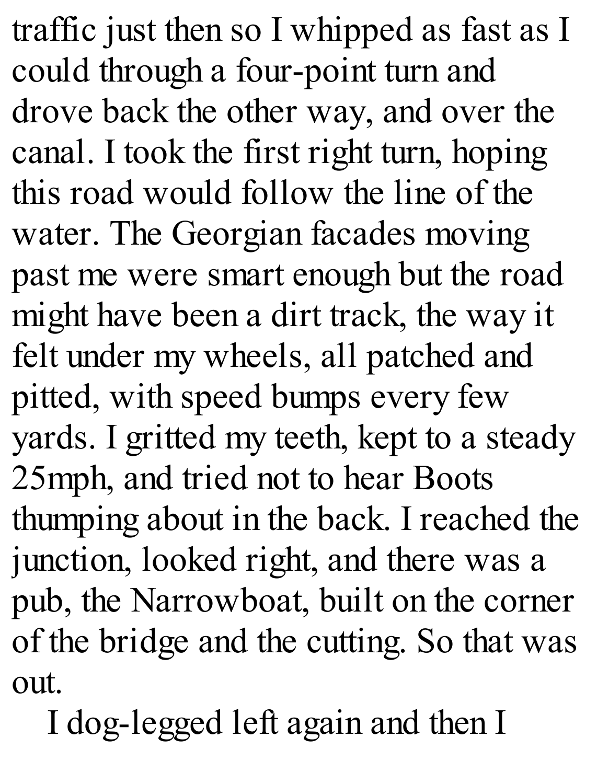traffic just then so I whipped as fast as I could through a four-point turn and drove back the other way, and over the canal. I took the first right turn, hoping this road would follow the line of the water. The Georgian facades moving past me were smart enough but the road might have been a dirt track, the way it felt under my wheels, all patched and pitted, with speed bumps every few yards. I gritted my teeth, kept to a steady 25mph, and tried not to hear Boots thumping about in the back. I reached the junction, looked right, and there was a pub, the Narrowboat, built on the corner of the bridge and the cutting. So that was out.

I dog-legged left again and then I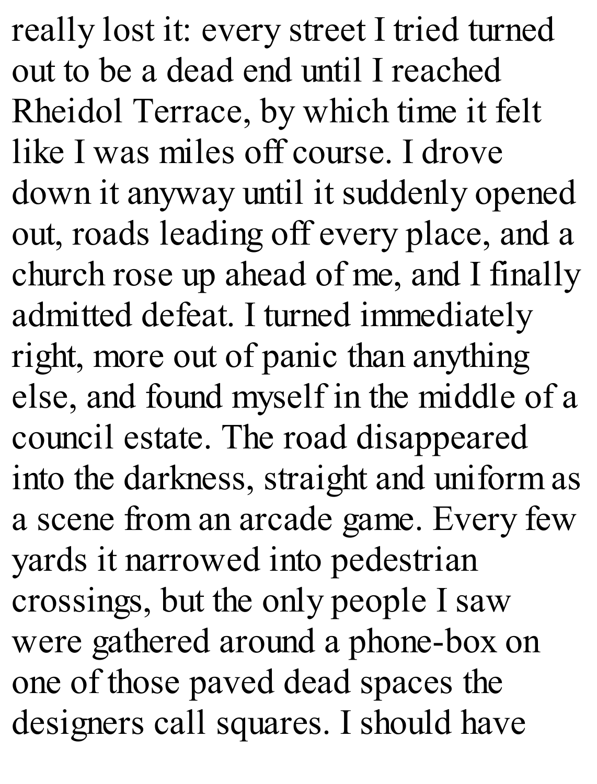really lost it: every street I tried turned out to be a dead end until I reached Rheidol Terrace, by which time it felt like I was miles off course. I drove down it anyway until it suddenly opened out, roads leading off every place, and a church rose up ahead of me, and I finally admitted defeat. I turned immediately right, more out of panic than anything else, and found myself in the middle of a council estate. The road disappeared into the darkness, straight and uniform as a scene from an arcade game. Every few yards it narrowed into pedestrian crossings, but the only people I saw were gathered around a phone-box on one of those paved dead spaces the designers call squares. I should have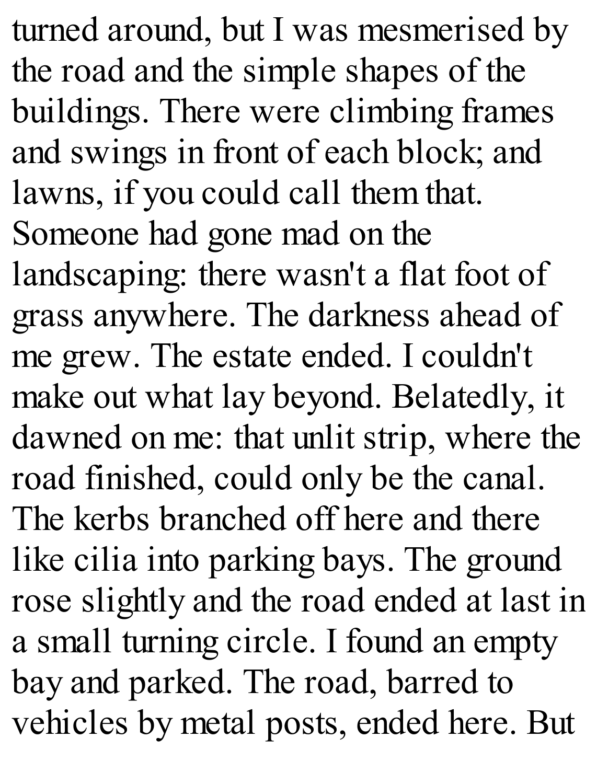turned around, but I was mesmerised by the road and the simple shapes of the buildings. There were climbing frames and swings in front of each block; and lawns, if you could call them that. Someone had gone mad on the landscaping: there wasn't a flat foot of grass anywhere. The darkness ahead of me grew. The estate ended. I couldn't make out what lay beyond. Belatedly, it dawned on me: that unlit strip, where the road finished, could only be the canal. The kerbs branched off here and there like cilia into parking bays. The ground rose slightly and the road ended at last in a small turning circle. I found an empty bay and parked. The road, barred to vehicles by metal posts, ended here. But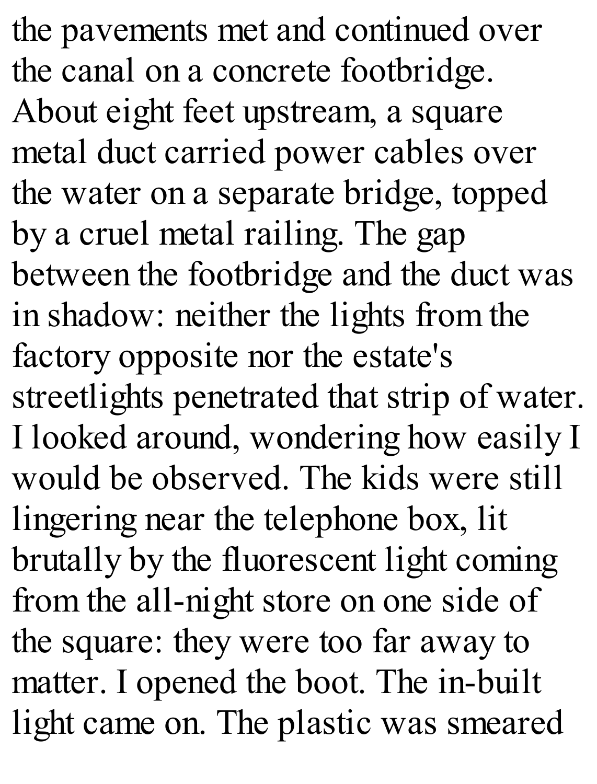the pavements met and continued over the canal on a concrete footbridge. About eight feet upstream, a square metal duct carried power cables over the water on a separate bridge, topped by a cruel metal railing. The gap between the footbridge and the duct was in shadow: neither the lights from the factory opposite nor the estate's streetlights penetrated that strip of water. I looked around, wondering how easily I would be observed. The kids were still lingering near the telephone box, lit brutally by the fluorescent light coming from the all-night store on one side of the square: they were too far away to matter. I opened the boot. The in-built light came on. The plastic was smeared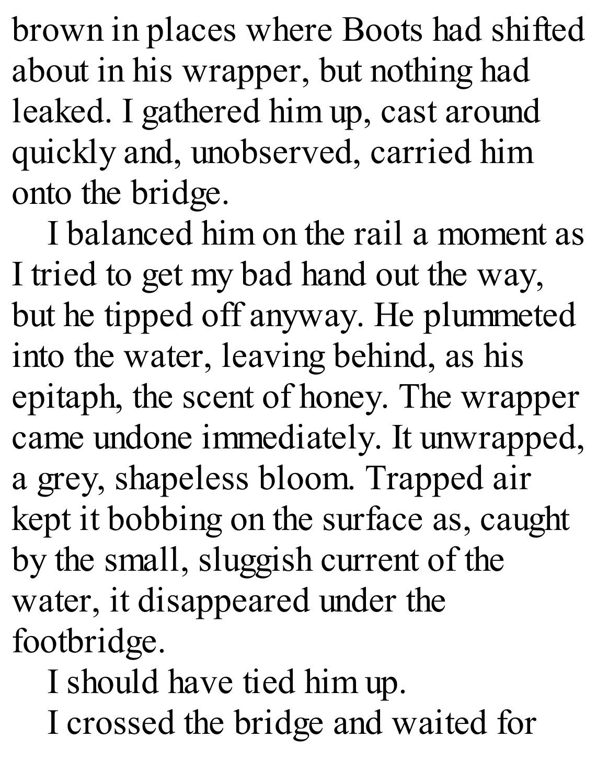brown in places where Boots had shifted about in his wrapper, but nothing had leaked. I gathered him up, cast around quickly and, unobserved, carried him onto the bridge.

I balanced him on the rail a moment as I tried to get my bad hand out the way, but he tipped off anyway. He plummeted into the water, leaving behind, as his epitaph, the scent of honey. The wrapper came undone immediately. It unwrapped, a grey, shapeless bloom. Trapped air kept it bobbing on the surface as, caught by the small, sluggish current of the water, it disappeared under the footbridge.

I should have tied him up.

I crossed the bridge and waited for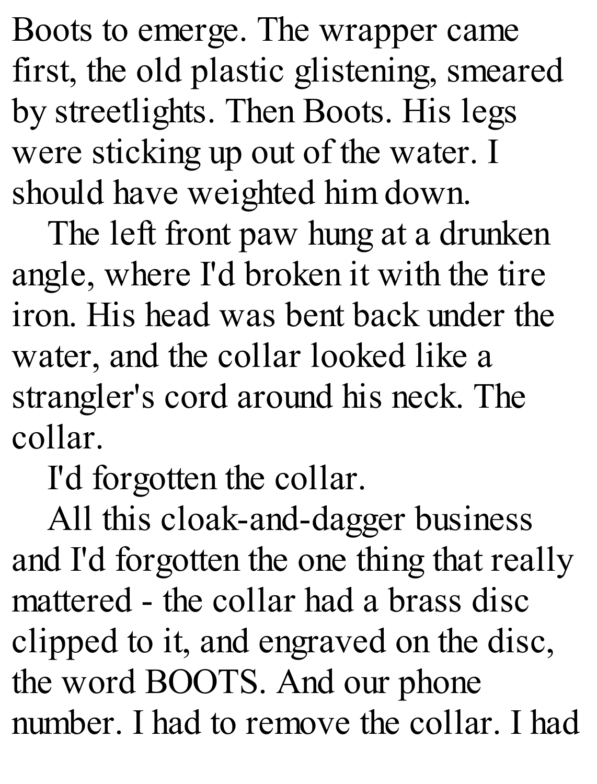Boots to emerge. The wrapper came first, the old plastic glistening, smeared by streetlights. Then Boots. His legs were sticking up out of the water. I should have weighted him down.

The left front paw hung at a drunken angle, where I'd broken it with the tire iron. His head was bent back under the water, and the collar looked like a strangler's cord around his neck. The collar.

I'd forgotten the collar.

All this cloak-and-dagger business and I'd forgotten the one thing that really mattered - the collar had a brass disc clipped to it, and engraved on the disc, the word BOOTS. And our phone number. I had to remove the collar. I had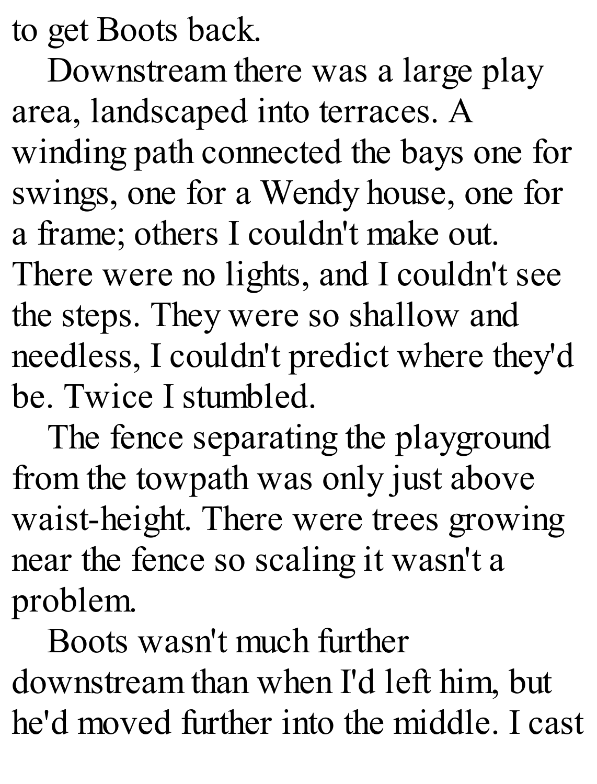to get Boots back.

Downstream there was a large play area, landscaped into terraces. A winding path connected the bays one for swings, one for a Wendy house, one for a frame; others I couldn't make out. There were no lights, and I couldn't see the steps. They were so shallow and needless, I couldn't predict where they'd be. Twice I stumbled.

The fence separating the playground from the towpath was only just above waist-height. There were trees growing near the fence so scaling it wasn't a problem.

Boots wasn't much further downstream than when I'd left him, but he'd moved further into the middle. I cast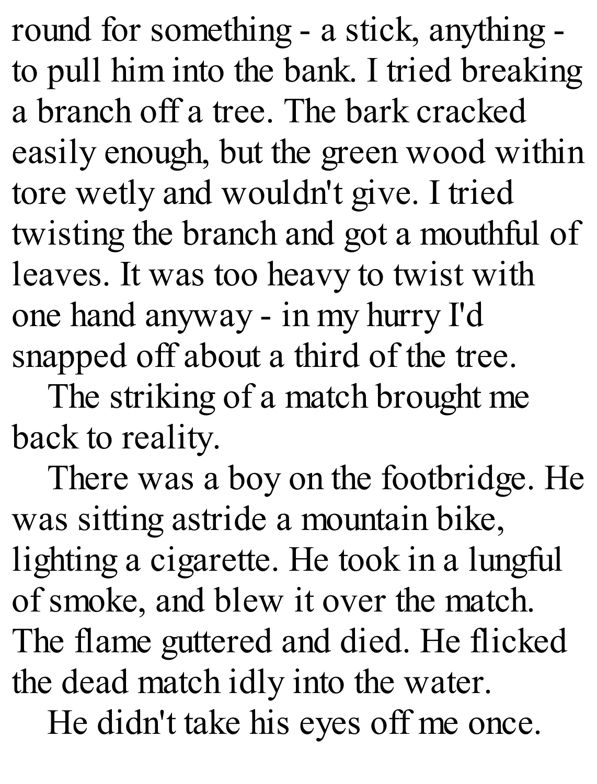round for something - a stick, anything to pull him into the bank. I tried breaking a branch off a tree. The bark cracked easily enough, but the green wood within tore wetly and wouldn't give. I tried twisting the branch and got a mouthful of leaves. It was too heavy to twist with one hand anyway - in my hurry I'd snapped off about a third of the tree.

The striking of a match brought me back to reality.

There was a boy on the footbridge. He was sitting astride a mountain bike, lighting a cigarette. He took in a lungful of smoke, and blew it over the match. The flame guttered and died. He flicked the dead match idly into the water. He didn't take his eyes off me once.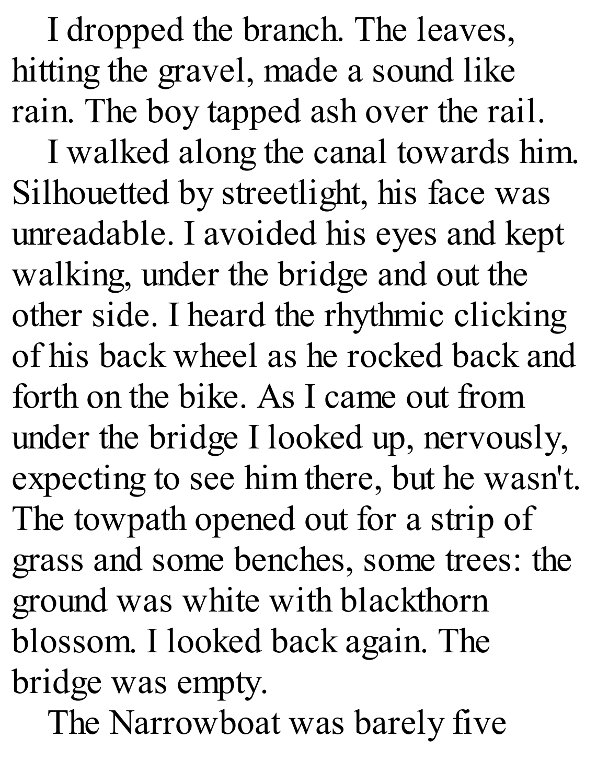I dropped the branch. The leaves, hitting the gravel, made a sound like rain. The boy tapped ash over the rail.

I walked along the canal towards him. Silhouetted by streetlight, his face was unreadable. I avoided his eyes and kept walking, under the bridge and out the other side. I heard the rhythmic clicking of his back wheel as he rocked back and forth on the bike. As I came out from under the bridge I looked up, nervously, expecting to see him there, but he wasn't. The towpath opened out for a strip of grass and some benches, some trees: the ground was white with blackthorn blossom. I looked back again. The bridge was empty.

The Narrowboat was barely five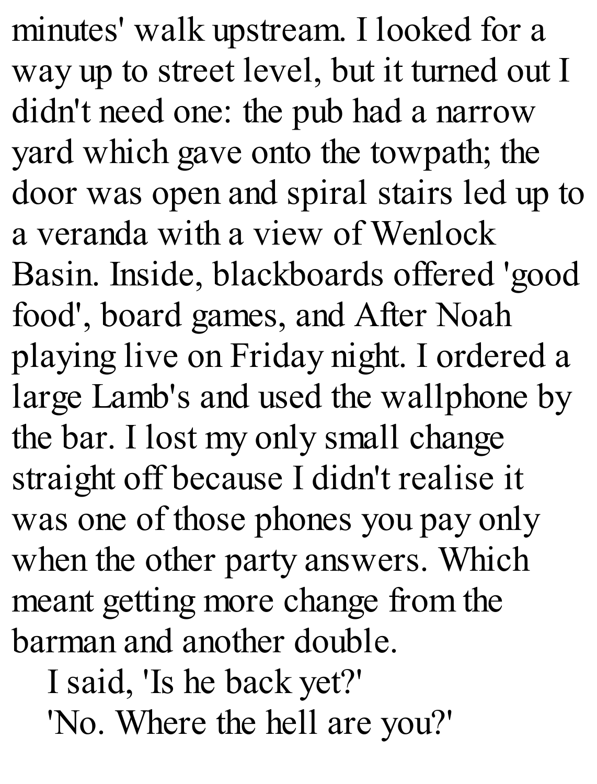minutes' walk upstream. I looked for a way up to street level, but it turned out I didn't need one: the pub had a narrow yard which gave onto the towpath; the door was open and spiral stairs led up to a veranda with a view of Wenlock Basin. Inside, blackboards offered 'good food', board games, and After Noah playing live on Friday night. I ordered a large Lamb's and used the wallphone by the bar. I lost my only small change straight off because I didn't realise it was one of those phones you pay only when the other party answers. Which meant getting more change from the barman and another double.

I said, 'Is he back yet?' 'No. Where the hell are you?'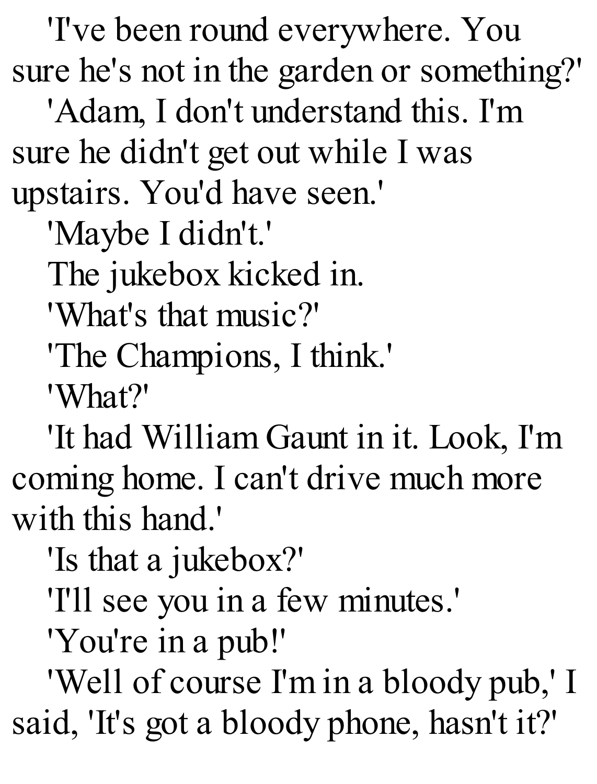'I've been round everywhere. You sure he's not in the garden or something?'

'Adam, I don't understand this. I'm sure he didn't get out while I was upstairs. You'd have seen.'

'Maybe I didn't.'

The jukebox kicked in.

'What's that music?'

'The Champions, I think.'

'What?'

'It had William Gaunt in it. Look, I'm coming home. I can't drive much more with this hand.

'Is that a jukebox?'

'I'll see you in a few minutes.'

'You're in a pub!'

'Well of course I'm in a bloody pub,' I said, 'It's got a bloody phone, hasn't it?'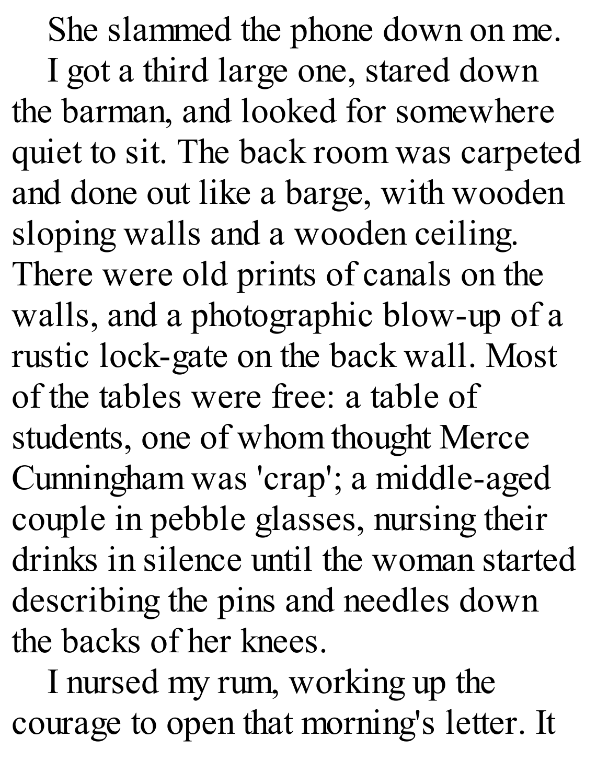She slammed the phone down on me.

I got a third large one, stared down the barman, and looked for somewhere quiet to sit. The back room was carpeted and done out like a barge, with wooden sloping walls and a wooden ceiling. There were old prints of canals on the walls, and a photographic blow-up of a rustic lock-gate on the back wall. Most of the tables were free: a table of students, one of whom thought Merce Cunningham was 'crap'; a middle-aged couple in pebble glasses, nursing their drinks in silence until the woman started describing the pins and needles down the backs of her knees.

I nursed my rum, working up the courage to open that morning's letter. It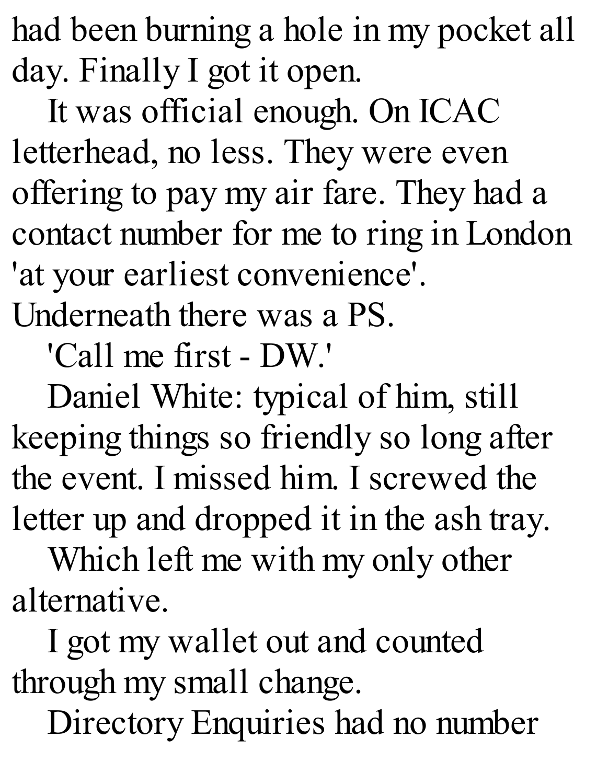had been burning a hole in my pocket all day. Finally I got it open.

It was official enough. On ICAC letterhead, no less. They were even offering to pay my air fare. They had a contact number for me to ring in London 'at your earliest convenience'.

Underneath there was a PS.

'Call me first - DW.'

Daniel White: typical of him, still keeping things so friendly so long after the event. I missed him. I screwed the letter up and dropped it in the ash tray.

Which left me with my only other alternative.

I got my wallet out and counted through my small change.

Directory Enquiries had no number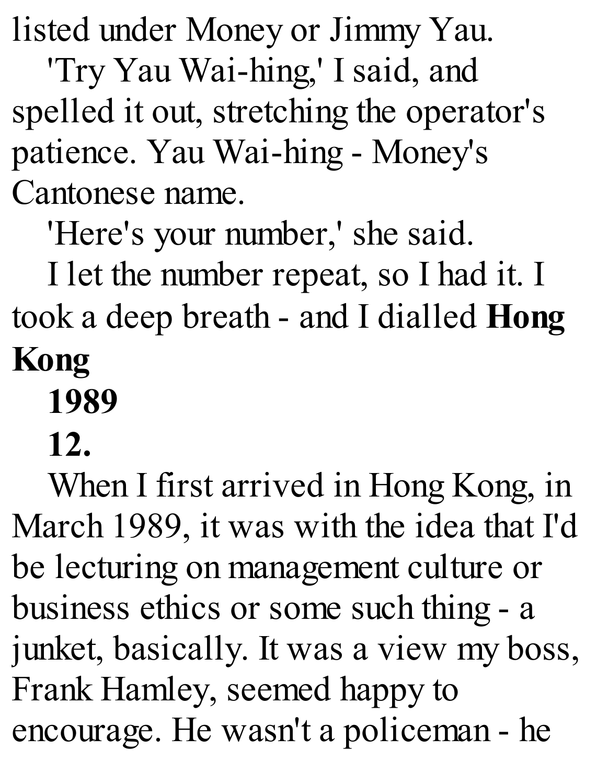listed under Money or Jimmy Yau.

'Try Yau Wai-hing,' I said, and spelled it out, stretching the operator's patience. Yau Wai-hing - Money's Cantonese name.

'Here's your number,' she said.

I let the number repeat, so I had it. I took a deep breath - and I dialled **Hong Kong**

- **1989**
- **12.**

When I first arrived in Hong Kong, in March 1989, it was with the idea that I'd be lecturing on management culture or business ethics or some such thing - a junket, basically. It was a view my boss, Frank Hamley, seemed happy to encourage. He wasn't a policeman - he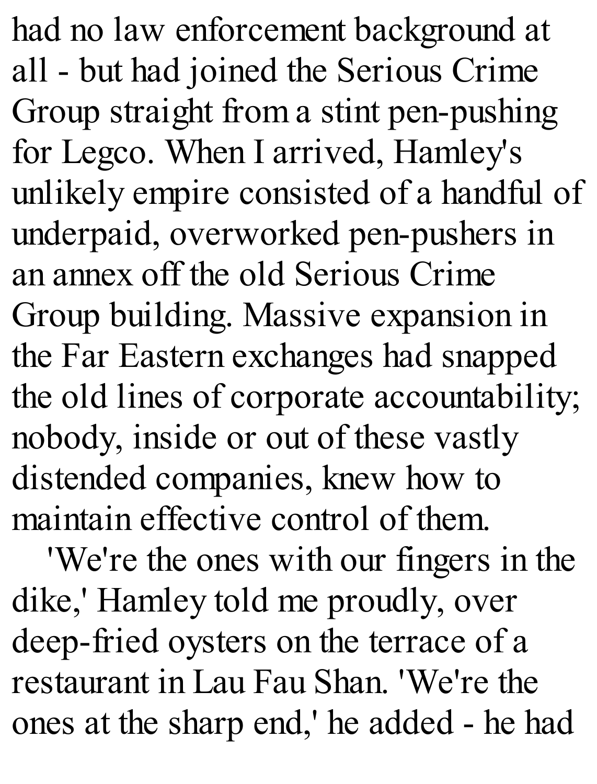had no law enforcement background at all - but had joined the Serious Crime Group straight from a stint pen-pushing for Legco. When I arrived, Hamley's unlikely empire consisted of a handful of underpaid, overworked pen-pushers in an annex off the old Serious Crime Group building. Massive expansion in the Far Eastern exchanges had snapped the old lines of corporate accountability; nobody, inside or out of these vastly distended companies, knew how to maintain effective control of them.

'We're the ones with our fingers in the dike,' Hamley told me proudly, over deep-fried oysters on the terrace of a restaurant in Lau Fau Shan. 'We're the ones at the sharp end,' he added - he had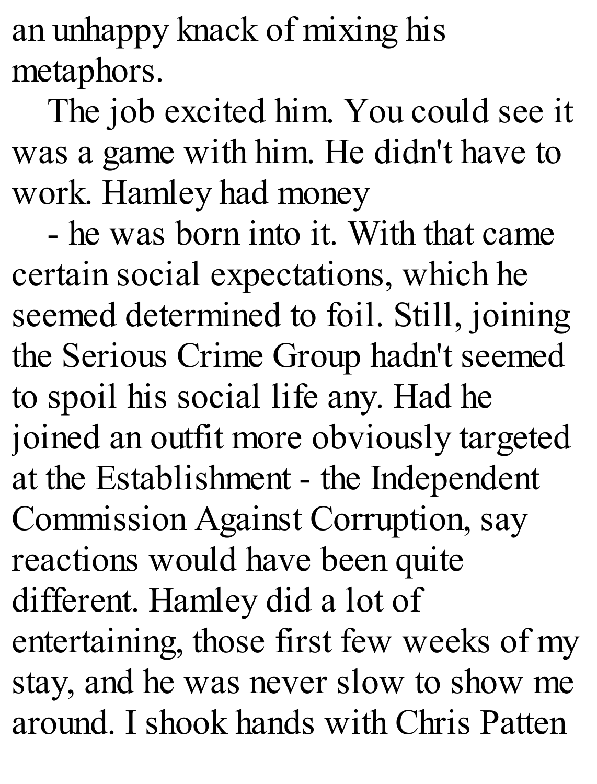an unhappy knack of mixing his metaphors.

The job excited him. You could see it was a game with him. He didn't have to work. Hamley had money

- he was born into it. With that came certain social expectations, which he seemed determined to foil. Still, joining the Serious Crime Group hadn't seemed to spoil his social life any. Had he joined an outfit more obviously targeted at the Establishment - the Independent Commission Against Corruption, say reactions would have been quite different. Hamley did a lot of entertaining, those first few weeks of my stay, and he was never slow to show me around. I shook hands with Chris Patten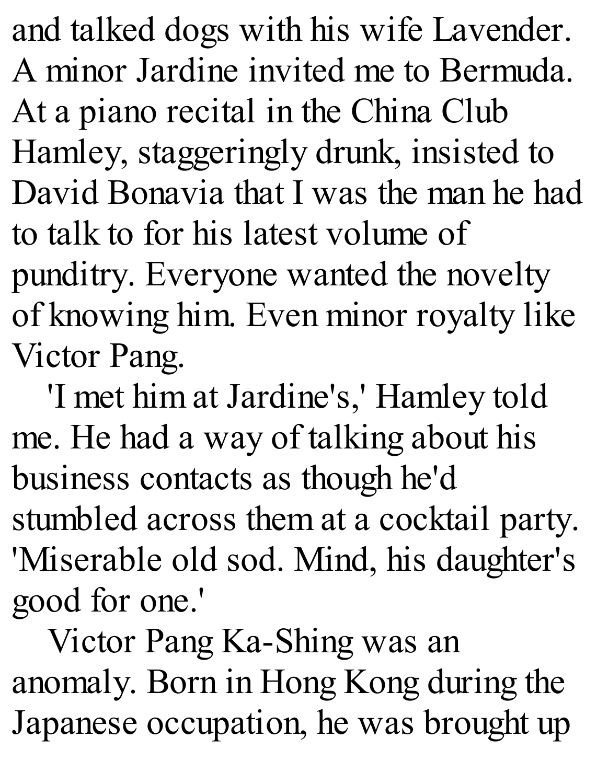and talked dogs with his wife Lavender. A minor Jardine invited me to Bermuda. At a piano recital in the China Club Hamley, staggeringly drunk, insisted to David Bonavia that I was the man he had to talk to for his latest volume of punditry. Everyone wanted the novelty of knowing him. Even minor royalty like Victor Pang.

'I met him at Jardine's,' Hamley told me. He had a way of talking about his business contacts as though he'd stumbled across them at a cocktail party. 'Miserable old sod. Mind, his daughter's good for one.'

Victor Pang Ka-Shing was an anomaly. Born in Hong Kong during the Japanese occupation, he was brought up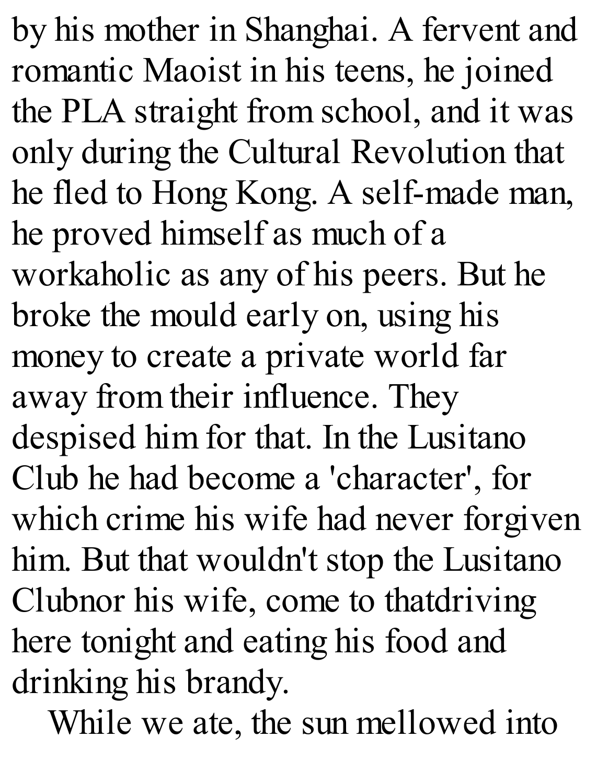by his mother in Shanghai. A fervent and romantic Maoist in his teens, he joined the PLA straight from school, and it was only during the Cultural Revolution that he fled to Hong Kong. A self-made man, he proved himself as much of a workaholic as any of his peers. But he broke the mould early on, using his money to create a private world far away from their influence. They despised him for that. In the Lusitano Club he had become a 'character', for which crime his wife had never forgiven him. But that wouldn't stop the Lusitano Clubnor his wife, come to thatdriving here tonight and eating his food and drinking his brandy.

While we ate, the sun mellowed into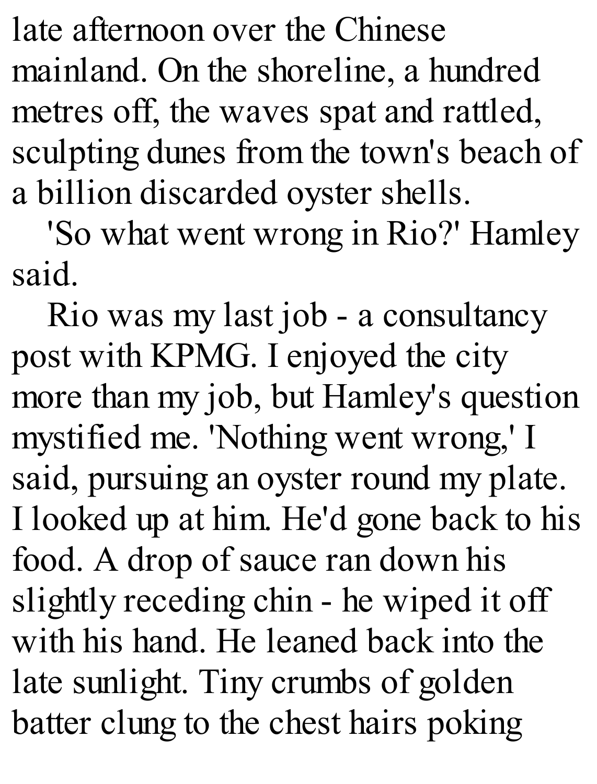late afternoon over the Chinese mainland. On the shoreline, a hundred metres off, the waves spat and rattled, sculpting dunes from the town's beach of a billion discarded oyster shells.

'So what went wrong in Rio?' Hamley said.

Rio was my last job - a consultancy post with KPMG. I enjoyed the city more than my job, but Hamley's question mystified me. 'Nothing went wrong,' I said, pursuing an oyster round my plate. I looked up at him. He'd gone back to his food. A drop of sauce ran down his slightly receding chin - he wiped it off with his hand. He leaned back into the late sunlight. Tiny crumbs of golden batter clung to the chest hairs poking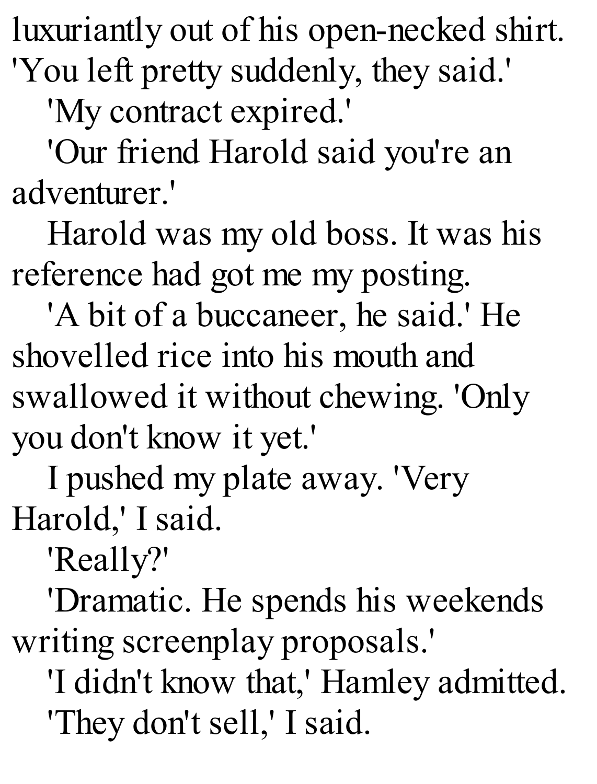luxuriantly out of his open-necked shirt. 'You left pretty suddenly, they said.'

'My contract expired.'

'Our friend Harold said you're an adventurer.'

Harold was my old boss. It was his reference had got me my posting.

'A bit of a buccaneer, he said.' He shovelled rice into his mouth and swallowed it without chewing. 'Only you don't know it yet.'

I pushed my plate away. 'Very Harold,' I said.

'Really?'

'Dramatic. He spends his weekends writing screenplay proposals.'

'I didn't know that,' Hamley admitted. 'They don't sell,' I said.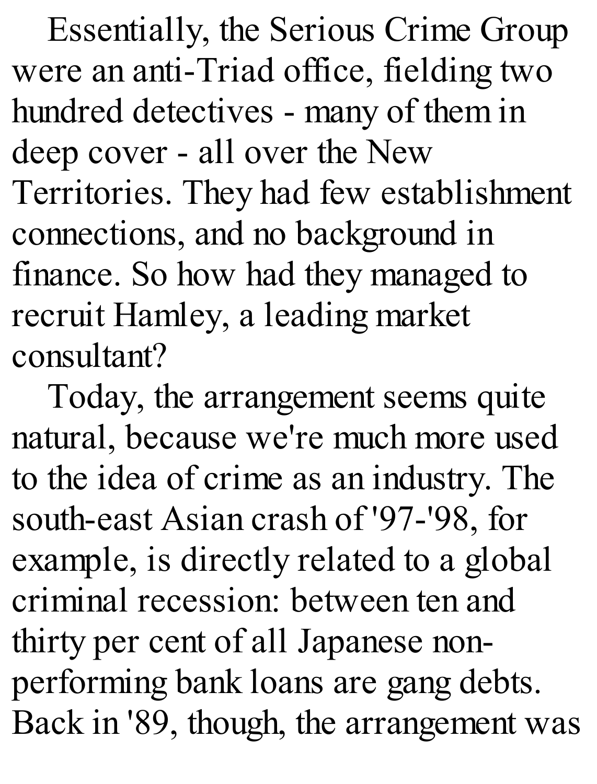Essentially, the Serious Crime Group were an anti-Triad office, fielding two hundred detectives - many of them in deep cover - all over the New Territories. They had few establishment connections, and no background in finance. So how had they managed to recruit Hamley, a leading market consultant?

Today, the arrangement seems quite natural, because we're much more used to the idea of crime as an industry. The south-east Asian crash of '97-'98, for example, is directly related to a global criminal recession: between ten and thirty per cent of all Japanese nonperforming bank loans are gang debts. Back in '89, though, the arrangement was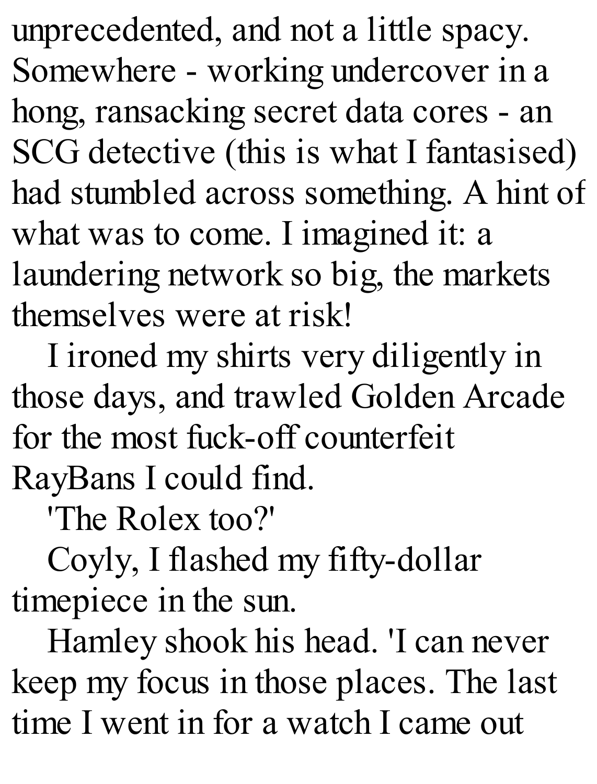unprecedented, and not a little spacy. Somewhere - working undercover in a hong, ransacking secret data cores - an SCG detective (this is what I fantasised) had stumbled across something. A hint of what was to come. I imagined it: a laundering network so big, the markets themselves were at risk!

I ironed my shirts very diligently in those days, and trawled Golden Arcade for the most fuck-off counterfeit RayBans I could find.

'The Rolex too?'

Coyly, I flashed my fifty-dollar timepiece in the sun.

Hamley shook his head. 'I can never keep my focus in those places. The last time I went in for a watch I came out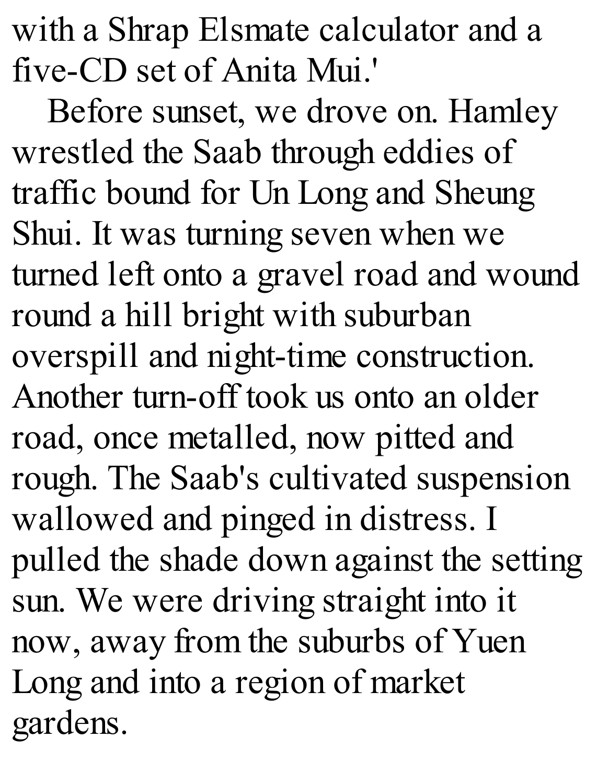with a Shrap Elsmate calculator and a five-CD set of Anita Mui.'

Before sunset, we drove on. Hamley wrestled the Saab through eddies of traffic bound for Un Long and Sheung Shui. It was turning seven when we turned left onto a gravel road and wound round a hill bright with suburban overspill and night-time construction. Another turn-off took us onto an older road, once metalled, now pitted and rough. The Saab's cultivated suspension wallowed and pinged in distress. I pulled the shade down against the setting sun. We were driving straight into it now, away from the suburbs of Yuen Long and into a region of market gardens.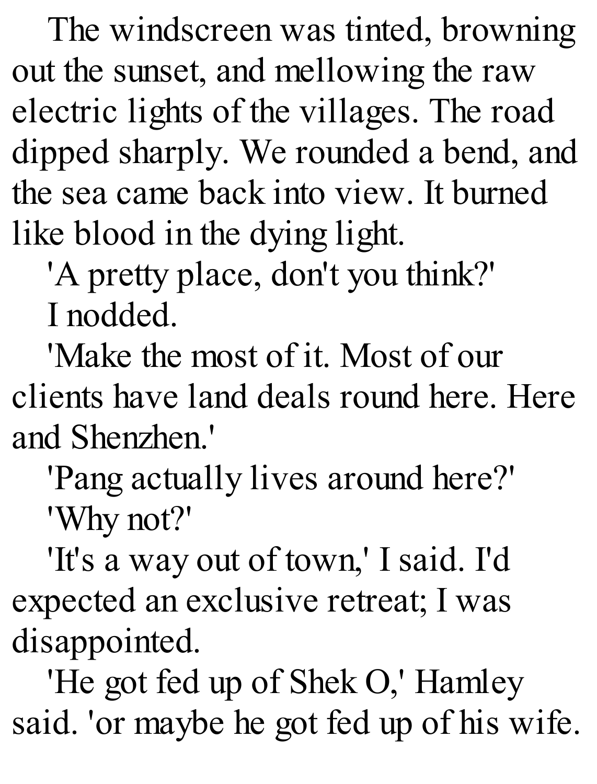The windscreen was tinted, browning out the sunset, and mellowing the raw electric lights of the villages. The road dipped sharply. We rounded a bend, and the sea came back into view. It burned like blood in the dying light.

'A pretty place, don't you think?' I nodded.

'Make the most of it. Most of our clients have land deals round here. Here and Shenzhen.'

'Pang actually lives around here?'

'Why not?'

'It's a way out of town,' I said. I'd expected an exclusive retreat; I was disappointed.

'He got fed up of Shek O,' Hamley said. 'or maybe he got fed up of his wife.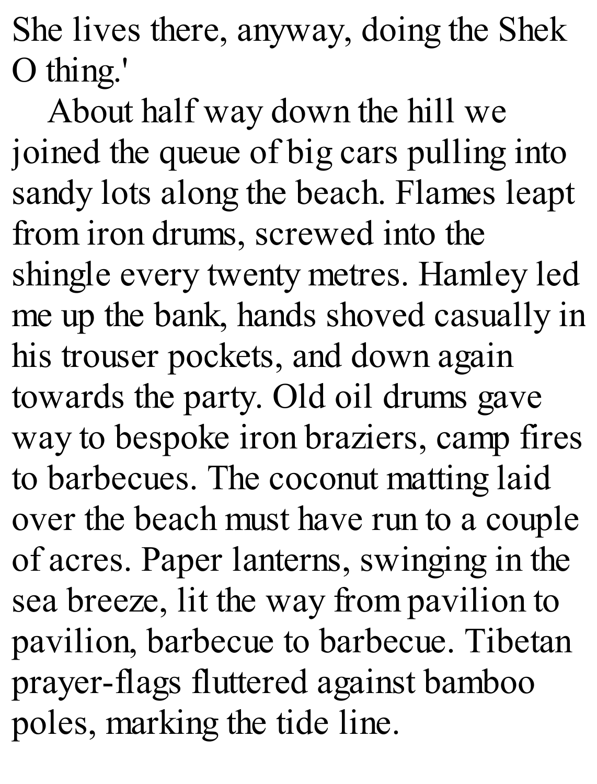She lives there, anyway, doing the Shek O thing.'

About half way down the hill we joined the queue of big cars pulling into sandy lots along the beach. Flames leapt from iron drums, screwed into the shingle every twenty metres. Hamley led me up the bank, hands shoved casually in his trouser pockets, and down again towards the party. Old oil drums gave way to bespoke iron braziers, camp fires to barbecues. The coconut matting laid over the beach must have run to a couple of acres. Paper lanterns, swinging in the sea breeze, lit the way from pavilion to pavilion, barbecue to barbecue. Tibetan prayer-flags fluttered against bamboo poles, marking the tide line.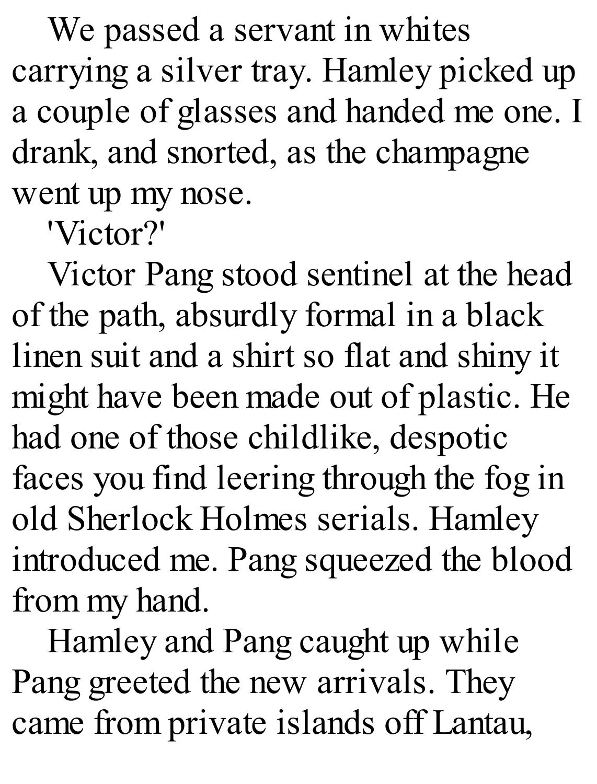We passed a servant in whites carrying a silver tray. Hamley picked up a couple of glasses and handed me one. I drank, and snorted, as the champagne went up my nose.

'Victor?'

Victor Pang stood sentinel at the head of the path, absurdly formal in a black linen suit and a shirt so flat and shiny it might have been made out of plastic. He had one of those childlike, despotic faces you find leering through the fog in old Sherlock Holmes serials. Hamley introduced me. Pang squeezed the blood from my hand.

Hamley and Pang caught up while Pang greeted the new arrivals. They came from private islands off Lantau,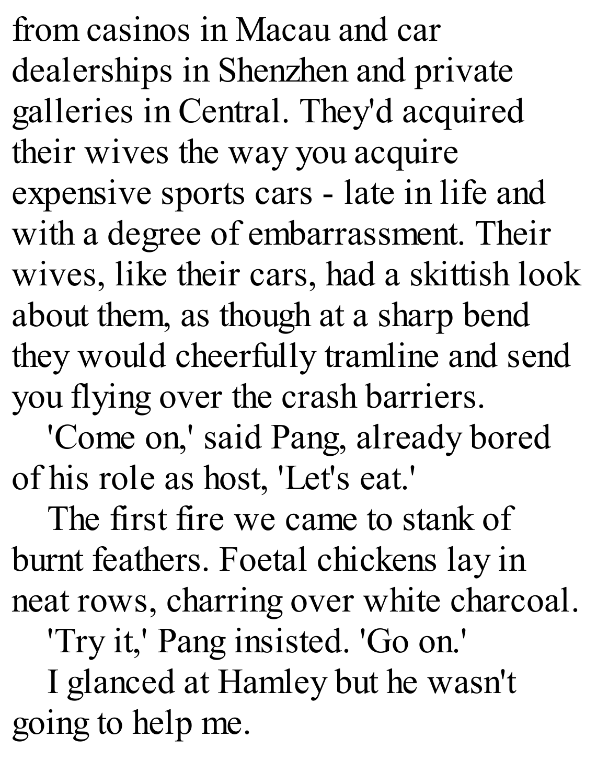from casinos in Macau and car dealerships in Shenzhen and private galleries in Central. They'd acquired their wives the way you acquire expensive sports cars - late in life and with a degree of embarrassment. Their wives, like their cars, had a skittish look about them, as though at a sharp bend they would cheerfully tramline and send you flying over the crash barriers.

'Come on,' said Pang, already bored of his role as host, 'Let's eat.'

The first fire we came to stank of burnt feathers. Foetal chickens lay in neat rows, charring over white charcoal.

'Try it,' Pang insisted. 'Go on.'

I glanced at Hamley but he wasn't going to help me.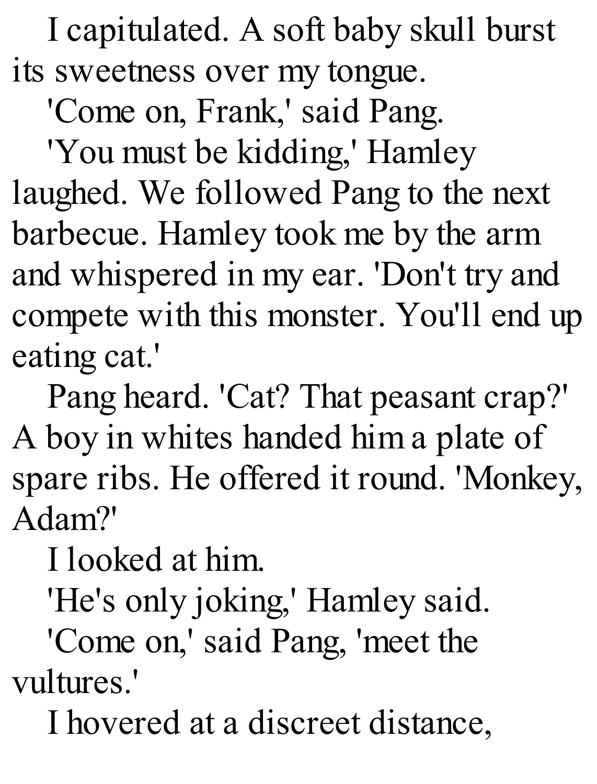I capitulated. A soft baby skull burst its sweetness over my tongue.

'Come on, Frank,' said Pang.

'You must be kidding,' Hamley laughed. We followed Pang to the next barbecue. Hamley took me by the arm and whispered in my ear. 'Don't try and compete with this monster. You'll end up eating cat.'

Pang heard. 'Cat? That peasant crap?' A boy in whites handed him a plate of spare ribs. He offered it round. 'Monkey, Adam?'

I looked at him.

'He's only joking,' Hamley said.

'Come on,' said Pang, 'meet the vultures.'

I hovered at a discreet distance,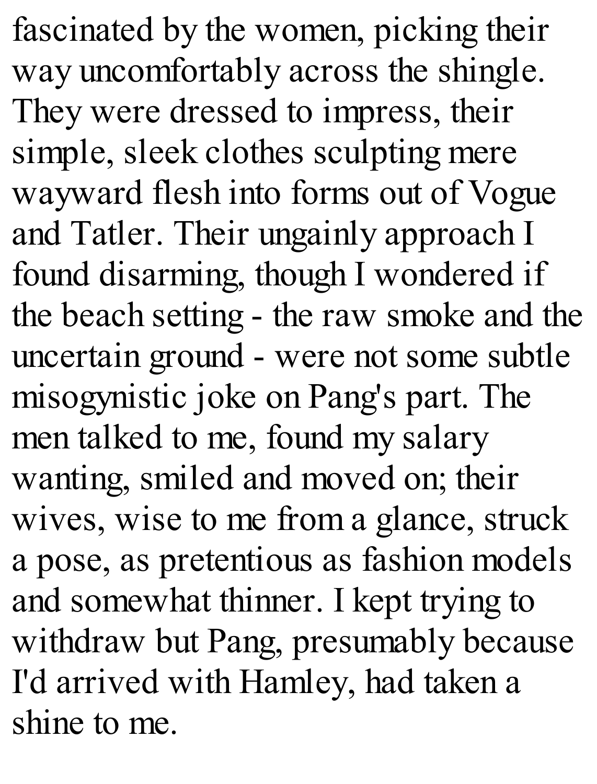fascinated by the women, picking their way uncomfortably across the shingle. They were dressed to impress, their simple, sleek clothes sculpting mere wayward flesh into forms out of Vogue and Tatler. Their ungainly approach I found disarming, though I wondered if the beach setting - the raw smoke and the uncertain ground - were not some subtle misogynistic joke on Pang's part. The men talked to me, found my salary wanting, smiled and moved on; their wives, wise to me from a glance, struck a pose, as pretentious as fashion models and somewhat thinner. I kept trying to withdraw but Pang, presumably because I'd arrived with Hamley, had taken a shine to me.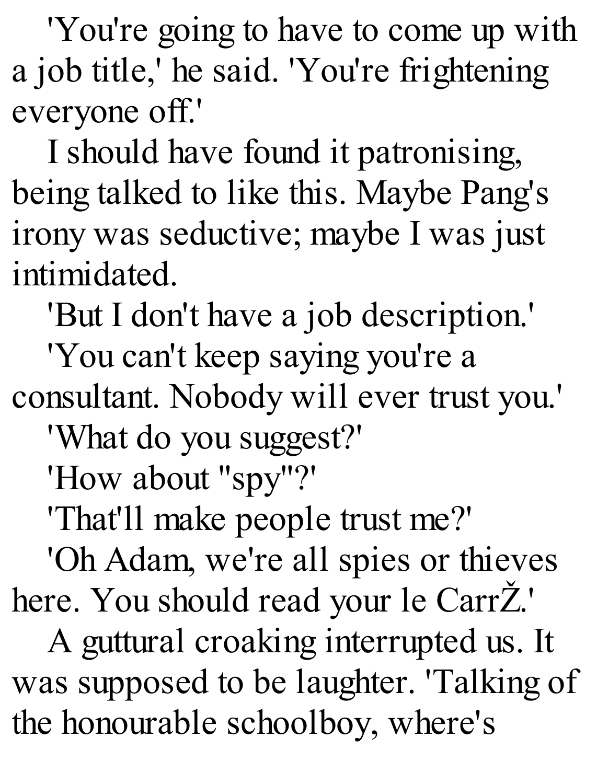'You're going to have to come up with a job title,' he said. 'You're frightening everyone off.'

I should have found it patronising, being talked to like this. Maybe Pang's irony was seductive; maybe I was just intimidated.

'But I don't have a job description.'

'You can't keep saying you're a consultant. Nobody will ever trust you.'

'What do you suggest?'

'How about "spy"?'

'That'll make people trust me?'

'Oh Adam, we're all spies or thieves here. You should read your le CarrŽ.'

A guttural croaking interrupted us. It was supposed to be laughter. 'Talking of the honourable schoolboy, where's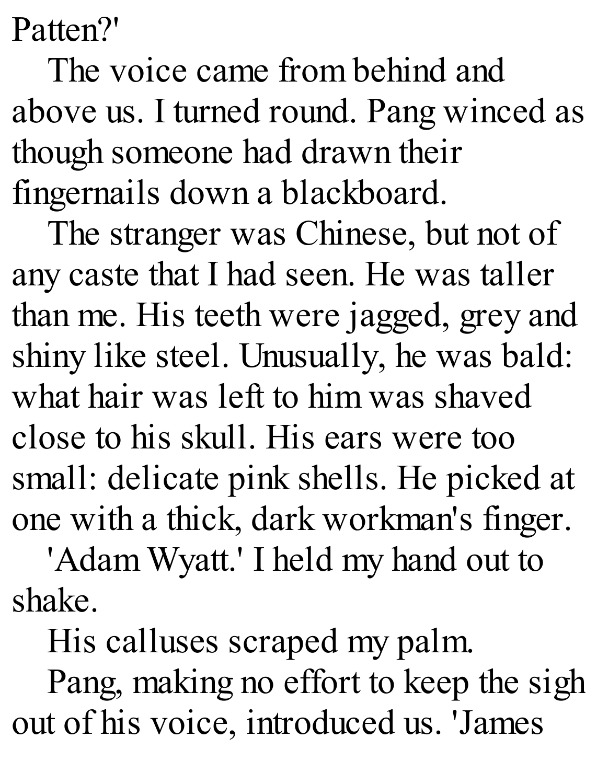Patten?'

The voice came from behind and above us. I turned round. Pang winced as though someone had drawn their fingernails down a blackboard.

The stranger was Chinese, but not of any caste that I had seen. He was taller than me. His teeth were jagged, grey and shiny like steel. Unusually, he was bald: what hair was left to him was shaved close to his skull. His ears were too small: delicate pink shells. He picked at one with a thick, dark workman's finger.

'Adam Wyatt.' I held my hand out to shake.

His calluses scraped my palm.

Pang, making no effort to keep the sigh out of his voice, introduced us. 'James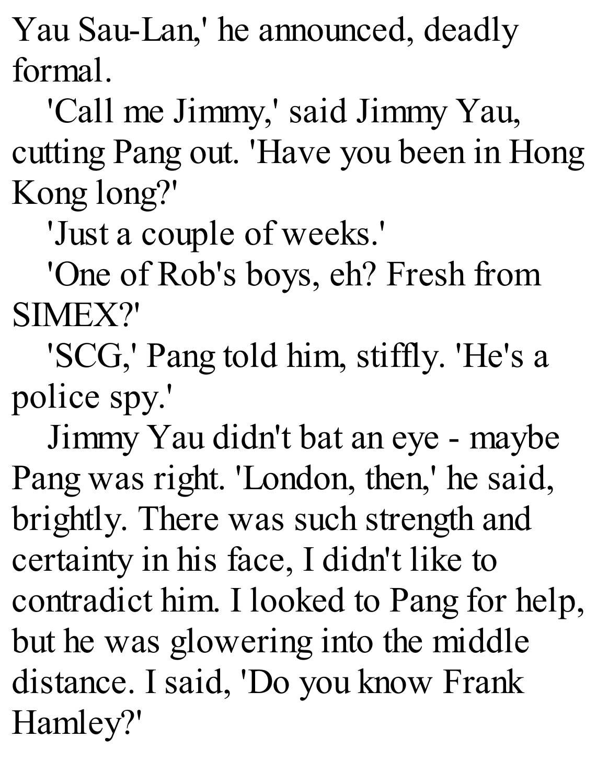Yau Sau-Lan,' he announced, deadly formal.

'Call me Jimmy,' said Jimmy Yau, cutting Pang out. 'Have you been in Hong Kong long?'

'Just a couple of weeks.'

'One of Rob's boys, eh? Fresh from SIMEX?'

'SCG,' Pang told him, stiffly. 'He's a police spy.'

Jimmy Yau didn't bat an eye - maybe Pang was right. 'London, then,' he said, brightly. There was such strength and certainty in his face, I didn't like to contradict him. I looked to Pang for help, but he was glowering into the middle distance. I said, 'Do you know Frank Hamley?'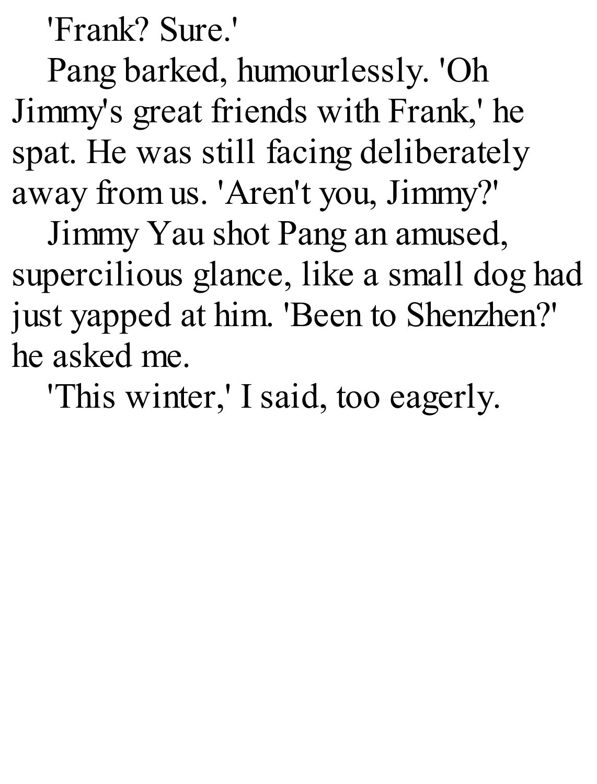'Frank? Sure.'

Pang barked, humourlessly. 'Oh Jimmy's great friends with Frank,' he spat. He was still facing deliberately away from us. 'Aren't you, Jimmy?'

Jimmy Yau shot Pang an amused, supercilious glance, like a small dog had just yapped at him. 'Been to Shenzhen?' he asked me.

'This winter,' I said, too eagerly.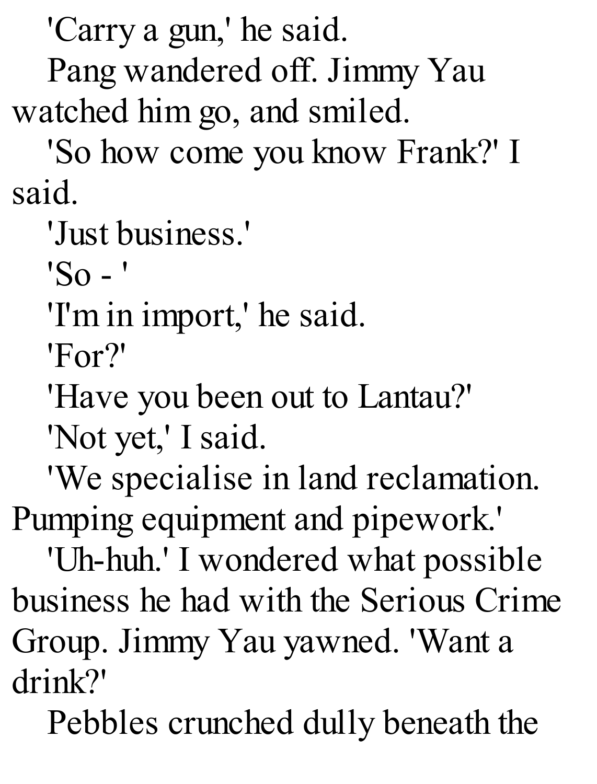'Carry a gun,' he said.

Pang wandered off. Jimmy Yau watched him go, and smiled.

'So how come you know Frank?' I said.

'Just business.'

 $'$ So -  $'$ 

'I'm in import,' he said.

'For?'

'Have you been out to Lantau?' 'Not yet,' I said.

'We specialise in land reclamation. Pumping equipment and pipework.'

'Uh-huh.' I wondered what possible business he had with the Serious Crime Group. Jimmy Yau yawned. 'Want a drink?'

Pebbles crunched dully beneath the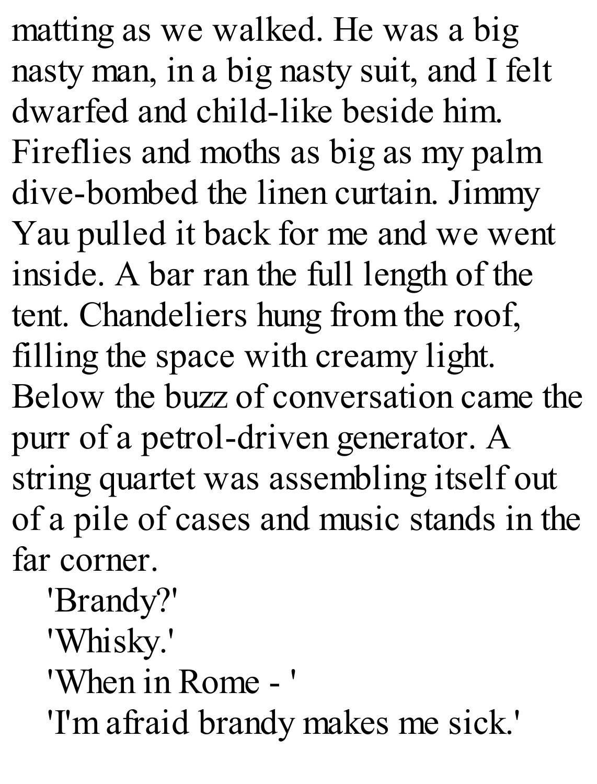matting as we walked. He was a big nasty man, in a big nasty suit, and I felt dwarfed and child-like beside him. Fireflies and moths as big as my palm dive-bombed the linen curtain. Jimmy Yau pulled it back for me and we went inside. A bar ran the full length of the tent. Chandeliers hung from the roof, filling the space with creamy light. Below the buzz of conversation came the purr of a petrol-driven generator. A string quartet was assembling itself out of a pile of cases and music stands in the far corner.

'Brandy?'

'Whisky.'

'When in Rome - '

'I'm afraid brandy makes me sick.'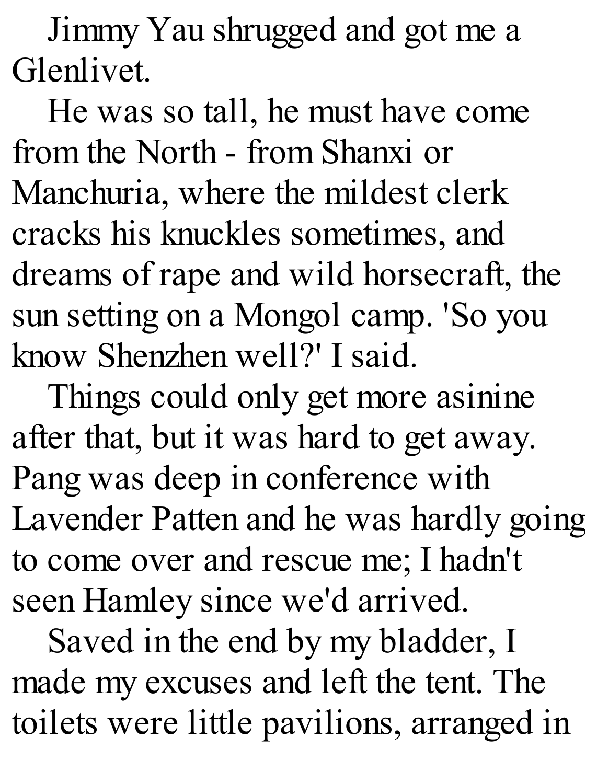Jimmy Yau shrugged and got me a Glenlivet.

He was so tall, he must have come from the North - from Shanxi or Manchuria, where the mildest clerk cracks his knuckles sometimes, and dreams of rape and wild horsecraft, the sun setting on a Mongol camp. 'So you know Shenzhen well?' I said.

Things could only get more asinine after that, but it was hard to get away. Pang was deep in conference with Lavender Patten and he was hardly going to come over and rescue me; I hadn't seen Hamley since we'd arrived.

Saved in the end by my bladder, I made my excuses and left the tent. The toilets were little pavilions, arranged in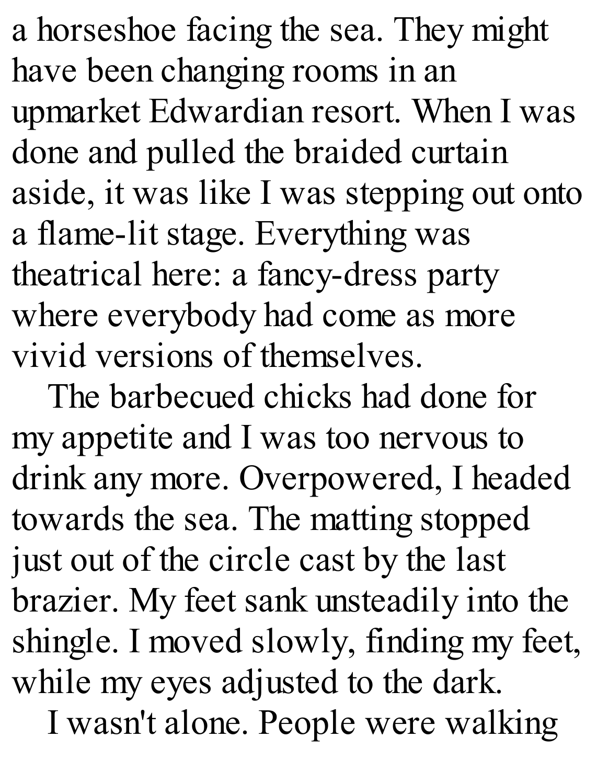a horseshoe facing the sea. They might have been changing rooms in an upmarket Edwardian resort. When I was done and pulled the braided curtain aside, it was like I was stepping out onto a flame-lit stage. Everything was theatrical here: a fancy-dress party where everybody had come as more vivid versions of themselves.

The barbecued chicks had done for my appetite and I was too nervous to drink any more. Overpowered, I headed towards the sea. The matting stopped just out of the circle cast by the last brazier. My feet sank unsteadily into the shingle. I moved slowly, finding my feet, while my eyes adjusted to the dark.

I wasn't alone. People were walking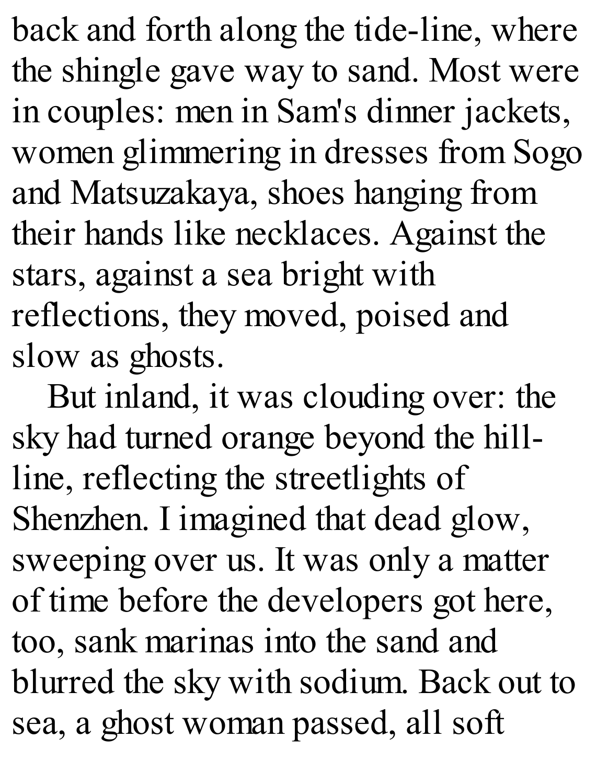back and forth along the tide-line, where the shingle gave way to sand. Most were in couples: men in Sam's dinner jackets, women glimmering in dresses from Sogo and Matsuzakaya, shoes hanging from their hands like necklaces. Against the stars, against a sea bright with reflections, they moved, poised and slow as ghosts.

But inland, it was clouding over: the sky had turned orange beyond the hillline, reflecting the streetlights of Shenzhen. I imagined that dead glow, sweeping over us. It was only a matter of time before the developers got here, too, sank marinas into the sand and blurred the sky with sodium. Back out to sea, a ghost woman passed, all soft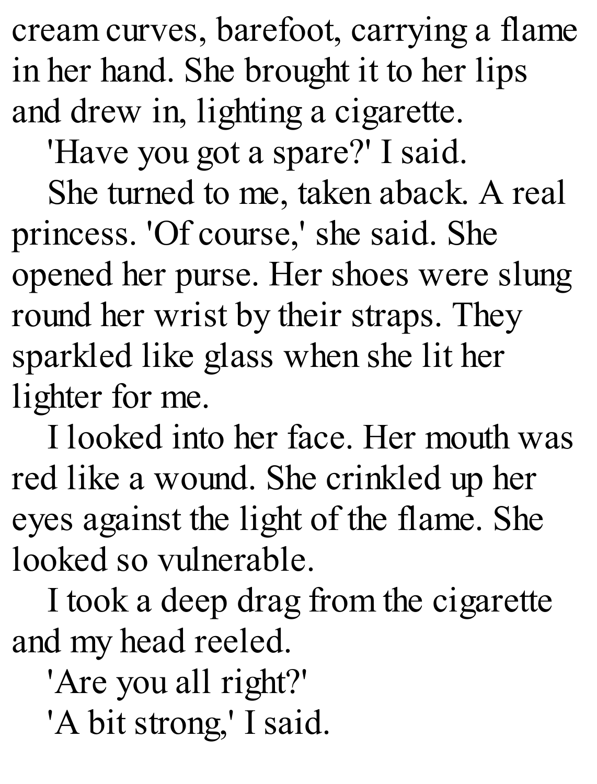cream curves, barefoot, carrying a flame in her hand. She brought it to her lips and drew in, lighting a cigarette.

'Have you got a spare?' I said.

She turned to me, taken aback. A real princess. 'Of course,' she said. She opened her purse. Her shoes were slung round her wrist by their straps. They sparkled like glass when she lit her lighter for me.

I looked into her face. Her mouth was red like a wound. She crinkled up her eyes against the light of the flame. She looked so vulnerable.

I took a deep drag from the cigarette and my head reeled.

'Are you all right?'

'A bit strong,' I said.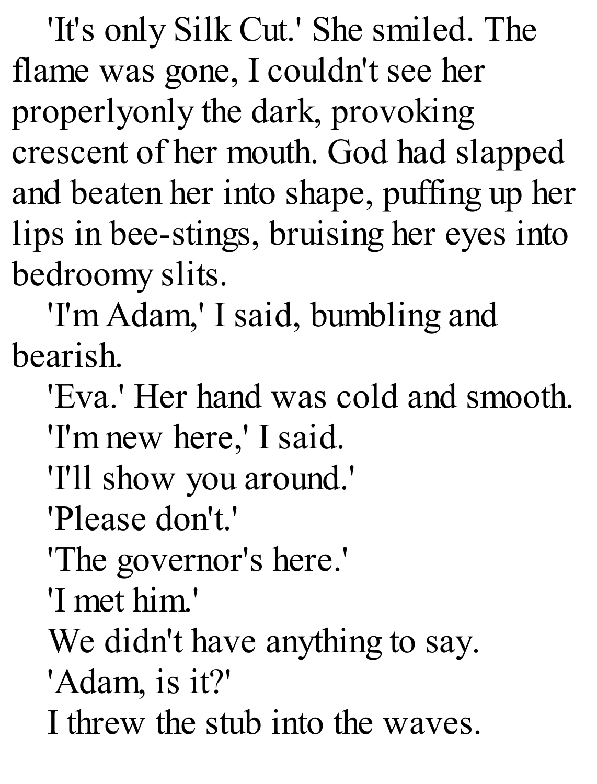'It's only Silk Cut.' She smiled. The flame was gone, I couldn't see her properlyonly the dark, provoking crescent of her mouth. God had slapped and beaten her into shape, puffing up her lips in bee-stings, bruising her eyes into bedroomy slits.

'I'm Adam,' I said, bumbling and bearish.

'Eva.' Her hand was cold and smooth. 'I'm new here,' I said.

'I'll show you around.'

'Please don't.'

'The governor's here.'

'I met him.'

We didn't have anything to say.

'Adam, is it?'

I threw the stub into the waves.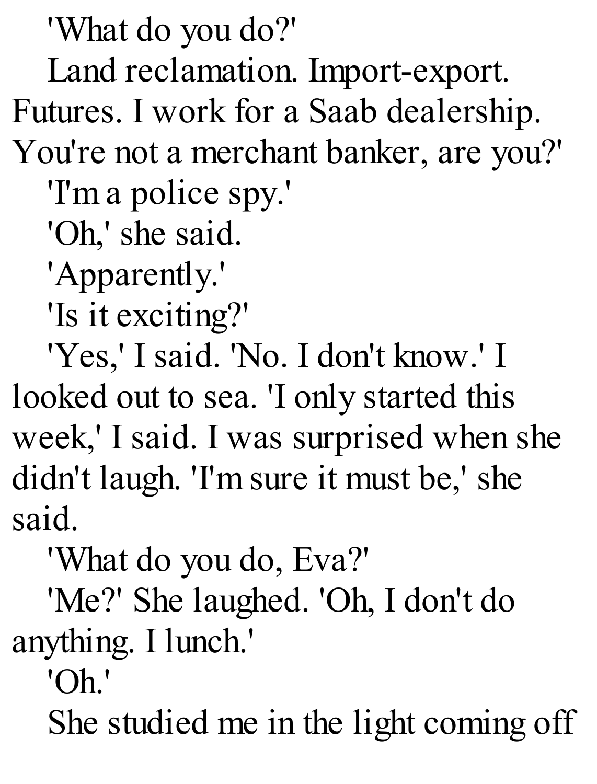'What do you do?'

Land reclamation. Import-export.

Futures. I work for a Saab dealership.

You're not a merchant banker, are you?' 'I'm a police spy.'

'Oh,' she said.

'Apparently.'

'Is it exciting?'

'Yes,' I said. 'No. I don't know.' I looked out to sea. 'I only started this week,' I said. I was surprised when she didn't laugh. 'I'm sure it must be,' she said.

'What do you do, Eva?'

'Me?' She laughed. 'Oh, I don't do anything. I lunch.'

 $'Oh'$ 

She studied me in the light coming off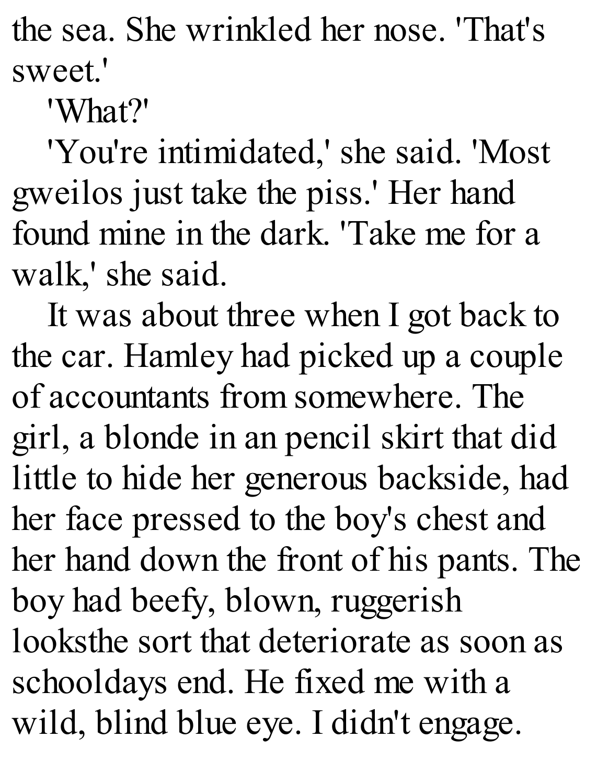the sea. She wrinkled her nose. 'That's sweet.'

'What?'

'You're intimidated,' she said. 'Most gweilos just take the piss.' Her hand found mine in the dark. 'Take me for a walk,' she said.

It was about three when I got back to the car. Hamley had picked up a couple of accountants from somewhere. The girl, a blonde in an pencil skirt that did little to hide her generous backside, had her face pressed to the boy's chest and her hand down the front of his pants. The boy had beefy, blown, ruggerish looksthe sort that deteriorate as soon as schooldays end. He fixed me with a wild, blind blue eye. I didn't engage.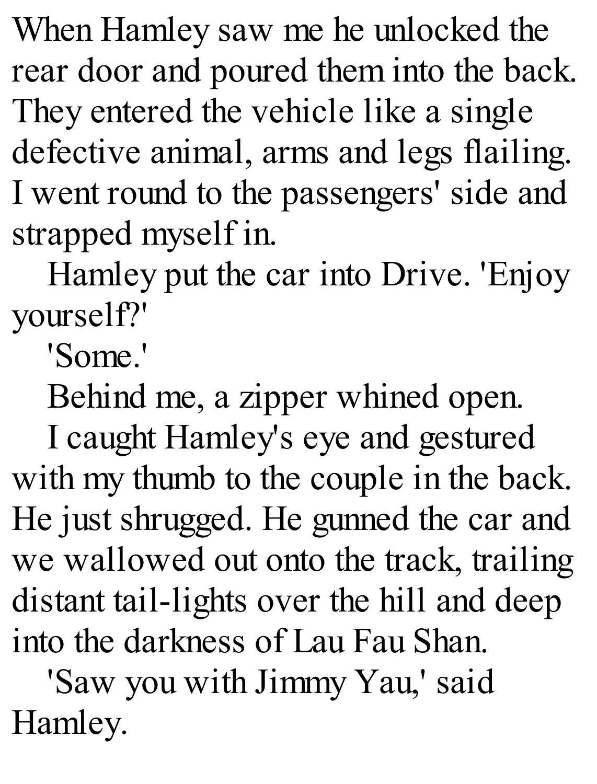When Hamley saw me he unlocked the rear door and poured them into the back. They entered the vehicle like a single defective animal, arms and legs flailing. I went round to the passengers' side and strapped myself in.

Hamley put the car into Drive. 'Enjoy yourself?'

'Some.'

Behind me, a zipper whined open.

I caught Hamley's eye and gestured with my thumb to the couple in the back. He just shrugged. He gunned the car and we wallowed out onto the track, trailing distant tail-lights over the hill and deep into the darkness of Lau Fau Shan.

'Saw you with Jimmy Yau,' said Hamley.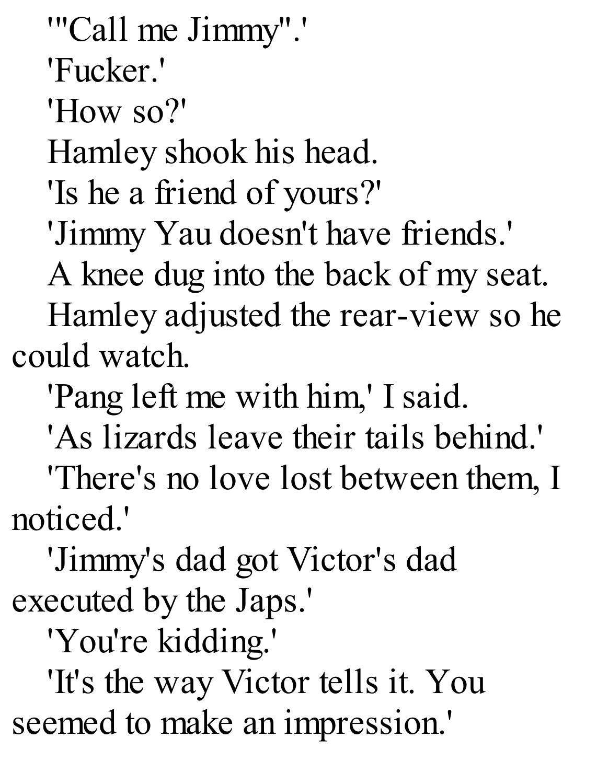'"Call me Jimmy".' 'Fucker.' 'How so?' Hamley shook his head. 'Is he a friend of yours?' 'Jimmy Yau doesn't have friends.' A knee dug into the back of my seat. Hamley adjusted the rear-view so he could watch.

'Pang left me with him,' I said.

'As lizards leave their tails behind.'

'There's no love lost between them, I noticed.'

'Jimmy's dad got Victor's dad executed by the Japs.'

'You're kidding.'

'It's the way Victor tells it. You seemed to make an impression.'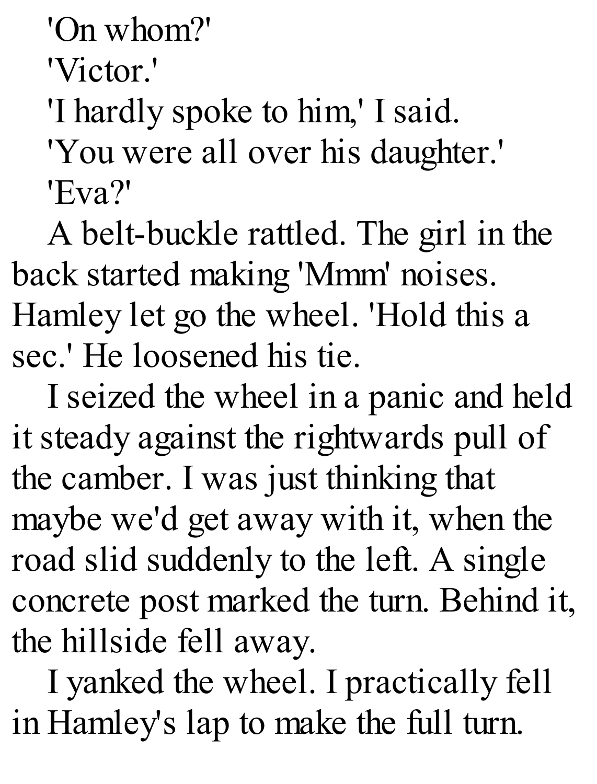'On whom?'

'Victor'

'I hardly spoke to him,' I said.

'You were all over his daughter.' 'Eva?'

A belt-buckle rattled. The girl in the back started making 'Mmm' noises. Hamley let go the wheel. 'Hold this a sec.' He loosened his tie.

I seized the wheel in a panic and held it steady against the rightwards pull of the camber. I was just thinking that maybe we'd get away with it, when the road slid suddenly to the left. A single concrete post marked the turn. Behind it, the hillside fell away.

I yanked the wheel. I practically fell in Hamley's lap to make the full turn.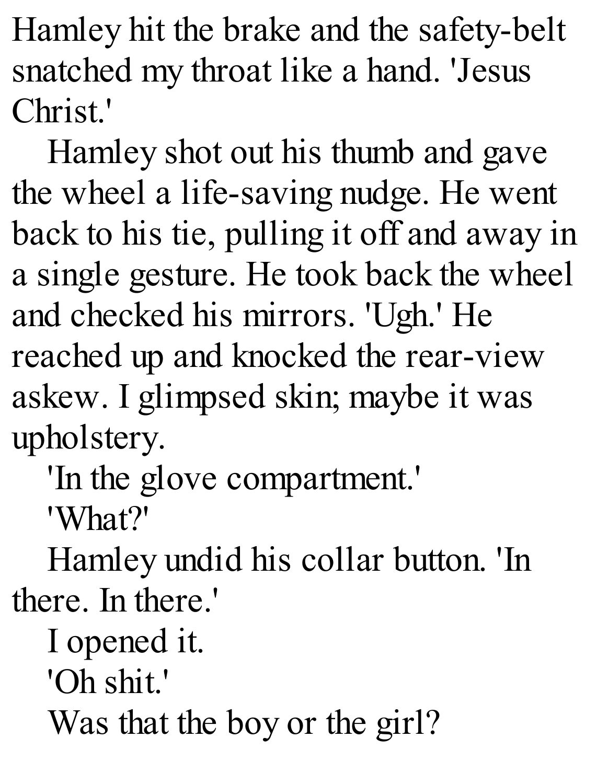Hamley hit the brake and the safety-belt snatched my throat like a hand. 'Jesus Christ<sup>'</sup>

Hamley shot out his thumb and gave the wheel a life-saving nudge. He went back to his tie, pulling it off and away in a single gesture. He took back the wheel and checked his mirrors. 'Ugh.' He reached up and knocked the rear-view askew. I glimpsed skin; maybe it was upholstery.

'In the glove compartment.'

'What?'

Hamley undid his collar button. 'In there. In there.'

I opened it.

'Oh shit.'

Was that the boy or the girl?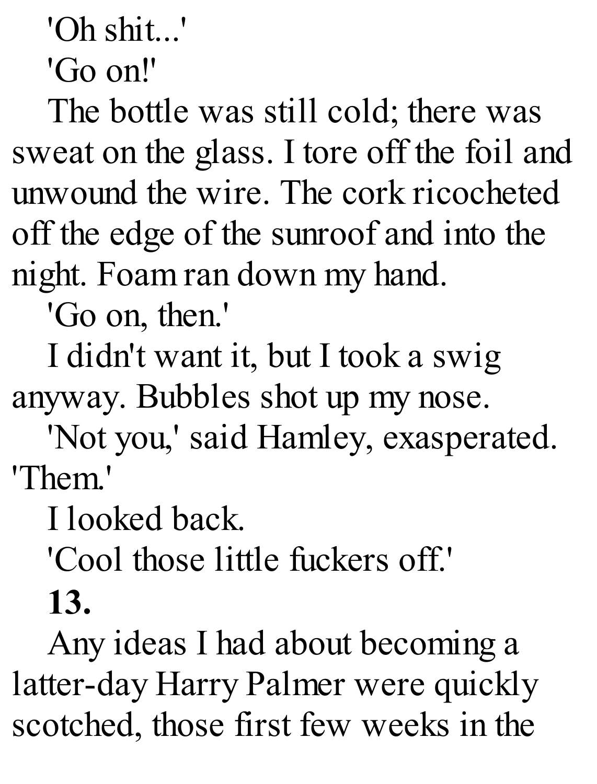'Oh shit...'

'Go on!'

The bottle was still cold; there was sweat on the glass. I tore off the foil and unwound the wire. The cork ricocheted off the edge of the sunroof and into the night. Foam ran down my hand.

'Go on, then.'

I didn't want it, but I took a swig anyway. Bubbles shot up my nose.

'Not you,' said Hamley, exasperated. 'Them.'

I looked back.

'Cool those little fuckers off.'

**13.**

Any ideas I had about becoming a latter-day Harry Palmer were quickly scotched, those first few weeks in the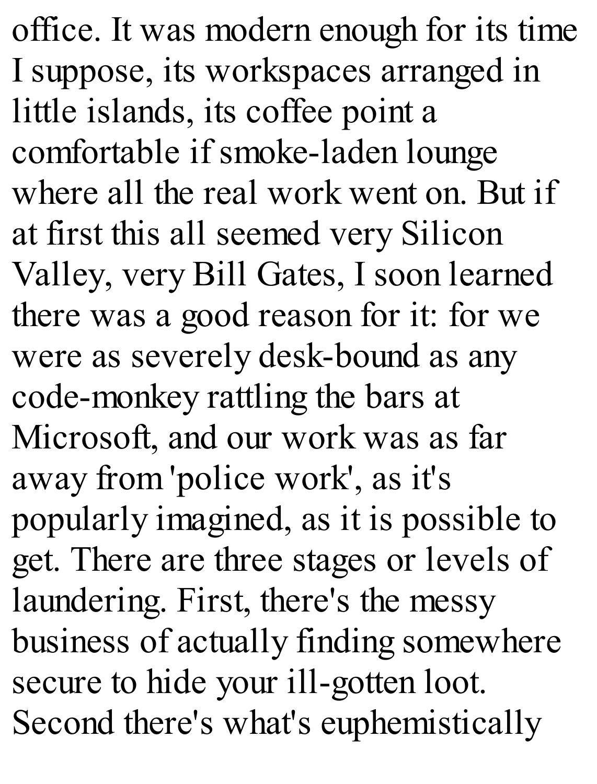office. It was modern enough for its time I suppose, its workspaces arranged in little islands, its coffee point a comfortable if smoke-laden lounge where all the real work went on. But if at first this all seemed very Silicon Valley, very Bill Gates, I soon learned there was a good reason for it: for we were as severely desk-bound as any code-monkey rattling the bars at Microsoft, and our work was as far away from 'police work', as it's popularly imagined, as it is possible to get. There are three stages or levels of laundering. First, there's the messy business of actually finding somewhere secure to hide your ill-gotten loot. Second there's what's euphemistically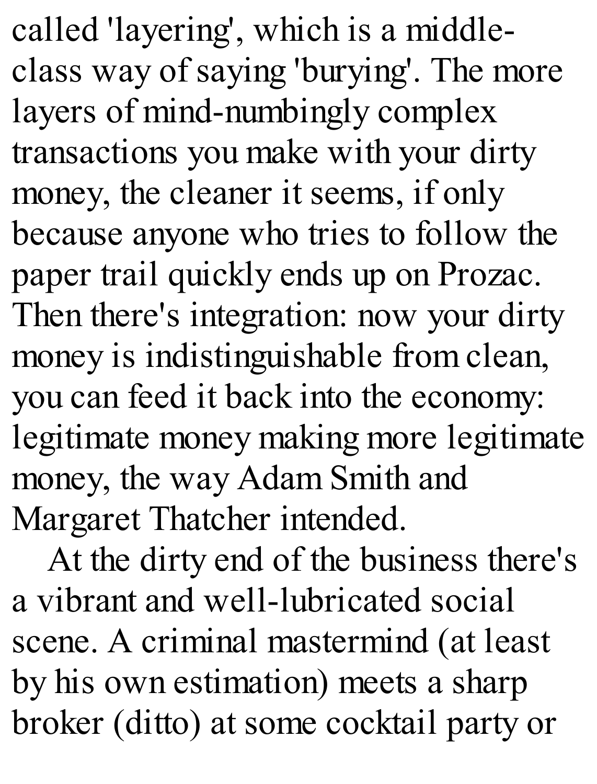called 'layering', which is a middleclass way of saying 'burying'. The more layers of mind-numbingly complex transactions you make with your dirty money, the cleaner it seems, if only because anyone who tries to follow the paper trail quickly ends up on Prozac. Then there's integration: now your dirty money is indistinguishable from clean, you can feed it back into the economy: legitimate money making more legitimate money, the way Adam Smith and Margaret Thatcher intended.

At the dirty end of the business there's a vibrant and well-lubricated social scene. A criminal mastermind (at least by his own estimation) meets a sharp broker (ditto) at some cocktail party or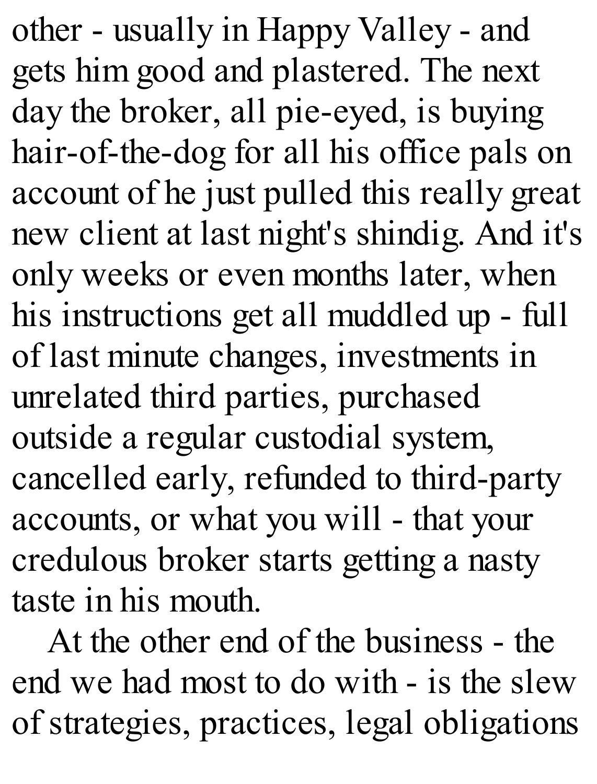other - usually in Happy Valley - and gets him good and plastered. The next day the broker, all pie-eyed, is buying hair-of-the-dog for all his office pals on account of he just pulled this really great new client at last night's shindig. And it's only weeks or even months later, when his instructions get all muddled up - full of last minute changes, investments in unrelated third parties, purchased outside a regular custodial system, cancelled early, refunded to third-party accounts, or what you will - that your credulous broker starts getting a nasty taste in his mouth.

At the other end of the business - the end we had most to do with - is the slew of strategies, practices, legal obligations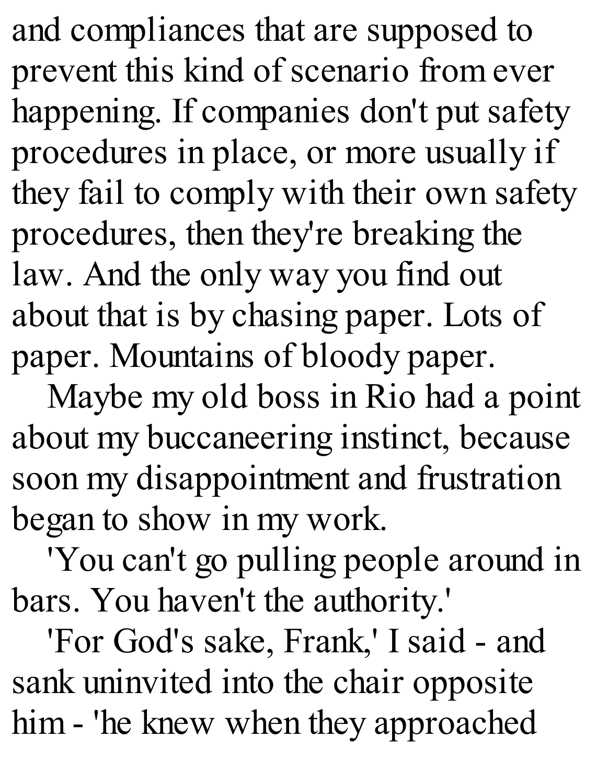and compliances that are supposed to prevent this kind of scenario from ever happening. If companies don't put safety procedures in place, or more usually if they fail to comply with their own safety procedures, then they're breaking the law. And the only way you find out about that is by chasing paper. Lots of paper. Mountains of bloody paper.

Maybe my old boss in Rio had a point about my buccaneering instinct, because soon my disappointment and frustration began to show in my work.

'You can't go pulling people around in bars. You haven't the authority.'

'For God's sake, Frank,' I said - and sank uninvited into the chair opposite him - 'he knew when they approached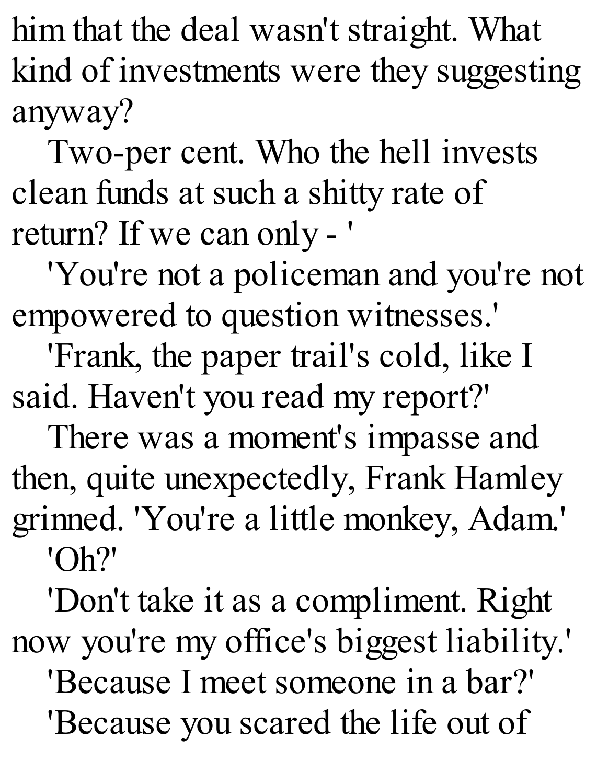him that the deal wasn't straight. What kind of investments were they suggesting anyway?

Two-per cent. Who the hell invests clean funds at such a shitty rate of return? If we can only - '

'You're not a policeman and you're not empowered to question witnesses.'

'Frank, the paper trail's cold, like I said. Haven't you read my report?'

There was a moment's impasse and then, quite unexpectedly, Frank Hamley grinned. 'You're a little monkey, Adam.' 'Oh?'

'Don't take it as a compliment. Right now you're my office's biggest liability.' 'Because I meet someone in a bar?' 'Because you scared the life out of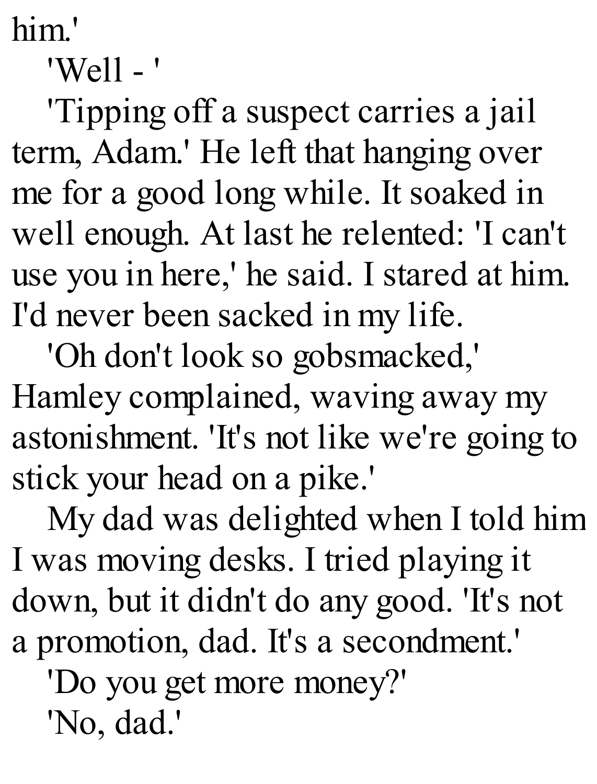him.'

'Well - '

'Tipping off a suspect carries a jail term, Adam.' He left that hanging over me for a good long while. It soaked in well enough. At last he relented: 'I can't use you in here,' he said. I stared at him. I'd never been sacked in my life.

'Oh don't look so gobsmacked,' Hamley complained, waving away my astonishment. 'It's not like we're going to stick your head on a pike.'

My dad was delighted when I told him I was moving desks. I tried playing it down, but it didn't do any good. 'It's not a promotion, dad. It's a secondment.'

'Do you get more money?'

'No, dad.'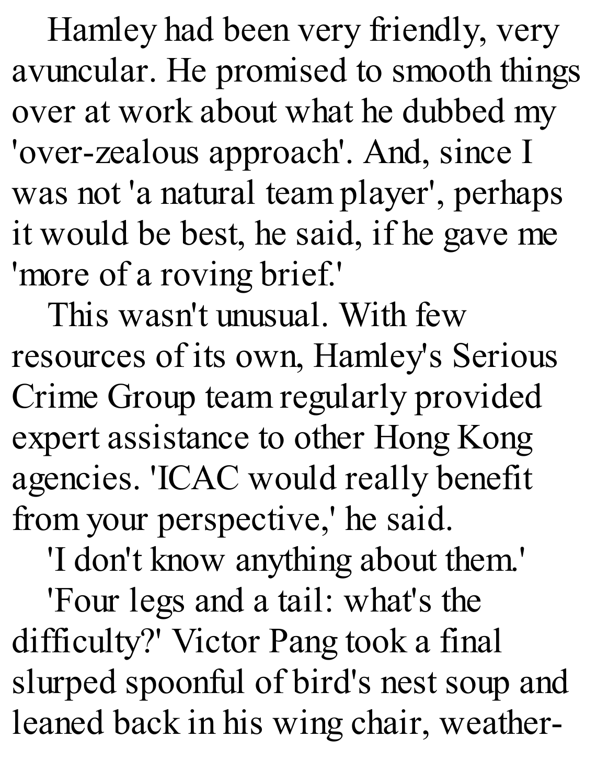Hamley had been very friendly, very avuncular. He promised to smooth things over at work about what he dubbed my 'over-zealous approach'. And, since I was not 'a natural team player', perhaps it would be best, he said, if he gave me 'more of a roving brief.'

This wasn't unusual. With few resources of its own, Hamley's Serious Crime Group team regularly provided expert assistance to other Hong Kong agencies. 'ICAC would really benefit from your perspective,' he said.

'I don't know anything about them.'

'Four legs and a tail: what's the difficulty?' Victor Pang took a final slurped spoonful of bird's nest soup and leaned back in his wing chair, weather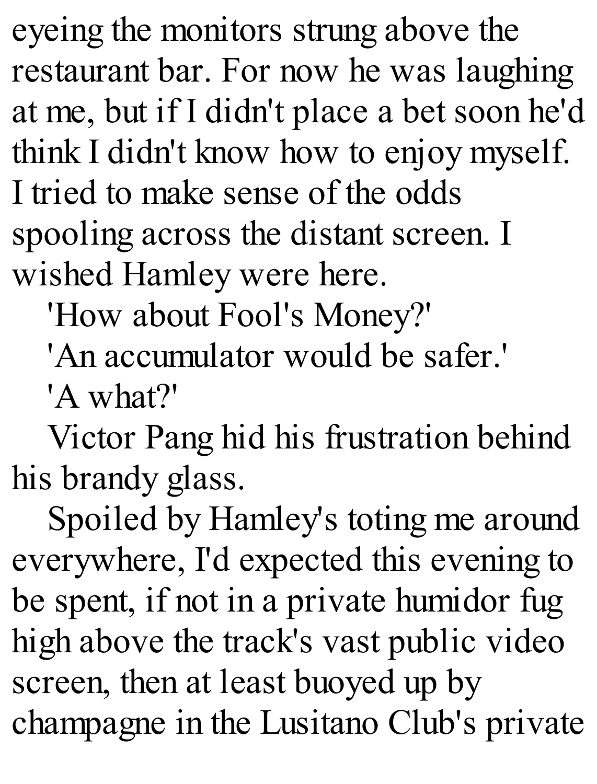eyeing the monitors strung above the restaurant bar. For now he was laughing at me, but if I didn't place a bet soon he'd think I didn't know how to enjoy myself. I tried to make sense of the odds spooling across the distant screen. I wished Hamley were here.

'How about Fool's Money?'

'An accumulator would be safer.'

'A what?'

Victor Pang hid his frustration behind his brandy glass.

Spoiled by Hamley's toting me around everywhere, I'd expected this evening to be spent, if not in a private humidor fug high above the track's vast public video screen, then at least buoyed up by champagne in the Lusitano Club's private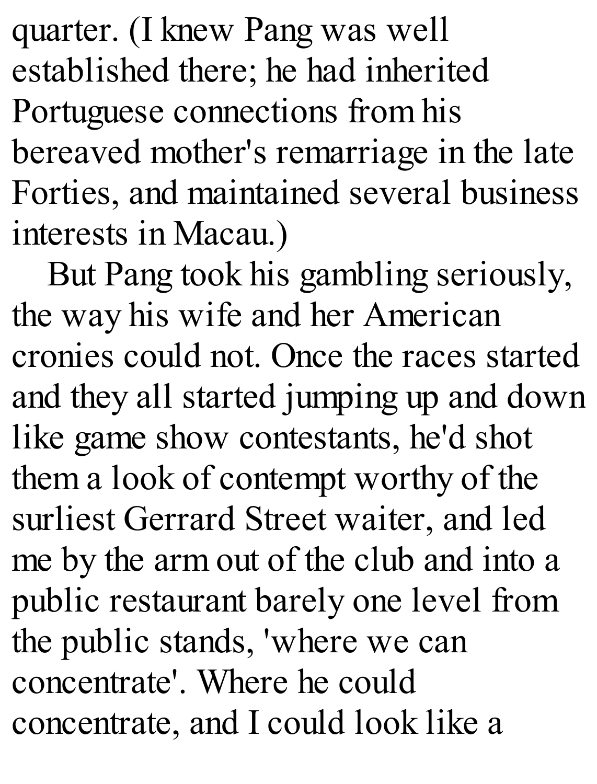quarter. (I knew Pang was well established there; he had inherited Portuguese connections from his bereaved mother's remarriage in the late Forties, and maintained several business interests in Macau.)

But Pang took his gambling seriously, the way his wife and her American cronies could not. Once the races started and they all started jumping up and down like game show contestants, he'd shot them a look of contempt worthy of the surliest Gerrard Street waiter, and led me by the arm out of the club and into a public restaurant barely one level from the public stands, 'where we can concentrate'. Where he could concentrate, and I could look like a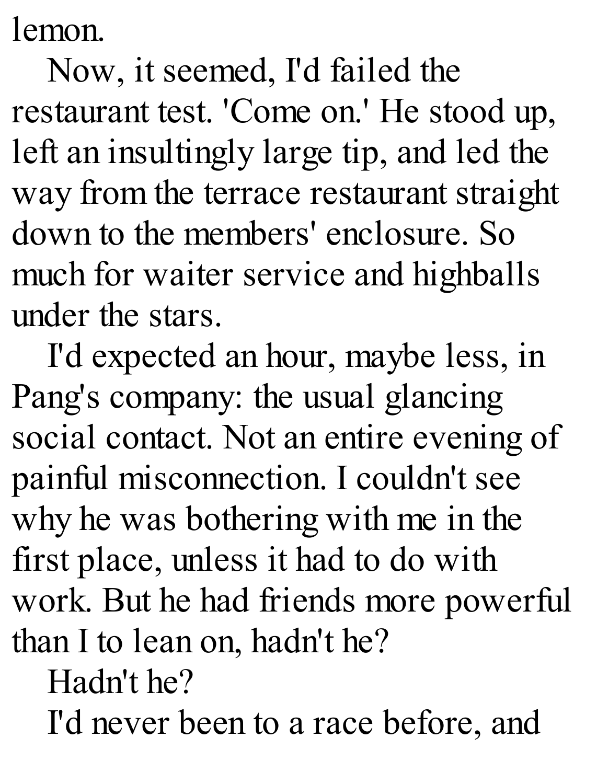lemon.

Now, it seemed, I'd failed the restaurant test. 'Come on.' He stood up, left an insultingly large tip, and led the way from the terrace restaurant straight down to the members' enclosure. So much for waiter service and highballs under the stars.

I'd expected an hour, maybe less, in Pang's company: the usual glancing social contact. Not an entire evening of painful misconnection. I couldn't see why he was bothering with me in the first place, unless it had to do with work. But he had friends more powerful than I to lean on, hadn't he?

Hadn't he?

I'd never been to a race before, and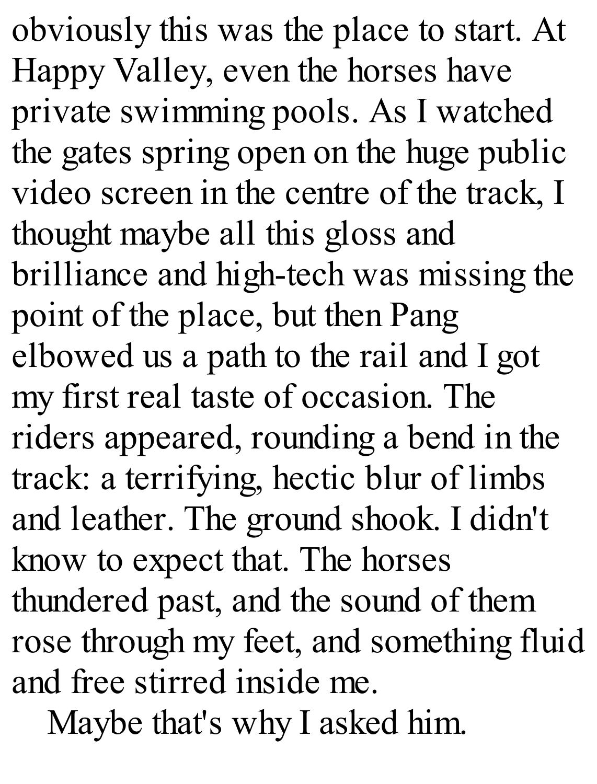obviously this was the place to start. At Happy Valley, even the horses have private swimming pools. As I watched the gates spring open on the huge public video screen in the centre of the track, I thought maybe all this gloss and brilliance and high-tech was missing the point of the place, but then Pang elbowed us a path to the rail and I got my first real taste of occasion. The riders appeared, rounding a bend in the track: a terrifying, hectic blur of limbs and leather. The ground shook. I didn't know to expect that. The horses thundered past, and the sound of them rose through my feet, and something fluid and free stirred inside me.

Maybe that's why I asked him.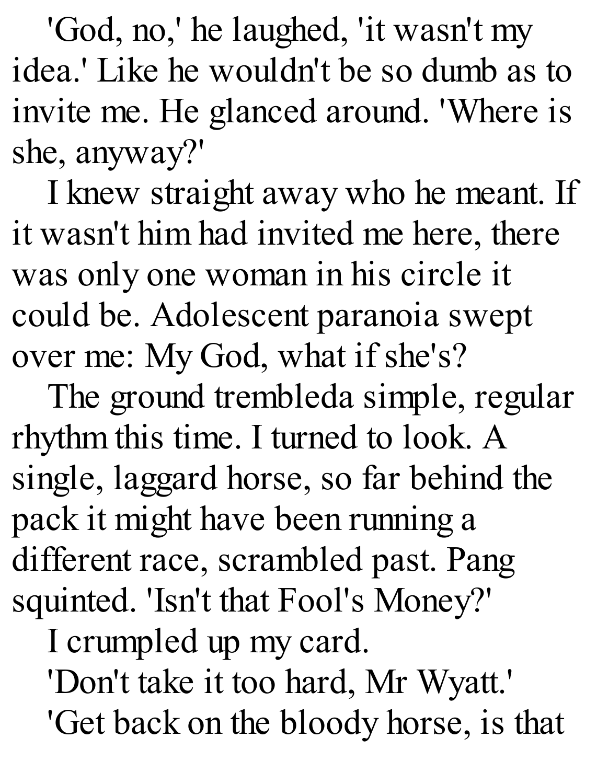'God, no,' he laughed, 'it wasn't my idea.' Like he wouldn't be so dumb as to invite me. He glanced around. 'Where is she, anyway?'

I knew straight away who he meant. If it wasn't him had invited me here, there was only one woman in his circle it could be. Adolescent paranoia swept over me: My God, what if she's?

The ground trembleda simple, regular rhythm this time. I turned to look. A single, laggard horse, so far behind the pack it might have been running a different race, scrambled past. Pang squinted. 'Isn't that Fool's Money?'

I crumpled up my card.

'Don't take it too hard, Mr Wyatt.'

'Get back on the bloody horse, is that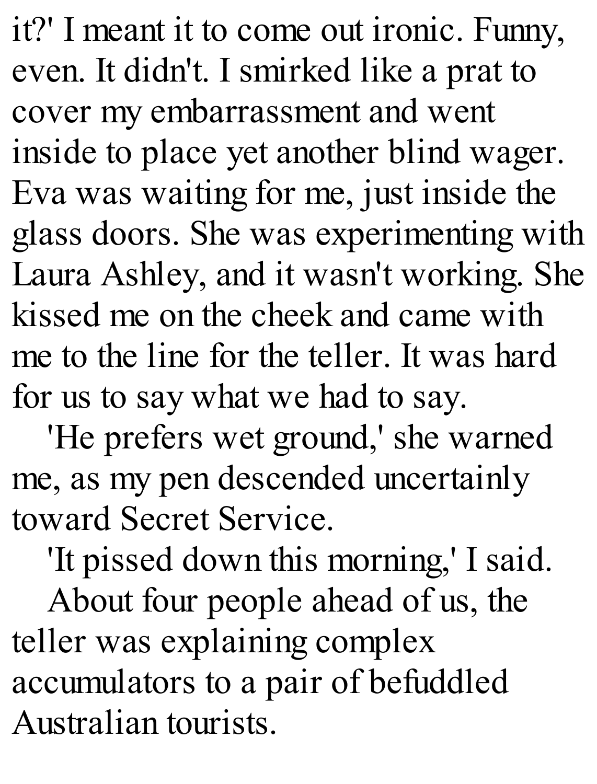it?' I meant it to come out ironic. Funny, even. It didn't. I smirked like a prat to cover my embarrassment and went inside to place yet another blind wager. Eva was waiting for me, just inside the glass doors. She was experimenting with Laura Ashley, and it wasn't working. She kissed me on the cheek and came with me to the line for the teller. It was hard for us to say what we had to say.

'He prefers wet ground,' she warned me, as my pen descended uncertainly toward Secret Service.

'It pissed down this morning,' I said.

About four people ahead of us, the teller was explaining complex accumulators to a pair of befuddled Australian tourists.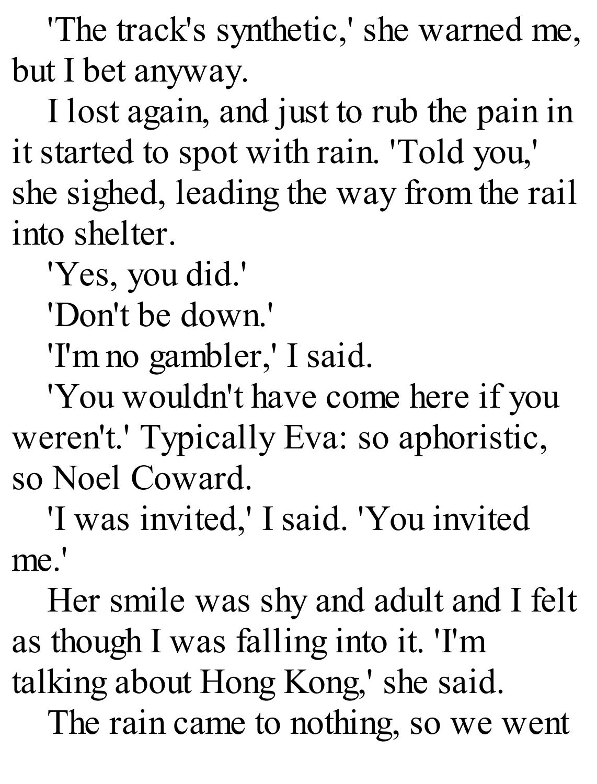'The track's synthetic,' she warned me, but I bet anyway.

I lost again, and just to rub the pain in it started to spot with rain. 'Told you,' she sighed, leading the way from the rail into shelter.

'Yes, you did.'

'Don't be down'

'I'm no gambler,' I said.

'You wouldn't have come here if you weren't.' Typically Eva: so aphoristic, so Noel Coward.

'I was invited,' I said. 'You invited me.'

Her smile was shy and adult and I felt as though I was falling into it. 'I'm talking about Hong Kong,' she said. The rain came to nothing, so we went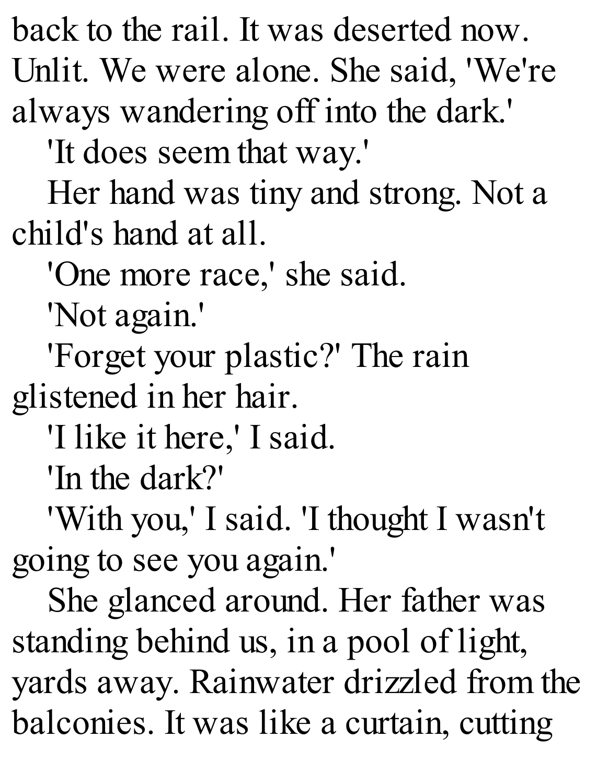back to the rail. It was deserted now.

Unlit. We were alone. She said, 'We're always wandering off into the dark.'

'It does seem that way.'

Her hand was tiny and strong. Not a child's hand at all.

'One more race,' she said.

'Not again.'

'Forget your plastic?' The rain

glistened in her hair.

'I like it here,' I said.

'In the dark?'

'With you,' I said. 'I thought I wasn't going to see you again.'

She glanced around. Her father was standing behind us, in a pool of light, yards away. Rainwater drizzled from the balconies. It was like a curtain, cutting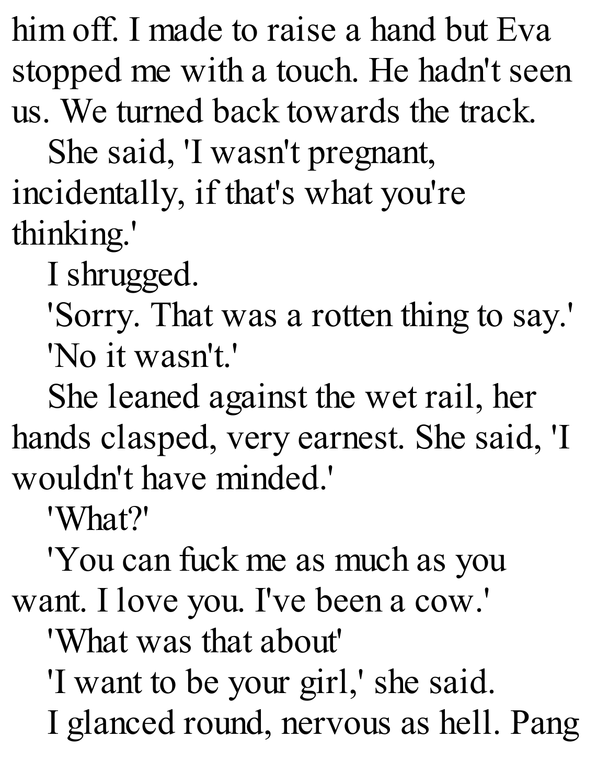him off. I made to raise a hand but Eva stopped me with a touch. He hadn't seen us. We turned back towards the track.

She said, 'I wasn't pregnant, incidentally, if that's what you're thinking.'

I shrugged.

'Sorry. That was a rotten thing to say.' 'No it wasn't.'

She leaned against the wet rail, her hands clasped, very earnest. She said, 'I wouldn't have minded.'

'What?'

'You can fuck me as much as you want. I love you. I've been a cow.'

'What was that about'

'I want to be your girl,' she said.

I glanced round, nervous as hell. Pang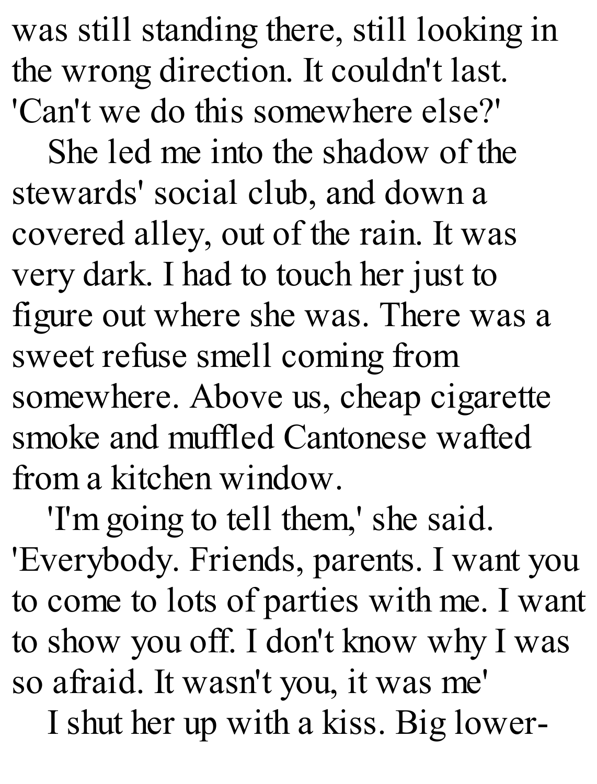was still standing there, still looking in the wrong direction. It couldn't last. 'Can't we do this somewhere else?'

She led me into the shadow of the stewards' social club, and down a covered alley, out of the rain. It was very dark. I had to touch her just to figure out where she was. There was a sweet refuse smell coming from somewhere. Above us, cheap cigarette smoke and muffled Cantonese wafted from a kitchen window.

'I'm going to tell them,' she said. 'Everybody. Friends, parents. I want you to come to lots of parties with me. I want to show you off. I don't know why I was so afraid. It wasn't you, it was me'

I shut her up with a kiss. Big lower-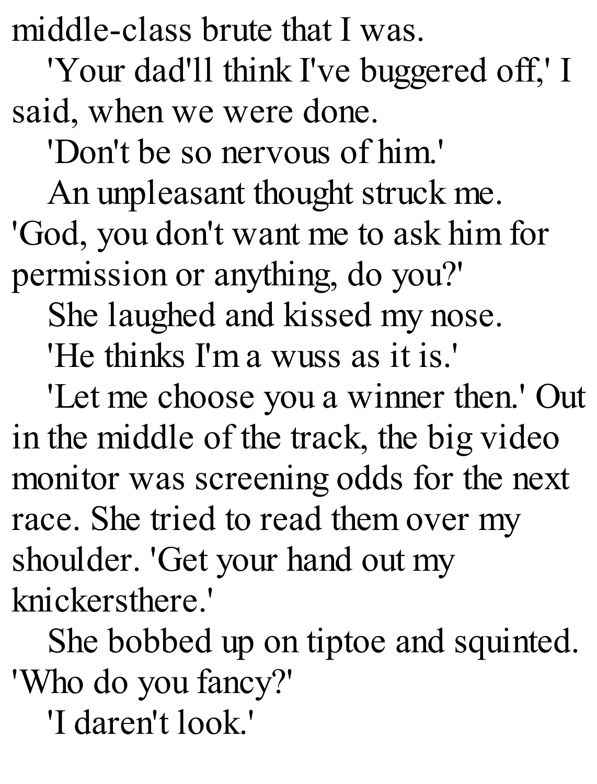middle-class brute that I was.

'Your dad'll think I've buggered off,' I said, when we were done.

'Don't be so nervous of him.'

An unpleasant thought struck me. 'God, you don't want me to ask him for permission or anything, do you?'

She laughed and kissed my nose.

'He thinks I'm a wuss as it is.'

'Let me choose you a winner then.' Out in the middle of the track, the big video monitor was screening odds for the next race. She tried to read them over my shoulder. 'Get your hand out my knickersthere.'

She bobbed up on tiptoe and squinted. 'Who do you fancy?'

'I daren't look.'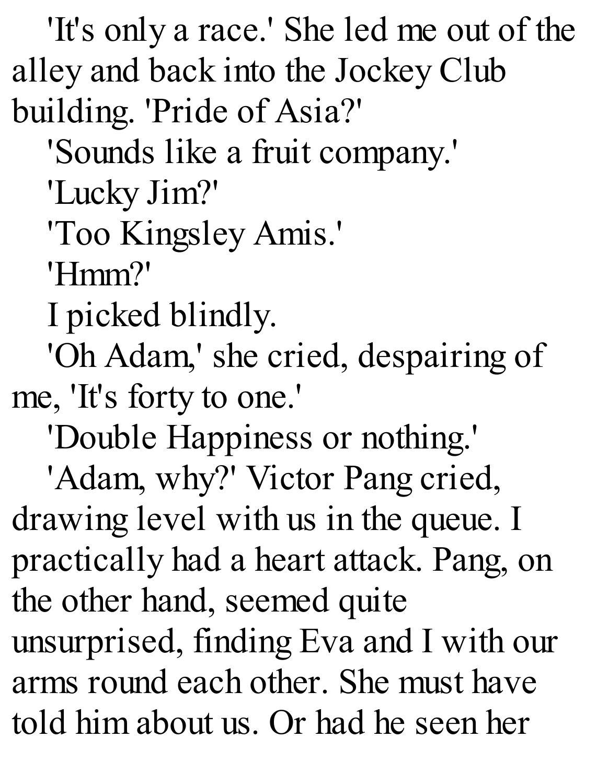'It's only a race.' She led me out of the alley and back into the Jockey Club building. 'Pride of Asia?'

'Sounds like a fruit company.'

'Lucky Jim?'

'Too Kingsley Amis.'

'Hmm?'

I picked blindly.

'Oh Adam,' she cried, despairing of me, 'It's forty to one.'

'Double Happiness or nothing.'

'Adam, why?' Victor Pang cried, drawing level with us in the queue. I practically had a heart attack. Pang, on the other hand, seemed quite unsurprised, finding Eva and I with our arms round each other. She must have told him about us. Or had he seen her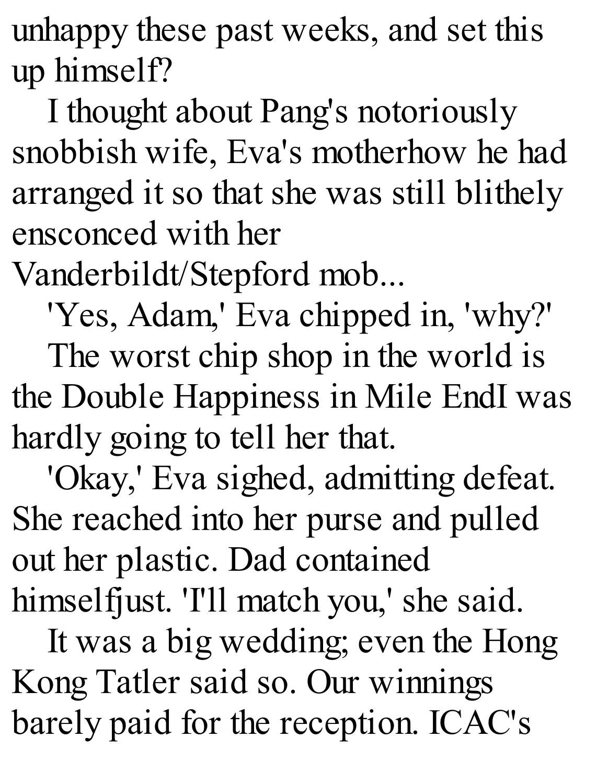unhappy these past weeks, and set this up himself?

I thought about Pang's notoriously

snobbish wife, Eva's motherhow he had arranged it so that she was still blithely ensconced with her

Vanderbildt/Stepford mob...

'Yes, Adam,' Eva chipped in, 'why?' The worst chip shop in the world is the Double Happiness in Mile EndI was hardly going to tell her that.

'Okay,' Eva sighed, admitting defeat. She reached into her purse and pulled out her plastic. Dad contained himselfjust. 'I'll match you,' she said.

It was a big wedding; even the Hong Kong Tatler said so. Our winnings barely paid for the reception. ICAC's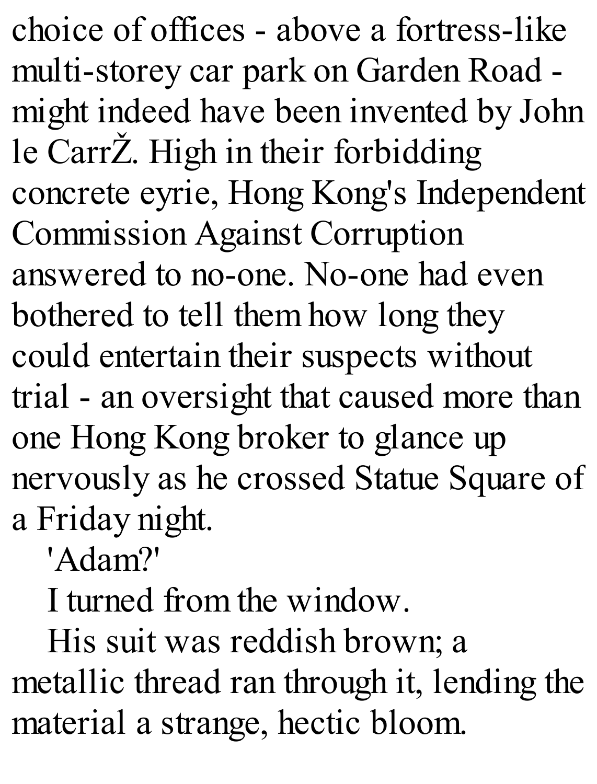choice of offices - above a fortress-like multi-storey car park on Garden Road might indeed have been invented by John le CarrŽ. High in their forbidding concrete eyrie, Hong Kong's Independent Commission Against Corruption answered to no-one. No-one had even bothered to tell them how long they could entertain their suspects without trial - an oversight that caused more than one Hong Kong broker to glance up nervously as he crossed Statue Square of a Friday night.

'Adam?'

I turned from the window.

His suit was reddish brown; a

metallic thread ran through it, lending the material a strange, hectic bloom.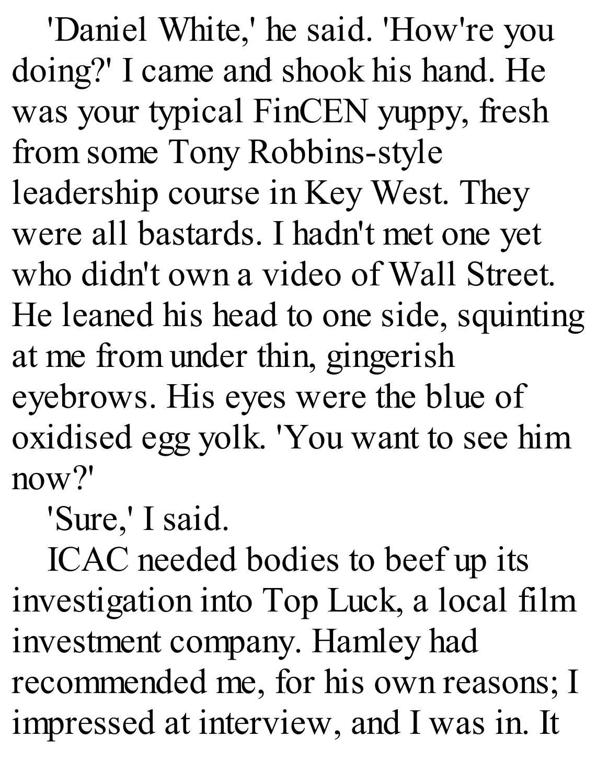'Daniel White,' he said. 'How're you doing?' I came and shook his hand. He was your typical FinCEN yuppy, fresh from some Tony Robbins-style leadership course in Key West. They were all bastards. I hadn't met one yet who didn't own a video of Wall Street. He leaned his head to one side, squinting at me from under thin, gingerish eyebrows. His eyes were the blue of oxidised egg yolk. 'You want to see him now?'

'Sure,' I said.

ICAC needed bodies to beef up its investigation into Top Luck, a local film investment company. Hamley had recommended me, for his own reasons; I impressed at interview, and I was in. It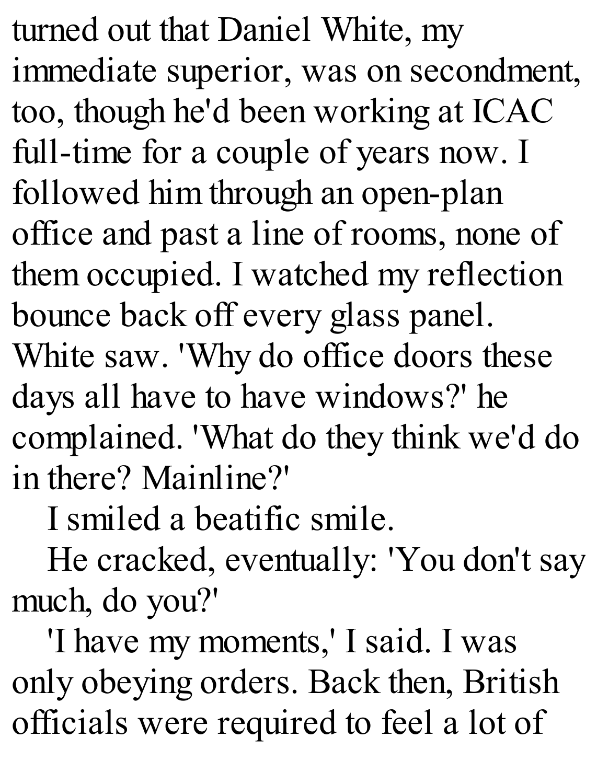turned out that Daniel White, my immediate superior, was on secondment, too, though he'd been working at ICAC full-time for a couple of years now. I followed him through an open-plan office and past a line of rooms, none of them occupied. I watched my reflection bounce back off every glass panel. White saw. 'Why do office doors these days all have to have windows?' he complained. 'What do they think we'd do in there? Mainline?'

I smiled a beatific smile.

He cracked, eventually: 'You don't say much, do you?'

'I have my moments,' I said. I was only obeying orders. Back then, British officials were required to feel a lot of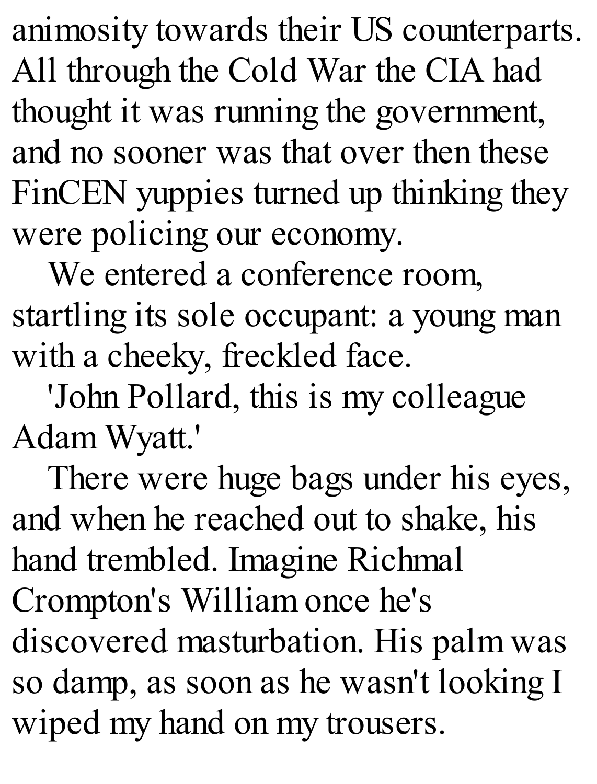animosity towards their US counterparts. All through the Cold War the CIA had thought it was running the government, and no sooner was that over then these FinCEN yuppies turned up thinking they were policing our economy.

We entered a conference room, startling its sole occupant: a young man with a cheeky, freckled face.

'John Pollard, this is my colleague Adam Wyatt.'

There were huge bags under his eyes, and when he reached out to shake, his hand trembled. Imagine Richmal Crompton's William once he's discovered masturbation. His palm was so damp, as soon as he wasn't looking I wiped my hand on my trousers.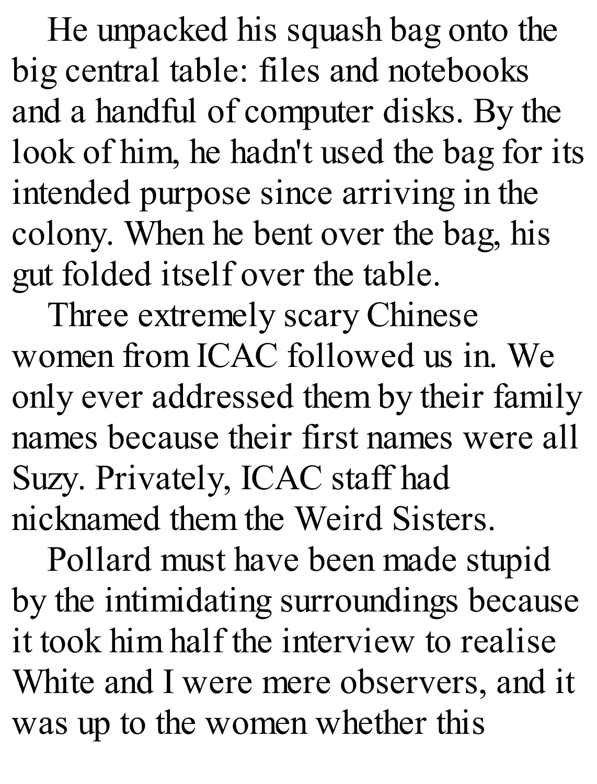He unpacked his squash bag onto the big central table: files and notebooks and a handful of computer disks. By the look of him, he hadn't used the bag for its intended purpose since arriving in the colony. When he bent over the bag, his gut folded itself over the table.

Three extremely scary Chinese women from ICAC followed us in. We only ever addressed them by their family names because their first names were all Suzy. Privately, ICAC staff had nicknamed them the Weird Sisters.

Pollard must have been made stupid by the intimidating surroundings because it took him half the interview to realise White and I were mere observers, and it was up to the women whether this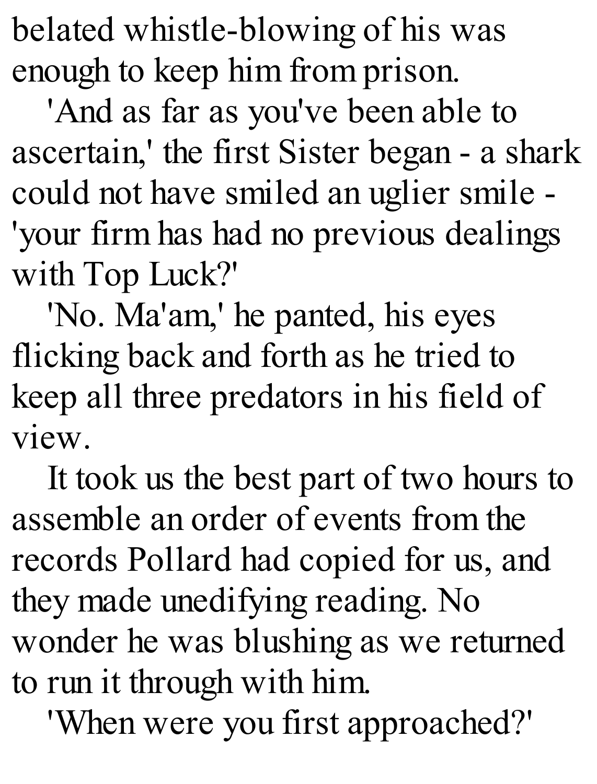belated whistle-blowing of his was enough to keep him from prison.

'And as far as you've been able to ascertain,' the first Sister began - a shark could not have smiled an uglier smile - 'your firm has had no previous dealings with Top Luck?'

'No. Ma'am,' he panted, his eyes flicking back and forth as he tried to keep all three predators in his field of view.

It took us the best part of two hours to assemble an order of events from the records Pollard had copied for us, and they made unedifying reading. No wonder he was blushing as we returned to run it through with him.

'When were you first approached?'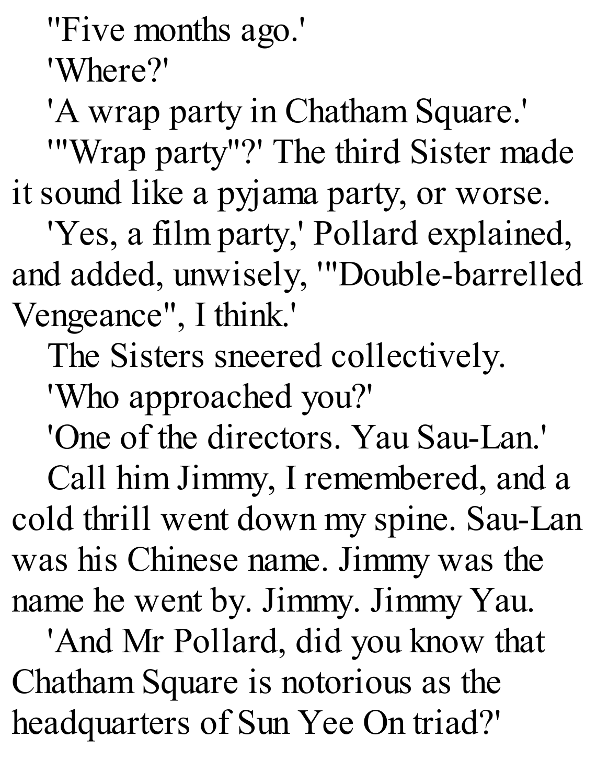''Five months ago.'

'Where?'

'A wrap party in Chatham Square.'

'"Wrap party"?' The third Sister made it sound like a pyjama party, or worse.

'Yes, a film party,' Pollard explained, and added, unwisely, '"Double-barrelled Vengeance", I think.'

The Sisters sneered collectively.

'Who approached you?'

'One of the directors. Yau Sau-Lan.'

Call him Jimmy, I remembered, and a cold thrill went down my spine. Sau-Lan was his Chinese name. Jimmy was the name he went by. Jimmy. Jimmy Yau.

'And Mr Pollard, did you know that Chatham Square is notorious as the headquarters of Sun Yee On triad?'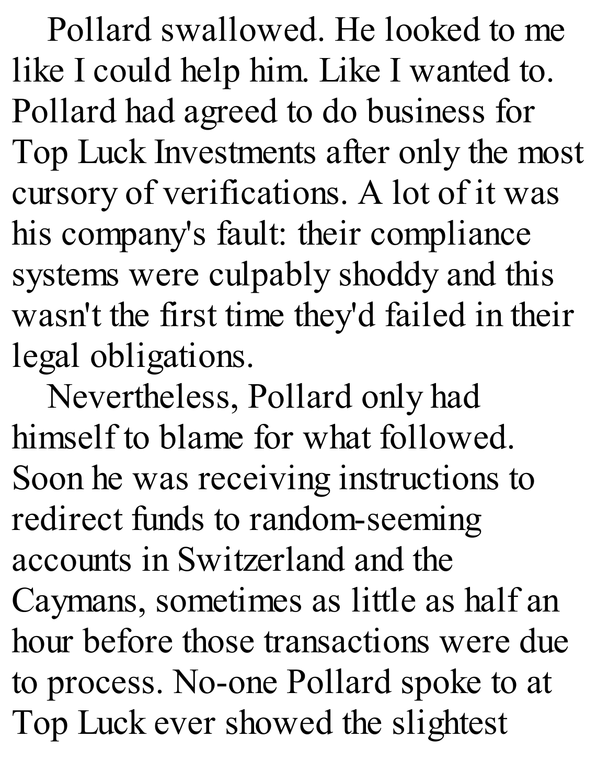Pollard swallowed. He looked to me like I could help him. Like I wanted to. Pollard had agreed to do business for Top Luck Investments after only the most cursory of verifications. A lot of it was his company's fault: their compliance systems were culpably shoddy and this wasn't the first time they'd failed in their legal obligations.

Nevertheless, Pollard only had himself to blame for what followed. Soon he was receiving instructions to redirect funds to random-seeming accounts in Switzerland and the Caymans, sometimes as little as half an hour before those transactions were due to process. No-one Pollard spoke to at Top Luck ever showed the slightest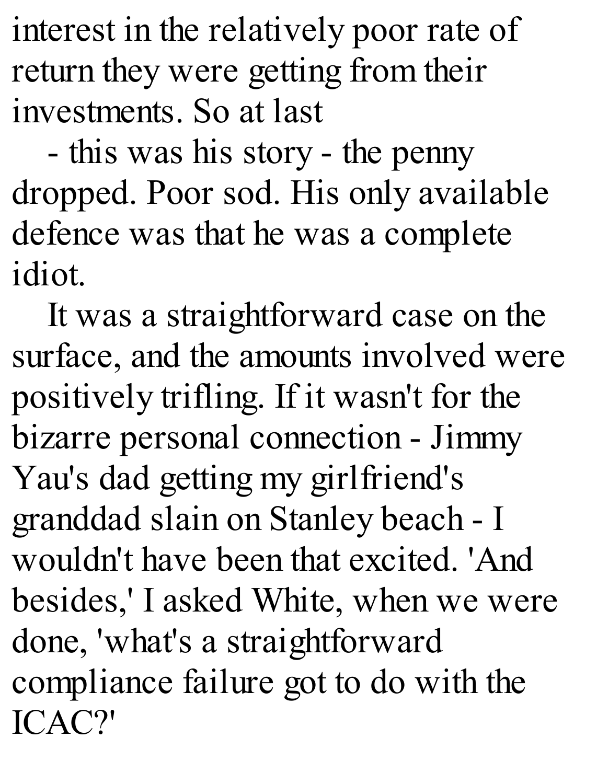interest in the relatively poor rate of return they were getting from their investments. So at last

- this was his story - the penny dropped. Poor sod. His only available defence was that he was a complete idiot.

It was a straightforward case on the surface, and the amounts involved were positively trifling. If it wasn't for the bizarre personal connection - Jimmy Yau's dad getting my girlfriend's granddad slain on Stanley beach - I wouldn't have been that excited. 'And besides,' I asked White, when we were done, 'what's a straightforward compliance failure got to do with the ICAC?'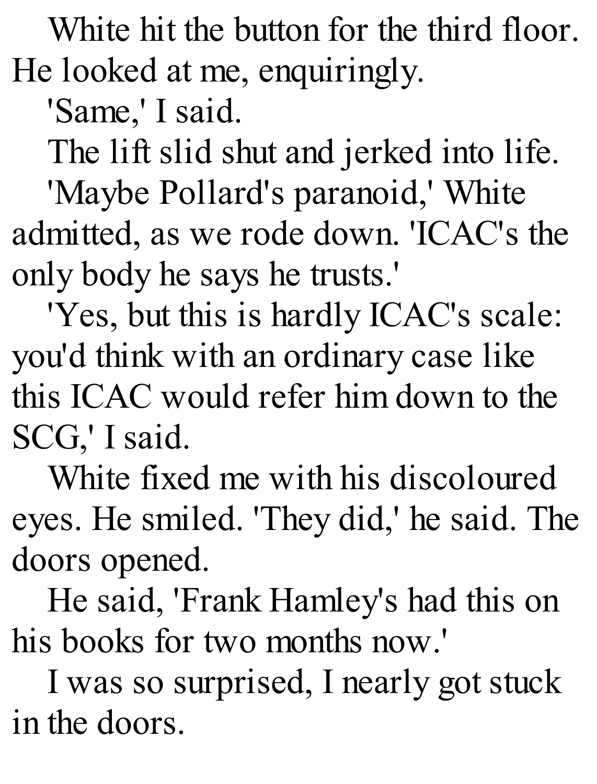White hit the button for the third floor. He looked at me, enquiringly.

'Same,' I said.

The lift slid shut and jerked into life.

'Maybe Pollard's paranoid,' White admitted, as we rode down. 'ICAC's the only body he says he trusts.'

'Yes, but this is hardly ICAC's scale: you'd think with an ordinary case like this ICAC would refer him down to the SCG,' I said.

White fixed me with his discoloured eyes. He smiled. 'They did,' he said. The doors opened.

He said, 'Frank Hamley's had this on his books for two months now.'

I was so surprised, I nearly got stuck in the doors.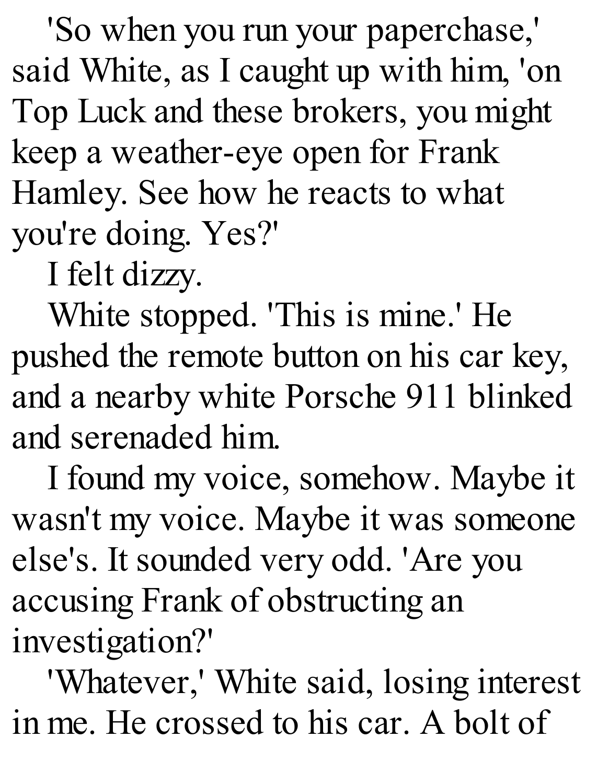'So when you run your paperchase,' said White, as I caught up with him, 'on Top Luck and these brokers, you might keep a weather-eye open for Frank Hamley. See how he reacts to what you're doing. Yes?'

I felt dizzy.

White stopped. 'This is mine.' He pushed the remote button on his car key, and a nearby white Porsche 911 blinked and serenaded him.

I found my voice, somehow. Maybe it wasn't my voice. Maybe it was someone else's. It sounded very odd. 'Are you accusing Frank of obstructing an investigation?'

'Whatever,' White said, losing interest in me. He crossed to his car. A bolt of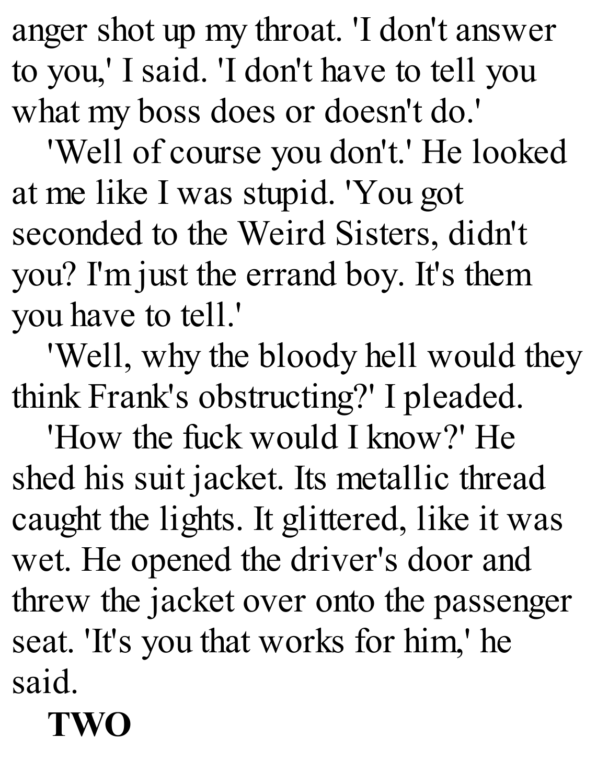anger shot up my throat. 'I don't answer to you,' I said. 'I don't have to tell you what my boss does or doesn't do.'

'Well of course you don't.' He looked at me like I was stupid. 'You got seconded to the Weird Sisters, didn't you? I'm just the errand boy. It's them you have to tell.'

'Well, why the bloody hell would they think Frank's obstructing?' I pleaded.

'How the fuck would I know?' He shed his suit jacket. Its metallic thread caught the lights. It glittered, like it was wet. He opened the driver's door and threw the jacket over onto the passenger seat. 'It's you that works for him,' he said.

## **TWO**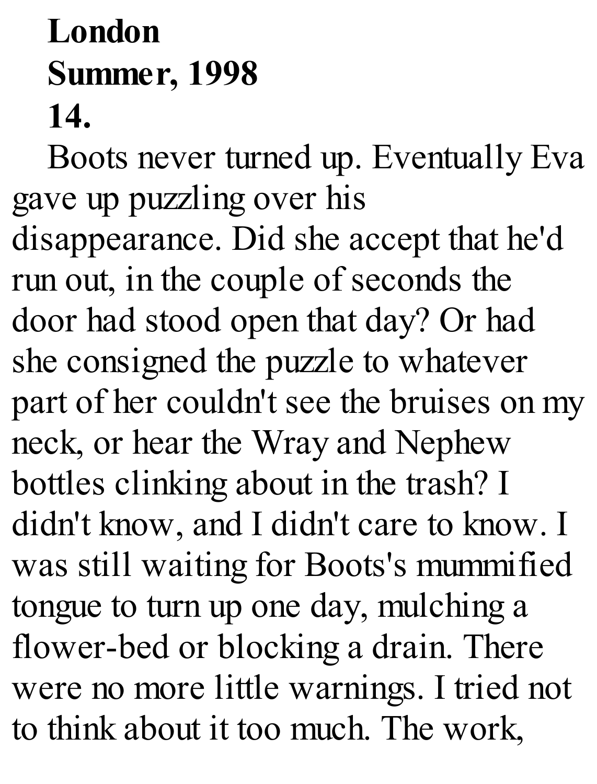## **London Summer, 1998 14.**

Boots never turned up. Eventually Eva gave up puzzling over his disappearance. Did she accept that he'd run out, in the couple of seconds the door had stood open that day? Or had she consigned the puzzle to whatever part of her couldn't see the bruises on my neck, or hear the Wray and Nephew bottles clinking about in the trash? I didn't know, and I didn't care to know. I was still waiting for Boots's mummified tongue to turn up one day, mulching a flower-bed or blocking a drain. There were no more little warnings. I tried not to think about it too much. The work,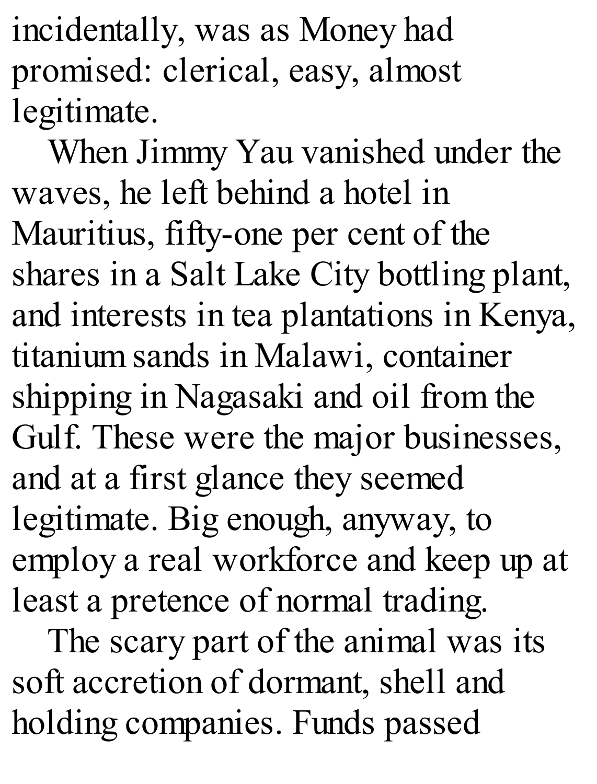incidentally, was as Money had promised: clerical, easy, almost legitimate.

When Jimmy Yau vanished under the waves, he left behind a hotel in Mauritius, fifty-one per cent of the shares in a Salt Lake City bottling plant, and interests in tea plantations in Kenya, titanium sands in Malawi, container shipping in Nagasaki and oil from the Gulf. These were the major businesses, and at a first glance they seemed legitimate. Big enough, anyway, to employ a real workforce and keep up at least a pretence of normal trading.

The scary part of the animal was its soft accretion of dormant, shell and holding companies. Funds passed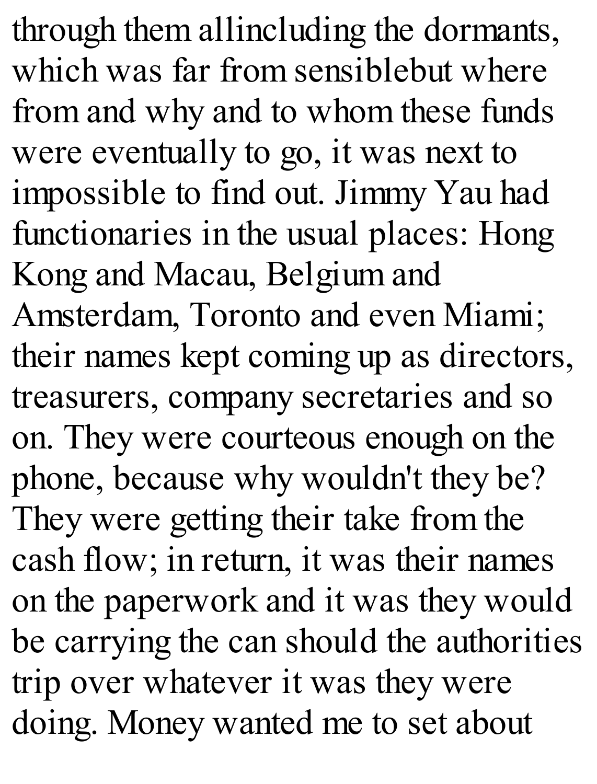through them allincluding the dormants, which was far from sensiblebut where from and why and to whom these funds were eventually to go, it was next to impossible to find out. Jimmy Yau had functionaries in the usual places: Hong Kong and Macau, Belgium and Amsterdam, Toronto and even Miami; their names kept coming up as directors, treasurers, company secretaries and so on. They were courteous enough on the phone, because why wouldn't they be? They were getting their take from the cash flow; in return, it was their names on the paperwork and it was they would be carrying the can should the authorities trip over whatever it was they were doing. Money wanted me to set about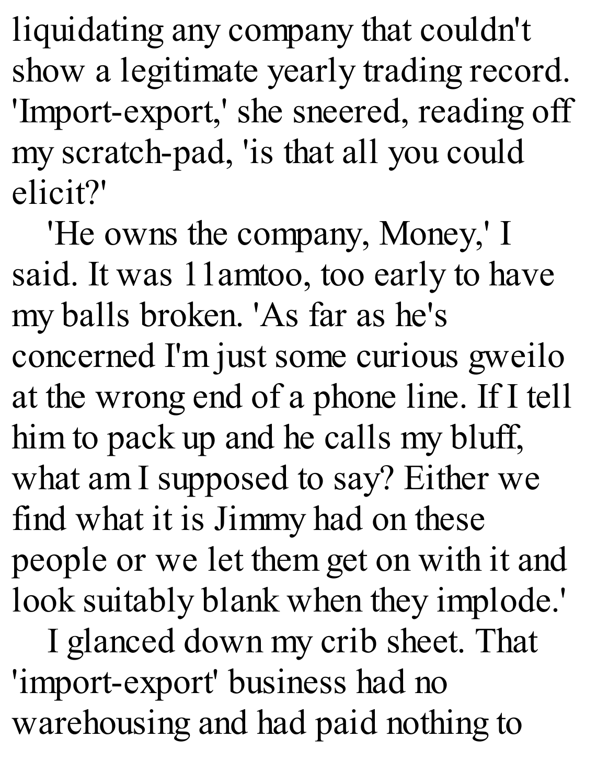liquidating any company that couldn't show a legitimate yearly trading record. 'Import-export,' she sneered, reading off my scratch-pad, 'is that all you could elicit?'

'He owns the company, Money,' I said. It was 11amtoo, too early to have my balls broken. 'As far as he's concerned I'm just some curious gweilo at the wrong end of a phone line. If I tell him to pack up and he calls my bluff, what am I supposed to say? Either we find what it is Jimmy had on these people or we let them get on with it and look suitably blank when they implode.'

I glanced down my crib sheet. That 'import-export' business had no warehousing and had paid nothing to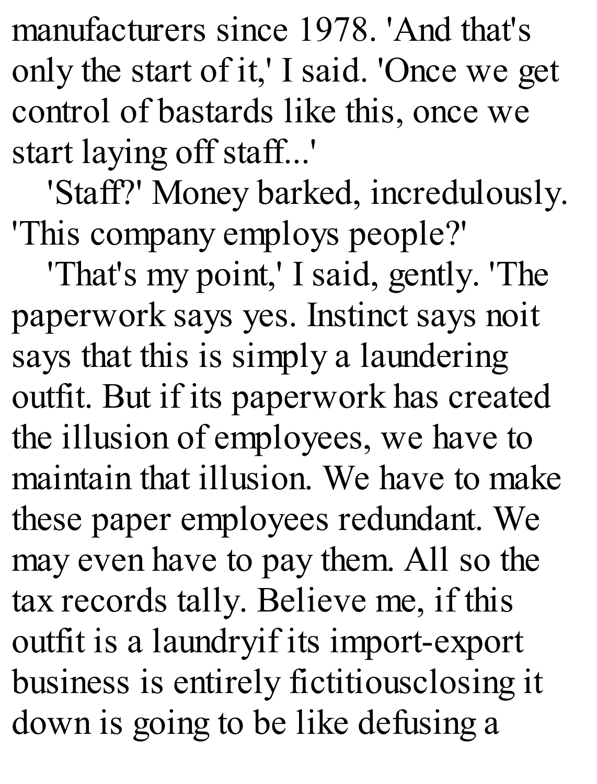manufacturers since 1978. 'And that's only the start of it,' I said. 'Once we get control of bastards like this, once we start laying off staff...'

'Staff?' Money barked, incredulously. 'This company employs people?'

'That's my point,' I said, gently. 'The paperwork says yes. Instinct says noit says that this is simply a laundering outfit. But if its paperwork has created the illusion of employees, we have to maintain that illusion. We have to make these paper employees redundant. We may even have to pay them. All so the tax records tally. Believe me, if this outfit is a laundryif its import-export business is entirely fictitiousclosing it down is going to be like defusing a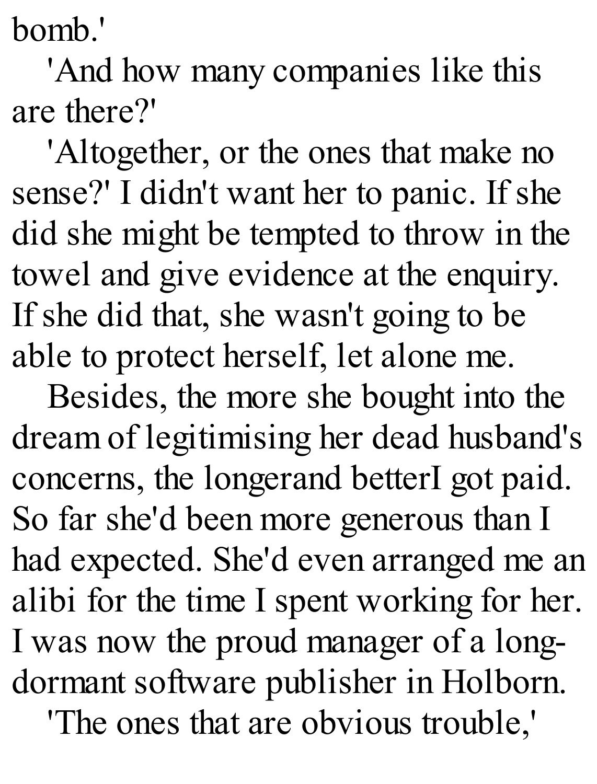bomb.'

'And how many companies like this are there?'

'Altogether, or the ones that make no sense?' I didn't want her to panic. If she did she might be tempted to throw in the towel and give evidence at the enquiry. If she did that, she wasn't going to be able to protect herself, let alone me.

Besides, the more she bought into the dream of legitimising her dead husband's concerns, the longerand betterI got paid. So far she'd been more generous than I had expected. She'd even arranged me an alibi for the time I spent working for her. I was now the proud manager of a longdormant software publisher in Holborn. 'The ones that are obvious trouble,'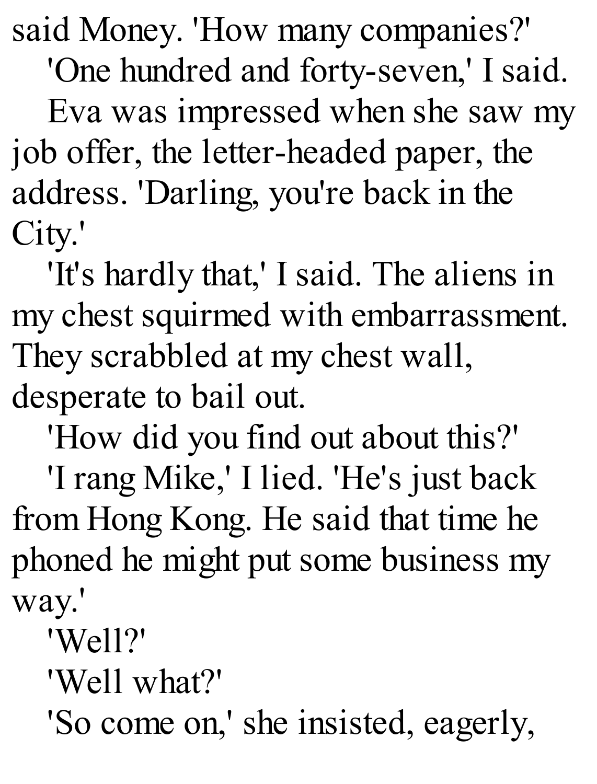said Money. 'How many companies?'

'One hundred and forty-seven,' I said. Eva was impressed when she saw my job offer, the letter-headed paper, the address. 'Darling, you're back in the City.'

'It's hardly that,' I said. The aliens in my chest squirmed with embarrassment. They scrabbled at my chest wall, desperate to bail out.

'How did you find out about this?'

'I rang Mike,' I lied. 'He's just back from Hong Kong. He said that time he phoned he might put some business my way.'

'Well?'

'Well what?'

'So come on,' she insisted, eagerly,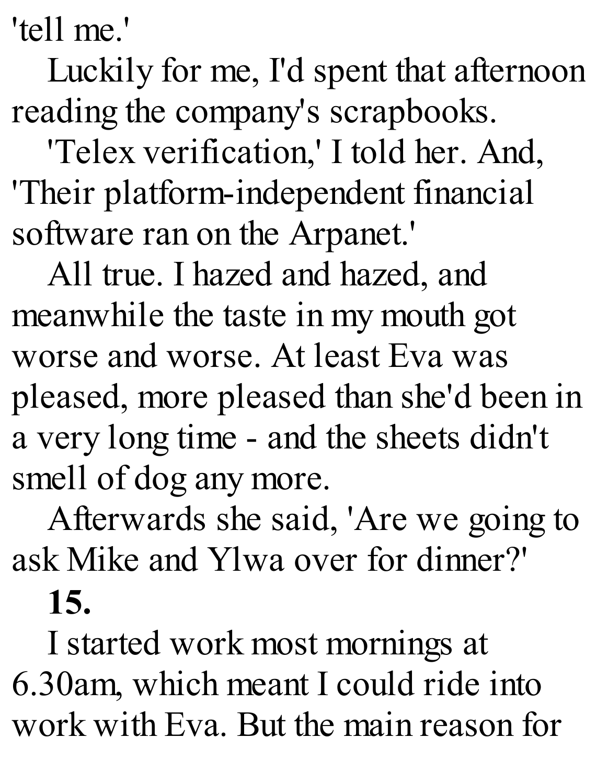'tell me.'

Luckily for me, I'd spent that afternoon reading the company's scrapbooks.

'Telex verification,' I told her. And, 'Their platform-independent financial software ran on the Arpanet.'

All true. I hazed and hazed, and meanwhile the taste in my mouth got worse and worse. At least Eva was pleased, more pleased than she'd been in a very long time - and the sheets didn't smell of dog any more.

Afterwards she said, 'Are we going to ask Mike and Ylwa over for dinner?' **15.**

I started work most mornings at 6.30am, which meant I could ride into work with Eva. But the main reason for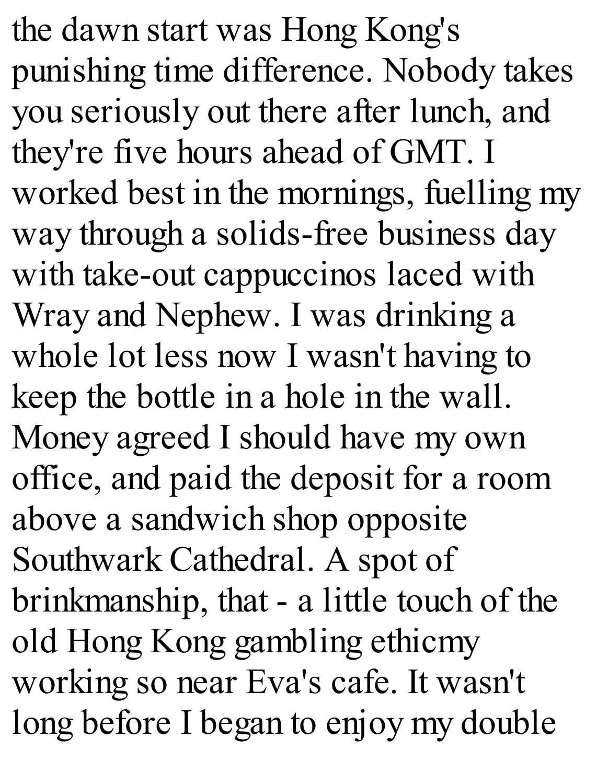the dawn start was Hong Kong's punishing time difference. Nobody takes you seriously out there after lunch, and they're five hours ahead of GMT. I worked best in the mornings, fuelling my way through a solids-free business day with take-out cappuccinos laced with Wray and Nephew. I was drinking a whole lot less now I wasn't having to keep the bottle in a hole in the wall. Money agreed I should have my own office, and paid the deposit for a room above a sandwich shop opposite Southwark Cathedral. A spot of brinkmanship, that - a little touch of the old Hong Kong gambling ethicmy working so near Eva's cafe. It wasn't long before I began to enjoy my double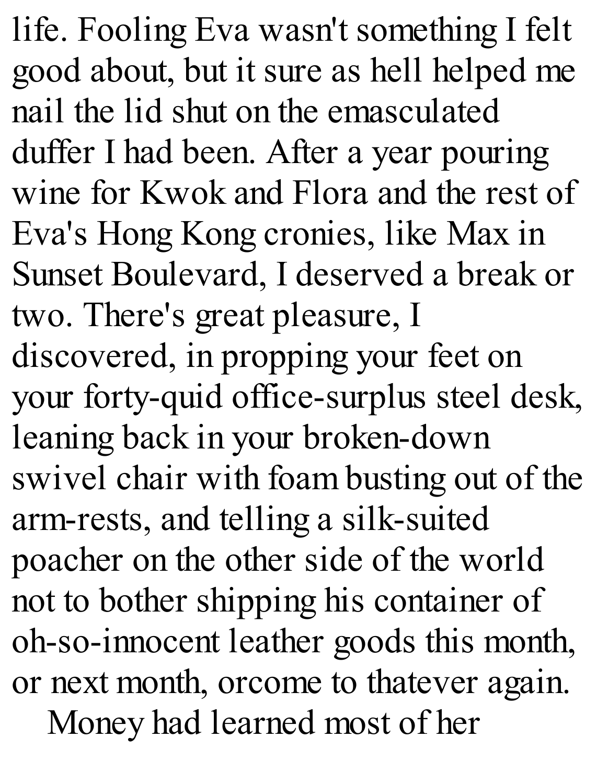life. Fooling Eva wasn't something I felt good about, but it sure as hell helped me nail the lid shut on the emasculated duffer I had been. After a year pouring wine for Kwok and Flora and the rest of Eva's Hong Kong cronies, like Max in Sunset Boulevard, I deserved a break or two. There's great pleasure, I discovered, in propping your feet on your forty-quid office-surplus steel desk, leaning back in your broken-down swivel chair with foam busting out of the arm-rests, and telling a silk-suited poacher on the other side of the world not to bother shipping his container of oh-so-innocent leather goods this month, or next month, orcome to thatever again. Money had learned most of her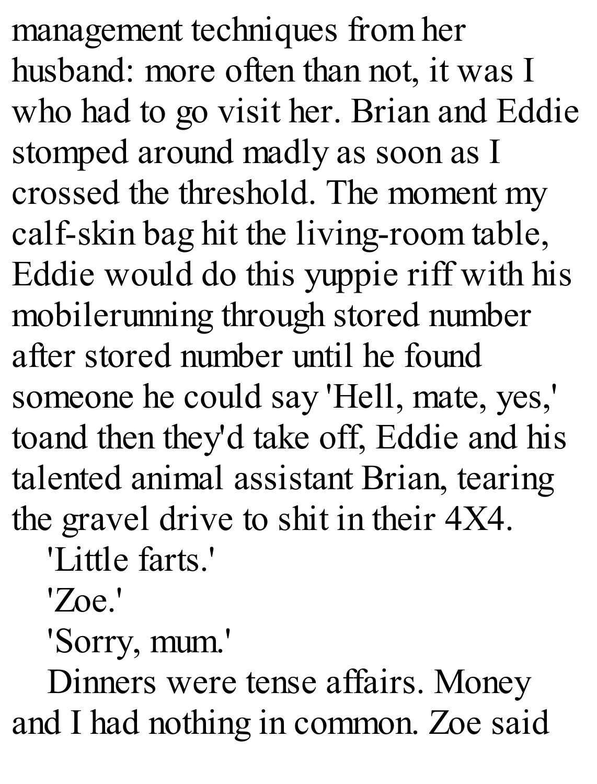management techniques from her husband: more often than not, it was I who had to go visit her. Brian and Eddie stomped around madly as soon as I crossed the threshold. The moment my calf-skin bag hit the living-room table, Eddie would do this yuppie riff with his mobilerunning through stored number after stored number until he found someone he could say 'Hell, mate, yes,' toand then they'd take off, Eddie and his talented animal assistant Brian, tearing the gravel drive to shit in their 4X4.

'Little farts.'

'Zoe.'

'Sorry, mum.'

Dinners were tense affairs. Money and I had nothing in common. Zoe said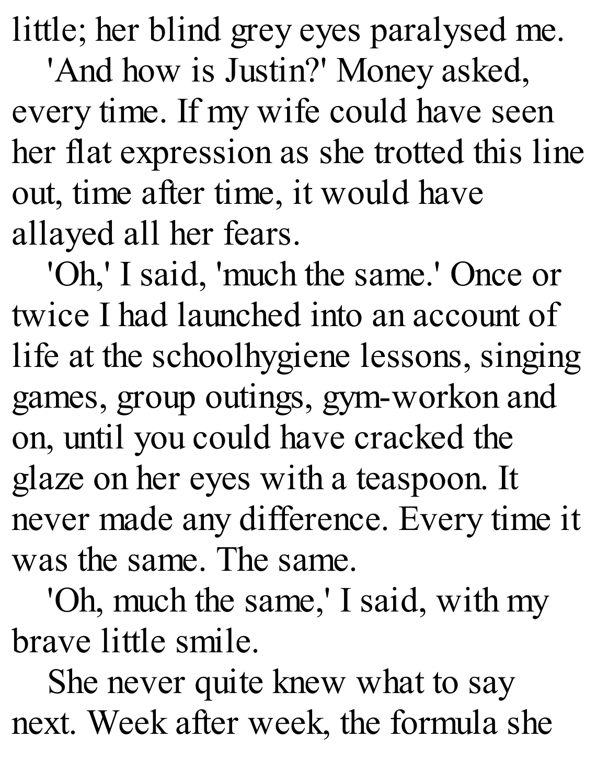little; her blind grey eyes paralysed me.

'And how is Justin?' Money asked, every time. If my wife could have seen her flat expression as she trotted this line out, time after time, it would have allayed all her fears.

'Oh,' I said, 'much the same.' Once or twice I had launched into an account of life at the schoolhygiene lessons, singing games, group outings, gym-workon and on, until you could have cracked the glaze on her eyes with a teaspoon. It never made any difference. Every time it was the same. The same.

'Oh, much the same,' I said, with my brave little smile.

She never quite knew what to say next. Week after week, the formula she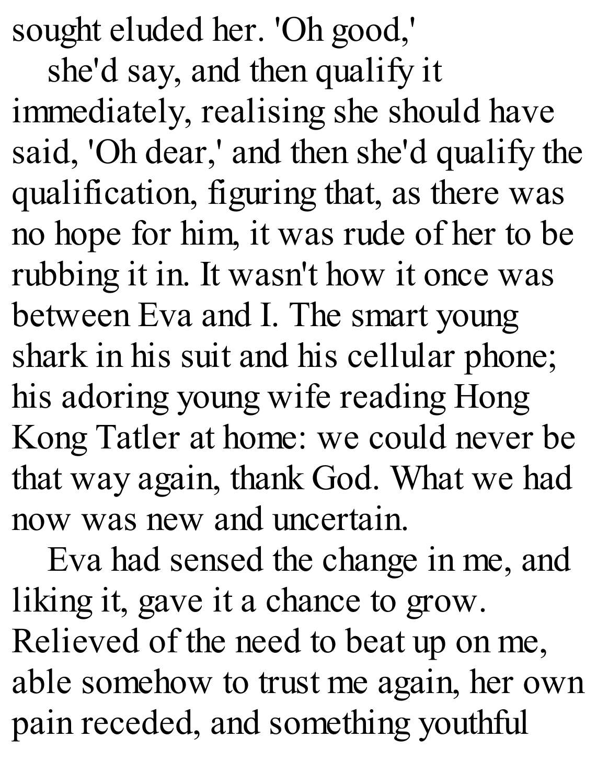sought eluded her. 'Oh good,'

she'd say, and then qualify it immediately, realising she should have said, 'Oh dear,' and then she'd qualify the qualification, figuring that, as there was no hope for him, it was rude of her to be rubbing it in. It wasn't how it once was between Eva and I. The smart young shark in his suit and his cellular phone; his adoring young wife reading Hong Kong Tatler at home: we could never be that way again, thank God. What we had now was new and uncertain.

Eva had sensed the change in me, and liking it, gave it a chance to grow. Relieved of the need to beat up on me, able somehow to trust me again, her own pain receded, and something youthful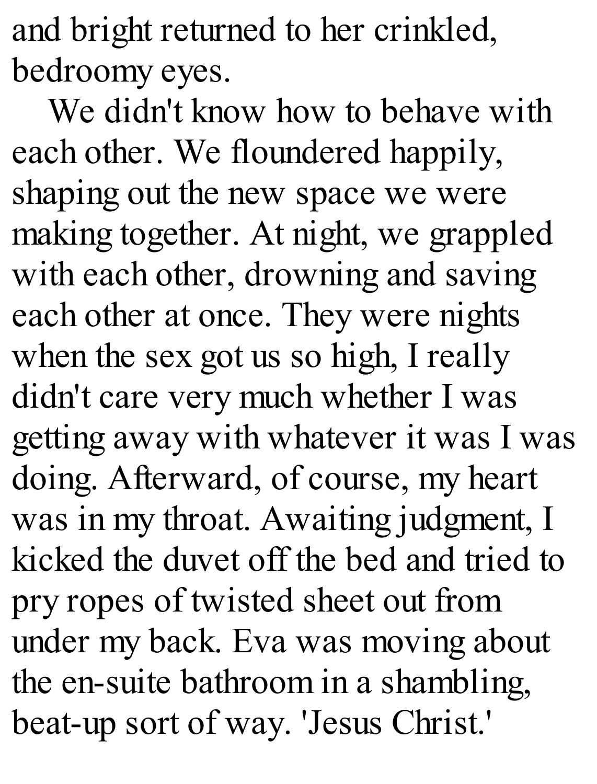and bright returned to her crinkled, bedroomy eyes.

We didn't know how to behave with each other. We floundered happily, shaping out the new space we were making together. At night, we grappled with each other, drowning and saving each other at once. They were nights when the sex got us so high, I really didn't care very much whether I was getting away with whatever it was I was doing. Afterward, of course, my heart was in my throat. Awaiting judgment, I kicked the duvet off the bed and tried to pry ropes of twisted sheet out from under my back. Eva was moving about the en-suite bathroom in a shambling, beat-up sort of way. 'Jesus Christ.'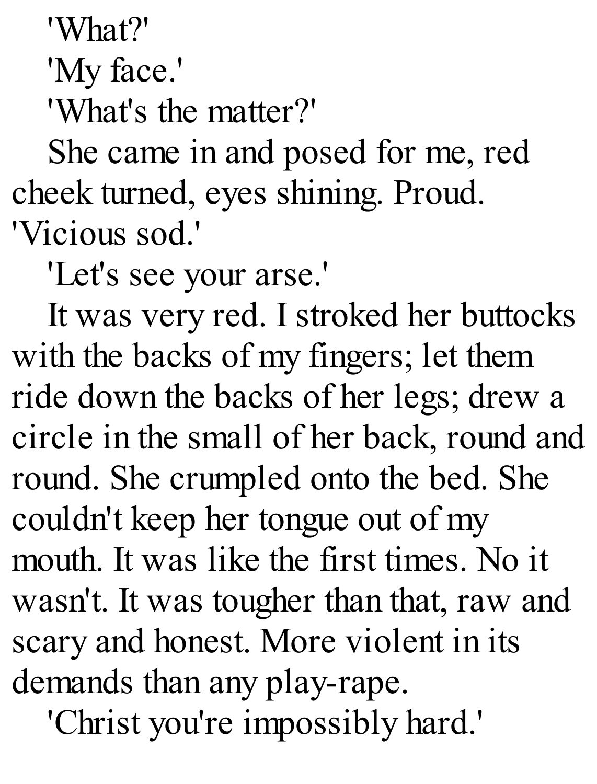'What?'

'My face.'

'What's the matter?'

She came in and posed for me, red cheek turned, eyes shining. Proud. 'Vicious sod.'

'Let's see your arse.'

It was very red. I stroked her buttocks with the backs of my fingers; let them ride down the backs of her legs; drew a circle in the small of her back, round and round. She crumpled onto the bed. She couldn't keep her tongue out of my mouth. It was like the first times. No it wasn't. It was tougher than that, raw and scary and honest. More violent in its demands than any play-rape.

'Christ you're impossibly hard.'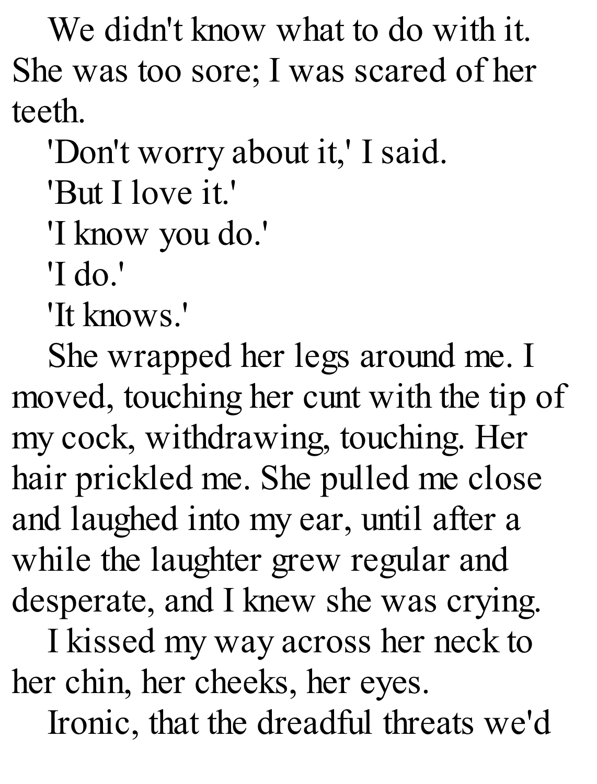We didn't know what to do with it. She was too sore; I was scared of her teeth.

'Don't worry about it,' I said.

'But I love it.'

'I know you do.'

'I do.'

'It knows.'

She wrapped her legs around me. I moved, touching her cunt with the tip of my cock, withdrawing, touching. Her hair prickled me. She pulled me close and laughed into my ear, until after a while the laughter grew regular and desperate, and I knew she was crying.

I kissed my way across her neck to her chin, her cheeks, her eyes.

Ironic, that the dreadful threats we'd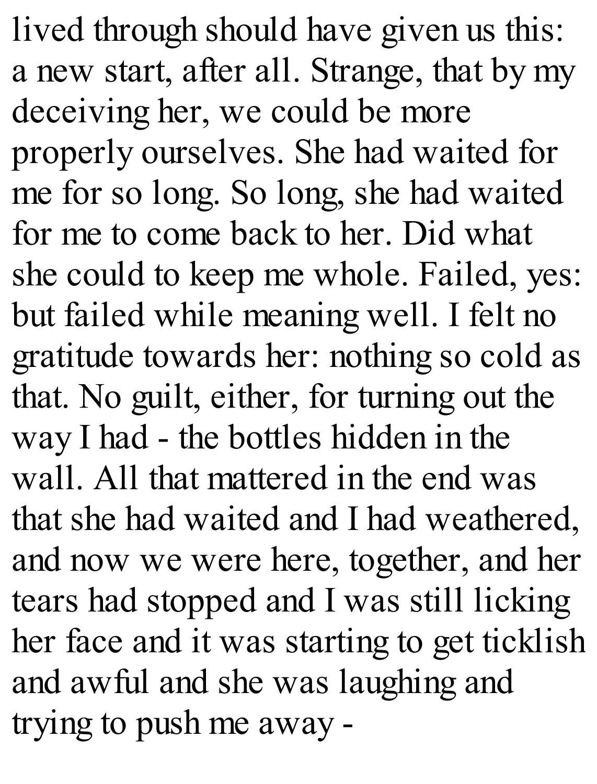lived through should have given us this: a new start, after all. Strange, that by my deceiving her, we could be more properly ourselves. She had waited for me for so long. So long, she had waited for me to come back to her. Did what she could to keep me whole. Failed, yes: but failed while meaning well. I felt no gratitude towards her: nothing so cold as that. No guilt, either, for turning out the way I had - the bottles hidden in the wall. All that mattered in the end was that she had waited and I had weathered, and now we were here, together, and her tears had stopped and I was still licking her face and it was starting to get ticklish and awful and she was laughing and trying to push me away -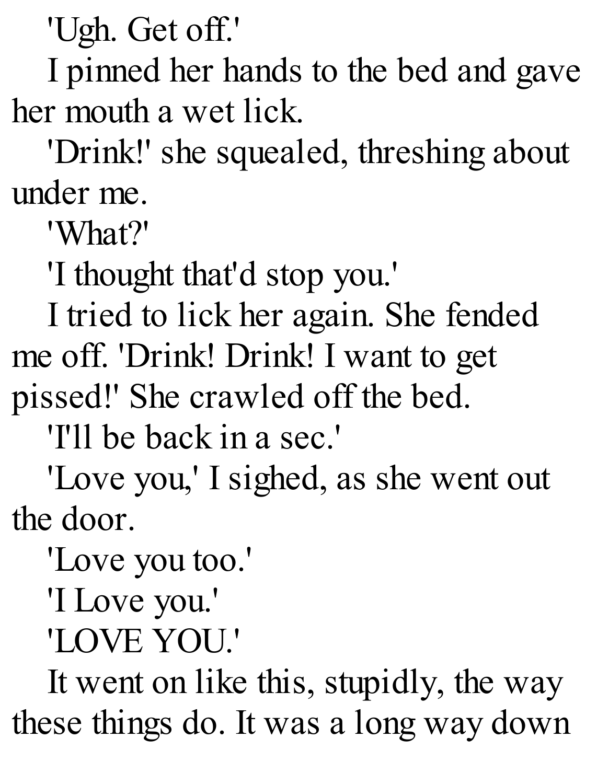'Ugh. Get off.'

I pinned her hands to the bed and gave her mouth a wet lick.

'Drink!' she squealed, threshing about under me.

'What?'

'I thought that'd stop you.'

I tried to lick her again. She fended me off. 'Drink! Drink! I want to get pissed!' She crawled off the bed.

'I'll be back in a sec.'

'Love you,' I sighed, as she went out the door.

'Love you too.'

'I Love you.'

'LOVE YOU.'

It went on like this, stupidly, the way these things do. It was a long way down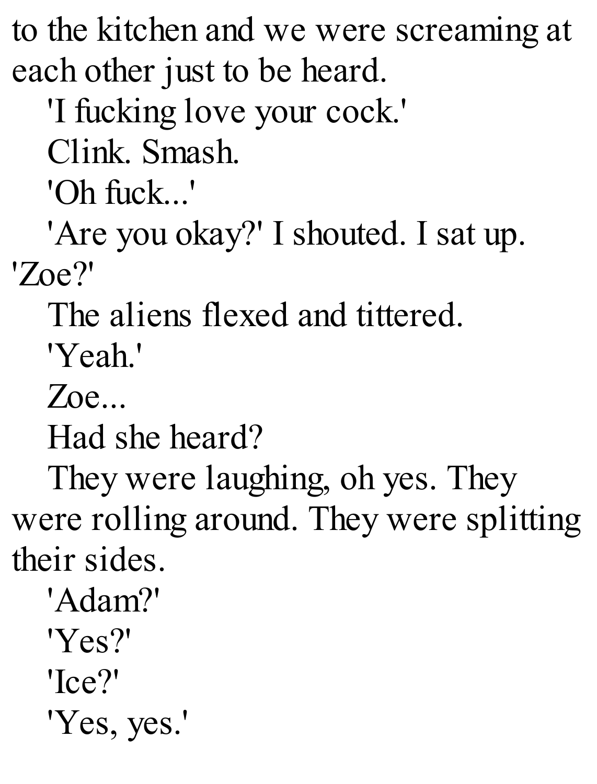to the kitchen and we were screaming at each other just to be heard.

'I fucking love your cock.'

Clink. Smash.

'Oh fuck...'

'Are you okay?' I shouted. I sat up. 'Zoe?'

The aliens flexed and tittered.

'Yeah.'

Zoe...

Had she heard?

They were laughing, oh yes. They were rolling around. They were splitting their sides.

'Adam?' 'Yes?' 'Ice?' 'Yes, yes.'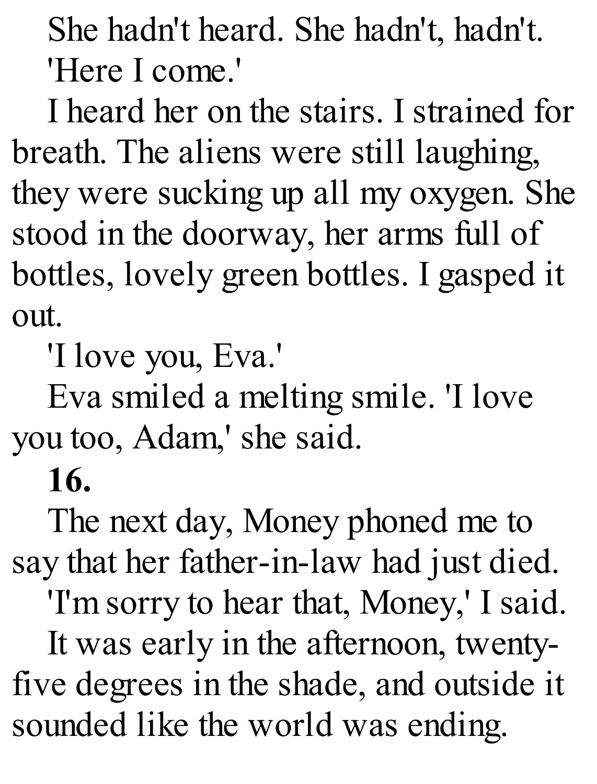She hadn't heard. She hadn't, hadn't. 'Here I come.'

I heard her on the stairs. I strained for breath. The aliens were still laughing, they were sucking up all my oxygen. She stood in the doorway, her arms full of bottles, lovely green bottles. I gasped it out.

'I love you, Eva.'

Eva smiled a melting smile. 'I love you too, Adam,' she said.

## **16.**

The next day, Money phoned me to say that her father-in-law had just died. 'I'm sorry to hear that, Money,' I said. It was early in the afternoon, twentyfive degrees in the shade, and outside it sounded like the world was ending.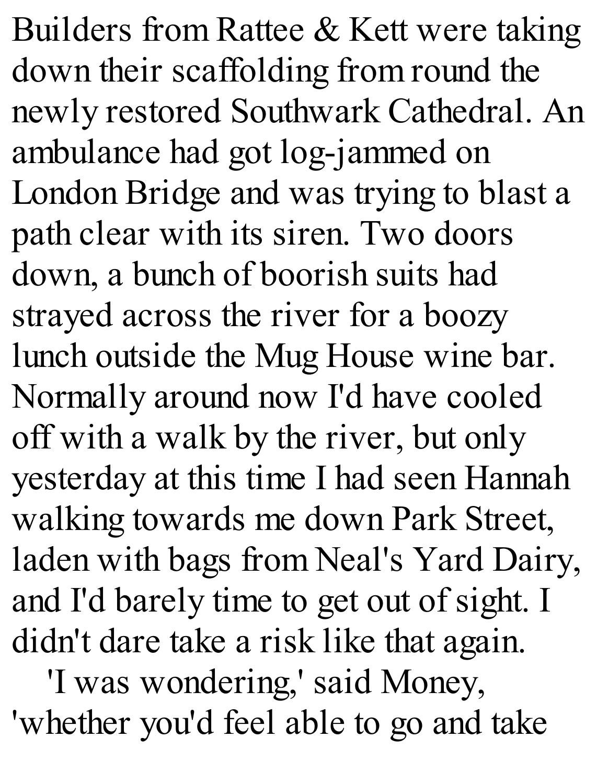Builders from Rattee & Kett were taking down their scaffolding from round the newly restored Southwark Cathedral. An ambulance had got log-jammed on London Bridge and was trying to blast a path clear with its siren. Two doors down, a bunch of boorish suits had strayed across the river for a boozy lunch outside the Mug House wine bar. Normally around now I'd have cooled off with a walk by the river, but only yesterday at this time I had seen Hannah walking towards me down Park Street, laden with bags from Neal's Yard Dairy, and I'd barely time to get out of sight. I didn't dare take a risk like that again.

'I was wondering,' said Money, 'whether you'd feel able to go and take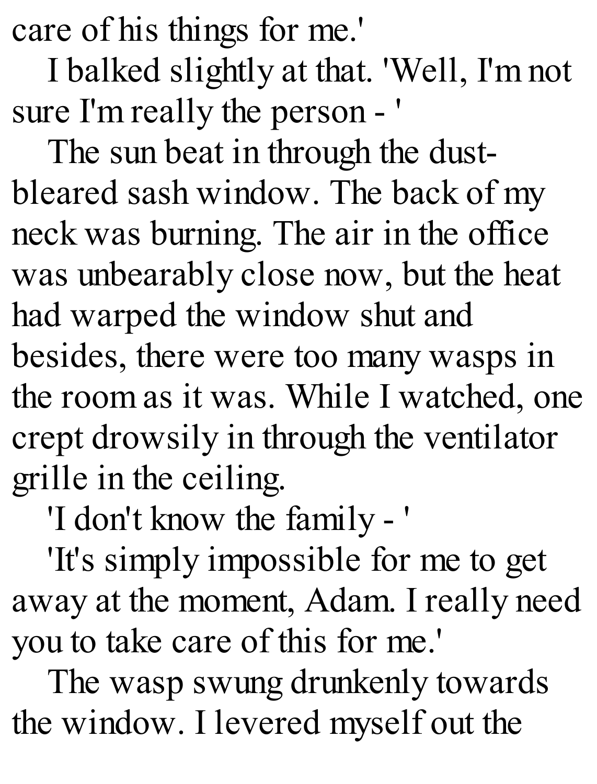care of his things for me.'

I balked slightly at that. 'Well, I'm not sure I'm really the person - '

The sun beat in through the dustbleared sash window. The back of my neck was burning. The air in the office was unbearably close now, but the heat had warped the window shut and besides, there were too many wasps in the room as it was. While I watched, one crept drowsily in through the ventilator grille in the ceiling.

'I don't know the family - '

'It's simply impossible for me to get away at the moment, Adam. I really need you to take care of this for me.'

The wasp swung drunkenly towards the window. I levered myself out the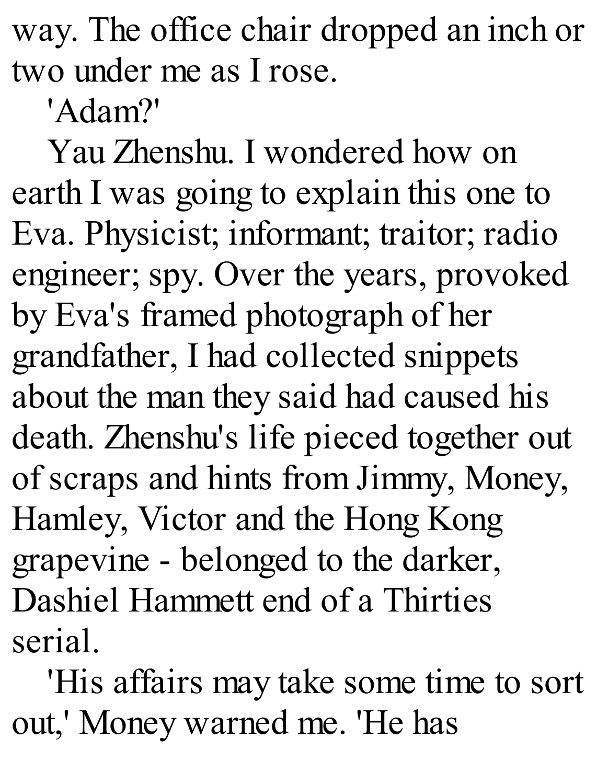way. The office chair dropped an inch or two under me as I rose.

'Adam?'

Yau Zhenshu. I wondered how on earth I was going to explain this one to Eva. Physicist; informant; traitor; radio engineer; spy. Over the years, provoked by Eva's framed photograph of her grandfather, I had collected snippets about the man they said had caused his death. Zhenshu's life pieced together out of scraps and hints from Jimmy, Money, Hamley, Victor and the Hong Kong grapevine - belonged to the darker, Dashiel Hammett end of a Thirties serial.

'His affairs may take some time to sort out,' Money warned me. 'He has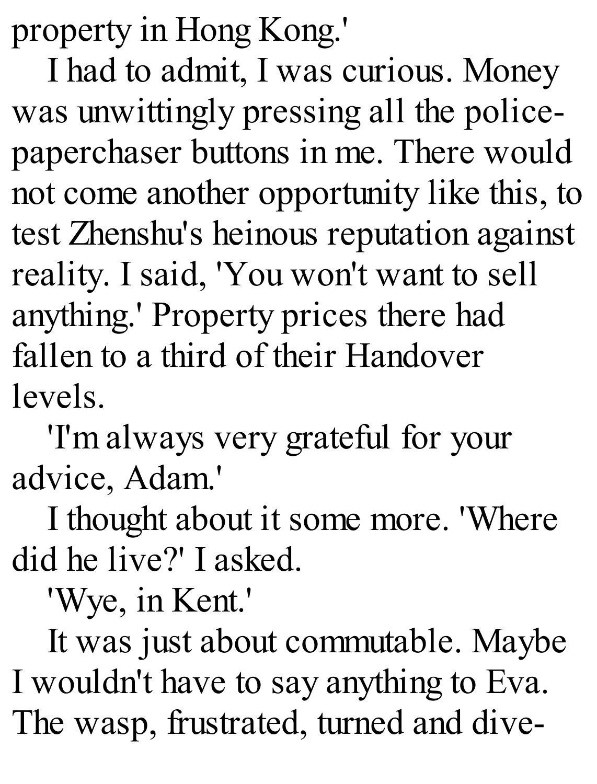property in Hong Kong.'

I had to admit, I was curious. Money was unwittingly pressing all the policepaperchaser buttons in me. There would not come another opportunity like this, to test Zhenshu's heinous reputation against reality. I said, 'You won't want to sell anything.' Property prices there had fallen to a third of their Handover levels.

'I'm always very grateful for your advice, Adam.'

I thought about it some more. 'Where did he live?' I asked.

'Wye, in Kent.'

It was just about commutable. Maybe I wouldn't have to say anything to Eva. The wasp, frustrated, turned and dive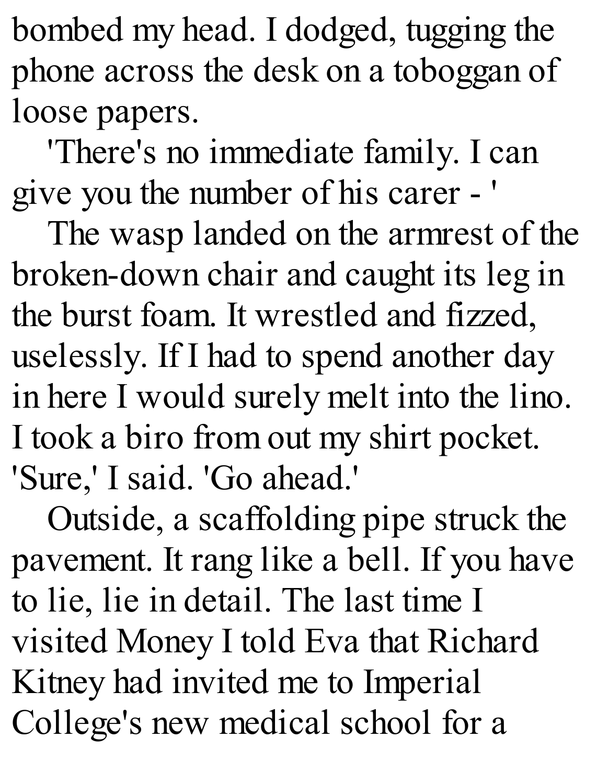bombed my head. I dodged, tugging the phone across the desk on a toboggan of loose papers.

'There's no immediate family. I can give you the number of his carer - '

The wasp landed on the armrest of the broken-down chair and caught its leg in the burst foam. It wrestled and fizzed, uselessly. If I had to spend another day in here I would surely melt into the lino. I took a biro from out my shirt pocket. 'Sure,' I said. 'Go ahead.'

Outside, a scaffolding pipe struck the pavement. It rang like a bell. If you have to lie, lie in detail. The last time I visited Money I told Eva that Richard Kitney had invited me to Imperial College's new medical school for a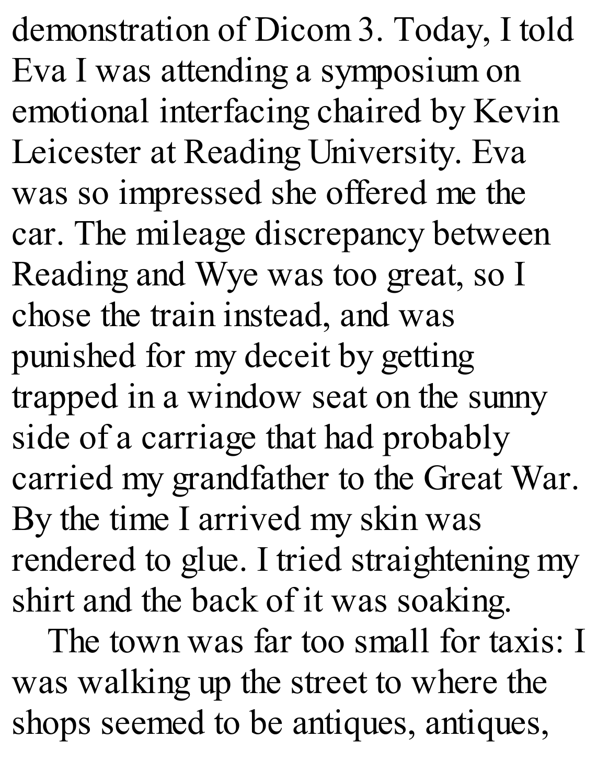demonstration of Dicom 3. Today, I told Eva I was attending a symposium on emotional interfacing chaired by Kevin Leicester at Reading University. Eva was so impressed she offered me the car. The mileage discrepancy between Reading and Wye was too great, so I chose the train instead, and was punished for my deceit by getting trapped in a window seat on the sunny side of a carriage that had probably carried my grandfather to the Great War. By the time I arrived my skin was rendered to glue. I tried straightening my shirt and the back of it was soaking.

The town was far too small for taxis: I was walking up the street to where the shops seemed to be antiques, antiques,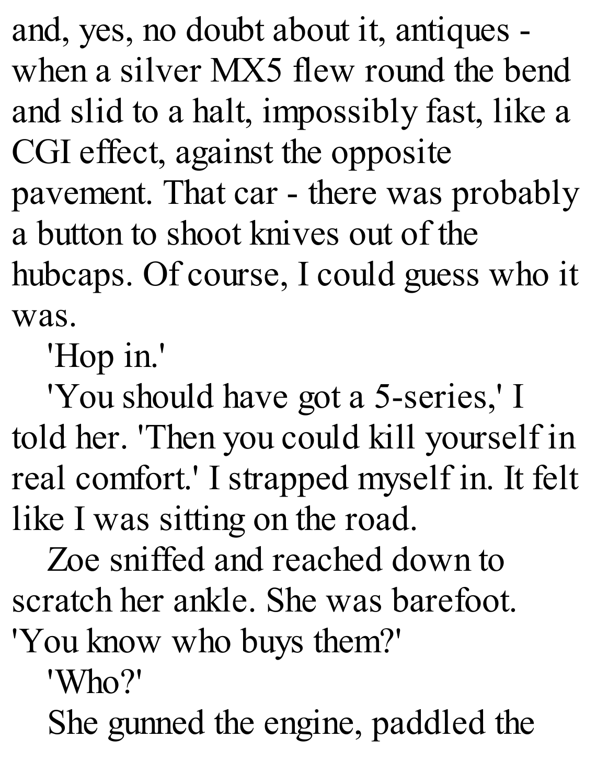and, yes, no doubt about it, antiques when a silver MX5 flew round the bend and slid to a halt, impossibly fast, like a CGI effect, against the opposite pavement. That car - there was probably a button to shoot knives out of the hubcaps. Of course, I could guess who it was.

'Hop in.'

'You should have got a 5-series,' I told her. 'Then you could kill yourself in real comfort.' I strapped myself in. It felt like I was sitting on the road.

Zoe sniffed and reached down to scratch her ankle. She was barefoot. 'You know who buys them?'

'Who?'

She gunned the engine, paddled the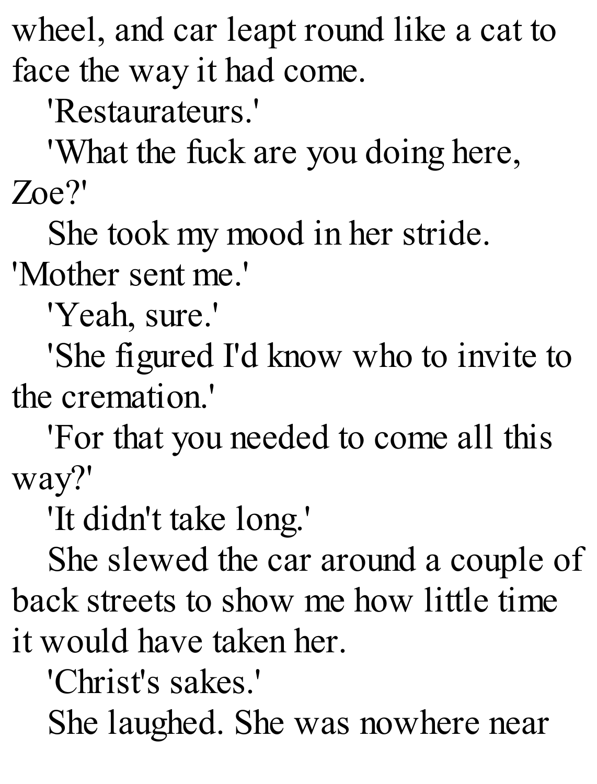wheel, and car leapt round like a cat to face the way it had come.

'Restaurateurs.'

'What the fuck are you doing here, Zoe?'

She took my mood in her stride.

'Mother sent me.'

'Yeah, sure.'

'She figured I'd know who to invite to the cremation.'

'For that you needed to come all this way?'

'It didn't take long.'

She slewed the car around a couple of back streets to show me how little time it would have taken her.

'Christ's sakes.'

She laughed. She was nowhere near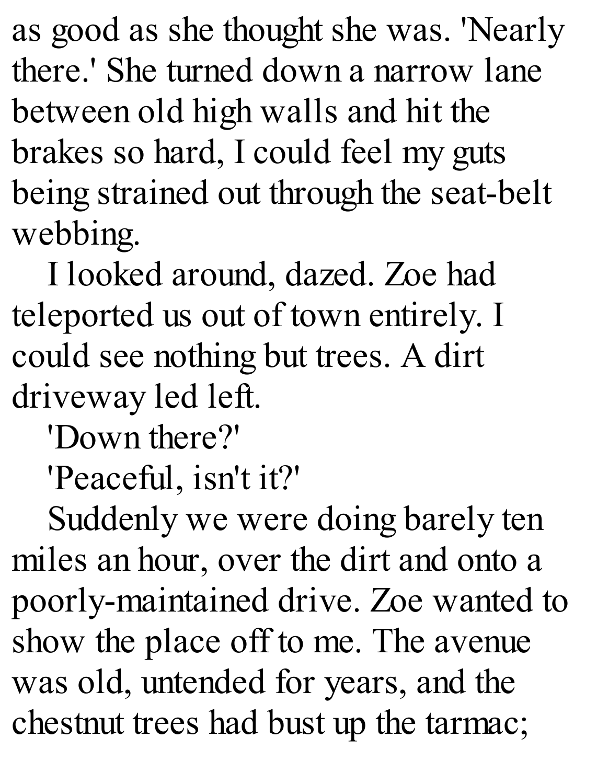as good as she thought she was. 'Nearly there.' She turned down a narrow lane between old high walls and hit the brakes so hard, I could feel my guts being strained out through the seat-belt webbing.

I looked around, dazed. Zoe had teleported us out of town entirely. I could see nothing but trees. A dirt driveway led left.

'Down there?'

'Peaceful, isn't it?'

Suddenly we were doing barely ten miles an hour, over the dirt and onto a poorly-maintained drive. Zoe wanted to show the place off to me. The avenue was old, untended for years, and the chestnut trees had bust up the tarmac;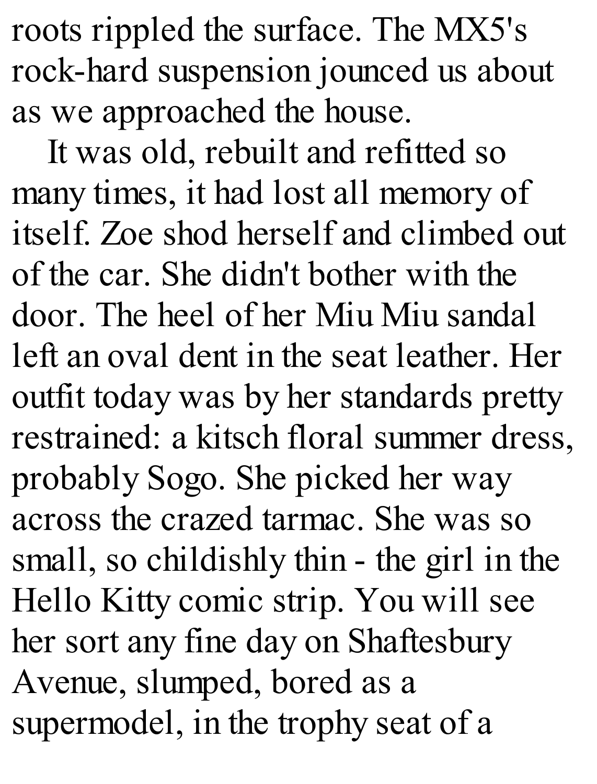roots rippled the surface. The MX5's rock-hard suspension jounced us about as we approached the house.

It was old, rebuilt and refitted so many times, it had lost all memory of itself. Zoe shod herself and climbed out of the car. She didn't bother with the door. The heel of her Miu Miu sandal left an oval dent in the seat leather. Her outfit today was by her standards pretty restrained: a kitsch floral summer dress, probably Sogo. She picked her way across the crazed tarmac. She was so small, so childishly thin - the girl in the Hello Kitty comic strip. You will see her sort any fine day on Shaftesbury Avenue, slumped, bored as a supermodel, in the trophy seat of a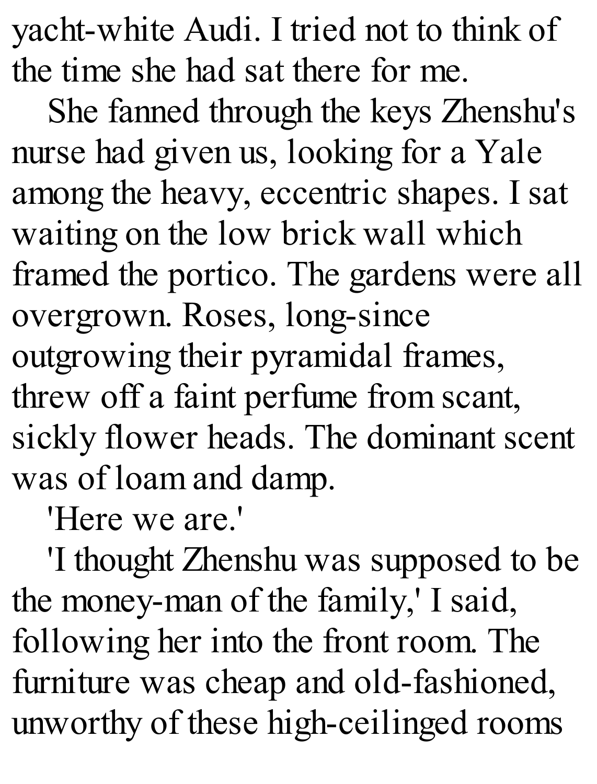yacht-white Audi. I tried not to think of the time she had sat there for me.

She fanned through the keys Zhenshu's nurse had given us, looking for a Yale among the heavy, eccentric shapes. I sat waiting on the low brick wall which framed the portico. The gardens were all overgrown. Roses, long-since outgrowing their pyramidal frames, threw off a faint perfume from scant, sickly flower heads. The dominant scent was of loam and damp.

'Here we are.'

'I thought Zhenshu was supposed to be the money-man of the family,' I said, following her into the front room. The furniture was cheap and old-fashioned, unworthy of these high-ceilinged rooms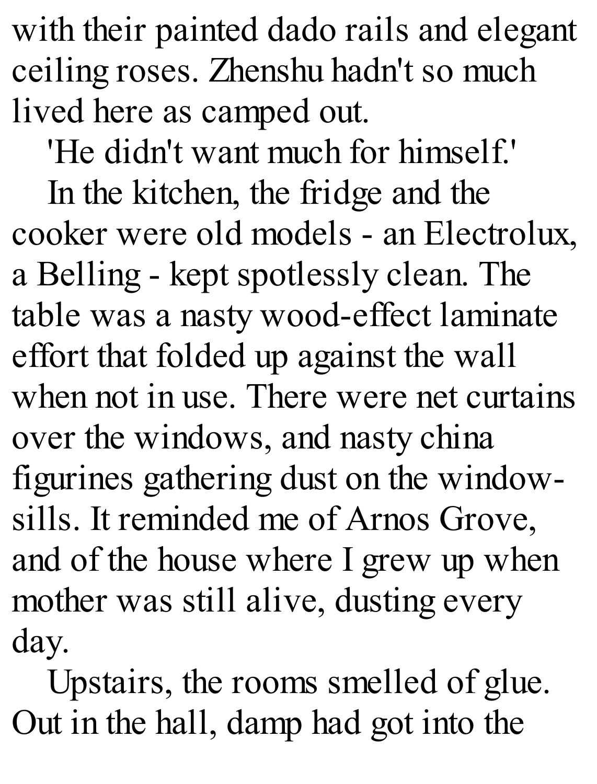with their painted dado rails and elegant ceiling roses. Zhenshu hadn't so much lived here as camped out.

'He didn't want much for himself.'

In the kitchen, the fridge and the cooker were old models - an Electrolux, a Belling - kept spotlessly clean. The table was a nasty wood-effect laminate effort that folded up against the wall when not in use. There were net curtains over the windows, and nasty china figurines gathering dust on the windowsills. It reminded me of Arnos Grove, and of the house where I grew up when mother was still alive, dusting every day.

Upstairs, the rooms smelled of glue. Out in the hall, damp had got into the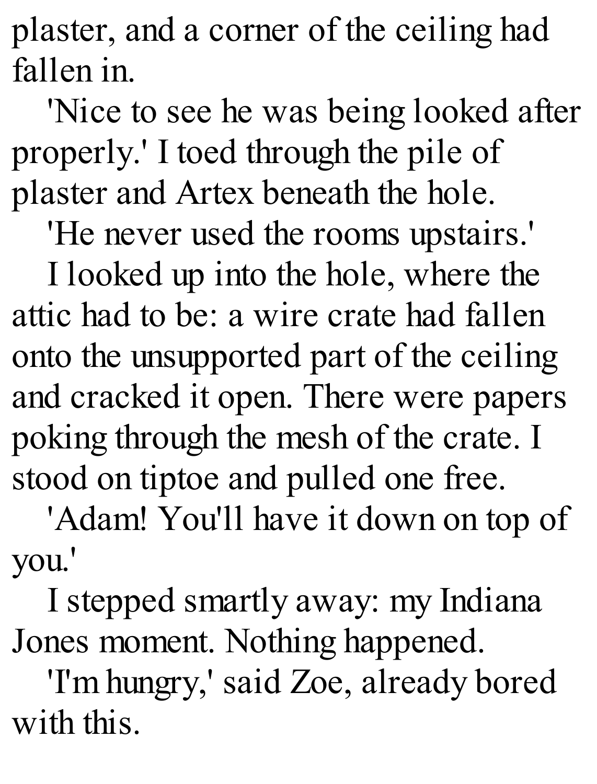plaster, and a corner of the ceiling had fallen in.

'Nice to see he was being looked after properly.' I toed through the pile of plaster and Artex beneath the hole.

'He never used the rooms upstairs.'

I looked up into the hole, where the attic had to be: a wire crate had fallen onto the unsupported part of the ceiling and cracked it open. There were papers poking through the mesh of the crate. I stood on tiptoe and pulled one free.

'Adam! You'll have it down on top of you.'

I stepped smartly away: my Indiana Jones moment. Nothing happened.

'I'm hungry,' said Zoe, already bored with this.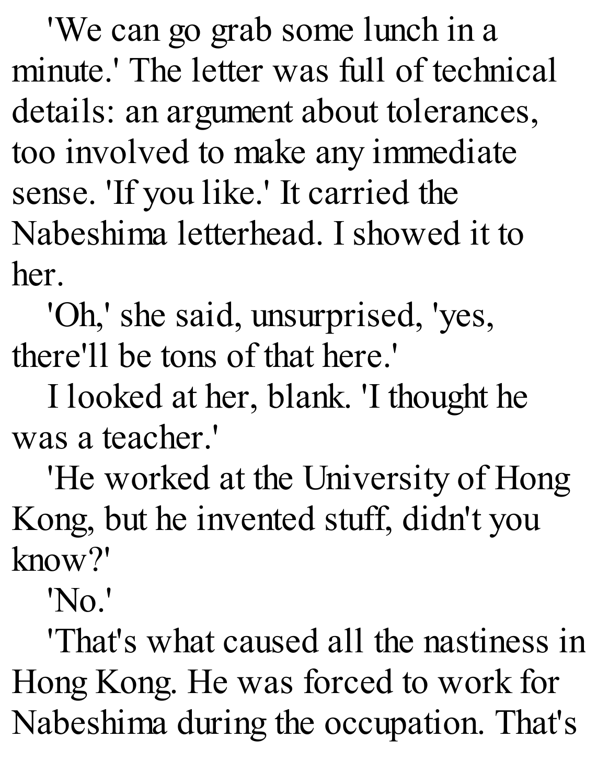'We can go grab some lunch in a minute.' The letter was full of technical details: an argument about tolerances, too involved to make any immediate sense. 'If you like.' It carried the Nabeshima letterhead. I showed it to her.

'Oh,' she said, unsurprised, 'yes, there'll be tons of that here.'

I looked at her, blank. 'I thought he was a teacher.'

'He worked at the University of Hong Kong, but he invented stuff, didn't you know?'

'No.'

'That's what caused all the nastiness in Hong Kong. He was forced to work for Nabeshima during the occupation. That's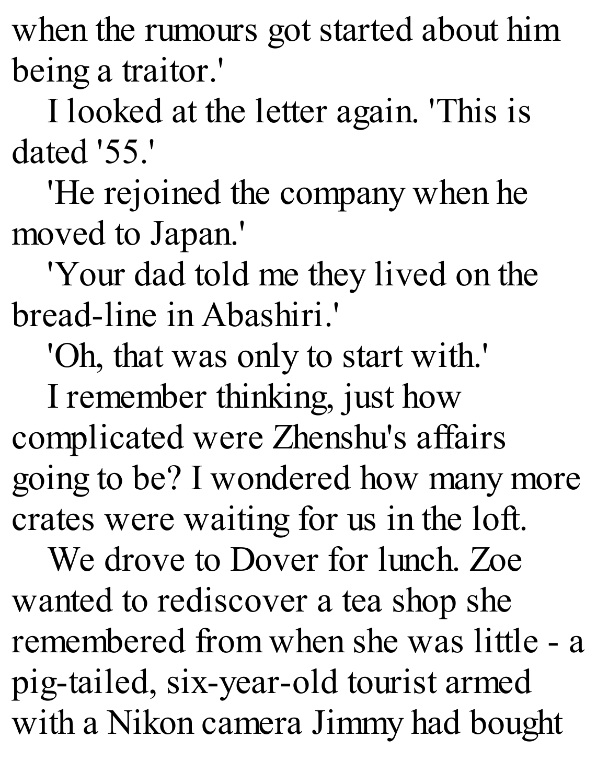when the rumours got started about him being a traitor.'

I looked at the letter again. 'This is dated '55.'

'He rejoined the company when he moved to Japan.'

'Your dad told me they lived on the bread-line in Abashiri.'

'Oh, that was only to start with.'

I remember thinking, just how complicated were Zhenshu's affairs going to be? I wondered how many more crates were waiting for us in the loft.

We drove to Dover for lunch. Zoe wanted to rediscover a tea shop she remembered from when she was little - a pig-tailed, six-year-old tourist armed with a Nikon camera Jimmy had bought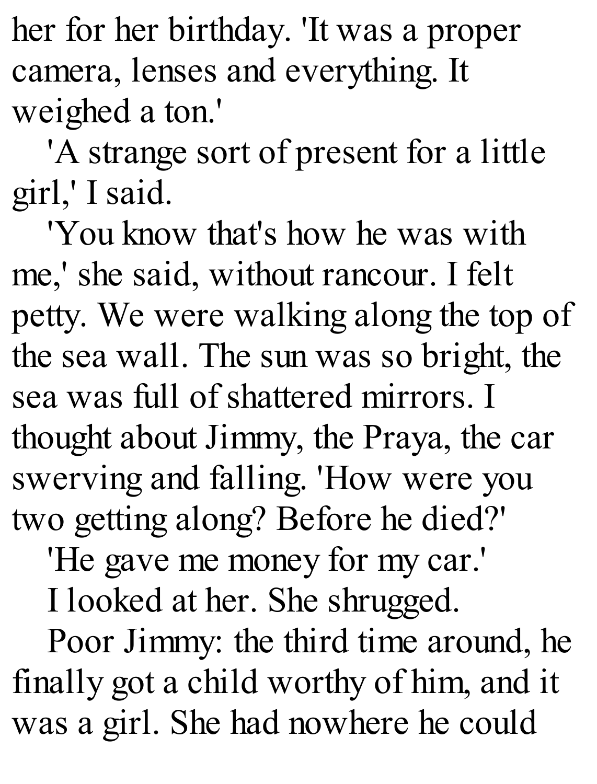her for her birthday. 'It was a proper camera, lenses and everything. It weighed a ton.'

'A strange sort of present for a little girl,' I said.

'You know that's how he was with me,' she said, without rancour. I felt petty. We were walking along the top of the sea wall. The sun was so bright, the sea was full of shattered mirrors. I thought about Jimmy, the Praya, the car swerving and falling. 'How were you two getting along? Before he died?'

'He gave me money for my car.' I looked at her. She shrugged.

Poor Jimmy: the third time around, he finally got a child worthy of him, and it was a girl. She had nowhere he could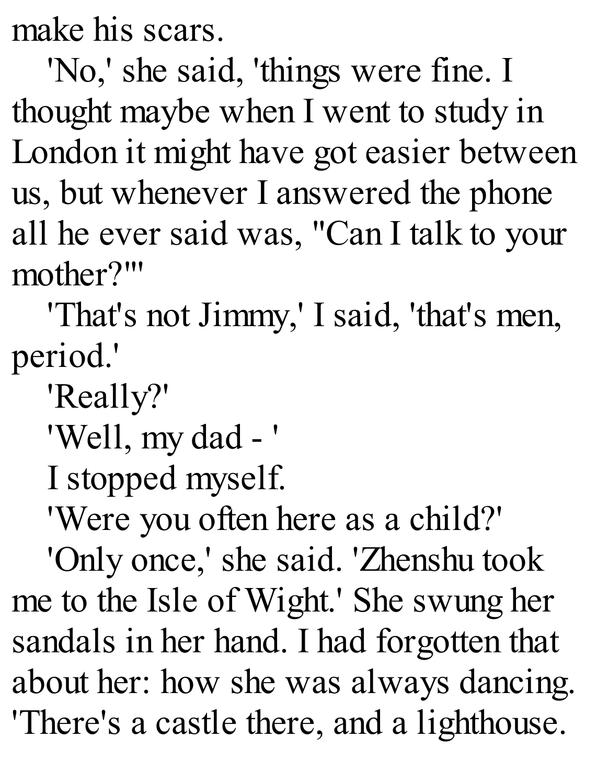make his scars.

'No,' she said, 'things were fine. I thought maybe when I went to study in London it might have got easier between us, but whenever I answered the phone all he ever said was, "Can I talk to your mother?"'

'That's not Jimmy,' I said, 'that's men, period.'

'Really?'

'Well, my dad - '

I stopped myself.

'Were you often here as a child?'

'Only once,' she said. 'Zhenshu took me to the Isle of Wight.' She swung her sandals in her hand. I had forgotten that about her: how she was always dancing. 'There's a castle there, and a lighthouse.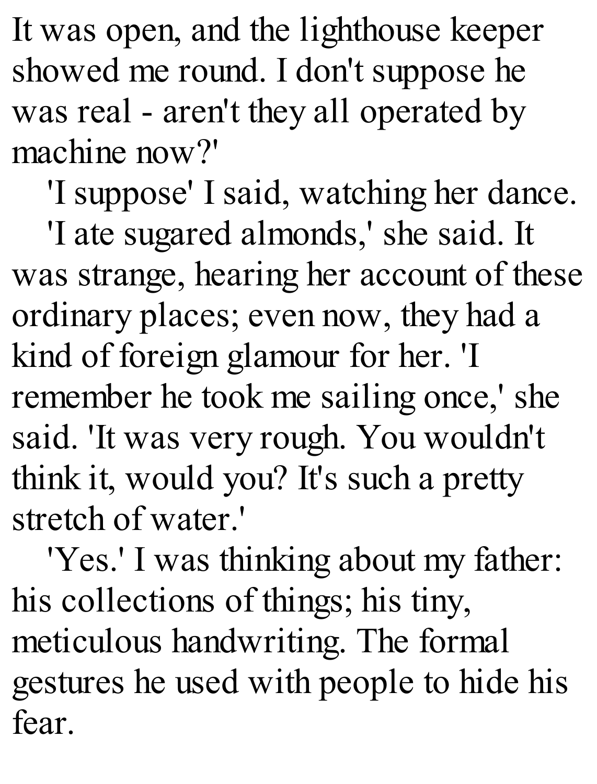It was open, and the lighthouse keeper showed me round. I don't suppose he was real - aren't they all operated by machine now?'

'I suppose' I said, watching her dance.

'I ate sugared almonds,' she said. It was strange, hearing her account of these ordinary places; even now, they had a kind of foreign glamour for her. 'I remember he took me sailing once,' she said. 'It was very rough. You wouldn't think it, would you? It's such a pretty stretch of water.'

'Yes.' I was thinking about my father: his collections of things; his tiny, meticulous handwriting. The formal gestures he used with people to hide his fear.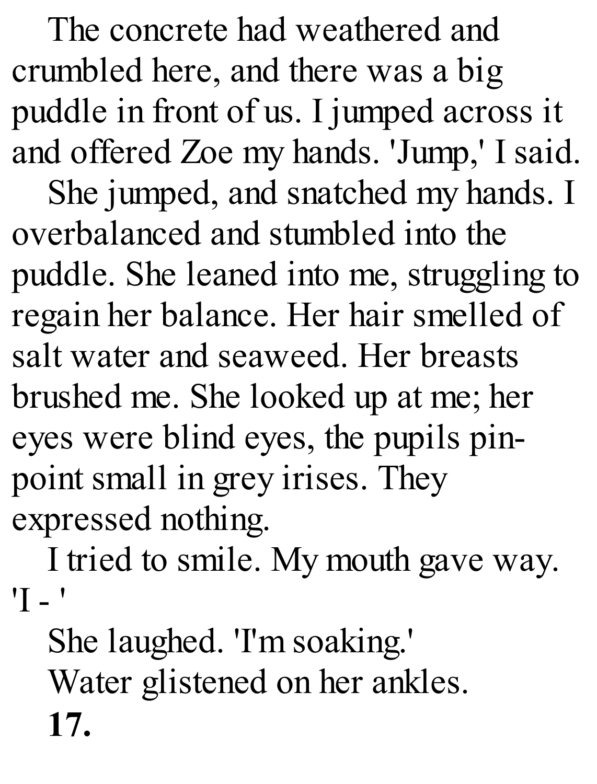The concrete had weathered and crumbled here, and there was a big puddle in front of us. I jumped across it and offered Zoe my hands. 'Jump,' I said.

She jumped, and snatched my hands. I overbalanced and stumbled into the puddle. She leaned into me, struggling to regain her balance. Her hair smelled of salt water and seaweed. Her breasts brushed me. She looked up at me; her eyes were blind eyes, the pupils pinpoint small in grey irises. They expressed nothing.

I tried to smile. My mouth gave way.  $'I - '$ 

She laughed. 'I'm soaking.' Water glistened on her ankles. **17.**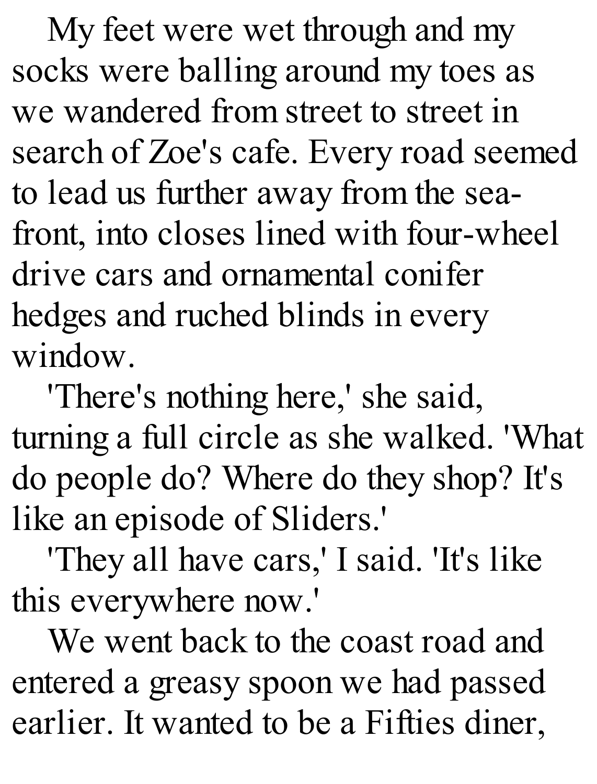My feet were wet through and my socks were balling around my toes as we wandered from street to street in search of Zoe's cafe. Every road seemed to lead us further away from the seafront, into closes lined with four-wheel drive cars and ornamental conifer hedges and ruched blinds in every window.

'There's nothing here,' she said, turning a full circle as she walked. 'What do people do? Where do they shop? It's like an episode of Sliders.'

'They all have cars,' I said. 'It's like this everywhere now.'

We went back to the coast road and entered a greasy spoon we had passed earlier. It wanted to be a Fifties diner,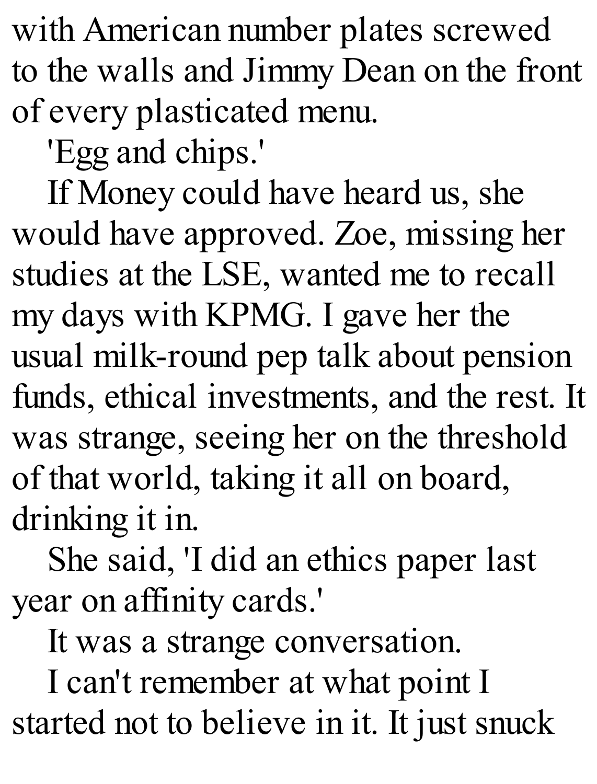with American number plates screwed to the walls and Jimmy Dean on the front of every plasticated menu.

'Egg and chips.'

If Money could have heard us, she would have approved. Zoe, missing her studies at the LSE, wanted me to recall my days with KPMG. I gave her the usual milk-round pep talk about pension funds, ethical investments, and the rest. It was strange, seeing her on the threshold of that world, taking it all on board, drinking it in.

She said, 'I did an ethics paper last year on affinity cards.'

It was a strange conversation.

I can't remember at what point I started not to believe in it. It just snuck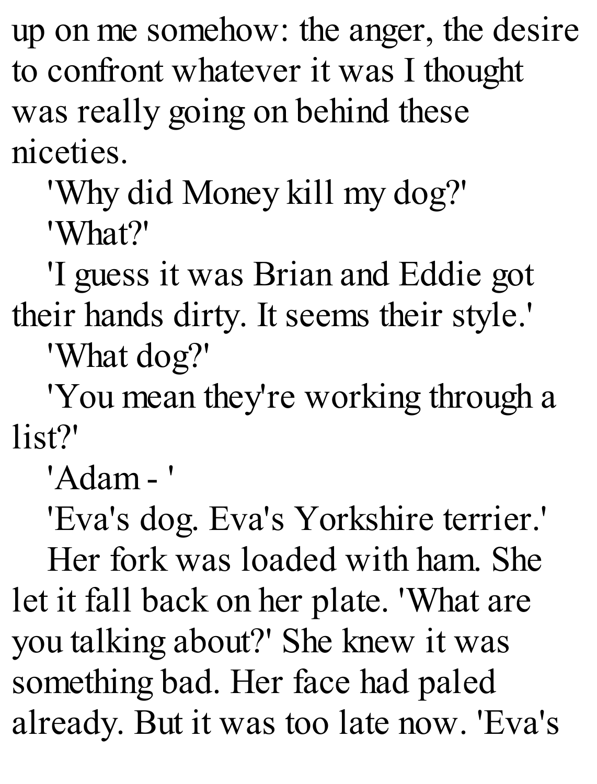up on me somehow: the anger, the desire to confront whatever it was I thought was really going on behind these niceties.

'Why did Money kill my dog?' 'What?'

'I guess it was Brian and Eddie got their hands dirty. It seems their style.'

'What dog?'

'You mean they're working through a list?'

'Adam - '

'Eva's dog. Eva's Yorkshire terrier.'

Her fork was loaded with ham. She let it fall back on her plate. 'What are you talking about?' She knew it was something bad. Her face had paled already. But it was too late now. 'Eva's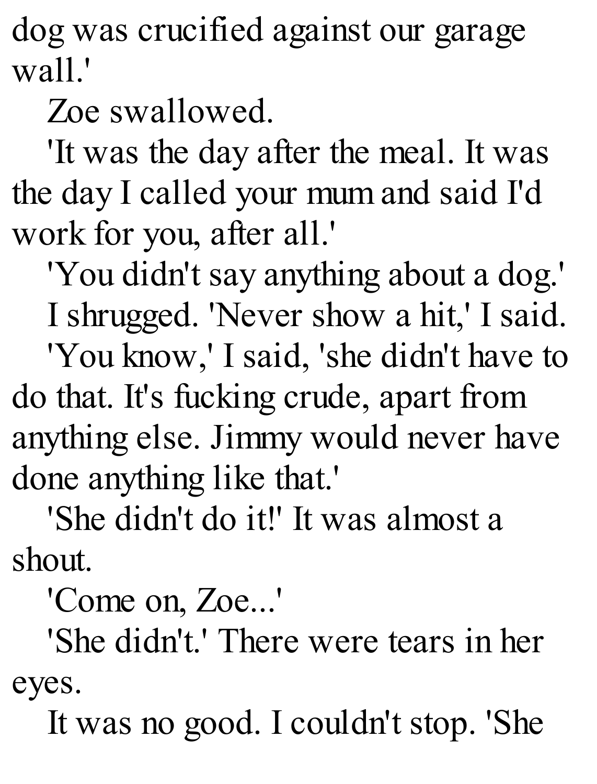dog was crucified against our garage wall<sup>'</sup>

Zoe swallowed.

'It was the day after the meal. It was the day I called your mum and said I'd work for you, after all.'

'You didn't say anything about a dog.' I shrugged. 'Never show a hit,' I said.

'You know,' I said, 'she didn't have to do that. It's fucking crude, apart from anything else. Jimmy would never have done anything like that.'

'She didn't do it!' It was almost a shout.

'Come on, Zoe...'

'She didn't.' There were tears in her eyes.

It was no good. I couldn't stop. 'She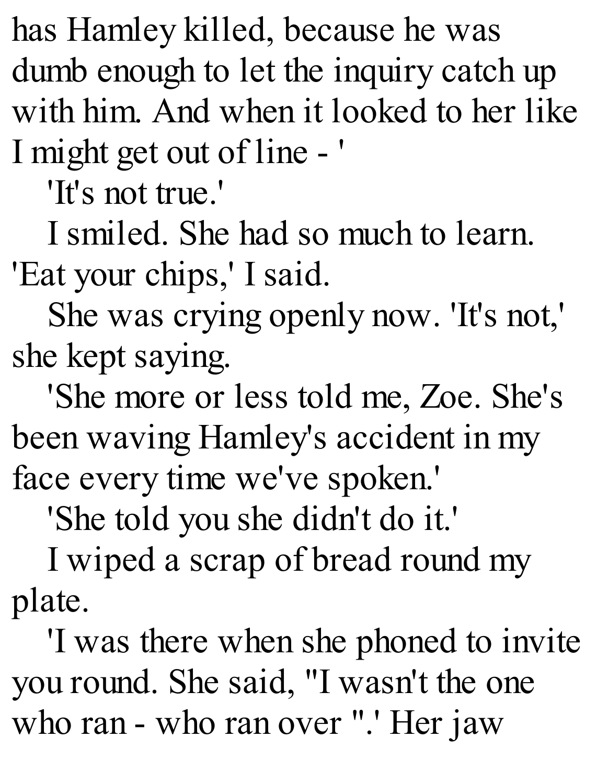has Hamley killed, because he was dumb enough to let the inquiry catch up with him. And when it looked to her like I might get out of line - '

'It's not true.'

I smiled. She had so much to learn. 'Eat your chips,' I said.

She was crying openly now. 'It's not,' she kept saying.

'She more or less told me, Zoe. She's been waving Hamley's accident in my face every time we've spoken.'

'She told you she didn't do it.'

I wiped a scrap of bread round my plate.

'I was there when she phoned to invite you round. She said, "I wasn't the one who ran - who ran over ".' Her jaw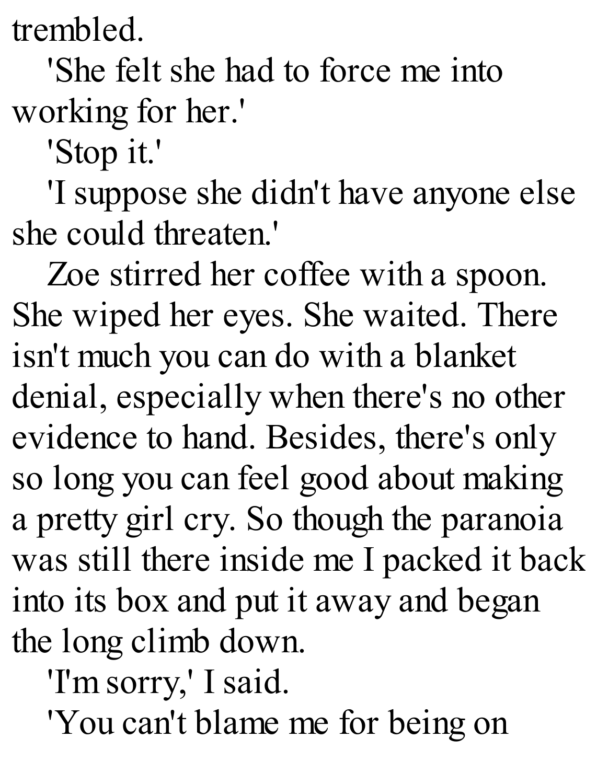trembled.

'She felt she had to force me into working for her.'

'Stop it.'

'I suppose she didn't have anyone else she could threaten.'

Zoe stirred her coffee with a spoon. She wiped her eyes. She waited. There isn't much you can do with a blanket denial, especially when there's no other evidence to hand. Besides, there's only so long you can feel good about making a pretty girl cry. So though the paranoia was still there inside me I packed it back into its box and put it away and began the long climb down.

'I'm sorry,' I said.

'You can't blame me for being on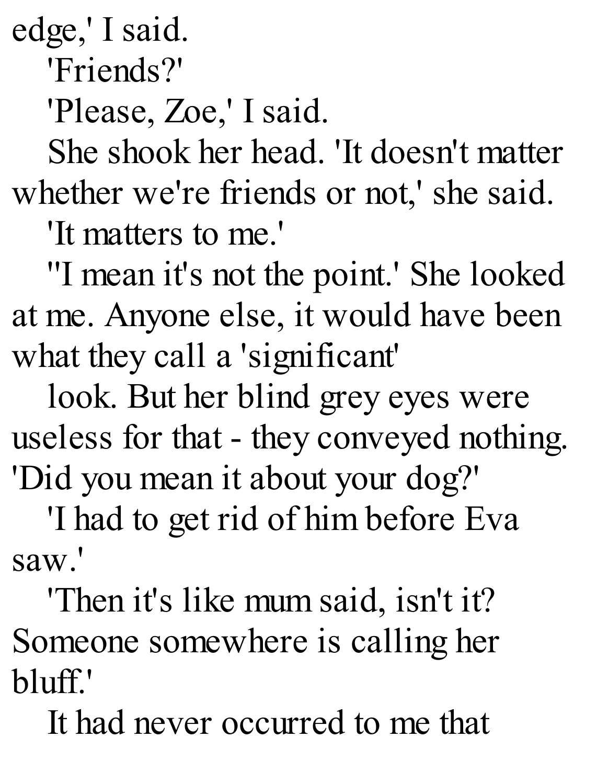edge,' I said. 'Friends?'

'Please, Zoe,' I said.

She shook her head. 'It doesn't matter whether we're friends or not,' she said. 'It matters to me.'

''I mean it's not the point.' She looked at me. Anyone else, it would have been what they call a 'significant'

look. But her blind grey eyes were useless for that - they conveyed nothing. 'Did you mean it about your dog?'

'I had to get rid of him before Eva saw.'

'Then it's like mum said, isn't it? Someone somewhere is calling her bluff.'

It had never occurred to me that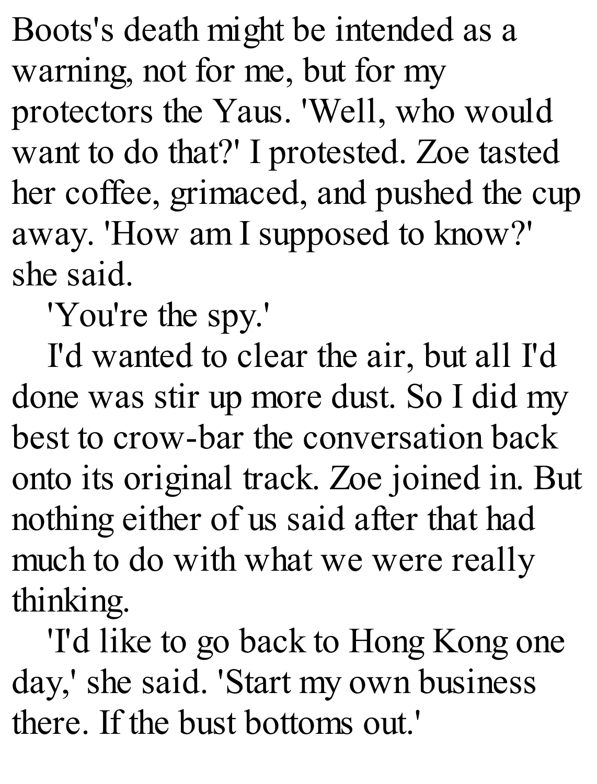Boots's death might be intended as a warning, not for me, but for my protectors the Yaus. 'Well, who would want to do that?' I protested. Zoe tasted her coffee, grimaced, and pushed the cup away. 'How am I supposed to know?' she said.

'You're the spy.'

I'd wanted to clear the air, but all I'd done was stir up more dust. So I did my best to crow-bar the conversation back onto its original track. Zoe joined in. But nothing either of us said after that had much to do with what we were really thinking.

'I'd like to go back to Hong Kong one day,' she said. 'Start my own business there. If the bust bottoms out.'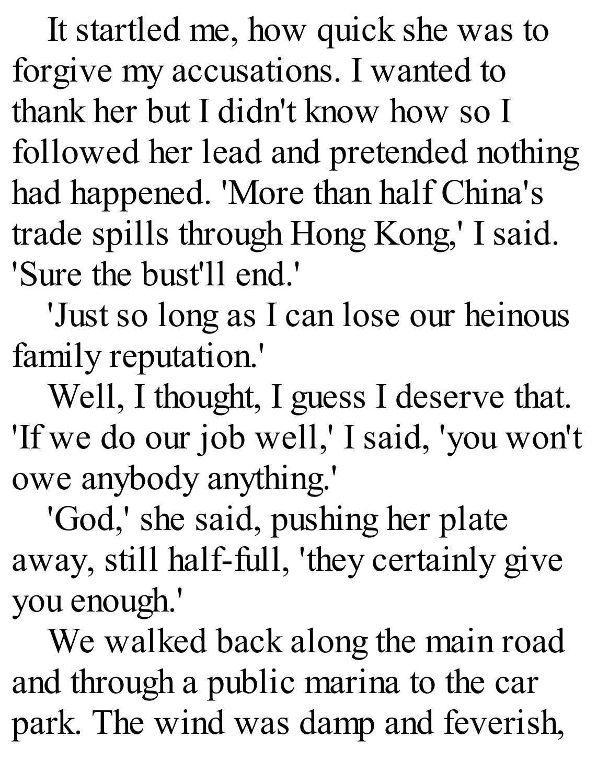It startled me, how quick she was to forgive my accusations. I wanted to thank her but I didn't know how so I followed her lead and pretended nothing had happened. 'More than half China's trade spills through Hong Kong,' I said. 'Sure the bust'll end.'

'Just so long as I can lose our heinous family reputation.'

Well, I thought, I guess I deserve that. 'If we do our job well,' I said, 'you won't owe anybody anything.'

'God,' she said, pushing her plate away, still half-full, 'they certainly give you enough.'

We walked back along the main road and through a public marina to the car park. The wind was damp and feverish,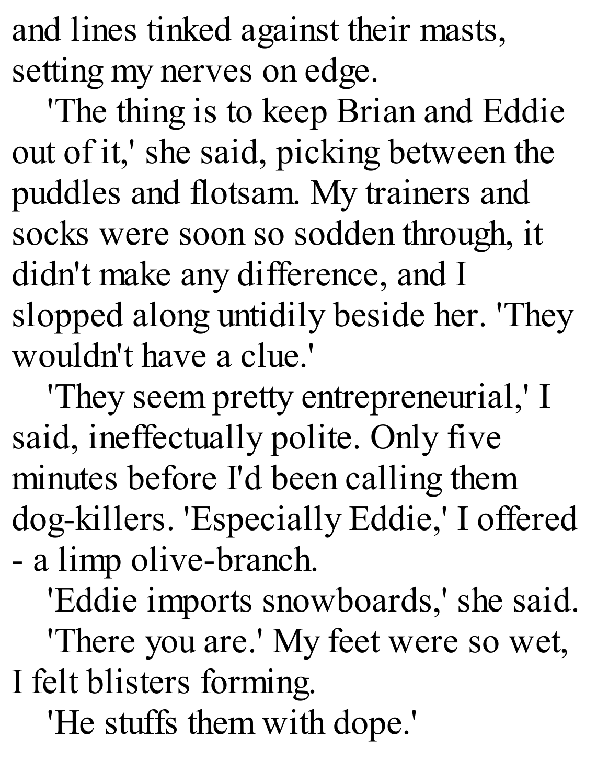and lines tinked against their masts, setting my nerves on edge.

'The thing is to keep Brian and Eddie out of it,' she said, picking between the puddles and flotsam. My trainers and socks were soon so sodden through, it didn't make any difference, and I slopped along untidily beside her. 'They wouldn't have a clue.'

'They seem pretty entrepreneurial,' I said, ineffectually polite. Only five minutes before I'd been calling them dog-killers. 'Especially Eddie,' I offered - a limp olive-branch.

'Eddie imports snowboards,' she said. 'There you are.' My feet were so wet, I felt blisters forming.

'He stuffs them with dope.'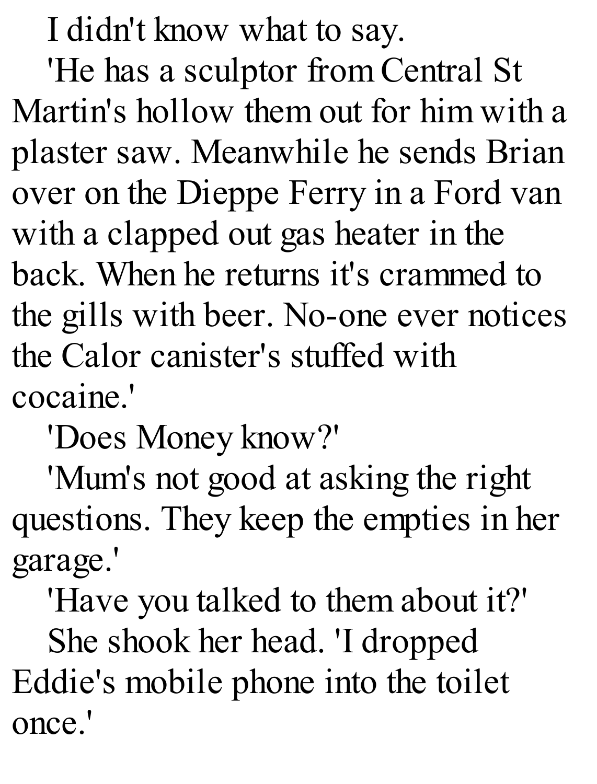I didn't know what to say.

'He has a sculptor from Central St Martin's hollow them out for him with a plaster saw. Meanwhile he sends Brian over on the Dieppe Ferry in a Ford van with a clapped out gas heater in the back. When he returns it's crammed to the gills with beer. No-one ever notices the Calor canister's stuffed with cocaine.'

'Does Money know?'

'Mum's not good at asking the right questions. They keep the empties in her garage.'

'Have you talked to them about it?'

She shook her head. 'I dropped Eddie's mobile phone into the toilet once.'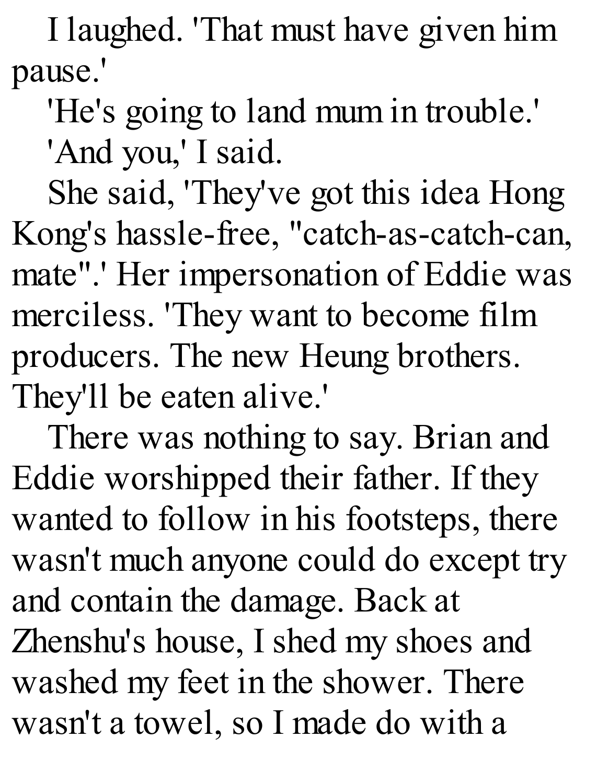I laughed. 'That must have given him pause.'

'He's going to land mum in trouble.'

'And you,' I said.

She said, 'They've got this idea Hong Kong's hassle-free, "catch-as-catch-can, mate".' Her impersonation of Eddie was merciless. 'They want to become film producers. The new Heung brothers. They'll be eaten alive.'

There was nothing to say. Brian and Eddie worshipped their father. If they wanted to follow in his footsteps, there wasn't much anyone could do except try and contain the damage. Back at Zhenshu's house, I shed my shoes and washed my feet in the shower. There wasn't a towel, so I made do with a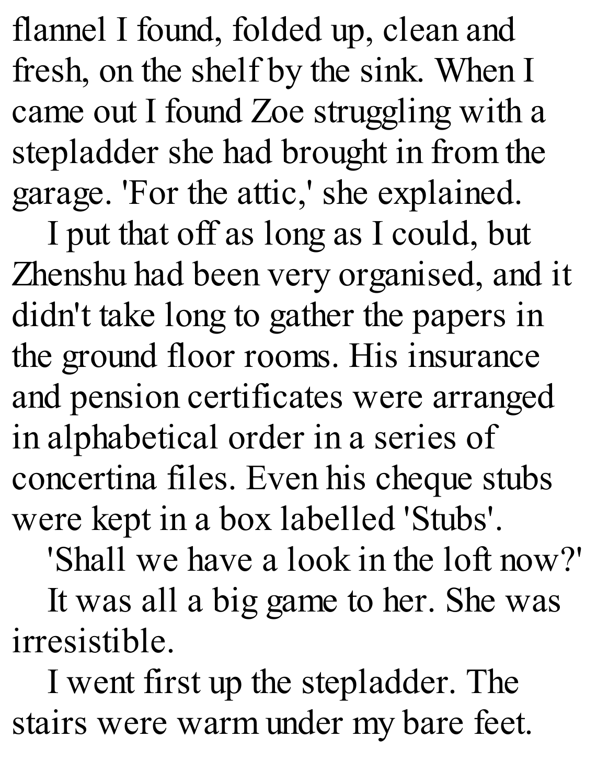flannel I found, folded up, clean and fresh, on the shelf by the sink. When I came out I found Zoe struggling with a stepladder she had brought in from the garage. 'For the attic,' she explained.

I put that off as long as I could, but Zhenshu had been very organised, and it didn't take long to gather the papers in the ground floor rooms. His insurance and pension certificates were arranged in alphabetical order in a series of concertina files. Even his cheque stubs were kept in a box labelled 'Stubs'.

'Shall we have a look in the loft now?'

It was all a big game to her. She was irresistible.

I went first up the stepladder. The stairs were warm under my bare feet.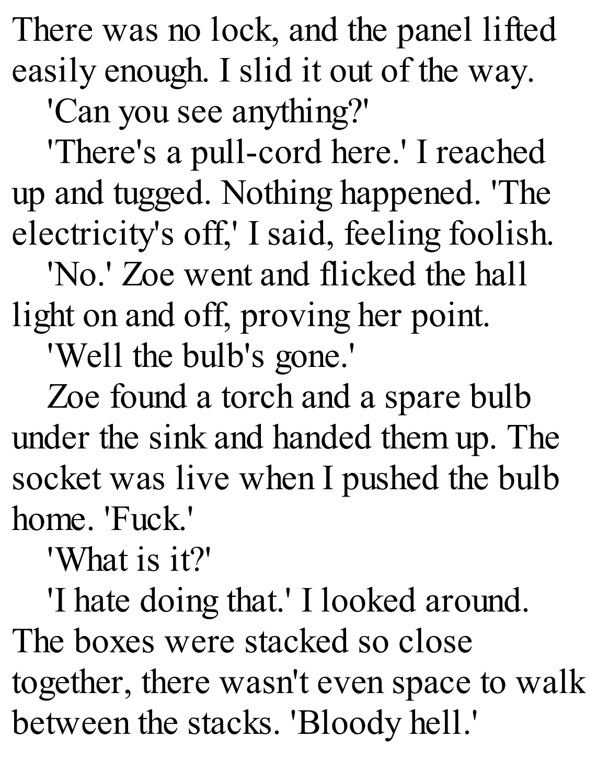There was no lock, and the panel lifted easily enough. I slid it out of the way. 'Can you see anything?'

'There's a pull-cord here.' I reached up and tugged. Nothing happened. 'The electricity's off,' I said, feeling foolish.

'No.' Zoe went and flicked the hall light on and off, proving her point.

'Well the bulb's gone.'

Zoe found a torch and a spare bulb under the sink and handed them up. The socket was live when I pushed the bulb home. 'Fuck.'

'What is it?'

'I hate doing that.' I looked around. The boxes were stacked so close together, there wasn't even space to walk between the stacks. 'Bloody hell.'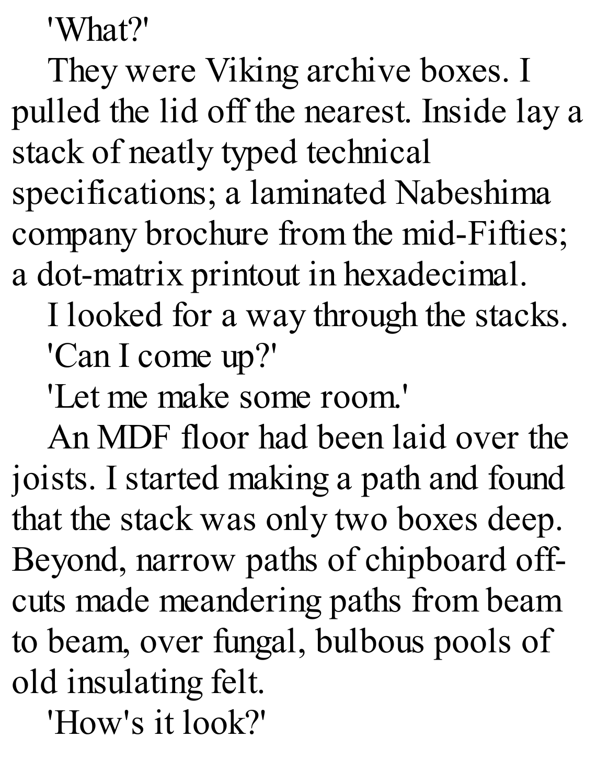'What?'

They were Viking archive boxes. I pulled the lid off the nearest. Inside lay a stack of neatly typed technical specifications; a laminated Nabeshima company brochure from the mid-Fifties; a dot-matrix printout in hexadecimal.

I looked for a way through the stacks. 'Can I come up?'

'Let me make some room.'

An MDF floor had been laid over the joists. I started making a path and found that the stack was only two boxes deep. Beyond, narrow paths of chipboard offcuts made meandering paths from beam to beam, over fungal, bulbous pools of old insulating felt.

'How's it look?'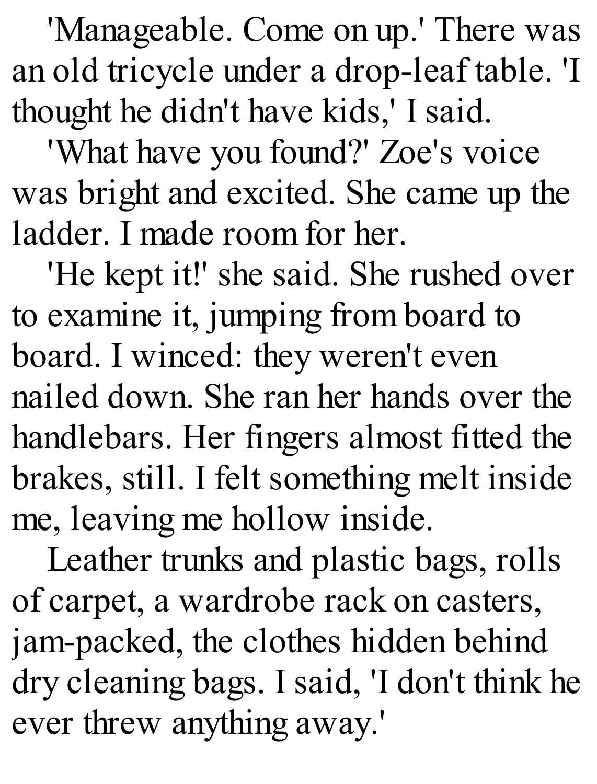'Manageable. Come on up.' There was an old tricycle under a drop-leaf table. 'I thought he didn't have kids,' I said.

'What have you found?' Zoe's voice was bright and excited. She came up the ladder. I made room for her.

'He kept it!' she said. She rushed over to examine it, jumping from board to board. I winced: they weren't even nailed down. She ran her hands over the handlebars. Her fingers almost fitted the brakes, still. I felt something melt inside me, leaving me hollow inside.

Leather trunks and plastic bags, rolls of carpet, a wardrobe rack on casters, jam-packed, the clothes hidden behind dry cleaning bags. I said, 'I don't think he ever threw anything away.'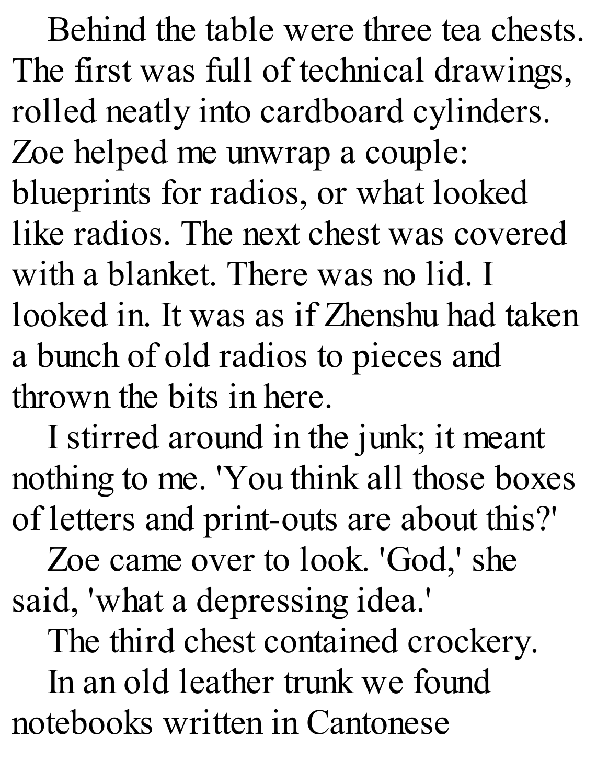Behind the table were three tea chests. The first was full of technical drawings, rolled neatly into cardboard cylinders. Zoe helped me unwrap a couple: blueprints for radios, or what looked like radios. The next chest was covered with a blanket. There was no lid. I looked in. It was as if Zhenshu had taken a bunch of old radios to pieces and thrown the bits in here.

I stirred around in the junk; it meant nothing to me. 'You think all those boxes of letters and print-outs are about this?'

Zoe came over to look. 'God,' she said, 'what a depressing idea.'

The third chest contained crockery. In an old leather trunk we found notebooks written in Cantonese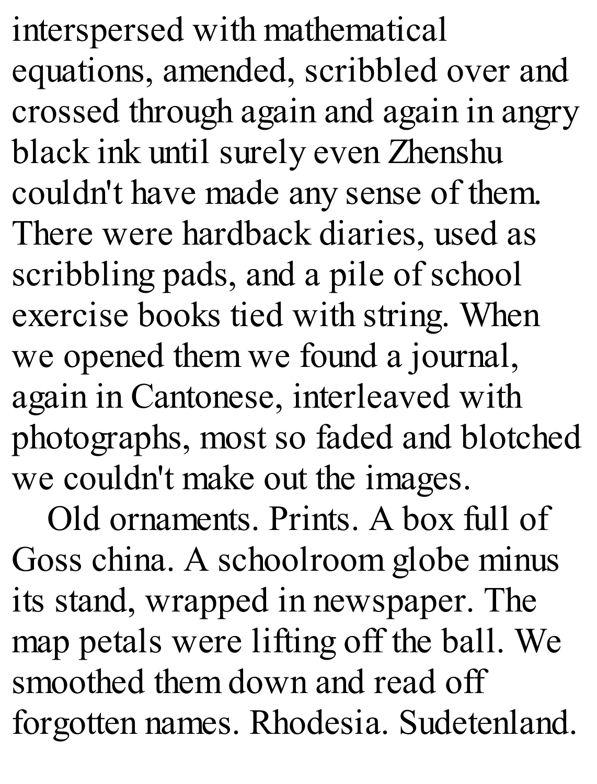interspersed with mathematical equations, amended, scribbled over and crossed through again and again in angry black ink until surely even Zhenshu couldn't have made any sense of them. There were hardback diaries, used as scribbling pads, and a pile of school exercise books tied with string. When we opened them we found a journal, again in Cantonese, interleaved with photographs, most so faded and blotched we couldn't make out the images.

Old ornaments. Prints. A box full of Goss china. A schoolroom globe minus its stand, wrapped in newspaper. The map petals were lifting off the ball. We smoothed them down and read off forgotten names. Rhodesia. Sudetenland.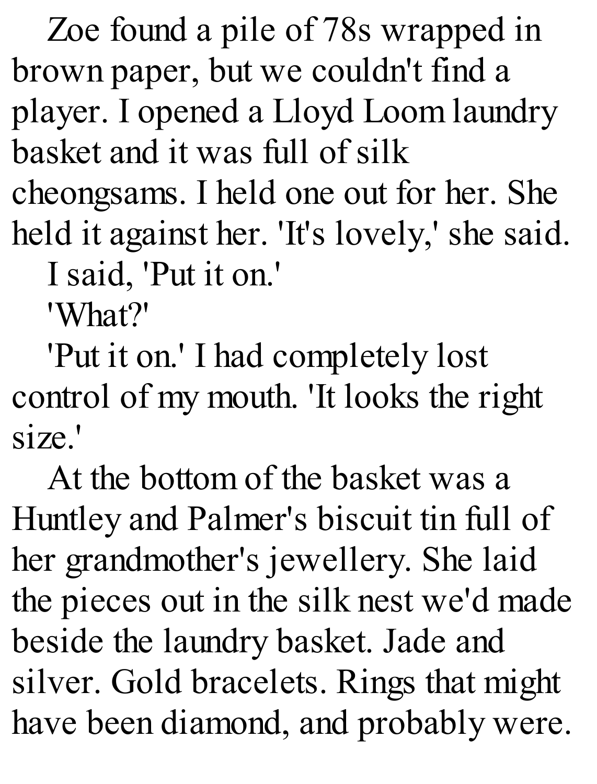Zoe found a pile of 78s wrapped in brown paper, but we couldn't find a player. I opened a Lloyd Loom laundry basket and it was full of silk

cheongsams. I held one out for her. She held it against her. 'It's lovely,' she said.

I said, 'Put it on.'

'What?'

'Put it on.' I had completely lost control of my mouth. 'It looks the right size.'

At the bottom of the basket was a Huntley and Palmer's biscuit tin full of her grandmother's jewellery. She laid the pieces out in the silk nest we'd made beside the laundry basket. Jade and silver. Gold bracelets. Rings that might have been diamond, and probably were.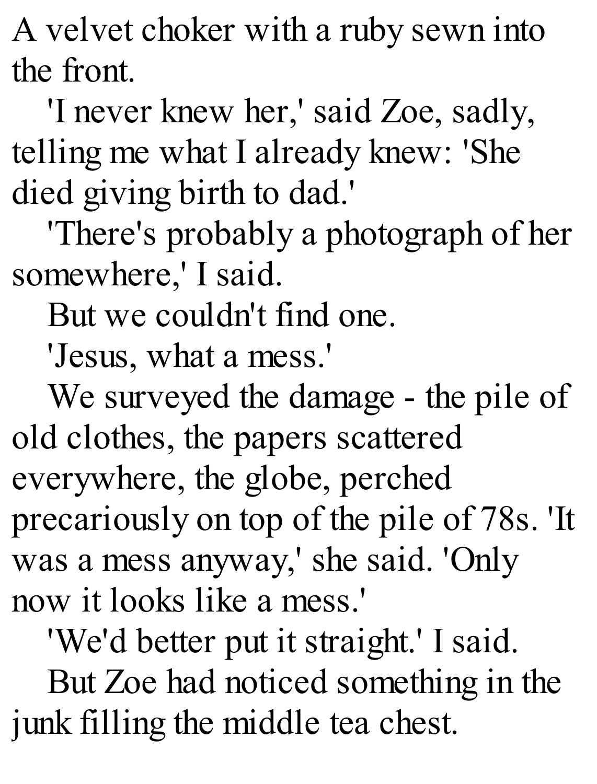A velvet choker with a ruby sewn into the front.

'I never knew her,' said Zoe, sadly, telling me what I already knew: 'She died giving birth to dad.'

'There's probably a photograph of her somewhere,' I said.

But we couldn't find one.

'Jesus, what a mess.'

We surveyed the damage - the pile of old clothes, the papers scattered everywhere, the globe, perched precariously on top of the pile of 78s. 'It was a mess anyway,' she said. 'Only now it looks like a mess.'

'We'd better put it straight.' I said. But Zoe had noticed something in the junk filling the middle tea chest.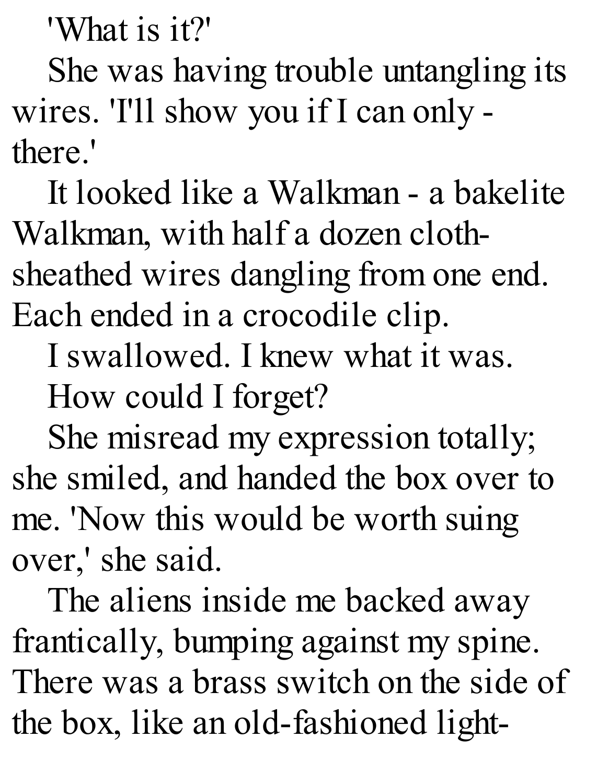'What is it?'

She was having trouble untangling its wires. 'I'll show you if I can only there.'

It looked like a Walkman - a bakelite Walkman, with half a dozen clothsheathed wires dangling from one end. Each ended in a crocodile clip.

I swallowed. I knew what it was.

How could I forget?

She misread my expression totally; she smiled, and handed the box over to me. 'Now this would be worth suing over,' she said.

The aliens inside me backed away frantically, bumping against my spine. There was a brass switch on the side of the box, like an old-fashioned light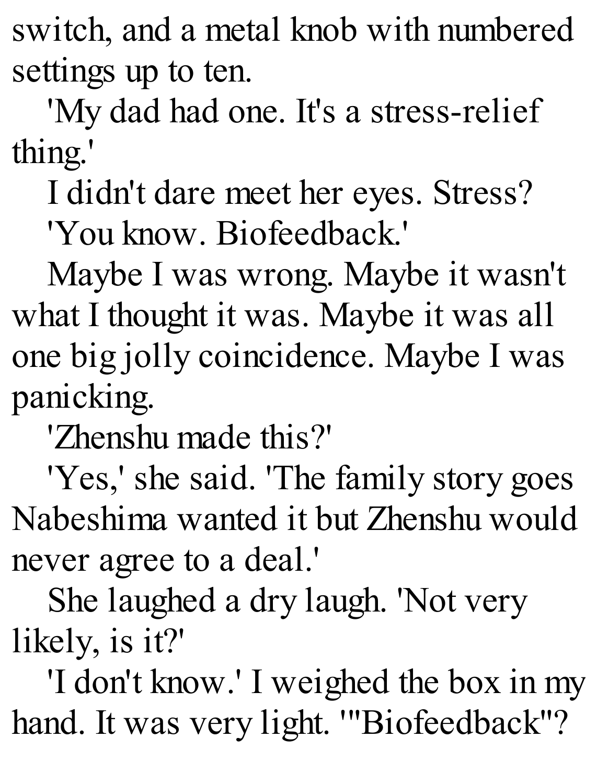switch, and a metal knob with numbered settings up to ten.

'My dad had one. It's a stress-relief thing.'

I didn't dare meet her eyes. Stress?

'You know. Biofeedback.'

Maybe I was wrong. Maybe it wasn't what I thought it was. Maybe it was all one big jolly coincidence. Maybe I was panicking.

'Zhenshu made this?'

'Yes,' she said. 'The family story goes Nabeshima wanted it but Zhenshu would never agree to a deal.'

She laughed a dry laugh. 'Not very likely, is it?'

'I don't know.' I weighed the box in my hand. It was very light. '"Biofeedback"?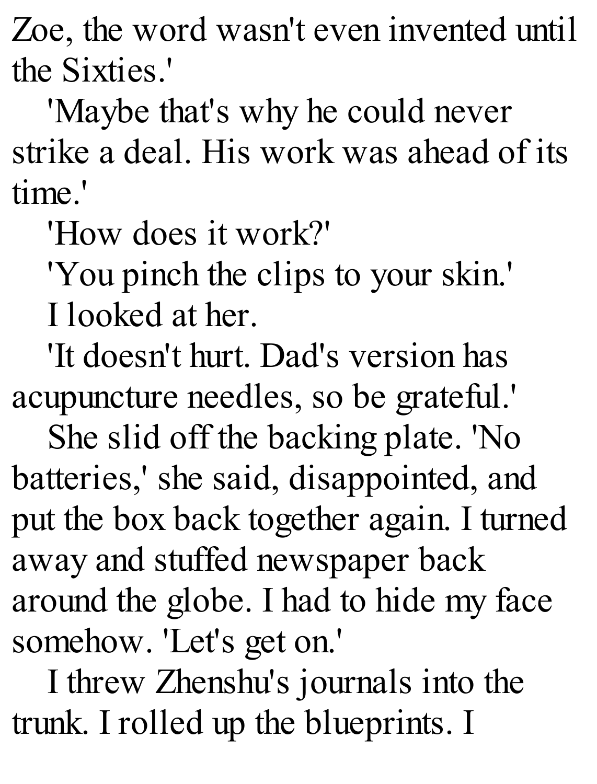Zoe, the word wasn't even invented until the Sixties.'

'Maybe that's why he could never strike a deal. His work was ahead of its time.'

'How does it work?'

'You pinch the clips to your skin.' I looked at her.

'It doesn't hurt. Dad's version has acupuncture needles, so be grateful.'

She slid off the backing plate. 'No batteries,' she said, disappointed, and put the box back together again. I turned away and stuffed newspaper back around the globe. I had to hide my face somehow. 'Let's get on.'

I threw Zhenshu's journals into the trunk. I rolled up the blueprints. I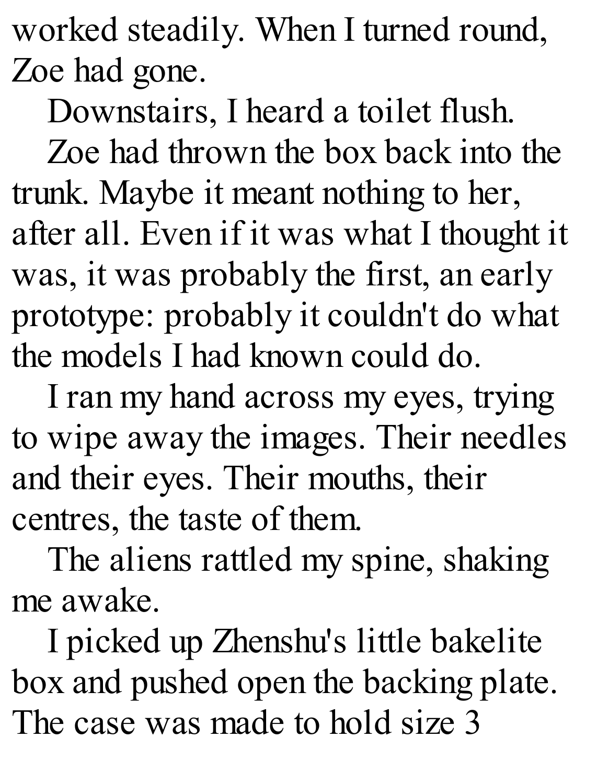worked steadily. When I turned round, Zoe had gone.

Downstairs, I heard a toilet flush.

Zoe had thrown the box back into the trunk. Maybe it meant nothing to her, after all. Even if it was what I thought it was, it was probably the first, an early prototype: probably it couldn't do what the models I had known could do.

I ran my hand across my eyes, trying to wipe away the images. Their needles and their eyes. Their mouths, their centres, the taste of them.

The aliens rattled my spine, shaking me awake.

I picked up Zhenshu's little bakelite box and pushed open the backing plate. The case was made to hold size 3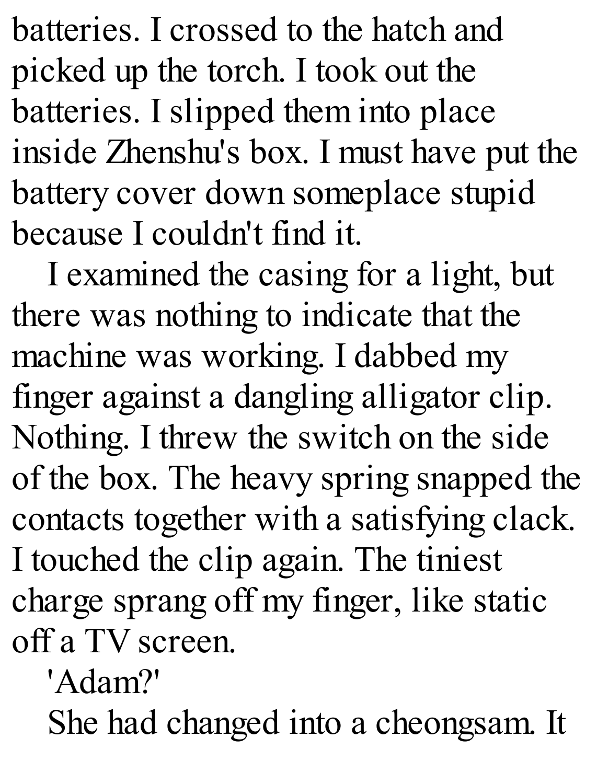batteries. I crossed to the hatch and picked up the torch. I took out the batteries. I slipped them into place inside Zhenshu's box. I must have put the battery cover down someplace stupid because I couldn't find it.

I examined the casing for a light, but there was nothing to indicate that the machine was working. I dabbed my finger against a dangling alligator clip. Nothing. I threw the switch on the side of the box. The heavy spring snapped the contacts together with a satisfying clack. I touched the clip again. The tiniest charge sprang off my finger, like static off a TV screen.

'Adam?'

She had changed into a cheongsam. It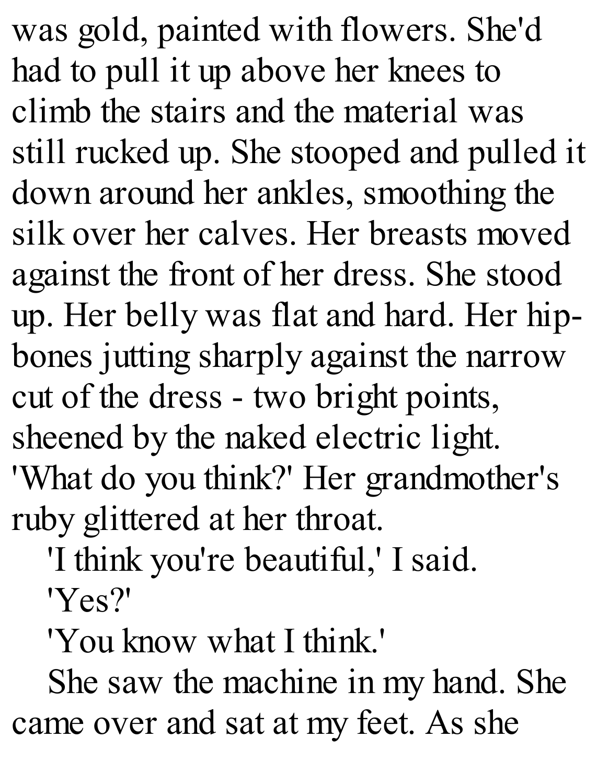was gold, painted with flowers. She'd had to pull it up above her knees to climb the stairs and the material was still rucked up. She stooped and pulled it down around her ankles, smoothing the silk over her calves. Her breasts moved against the front of her dress. She stood up. Her belly was flat and hard. Her hipbones jutting sharply against the narrow cut of the dress - two bright points, sheened by the naked electric light. 'What do you think?' Her grandmother's ruby glittered at her throat.

'I think you're beautiful,' I said. 'Yes?'

'You know what I think.'

She saw the machine in my hand. She came over and sat at my feet. As she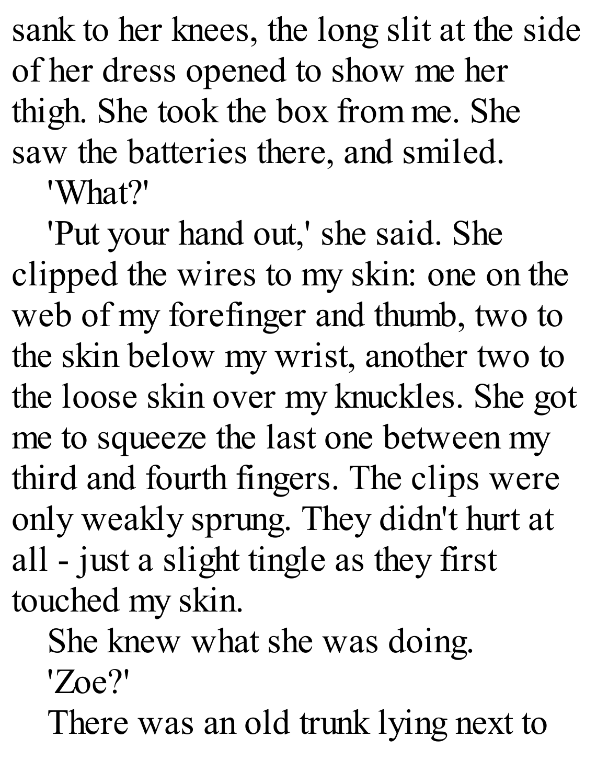sank to her knees, the long slit at the side of her dress opened to show me her thigh. She took the box from me. She saw the batteries there, and smiled.

'What?'

'Put your hand out,' she said. She clipped the wires to my skin: one on the web of my forefinger and thumb, two to the skin below my wrist, another two to the loose skin over my knuckles. She got me to squeeze the last one between my third and fourth fingers. The clips were only weakly sprung. They didn't hurt at all - just a slight tingle as they first touched my skin.

She knew what she was doing.

'Zoe?'

There was an old trunk lying next to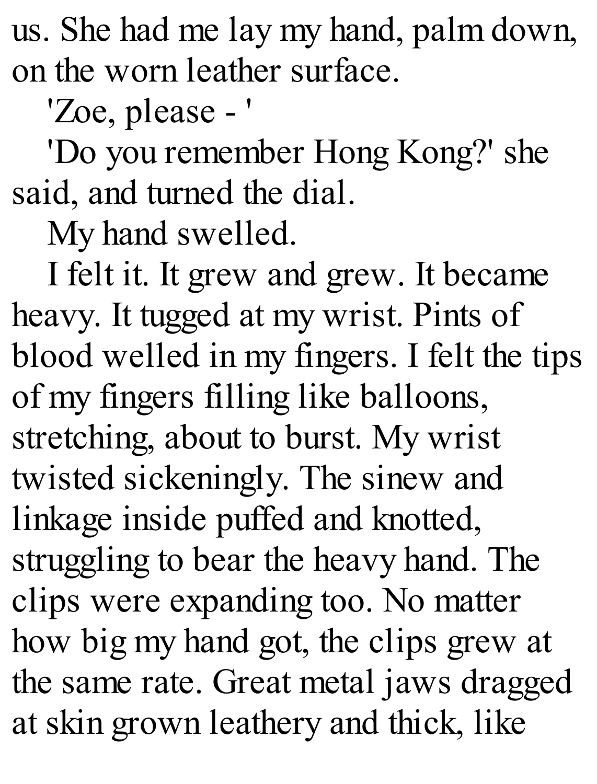us. She had me lay my hand, palm down, on the worn leather surface.

'Zoe, please - '

'Do you remember Hong Kong?' she said, and turned the dial.

My hand swelled.

I felt it. It grew and grew. It became heavy. It tugged at my wrist. Pints of blood welled in my fingers. I felt the tips of my fingers filling like balloons, stretching, about to burst. My wrist twisted sickeningly. The sinew and linkage inside puffed and knotted, struggling to bear the heavy hand. The clips were expanding too. No matter how big my hand got, the clips grew at the same rate. Great metal jaws dragged at skin grown leathery and thick, like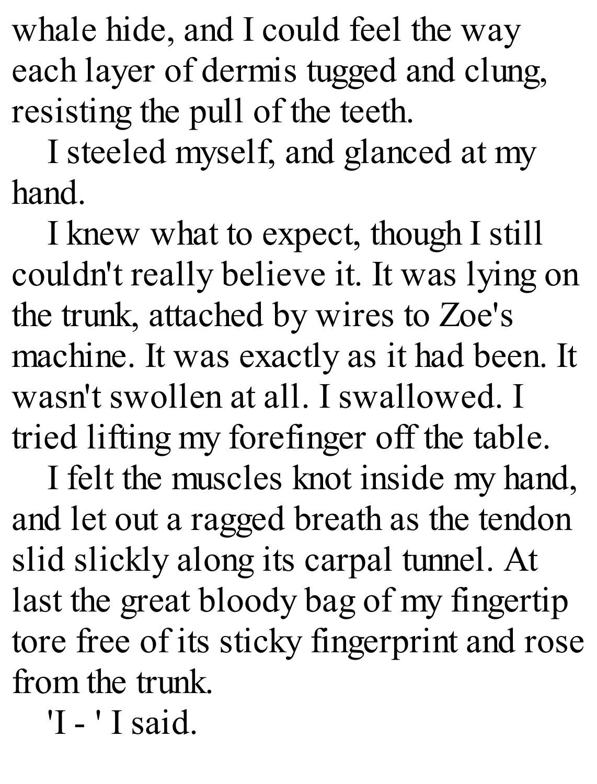whale hide, and I could feel the way each layer of dermis tugged and clung, resisting the pull of the teeth.

I steeled myself, and glanced at my hand.

I knew what to expect, though I still couldn't really believe it. It was lying on the trunk, attached by wires to Zoe's machine. It was exactly as it had been. It wasn't swollen at all. I swallowed. I tried lifting my forefinger off the table.

I felt the muscles knot inside my hand, and let out a ragged breath as the tendon slid slickly along its carpal tunnel. At last the great bloody bag of my fingertip tore free of its sticky fingerprint and rose from the trunk.

'I - ' I said.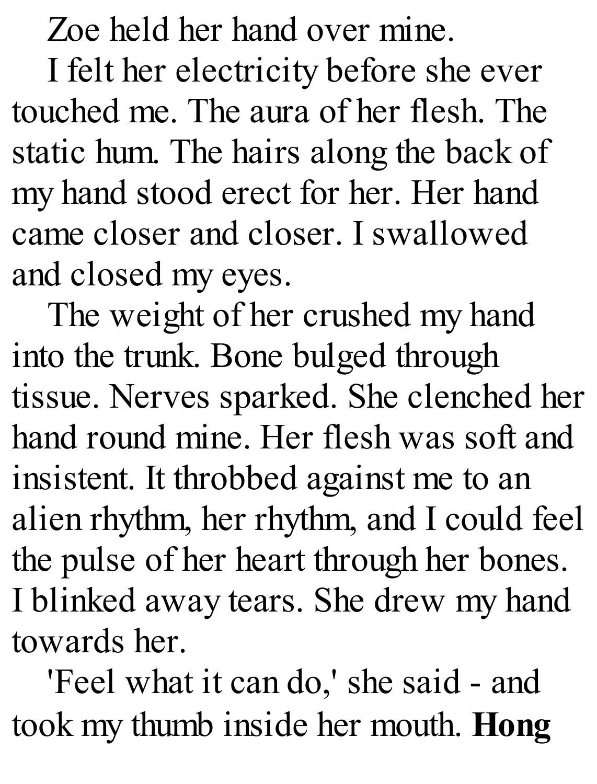Zoe held her hand over mine.

I felt her electricity before she ever touched me. The aura of her flesh. The static hum. The hairs along the back of my hand stood erect for her. Her hand came closer and closer. I swallowed and closed my eyes.

The weight of her crushed my hand into the trunk. Bone bulged through tissue. Nerves sparked. She clenched her hand round mine. Her flesh was soft and insistent. It throbbed against me to an alien rhythm, her rhythm, and I could feel the pulse of her heart through her bones. I blinked away tears. She drew my hand towards her.

'Feel what it can do,' she said - and took my thumb inside her mouth. **Hong**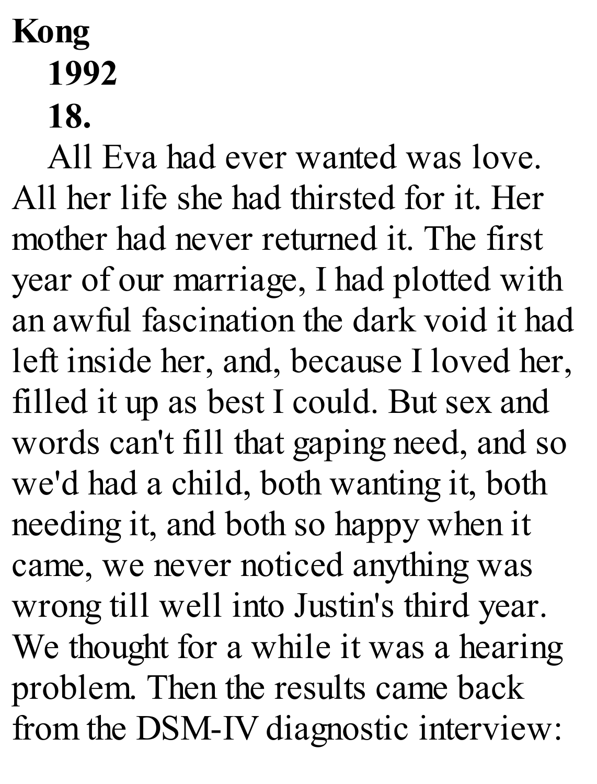## **Kong 1992**

**18.**

All Eva had ever wanted was love. All her life she had thirsted for it. Her mother had never returned it. The first year of our marriage, I had plotted with an awful fascination the dark void it had left inside her, and, because I loved her, filled it up as best I could. But sex and words can't fill that gaping need, and so we'd had a child, both wanting it, both needing it, and both so happy when it came, we never noticed anything was wrong till well into Justin's third year. We thought for a while it was a hearing problem. Then the results came back from the DSM-IV diagnostic interview: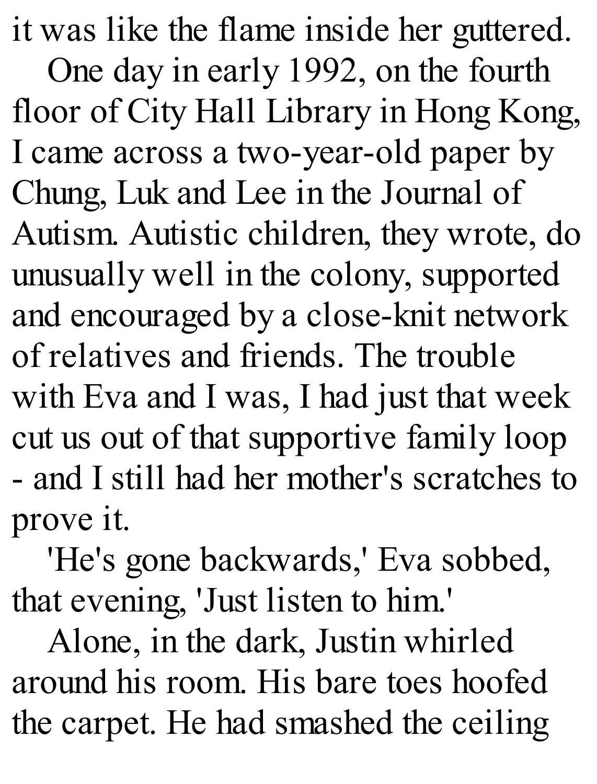it was like the flame inside her guttered.

One day in early 1992, on the fourth floor of City Hall Library in Hong Kong, I came across a two-year-old paper by Chung, Luk and Lee in the Journal of Autism. Autistic children, they wrote, do unusually well in the colony, supported and encouraged by a close-knit network of relatives and friends. The trouble with Eva and I was, I had just that week cut us out of that supportive family loop - and I still had her mother's scratches to prove it.

'He's gone backwards,' Eva sobbed, that evening, 'Just listen to him.'

Alone, in the dark, Justin whirled around his room. His bare toes hoofed the carpet. He had smashed the ceiling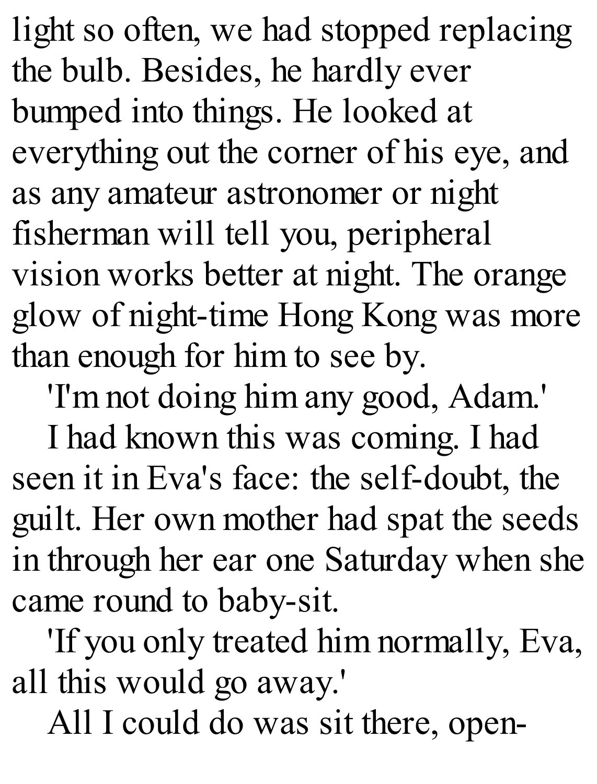light so often, we had stopped replacing the bulb. Besides, he hardly ever bumped into things. He looked at everything out the corner of his eye, and as any amateur astronomer or night fisherman will tell you, peripheral vision works better at night. The orange glow of night-time Hong Kong was more than enough for him to see by.

'I'm not doing him any good, Adam.'

I had known this was coming. I had seen it in Eva's face: the self-doubt, the guilt. Her own mother had spat the seeds in through her ear one Saturday when she came round to baby-sit.

'If you only treated him normally, Eva, all this would go away.'

All I could do was sit there, open-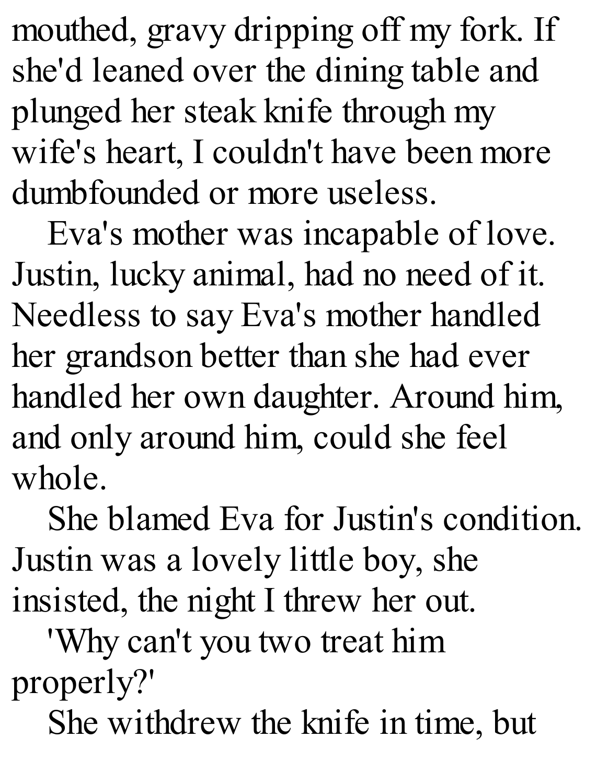mouthed, gravy dripping off my fork. If she'd leaned over the dining table and plunged her steak knife through my wife's heart, I couldn't have been more dumbfounded or more useless.

Eva's mother was incapable of love. Justin, lucky animal, had no need of it. Needless to say Eva's mother handled her grandson better than she had ever handled her own daughter. Around him, and only around him, could she feel whole.

She blamed Eva for Justin's condition. Justin was a lovely little boy, she insisted, the night I threw her out.

'Why can't you two treat him properly?'

She withdrew the knife in time, but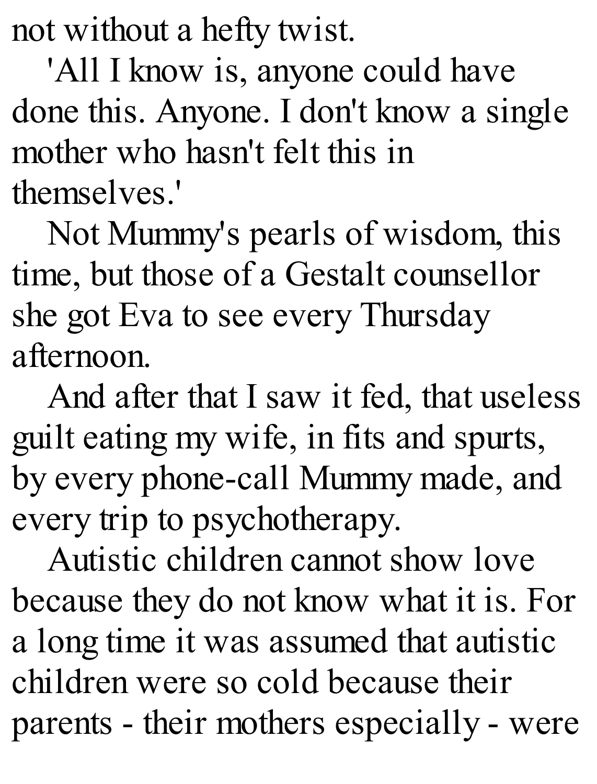not without a hefty twist.

'All I know is, anyone could have done this. Anyone. I don't know a single mother who hasn't felt this in themselves.'

Not Mummy's pearls of wisdom, this time, but those of a Gestalt counsellor she got Eva to see every Thursday afternoon.

And after that I saw it fed, that useless guilt eating my wife, in fits and spurts, by every phone-call Mummy made, and every trip to psychotherapy.

Autistic children cannot show love because they do not know what it is. For a long time it was assumed that autistic children were so cold because their parents - their mothers especially - were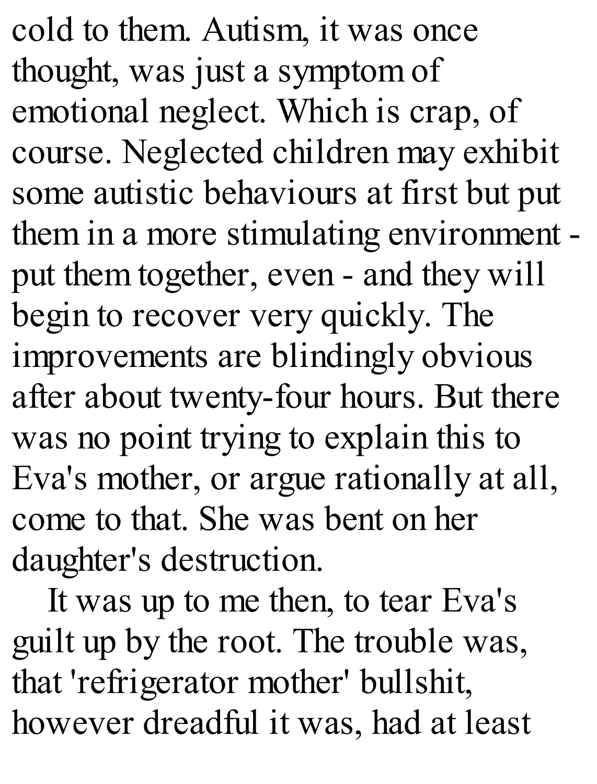cold to them. Autism, it was once thought, was just a symptom of emotional neglect. Which is crap, of course. Neglected children may exhibit some autistic behaviours at first but put them in a more stimulating environment put them together, even - and they will begin to recover very quickly. The improvements are blindingly obvious after about twenty-four hours. But there was no point trying to explain this to Eva's mother, or argue rationally at all, come to that. She was bent on her daughter's destruction.

It was up to me then, to tear Eva's guilt up by the root. The trouble was, that 'refrigerator mother' bullshit, however dreadful it was, had at least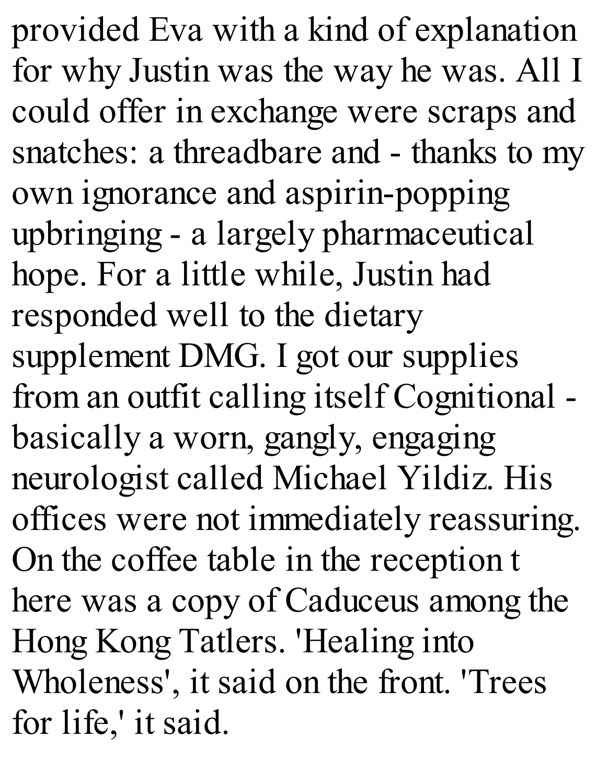provided Eva with a kind of explanation for why Justin was the way he was. All I could offer in exchange were scraps and snatches: a threadbare and - thanks to my own ignorance and aspirin-popping upbringing - a largely pharmaceutical hope. For a little while, Justin had responded well to the dietary supplement DMG. I got our supplies from an outfit calling itself Cognitional basically a worn, gangly, engaging neurologist called Michael Yildiz. His offices were not immediately reassuring. On the coffee table in the reception t here was a copy of Caduceus among the Hong Kong Tatlers. 'Healing into Wholeness', it said on the front. 'Trees for life,' it said.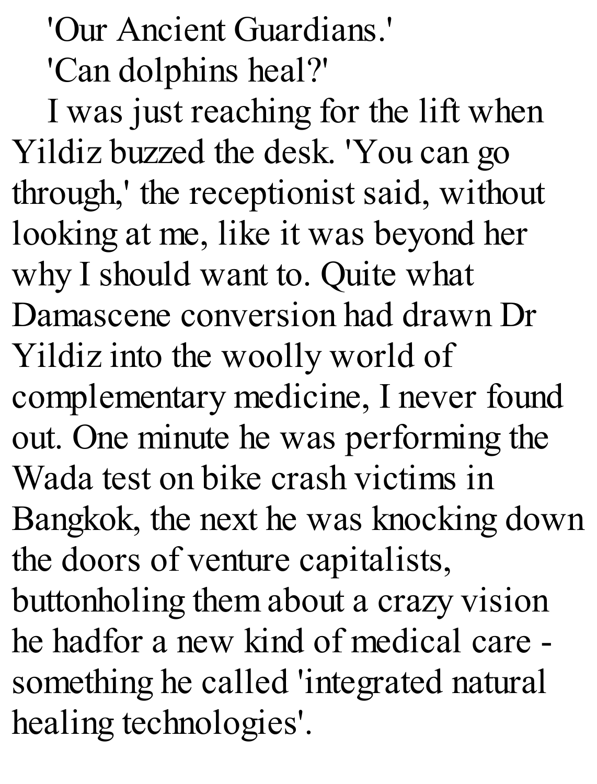'Our Ancient Guardians.' 'Can dolphins heal?'

I was just reaching for the lift when Yildiz buzzed the desk. 'You can go through,' the receptionist said, without looking at me, like it was beyond her why I should want to. Quite what Damascene conversion had drawn Dr Yildiz into the woolly world of complementary medicine, I never found out. One minute he was performing the Wada test on bike crash victims in Bangkok, the next he was knocking down the doors of venture capitalists, buttonholing them about a crazy vision he hadfor a new kind of medical care something he called 'integrated natural healing technologies'.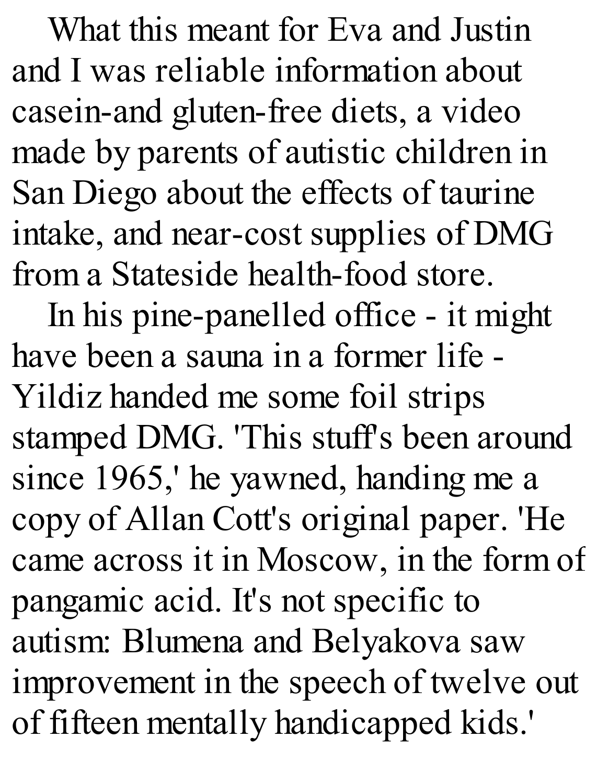What this meant for Eva and Justin and I was reliable information about casein-and gluten-free diets, a video made by parents of autistic children in San Diego about the effects of taurine intake, and near-cost supplies of DMG from a Stateside health-food store.

In his pine-panelled office - it might have been a sauna in a former life - Yildiz handed me some foil strips stamped DMG. 'This stuff's been around since 1965,' he yawned, handing me a copy of Allan Cott's original paper. 'He came across it in Moscow, in the form of pangamic acid. It's not specific to autism: Blumena and Belyakova saw improvement in the speech of twelve out of fifteen mentally handicapped kids.'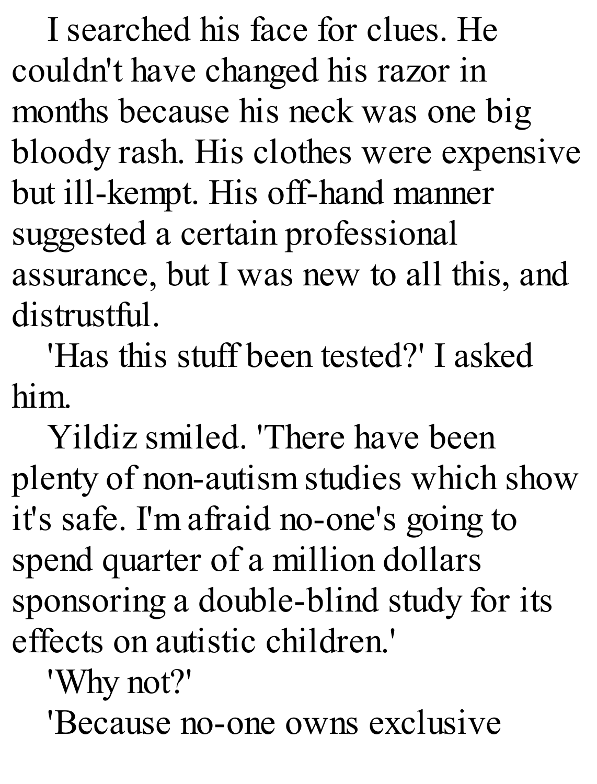I searched his face for clues. He couldn't have changed his razor in months because his neck was one big bloody rash. His clothes were expensive but ill-kempt. His off-hand manner suggested a certain professional assurance, but I was new to all this, and distrustful.

'Has this stuff been tested?' I asked him.

Yildiz smiled. 'There have been plenty of non-autism studies which show it's safe. I'm afraid no-one's going to spend quarter of a million dollars sponsoring a double-blind study for its effects on autistic children.'

'Why not?'

'Because no-one owns exclusive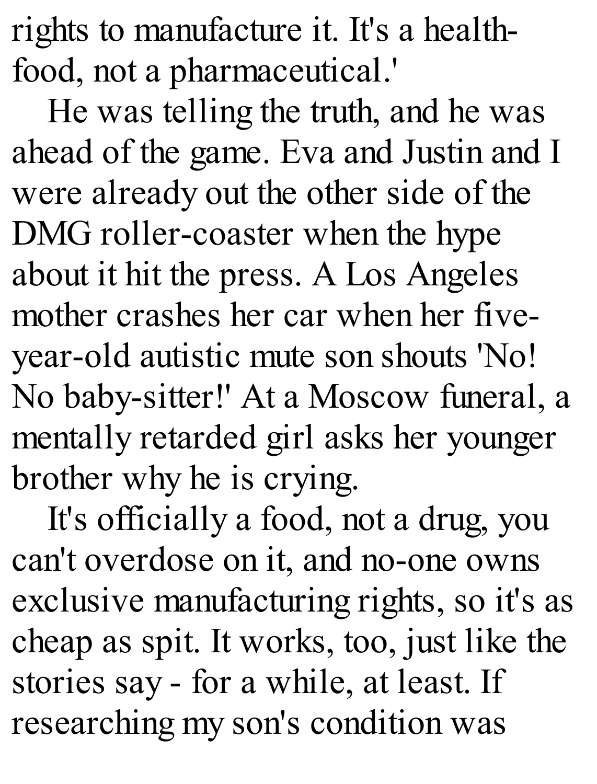rights to manufacture it. It's a healthfood, not a pharmaceutical.'

He was telling the truth, and he was ahead of the game. Eva and Justin and I were already out the other side of the DMG roller-coaster when the hype about it hit the press. A Los Angeles mother crashes her car when her fiveyear-old autistic mute son shouts 'No! No baby-sitter!' At a Moscow funeral, a mentally retarded girl asks her younger brother why he is crying.

It's officially a food, not a drug, you can't overdose on it, and no-one owns exclusive manufacturing rights, so it's as cheap as spit. It works, too, just like the stories say - for a while, at least. If researching my son's condition was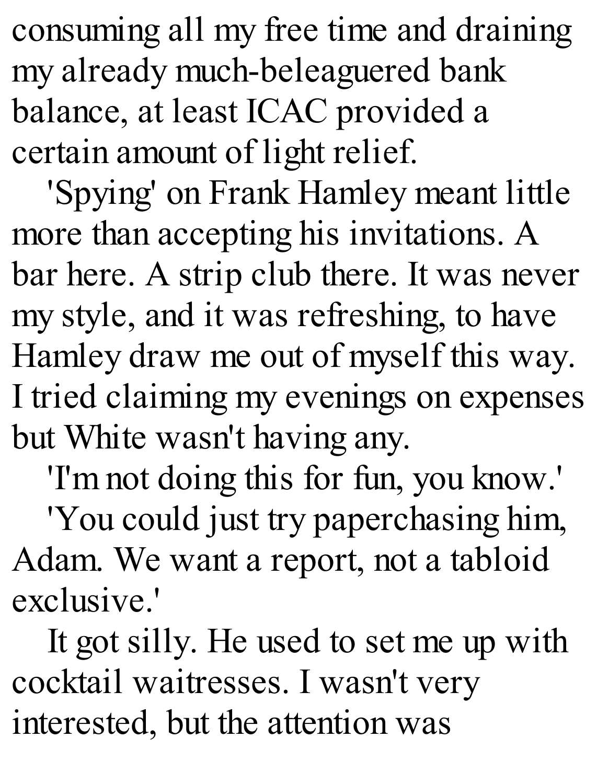consuming all my free time and draining my already much-beleaguered bank balance, at least ICAC provided a certain amount of light relief.

'Spying' on Frank Hamley meant little more than accepting his invitations. A bar here. A strip club there. It was never my style, and it was refreshing, to have Hamley draw me out of myself this way. I tried claiming my evenings on expenses but White wasn't having any.

'I'm not doing this for fun, you know.'

'You could just try paperchasing him, Adam. We want a report, not a tabloid exclusive.'

It got silly. He used to set me up with cocktail waitresses. I wasn't very interested, but the attention was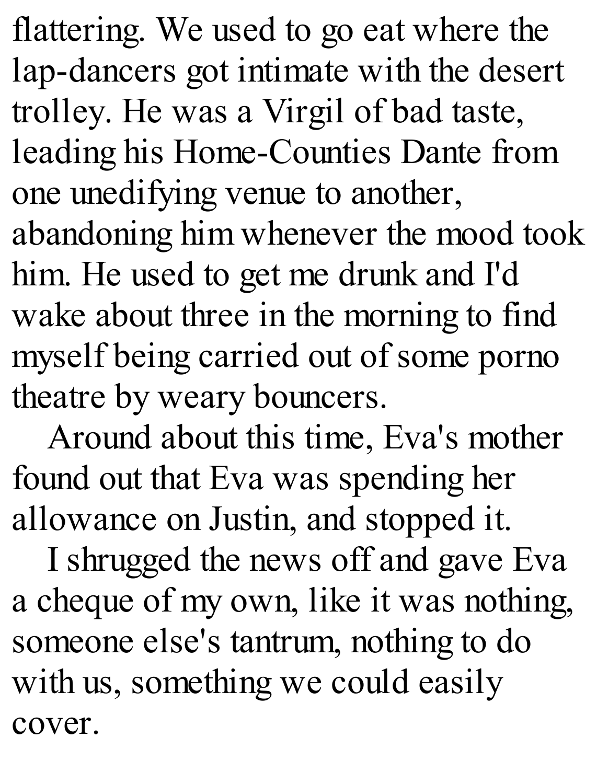flattering. We used to go eat where the lap-dancers got intimate with the desert trolley. He was a Virgil of bad taste, leading his Home-Counties Dante from one unedifying venue to another, abandoning him whenever the mood took him. He used to get me drunk and I'd wake about three in the morning to find myself being carried out of some porno theatre by weary bouncers.

Around about this time, Eva's mother found out that Eva was spending her allowance on Justin, and stopped it.

I shrugged the news off and gave Eva a cheque of my own, like it was nothing, someone else's tantrum, nothing to do with us, something we could easily cover.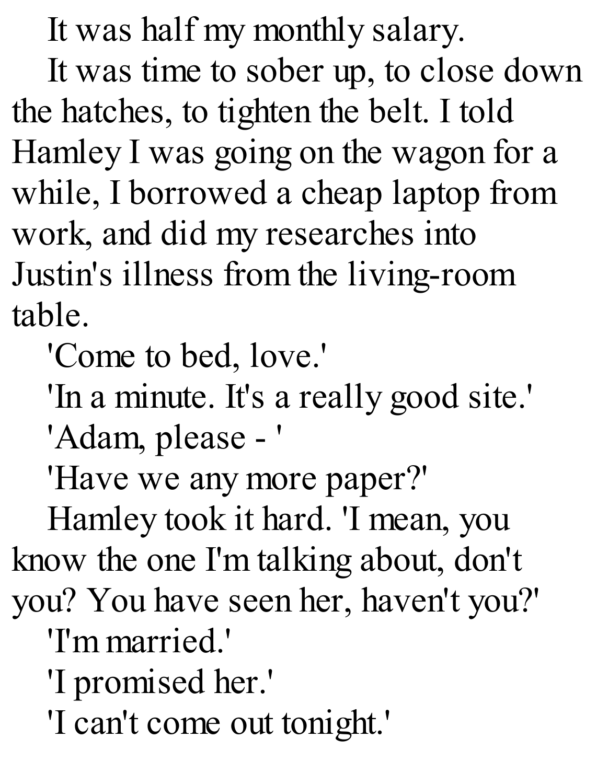It was half my monthly salary.

It was time to sober up, to close down the hatches, to tighten the belt. I told Hamley I was going on the wagon for a while, I borrowed a cheap laptop from work, and did my researches into Justin's illness from the living-room table.

'Come to bed, love.'

'In a minute. It's a really good site.'

'Adam, please - '

'Have we any more paper?'

Hamley took it hard. 'I mean, you know the one I'm talking about, don't you? You have seen her, haven't you?' 'I'm married.'

'I promised her.'

'I can't come out tonight.'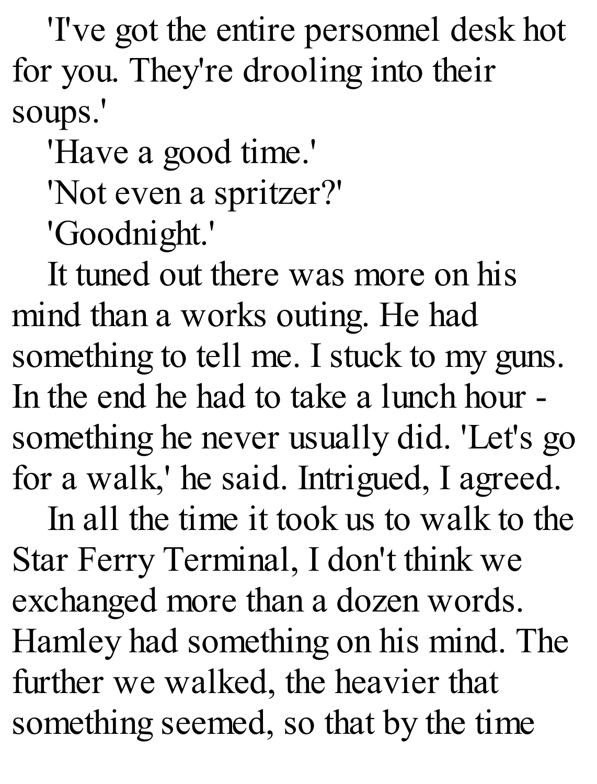'I've got the entire personnel desk hot for you. They're drooling into their soups.'

'Have a good time.'

'Not even a spritzer?'

'Goodnight.'

It tuned out there was more on his mind than a works outing. He had something to tell me. I stuck to my guns. In the end he had to take a lunch hour something he never usually did. 'Let's go for a walk,' he said. Intrigued, I agreed.

In all the time it took us to walk to the Star Ferry Terminal, I don't think we exchanged more than a dozen words. Hamley had something on his mind. The further we walked, the heavier that something seemed, so that by the time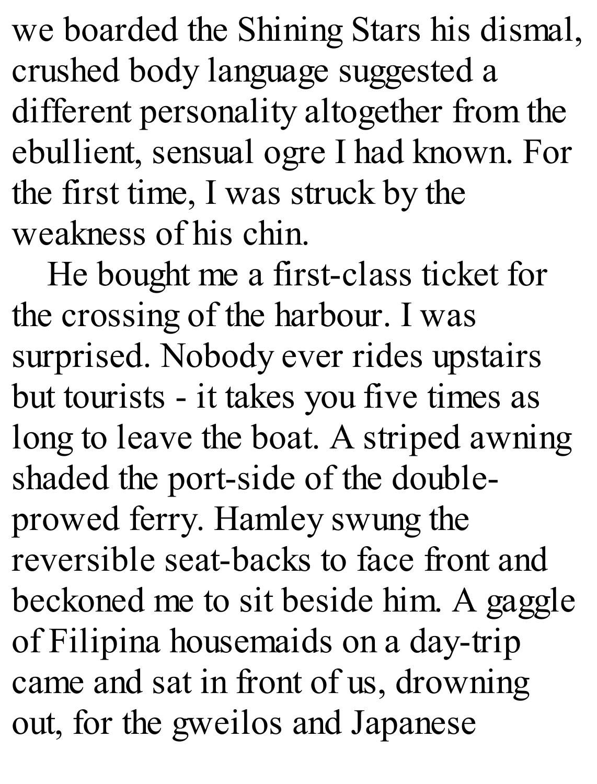we boarded the Shining Stars his dismal, crushed body language suggested a different personality altogether from the ebullient, sensual ogre I had known. For the first time, I was struck by the weakness of his chin.

He bought me a first-class ticket for the crossing of the harbour. I was surprised. Nobody ever rides upstairs but tourists - it takes you five times as long to leave the boat. A striped awning shaded the port-side of the doubleprowed ferry. Hamley swung the reversible seat-backs to face front and beckoned me to sit beside him. A gaggle of Filipina housemaids on a day-trip came and sat in front of us, drowning out, for the gweilos and Japanese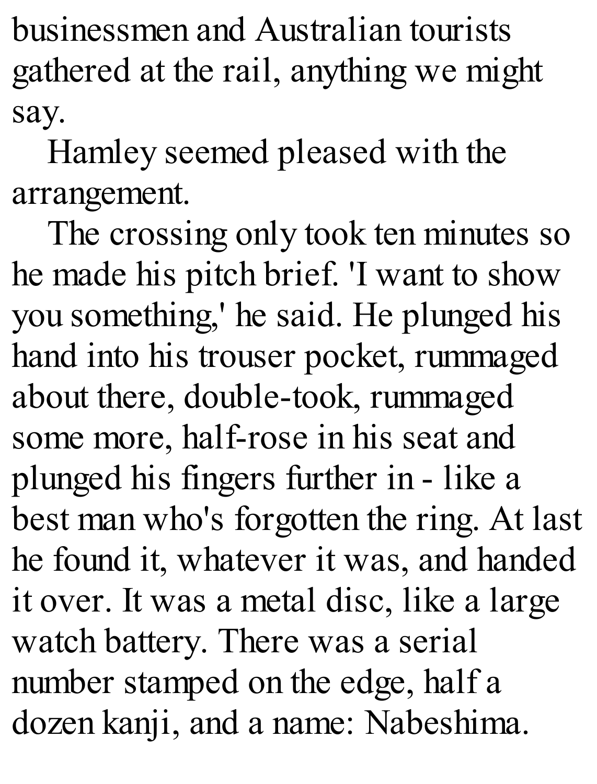businessmen and Australian tourists gathered at the rail, anything we might say.

Hamley seemed pleased with the arrangement.

The crossing only took ten minutes so he made his pitch brief. 'I want to show you something,' he said. He plunged his hand into his trouser pocket, rummaged about there, double-took, rummaged some more, half-rose in his seat and plunged his fingers further in - like a best man who's forgotten the ring. At last he found it, whatever it was, and handed it over. It was a metal disc, like a large watch battery. There was a serial number stamped on the edge, half a dozen kanji, and a name: Nabeshima.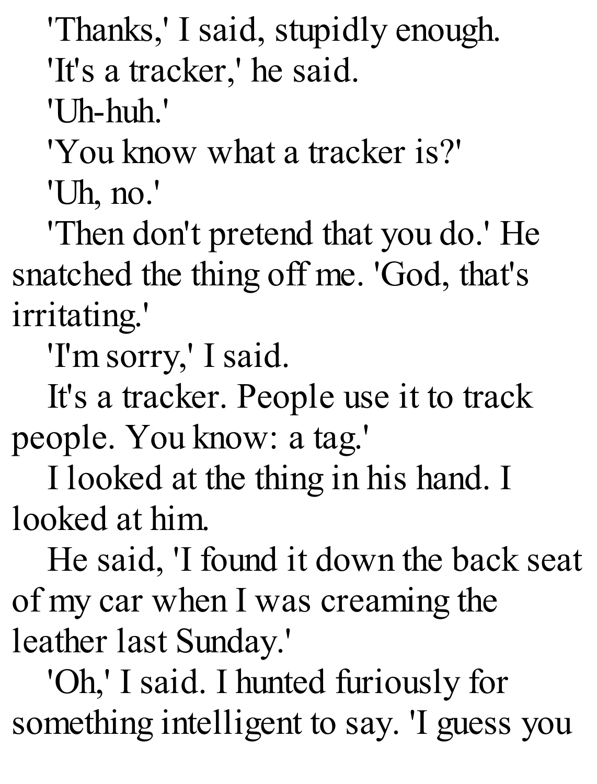'Thanks,' I said, stupidly enough.

'It's a tracker,' he said.

'Uh-huh.'

'You know what a tracker is?'

'Uh, no.'

'Then don't pretend that you do.' He snatched the thing off me. 'God, that's irritating.'

'I'm sorry,' I said.

It's a tracker. People use it to track people. You know: a tag.'

I looked at the thing in his hand. I looked at him.

He said, 'I found it down the back seat of my car when I was creaming the leather last Sunday.'

'Oh,' I said. I hunted furiously for something intelligent to say. 'I guess you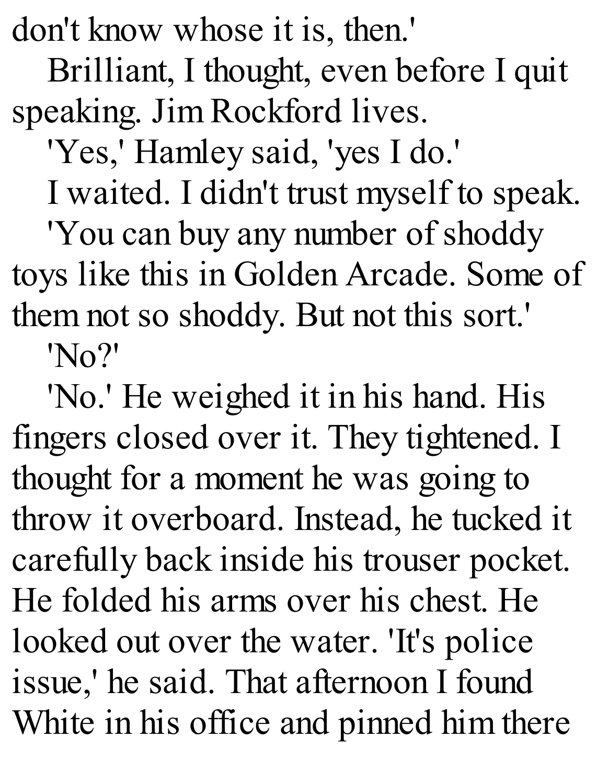don't know whose it is, then.'

Brilliant, I thought, even before I quit speaking. Jim Rockford lives.

'Yes,' Hamley said, 'yes I do.'

I waited. I didn't trust myself to speak.

'You can buy any number of shoddy toys like this in Golden Arcade. Some of them not so shoddy. But not this sort.' 'No?'

'No.' He weighed it in his hand. His fingers closed over it. They tightened. I thought for a moment he was going to throw it overboard. Instead, he tucked it carefully back inside his trouser pocket. He folded his arms over his chest. He looked out over the water. 'It's police issue,' he said. That afternoon I found White in his office and pinned him there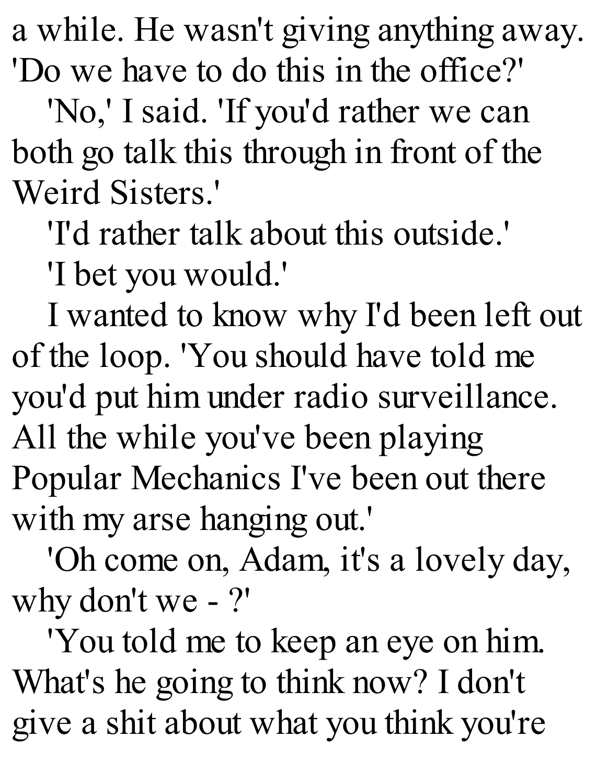a while. He wasn't giving anything away. 'Do we have to do this in the office?'

'No,' I said. 'If you'd rather we can both go talk this through in front of the Weird Sisters.'

'I'd rather talk about this outside.'

'I bet you would.'

I wanted to know why I'd been left out of the loop. 'You should have told me you'd put him under radio surveillance. All the while you've been playing Popular Mechanics I've been out there with my arse hanging out.'

'Oh come on, Adam, it's a lovely day, why don't we - ?'

'You told me to keep an eye on him. What's he going to think now? I don't give a shit about what you think you're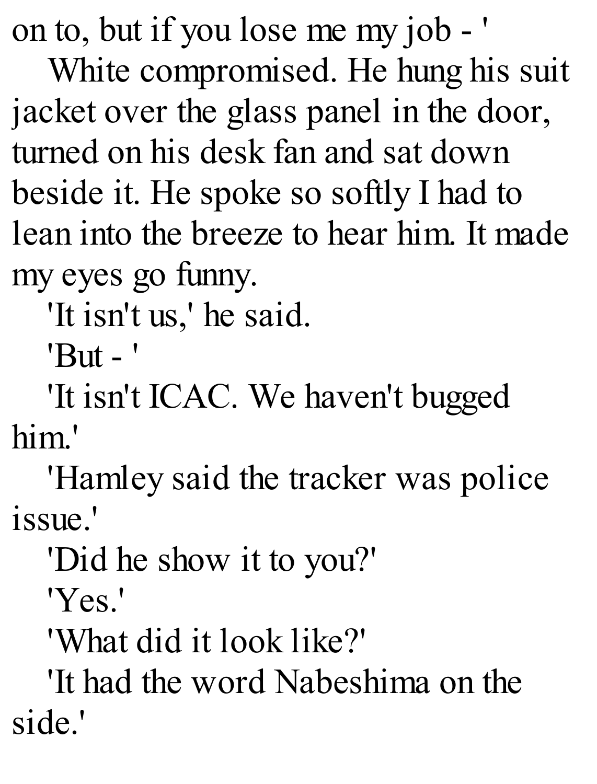on to, but if you lose me my job - '

White compromised. He hung his suit jacket over the glass panel in the door, turned on his desk fan and sat down beside it. He spoke so softly I had to lean into the breeze to hear him. It made my eyes go funny.

'It isn't us,' he said.

 $'$ But -  $'$ 

'It isn't ICAC. We haven't bugged him.'

'Hamley said the tracker was police issue.'

'Did he show it to you?'

'Yes.'

'What did it look like?'

'It had the word Nabeshima on the side.'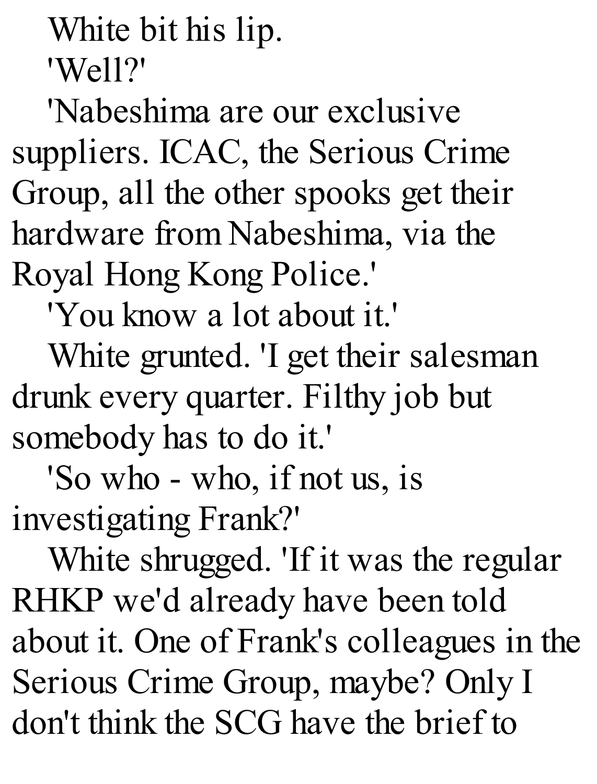White bit his lip.

'Well?'

'Nabeshima are our exclusive suppliers. ICAC, the Serious Crime Group, all the other spooks get their hardware from Nabeshima, via the Royal Hong Kong Police.'

'You know a lot about it.'

White grunted. 'I get their salesman drunk every quarter. Filthy job but somebody has to do it.'

'So who - who, if not us, is investigating Frank?'

White shrugged. 'If it was the regular RHKP we'd already have been told about it. One of Frank's colleagues in the Serious Crime Group, maybe? Only I don't think the SCG have the brief to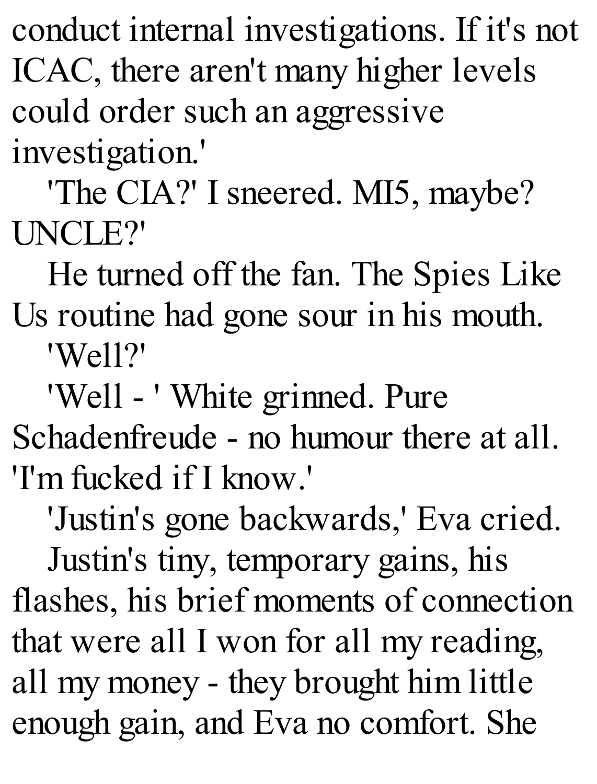conduct internal investigations. If it's not ICAC, there aren't many higher levels could order such an aggressive investigation.'

'The CIA?' I sneered. MI5, maybe? UNCLE?'

He turned off the fan. The Spies Like Us routine had gone sour in his mouth. 'Well?'

'Well - ' White grinned. Pure Schadenfreude - no humour there at all. 'I'm fucked if I know.'

'Justin's gone backwards,' Eva cried.

Justin's tiny, temporary gains, his flashes, his brief moments of connection that were all I won for all my reading, all my money - they brought him little enough gain, and Eva no comfort. She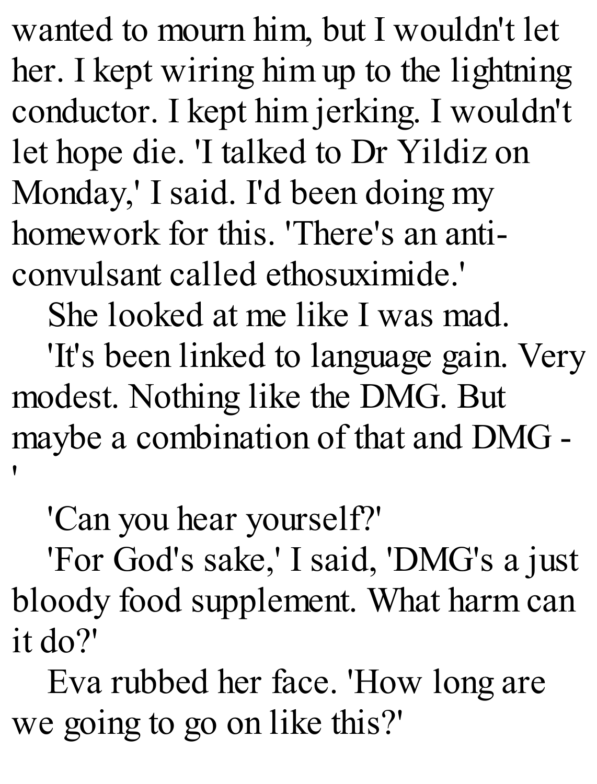wanted to mourn him, but I wouldn't let her. I kept wiring him up to the lightning conductor. I kept him jerking. I wouldn't let hope die. 'I talked to Dr Yildiz on Monday,' I said. I'd been doing my homework for this. 'There's an anticonvulsant called ethosuximide.'

She looked at me like I was mad.

'It's been linked to language gain. Very modest. Nothing like the DMG. But maybe a combination of that and DMG - '

'Can you hear yourself?'

'For God's sake,' I said, 'DMG's a just bloody food supplement. What harm can it do?'

Eva rubbed her face. 'How long are we going to go on like this?'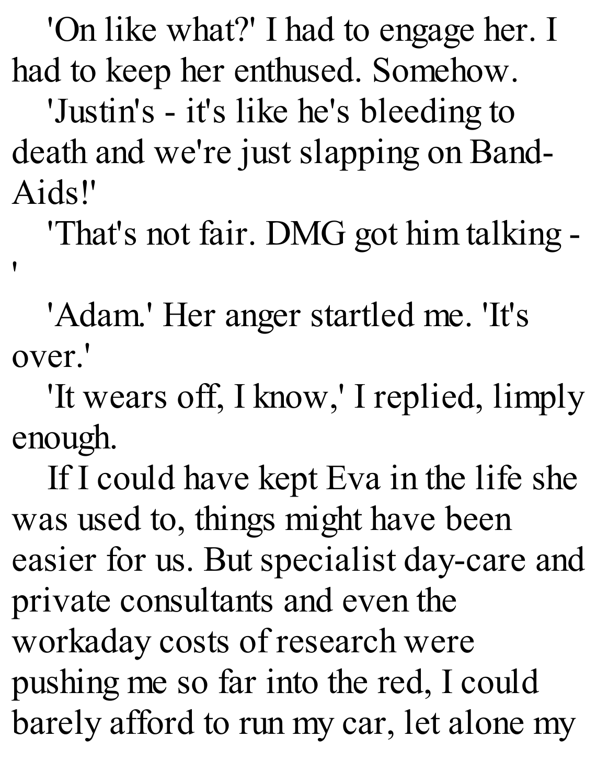'On like what?' I had to engage her. I had to keep her enthused. Somehow.

'Justin's - it's like he's bleeding to death and we're just slapping on Band-Aids!'

'That's not fair. DMG got him talking - '

'Adam.' Her anger startled me. 'It's over.'

'It wears off, I know,' I replied, limply enough.

If I could have kept Eva in the life she was used to, things might have been easier for us. But specialist day-care and private consultants and even the workaday costs of research were pushing me so far into the red, I could barely afford to run my car, let alone my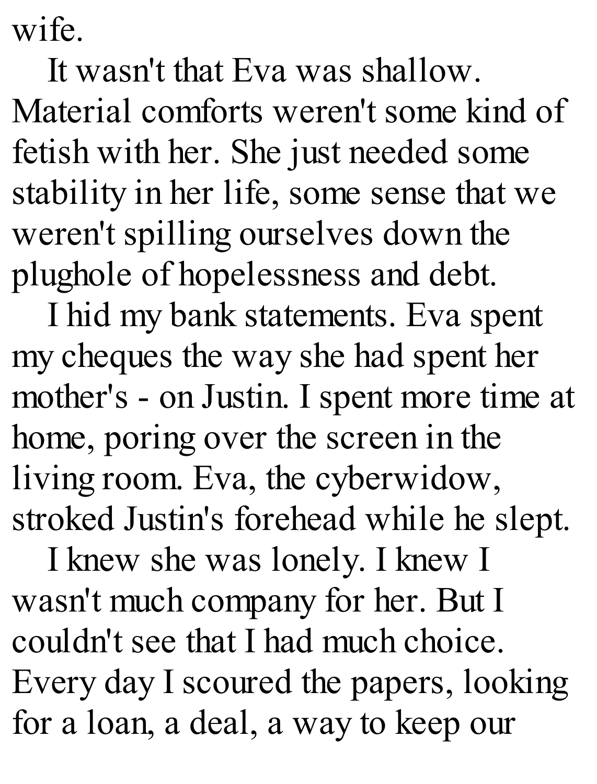wife.

It wasn't that Eva was shallow. Material comforts weren't some kind of fetish with her. She just needed some stability in her life, some sense that we weren't spilling ourselves down the plughole of hopelessness and debt.

I hid my bank statements. Eva spent my cheques the way she had spent her mother's - on Justin. I spent more time at home, poring over the screen in the living room. Eva, the cyberwidow, stroked Justin's forehead while he slept.

I knew she was lonely. I knew I wasn't much company for her. But I couldn't see that I had much choice. Every day I scoured the papers, looking for a loan, a deal, a way to keep our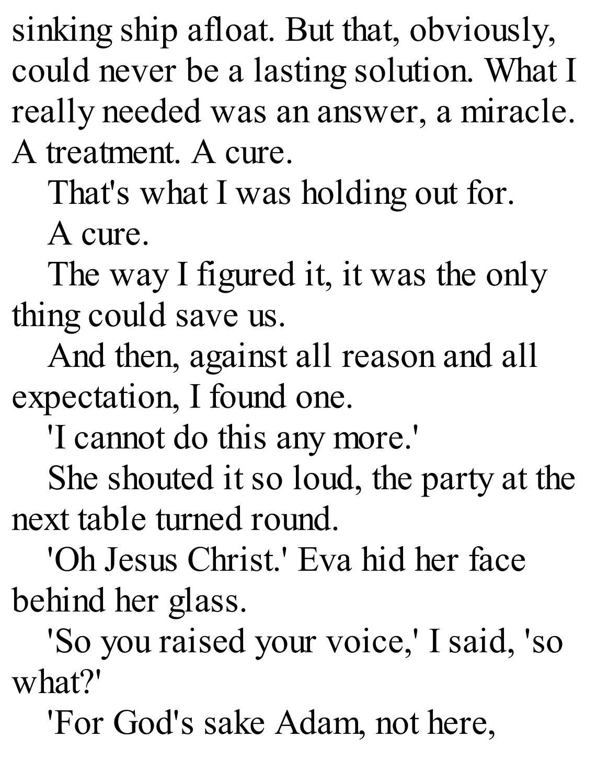sinking ship afloat. But that, obviously, could never be a lasting solution. What I really needed was an answer, a miracle. A treatment. A cure.

That's what I was holding out for.

A cure.

The way I figured it, it was the only thing could save us.

And then, against all reason and all expectation, I found one.

'I cannot do this any more.'

She shouted it so loud, the party at the next table turned round.

'Oh Jesus Christ.' Eva hid her face behind her glass.

'So you raised your voice,' I said, 'so what?'

'For God's sake Adam, not here,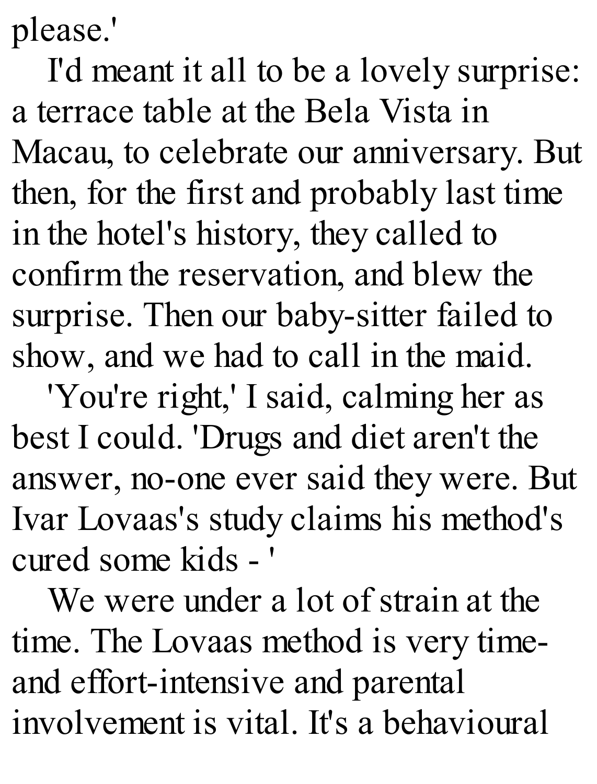please.'

I'd meant it all to be a lovely surprise: a terrace table at the Bela Vista in Macau, to celebrate our anniversary. But then, for the first and probably last time in the hotel's history, they called to confirm the reservation, and blew the surprise. Then our baby-sitter failed to show, and we had to call in the maid.

'You're right,' I said, calming her as best I could. 'Drugs and diet aren't the answer, no-one ever said they were. But Ivar Lovaas's study claims his method's cured some kids - '

We were under a lot of strain at the time. The Lovaas method is very timeand effort-intensive and parental involvement is vital. It's a behavioural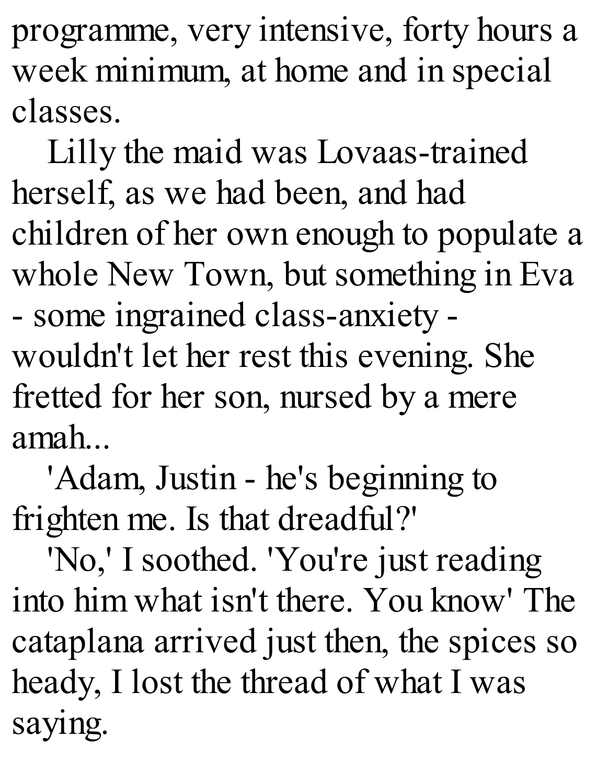programme, very intensive, forty hours a week minimum, at home and in special classes.

Lilly the maid was Lovaas-trained herself, as we had been, and had children of her own enough to populate a whole New Town, but something in Eva - some ingrained class-anxiety wouldn't let her rest this evening. She fretted for her son, nursed by a mere amah...

'Adam, Justin - he's beginning to frighten me. Is that dreadful?'

'No,' I soothed. 'You're just reading into him what isn't there. You know' The cataplana arrived just then, the spices so heady, I lost the thread of what I was saying.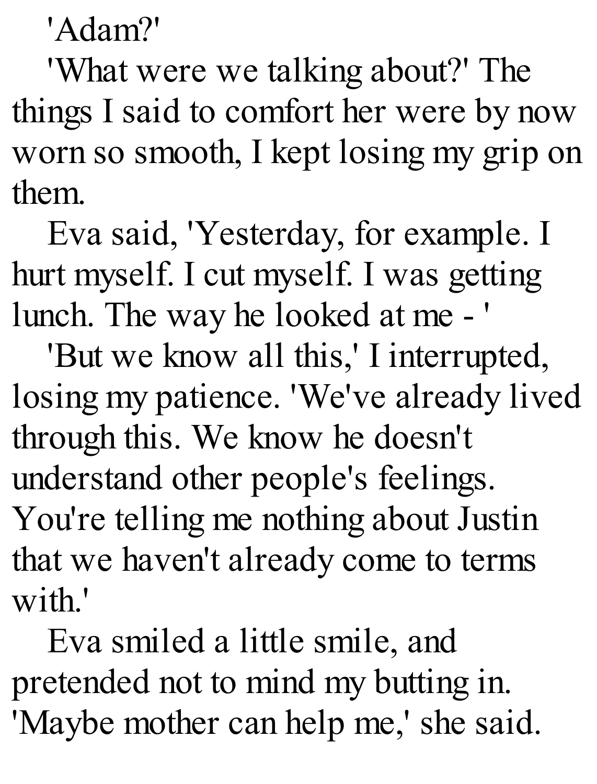'Adam?'

'What were we talking about?' The things I said to comfort her were by now worn so smooth, I kept losing my grip on them.

Eva said, 'Yesterday, for example. I hurt myself. I cut myself. I was getting lunch. The way he looked at me - '

'But we know all this,' I interrupted, losing my patience. 'We've already lived through this. We know he doesn't understand other people's feelings. You're telling me nothing about Justin that we haven't already come to terms with'

Eva smiled a little smile, and pretended not to mind my butting in. 'Maybe mother can help me,' she said.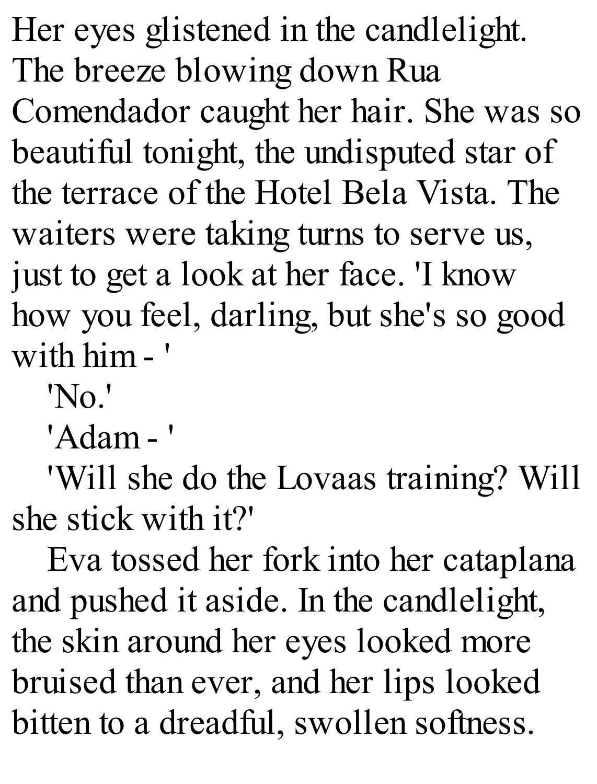Her eyes glistened in the candlelight. The breeze blowing down Rua Comendador caught her hair. She was so beautiful tonight, the undisputed star of the terrace of the Hotel Bela Vista. The waiters were taking turns to serve us, just to get a look at her face. 'I know how you feel, darling, but she's so good with him - '

'No.'

'Adam - '

'Will she do the Lovaas training? Will she stick with it?'

Eva tossed her fork into her cataplana and pushed it aside. In the candlelight, the skin around her eyes looked more bruised than ever, and her lips looked bitten to a dreadful, swollen softness.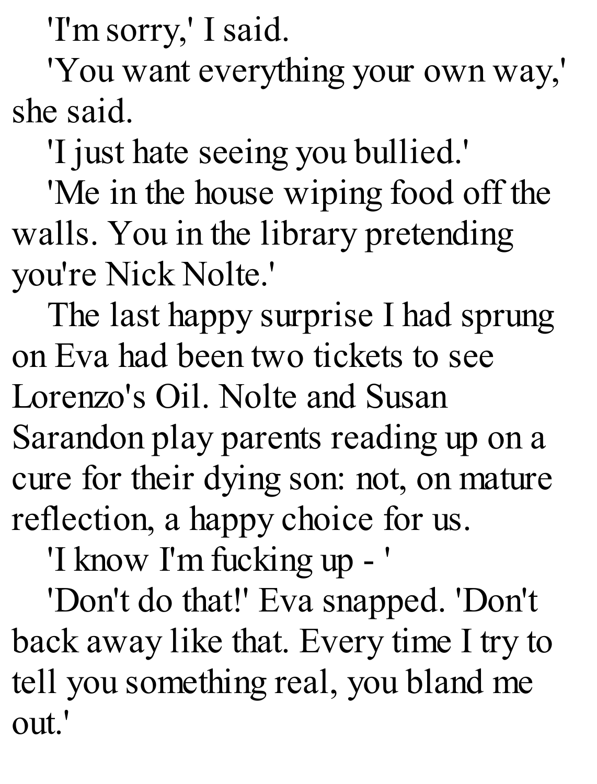'I'm sorry,' I said.

'You want everything your own way,' she said.

'I just hate seeing you bullied.'

'Me in the house wiping food off the walls. You in the library pretending you're Nick Nolte.'

The last happy surprise I had sprung on Eva had been two tickets to see Lorenzo's Oil. Nolte and Susan Sarandon play parents reading up on a cure for their dying son: not, on mature reflection, a happy choice for us.

'I know I'm fucking up - '

'Don't do that!' Eva snapped. 'Don't back away like that. Every time I try to tell you something real, you bland me out.'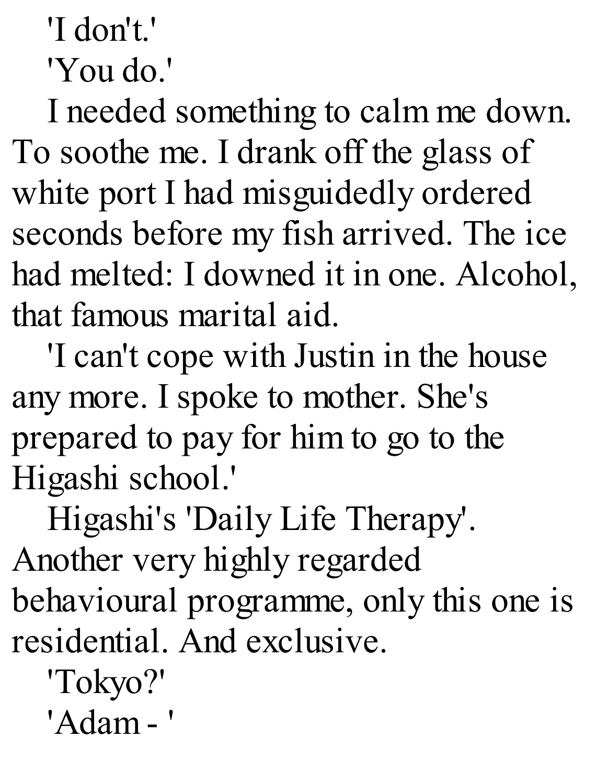'I don't.'

'You do.'

I needed something to calm me down. To soothe me. I drank off the glass of white port I had misguidedly ordered seconds before my fish arrived. The ice had melted: I downed it in one. Alcohol, that famous marital aid.

'I can't cope with Justin in the house any more. I spoke to mother. She's prepared to pay for him to go to the Higashi school.'

Higashi's 'Daily Life Therapy'. Another very highly regarded behavioural programme, only this one is residential. And exclusive.

'Tokyo?'

'Adam - '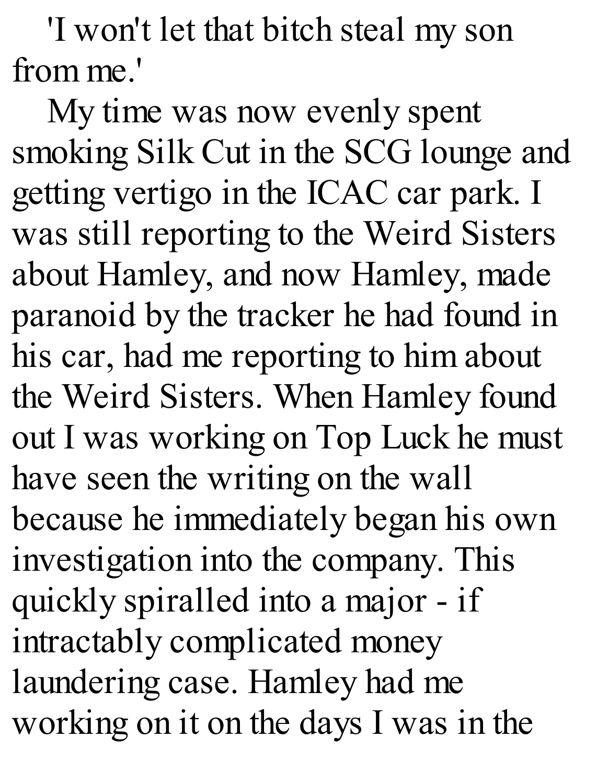'I won't let that bitch steal my son from me.'

My time was now evenly spent smoking Silk Cut in the SCG lounge and getting vertigo in the ICAC car park. I was still reporting to the Weird Sisters about Hamley, and now Hamley, made paranoid by the tracker he had found in his car, had me reporting to him about the Weird Sisters. When Hamley found out I was working on Top Luck he must have seen the writing on the wall because he immediately began his own investigation into the company. This quickly spiralled into a major - if intractably complicated money laundering case. Hamley had me working on it on the days I was in the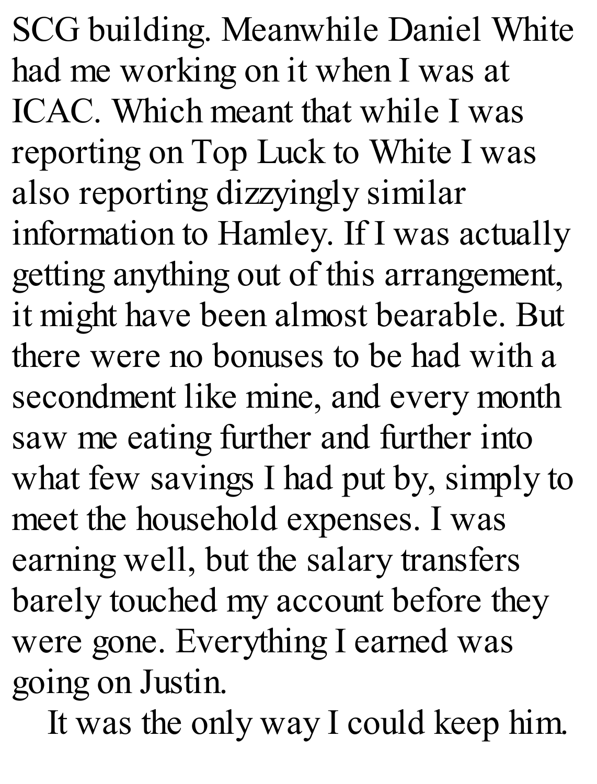SCG building. Meanwhile Daniel White had me working on it when I was at ICAC. Which meant that while I was reporting on Top Luck to White I was also reporting dizzyingly similar information to Hamley. If I was actually getting anything out of this arrangement, it might have been almost bearable. But there were no bonuses to be had with a secondment like mine, and every month saw me eating further and further into what few savings I had put by, simply to meet the household expenses. I was earning well, but the salary transfers barely touched my account before they were gone. Everything I earned was going on Justin.

It was the only way I could keep him.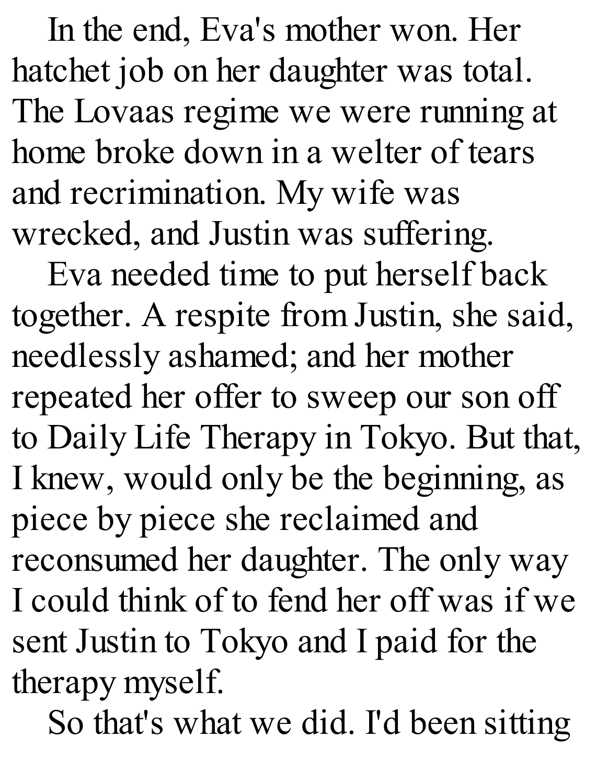In the end, Eva's mother won. Her hatchet job on her daughter was total. The Lovaas regime we were running at home broke down in a welter of tears and recrimination. My wife was wrecked, and Justin was suffering.

Eva needed time to put herself back together. A respite from Justin, she said, needlessly ashamed; and her mother repeated her offer to sweep our son off to Daily Life Therapy in Tokyo. But that, I knew, would only be the beginning, as piece by piece she reclaimed and reconsumed her daughter. The only way I could think of to fend her off was if we sent Justin to Tokyo and I paid for the therapy myself.

So that's what we did. I'd been sitting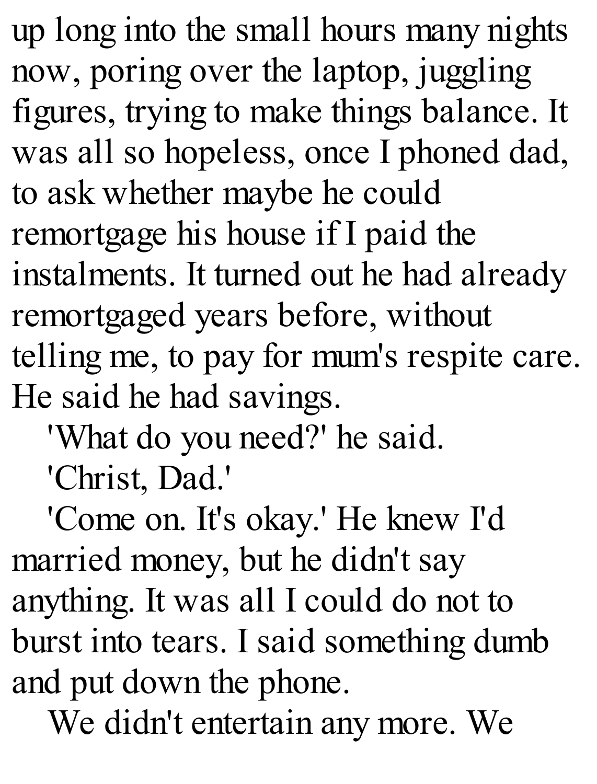up long into the small hours many nights now, poring over the laptop, juggling figures, trying to make things balance. It was all so hopeless, once I phoned dad, to ask whether maybe he could remortgage his house if I paid the instalments. It turned out he had already remortgaged years before, without telling me, to pay for mum's respite care. He said he had savings.

'What do you need?' he said.

'Christ, Dad.'

'Come on. It's okay.' He knew I'd married money, but he didn't say anything. It was all I could do not to burst into tears. I said something dumb and put down the phone.

We didn't entertain any more. We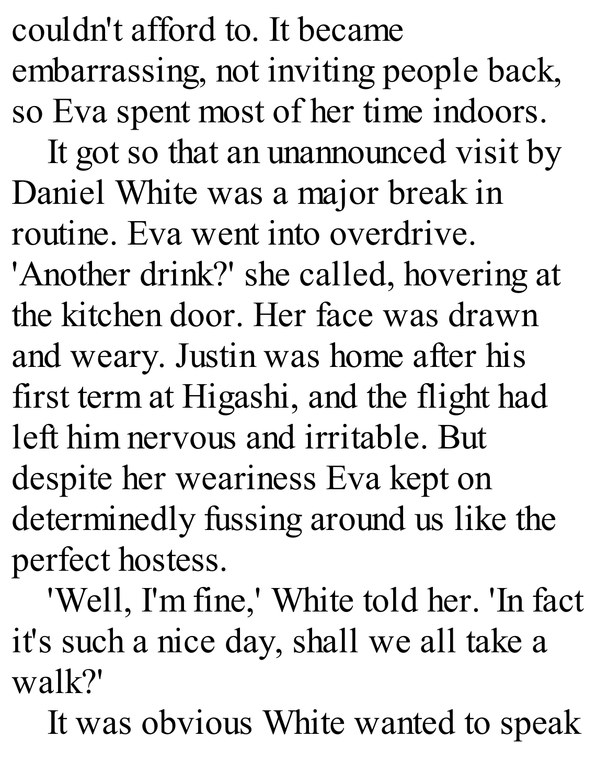couldn't afford to. It became embarrassing, not inviting people back, so Eva spent most of her time indoors.

It got so that an unannounced visit by Daniel White was a major break in routine. Eva went into overdrive. 'Another drink?' she called, hovering at the kitchen door. Her face was drawn and weary. Justin was home after his first term at Higashi, and the flight had left him nervous and irritable. But despite her weariness Eva kept on determinedly fussing around us like the perfect hostess.

'Well, I'm fine,' White told her. 'In fact it's such a nice day, shall we all take a walk?'

It was obvious White wanted to speak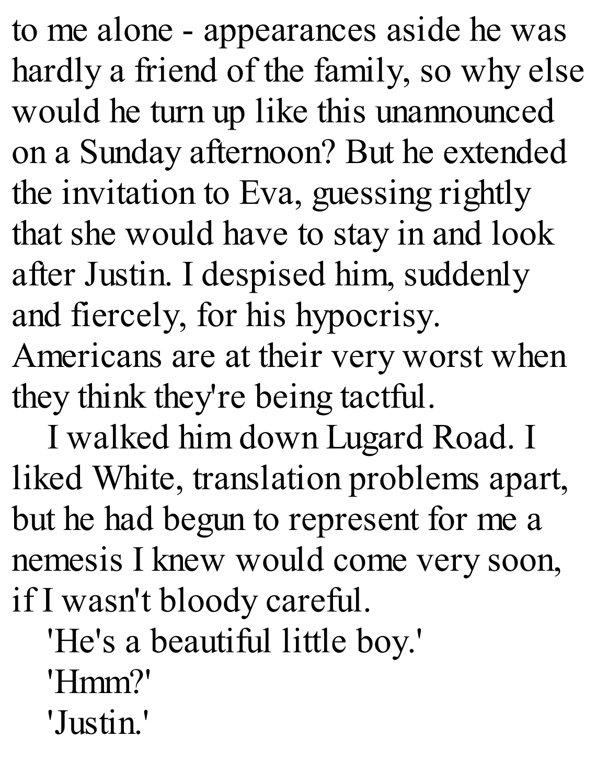to me alone - appearances aside he was hardly a friend of the family, so why else would he turn up like this unannounced on a Sunday afternoon? But he extended the invitation to Eva, guessing rightly that she would have to stay in and look after Justin. I despised him, suddenly and fiercely, for his hypocrisy. Americans are at their very worst when they think they're being tactful.

I walked him down Lugard Road. I liked White, translation problems apart, but he had begun to represent for me a nemesis I knew would come very soon, if I wasn't bloody careful.

'He's a beautiful little boy.' 'Hmm?' 'Justin.'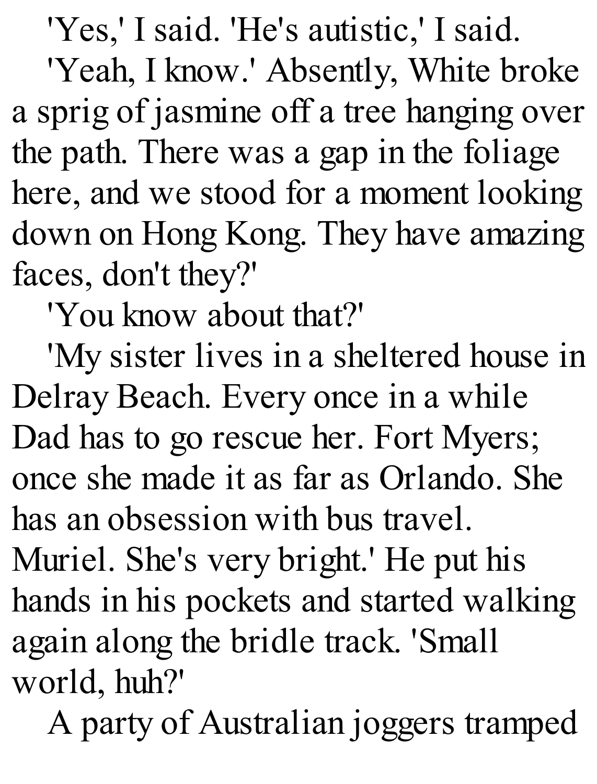'Yes,' I said. 'He's autistic,' I said.

'Yeah, I know.' Absently, White broke a sprig of jasmine off a tree hanging over the path. There was a gap in the foliage here, and we stood for a moment looking down on Hong Kong. They have amazing faces, don't they?'

'You know about that?'

'My sister lives in a sheltered house in Delray Beach. Every once in a while Dad has to go rescue her. Fort Myers; once she made it as far as Orlando. She has an obsession with bus travel. Muriel. She's very bright.' He put his hands in his pockets and started walking again along the bridle track. 'Small world, huh?'

A party of Australian joggers tramped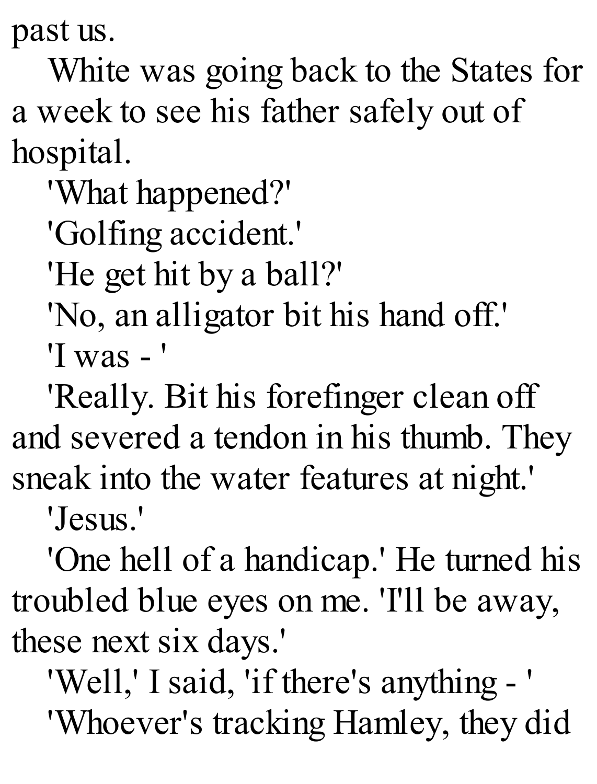past us.

White was going back to the States for a week to see his father safely out of hospital.

'What happened?'

'Golfing accident.'

'He get hit by a ball?'

'No, an alligator bit his hand off.'

'I was  $-$ '

'Really. Bit his forefinger clean off and severed a tendon in his thumb. They sneak into the water features at night.'

'Jesus.'

'One hell of a handicap.' He turned his troubled blue eyes on me. 'I'll be away, these next six days.'

'Well,' I said, 'if there's anything - ' 'Whoever's tracking Hamley, they did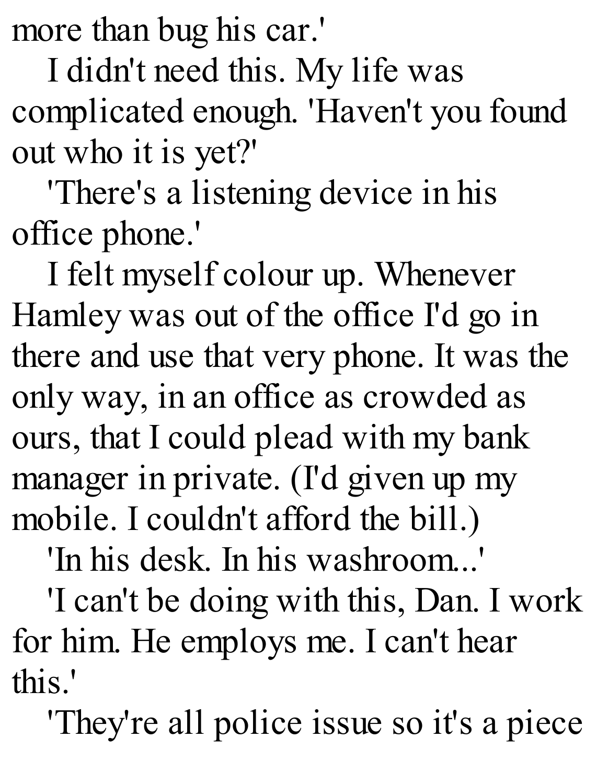more than bug his car.'

I didn't need this. My life was

complicated enough. 'Haven't you found out who it is yet?'

'There's a listening device in his office phone.'

I felt myself colour up. Whenever Hamley was out of the office I'd go in there and use that very phone. It was the only way, in an office as crowded as ours, that I could plead with my bank manager in private. (I'd given up my mobile. I couldn't afford the bill.)

'In his desk. In his washroom...'

'I can't be doing with this, Dan. I work for him. He employs me. I can't hear this.'

'They're all police issue so it's a piece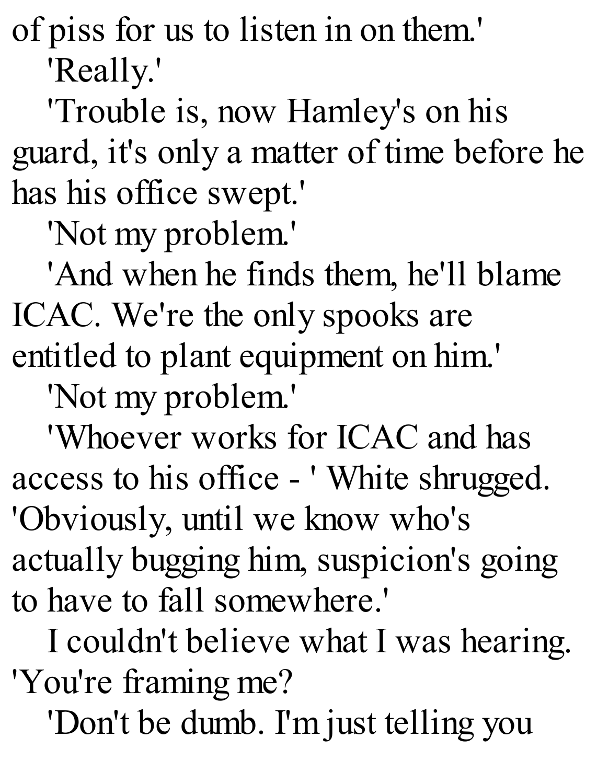of piss for us to listen in on them.' 'Really.'

'Trouble is, now Hamley's on his guard, it's only a matter of time before he has his office swept.'

'Not my problem.'

'And when he finds them, he'll blame ICAC. We're the only spooks are entitled to plant equipment on him.'

'Not my problem.'

'Whoever works for ICAC and has access to his office - ' White shrugged. 'Obviously, until we know who's actually bugging him, suspicion's going to have to fall somewhere.'

I couldn't believe what I was hearing. 'You're framing me?

'Don't be dumb. I'm just telling you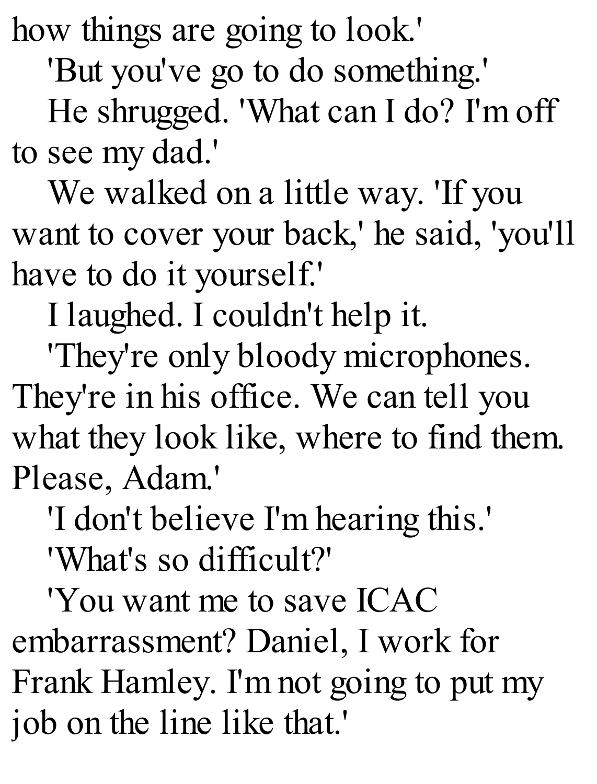how things are going to look.'

'But you've go to do something.'

He shrugged. 'What can I do? I'm off to see my dad.'

We walked on a little way. 'If you want to cover your back,' he said, 'you'll have to do it yourself.'

I laughed. I couldn't help it.

'They're only bloody microphones. They're in his office. We can tell you what they look like, where to find them.

Please, Adam.'

'I don't believe I'm hearing this.'

'What's so difficult?'

'You want me to save ICAC embarrassment? Daniel, I work for Frank Hamley. I'm not going to put my job on the line like that.'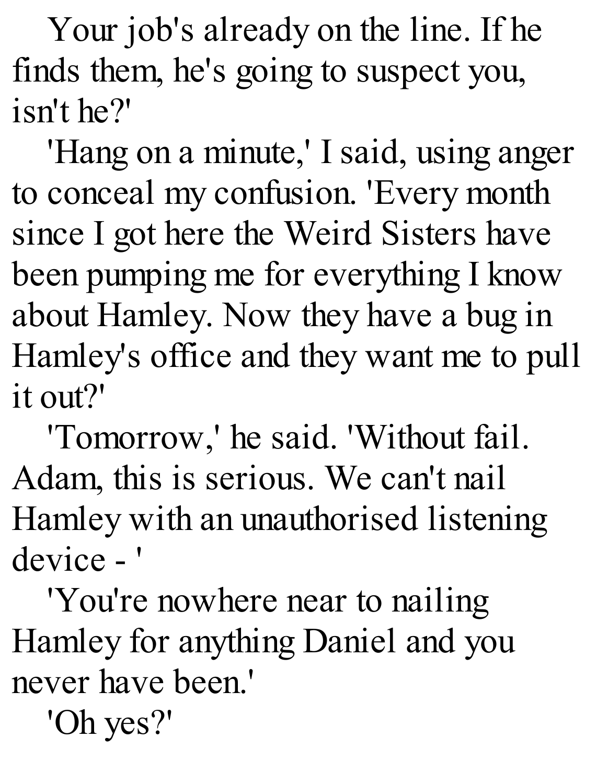Your job's already on the line. If he finds them, he's going to suspect you, isn't he?'

'Hang on a minute,' I said, using anger to conceal my confusion. 'Every month since I got here the Weird Sisters have been pumping me for everything I know about Hamley. Now they have a bug in Hamley's office and they want me to pull it out?'

'Tomorrow,' he said. 'Without fail. Adam, this is serious. We can't nail Hamley with an unauthorised listening device - '

'You're nowhere near to nailing Hamley for anything Daniel and you never have been.'

'Oh yes?'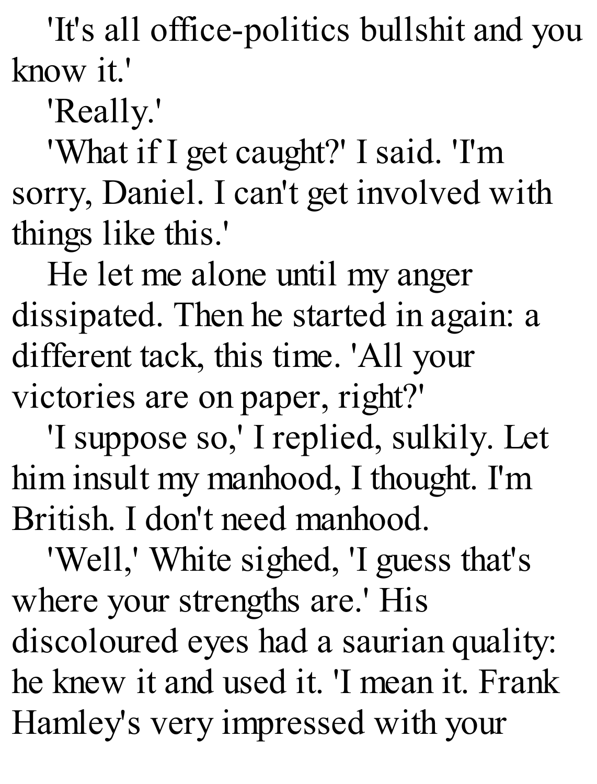'It's all office-politics bullshit and you know it.'

'Really.'

'What if I get caught?' I said. 'I'm sorry, Daniel. I can't get involved with things like this.'

He let me alone until my anger dissipated. Then he started in again: a different tack, this time. 'All your victories are on paper, right?'

'I suppose so,' I replied, sulkily. Let him insult my manhood, I thought. I'm British. I don't need manhood.

'Well,' White sighed, 'I guess that's where your strengths are.' His discoloured eyes had a saurian quality: he knew it and used it. 'I mean it. Frank Hamley's very impressed with your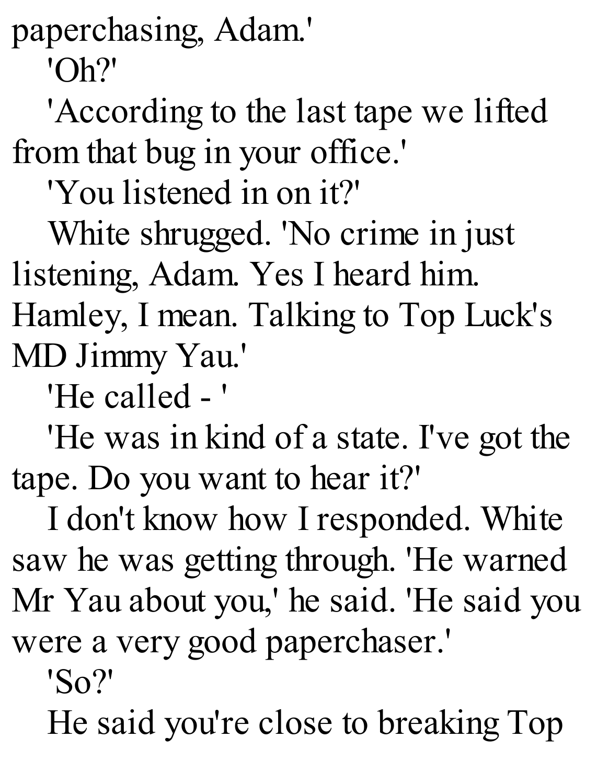paperchasing, Adam.' 'Oh?'

'According to the last tape we lifted from that bug in your office.'

'You listened in on it?'

White shrugged. 'No crime in just listening, Adam. Yes I heard him. Hamley, I mean. Talking to Top Luck's MD Jimmy Yau.'

'He called - '

'He was in kind of a state. I've got the tape. Do you want to hear it?'

I don't know how I responded. White saw he was getting through. 'He warned Mr Yau about you,' he said. 'He said you were a very good paperchaser.'

'So?'

He said you're close to breaking Top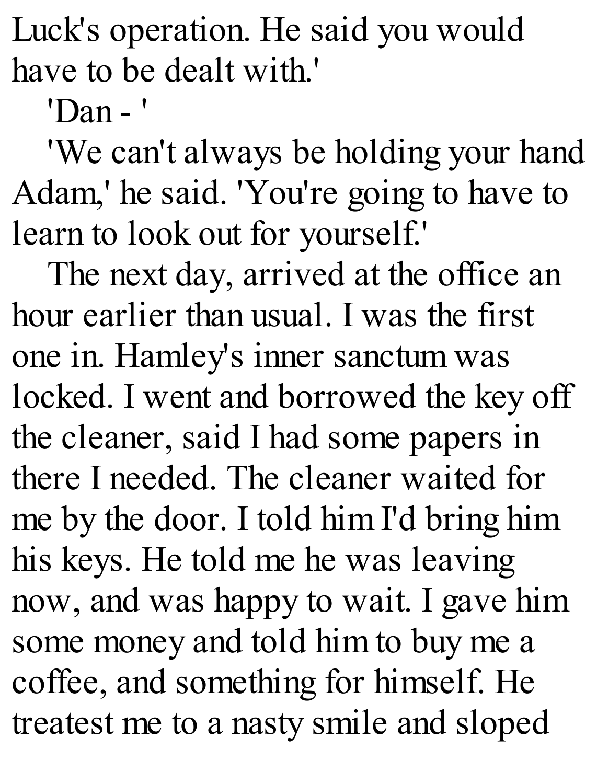Luck's operation. He said you would have to be dealt with.'

'Dan - '

'We can't always be holding your hand Adam,' he said. 'You're going to have to learn to look out for yourself.'

The next day, arrived at the office an hour earlier than usual. I was the first one in. Hamley's inner sanctum was locked. I went and borrowed the key off the cleaner, said I had some papers in there I needed. The cleaner waited for me by the door. I told him I'd bring him his keys. He told me he was leaving now, and was happy to wait. I gave him some money and told him to buy me a coffee, and something for himself. He treatest me to a nasty smile and sloped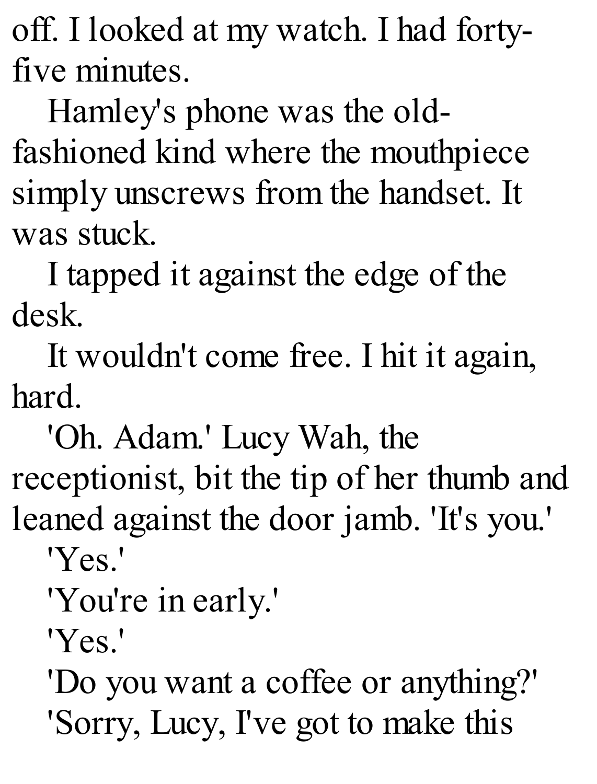off. I looked at my watch. I had fortyfive minutes

Hamley's phone was the oldfashioned kind where the mouthpiece simply unscrews from the handset. It was stuck.

I tapped it against the edge of the desk.

It wouldn't come free. I hit it again, hard.

'Oh. Adam.' Lucy Wah, the

receptionist, bit the tip of her thumb and leaned against the door jamb. 'It's you.'

'Yes.'

'You're in early.'

'Yes.'

'Do you want a coffee or anything?' 'Sorry, Lucy, I've got to make this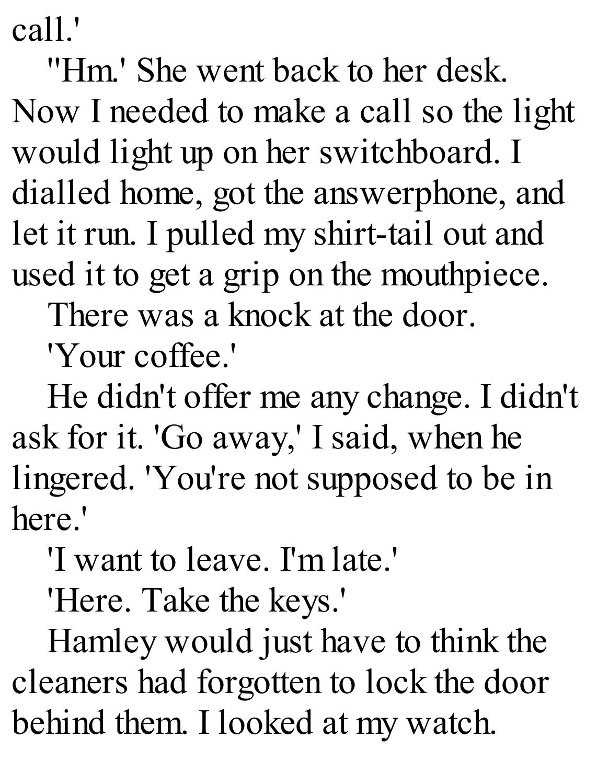call.'

''Hm.' She went back to her desk. Now I needed to make a call so the light would light up on her switchboard. I dialled home, got the answerphone, and let it run. I pulled my shirt-tail out and used it to get a grip on the mouthpiece.

There was a knock at the door.

'Your coffee.'

He didn't offer me any change. I didn't ask for it. 'Go away,' I said, when he lingered. 'You're not supposed to be in here'

'I want to leave. I'm late.'

'Here. Take the keys.'

Hamley would just have to think the cleaners had forgotten to lock the door behind them. I looked at my watch.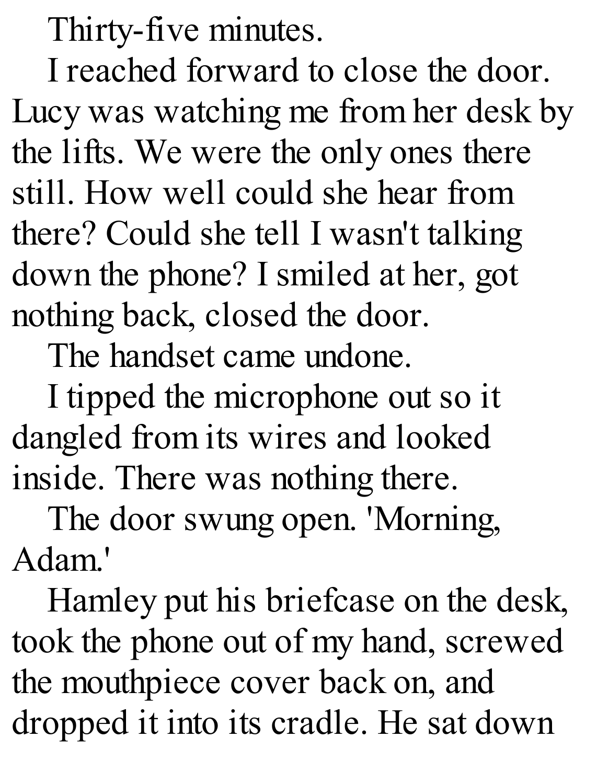Thirty-five minutes.

I reached forward to close the door. Lucy was watching me from her desk by the lifts. We were the only ones there still. How well could she hear from there? Could she tell I wasn't talking down the phone? I smiled at her, got nothing back, closed the door.

The handset came undone.

I tipped the microphone out so it dangled from its wires and looked inside. There was nothing there.

The door swung open. 'Morning, Adam.'

Hamley put his briefcase on the desk, took the phone out of my hand, screwed the mouthpiece cover back on, and dropped it into its cradle. He sat down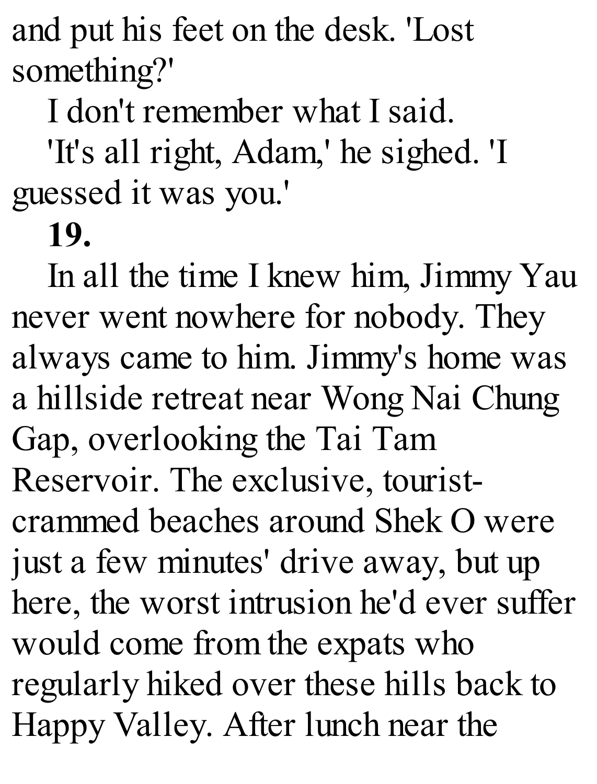and put his feet on the desk. 'Lost something?'

I don't remember what I said.

'It's all right, Adam,' he sighed. 'I guessed it was you.'

## **19.**

In all the time I knew him, Jimmy Yau never went nowhere for nobody. They always came to him. Jimmy's home was a hillside retreat near Wong Nai Chung Gap, overlooking the Tai Tam Reservoir. The exclusive, touristcrammed beaches around Shek O were just a few minutes' drive away, but up here, the worst intrusion he'd ever suffer would come from the expats who regularly hiked over these hills back to Happy Valley. After lunch near the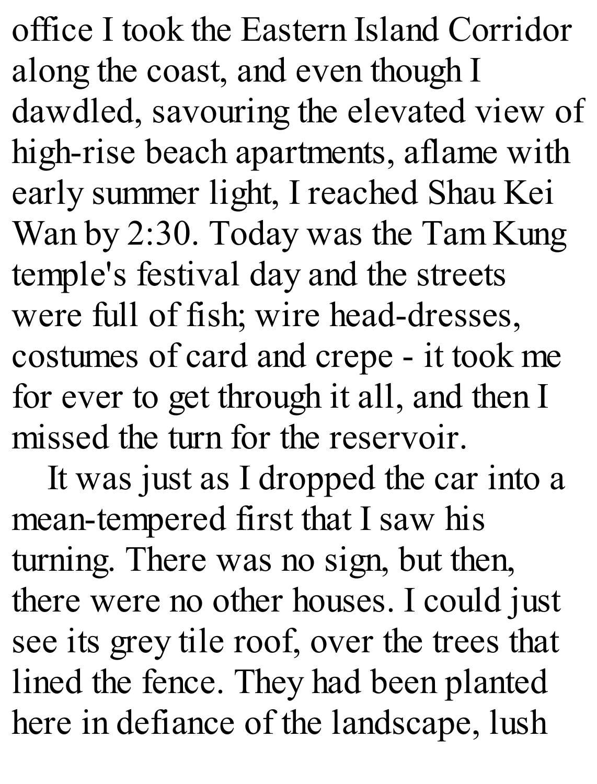office I took the Eastern Island Corridor along the coast, and even though I dawdled, savouring the elevated view of high-rise beach apartments, aflame with early summer light, I reached Shau Kei Wan by 2:30. Today was the Tam Kung temple's festival day and the streets were full of fish; wire head-dresses, costumes of card and crepe - it took me for ever to get through it all, and then I missed the turn for the reservoir.

It was just as I dropped the car into a mean-tempered first that I saw his turning. There was no sign, but then, there were no other houses. I could just see its grey tile roof, over the trees that lined the fence. They had been planted here in defiance of the landscape, lush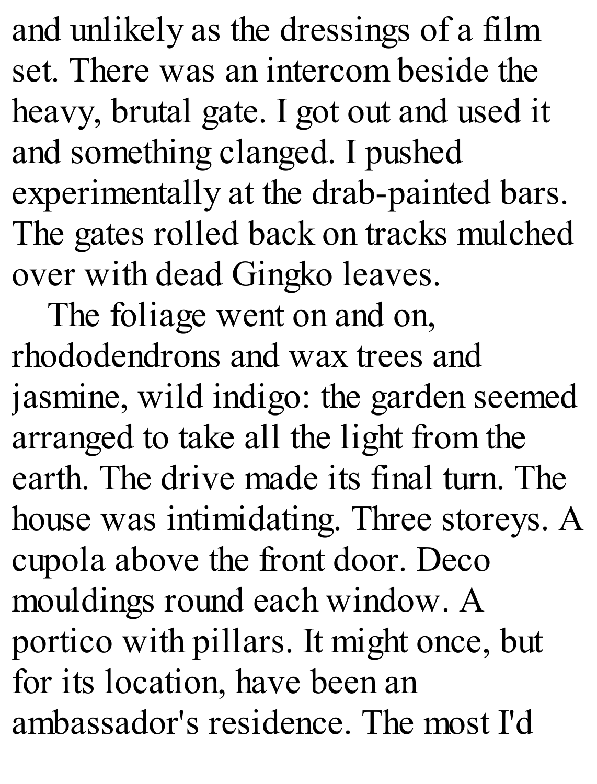and unlikely as the dressings of a film set. There was an intercom beside the heavy, brutal gate. I got out and used it and something clanged. I pushed experimentally at the drab-painted bars. The gates rolled back on tracks mulched over with dead Gingko leaves.

The foliage went on and on, rhododendrons and wax trees and jasmine, wild indigo: the garden seemed arranged to take all the light from the earth. The drive made its final turn. The house was intimidating. Three storeys. A cupola above the front door. Deco mouldings round each window. A portico with pillars. It might once, but for its location, have been an ambassador's residence. The most I'd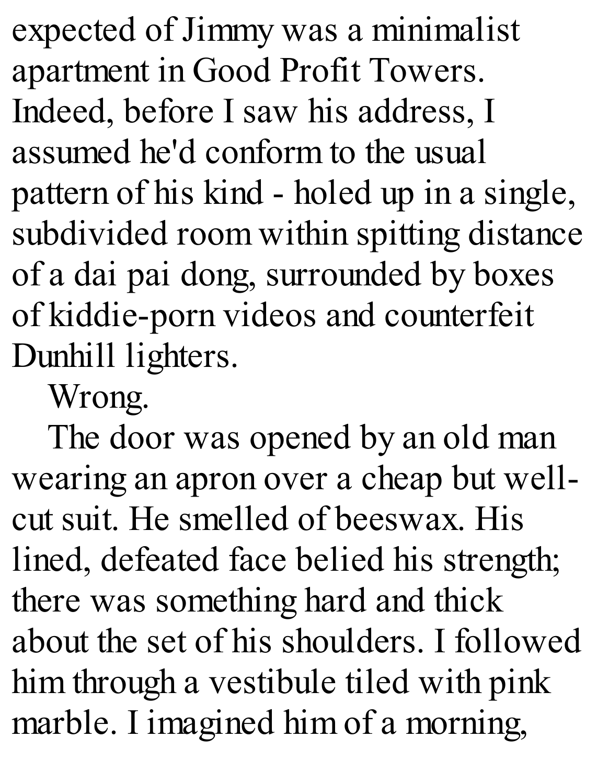expected of Jimmy was a minimalist apartment in Good Profit Towers. Indeed, before I saw his address, I assumed he'd conform to the usual pattern of his kind - holed up in a single, subdivided room within spitting distance of a dai pai dong, surrounded by boxes of kiddie-porn videos and counterfeit Dunhill lighters.

Wrong.

The door was opened by an old man wearing an apron over a cheap but wellcut suit. He smelled of beeswax. His lined, defeated face belied his strength; there was something hard and thick about the set of his shoulders. I followed him through a vestibule tiled with pink marble. I imagined him of a morning,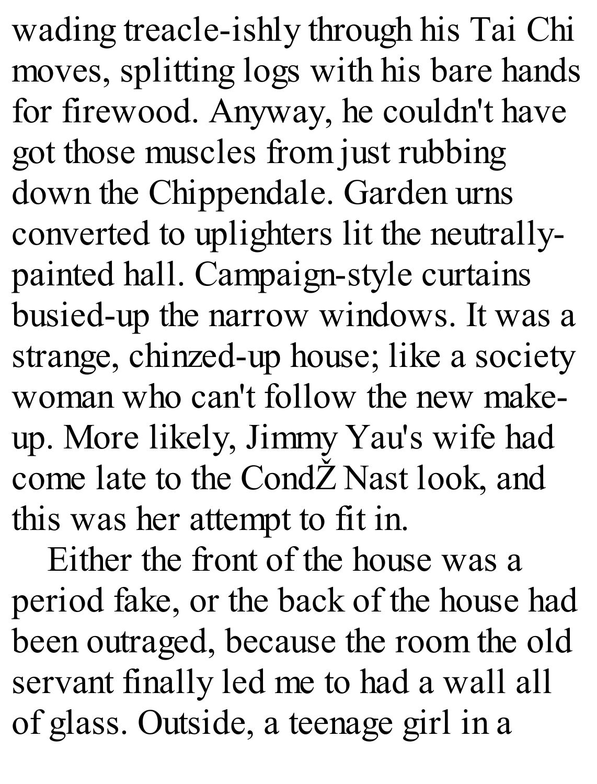wading treacle-ishly through his Tai Chi moves, splitting logs with his bare hands for firewood. Anyway, he couldn't have got those muscles from just rubbing down the Chippendale. Garden urns converted to uplighters lit the neutrallypainted hall. Campaign-style curtains busied-up the narrow windows. It was a strange, chinzed-up house; like a society woman who can't follow the new makeup. More likely, Jimmy Yau's wife had come late to the CondŽ Nast look, and this was her attempt to fit in.

Either the front of the house was a period fake, or the back of the house had been outraged, because the room the old servant finally led me to had a wall all of glass. Outside, a teenage girl in a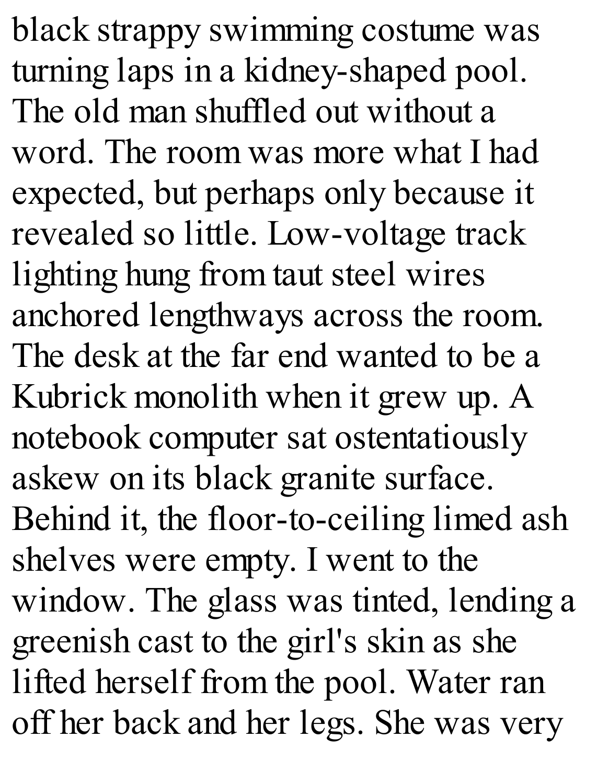black strappy swimming costume was turning laps in a kidney-shaped pool. The old man shuffled out without a word. The room was more what I had expected, but perhaps only because it revealed so little. Low-voltage track lighting hung from taut steel wires anchored lengthways across the room. The desk at the far end wanted to be a Kubrick monolith when it grew up. A notebook computer sat ostentatiously askew on its black granite surface. Behind it, the floor-to-ceiling limed ash shelves were empty. I went to the window. The glass was tinted, lending a greenish cast to the girl's skin as she lifted herself from the pool. Water ran off her back and her legs. She was very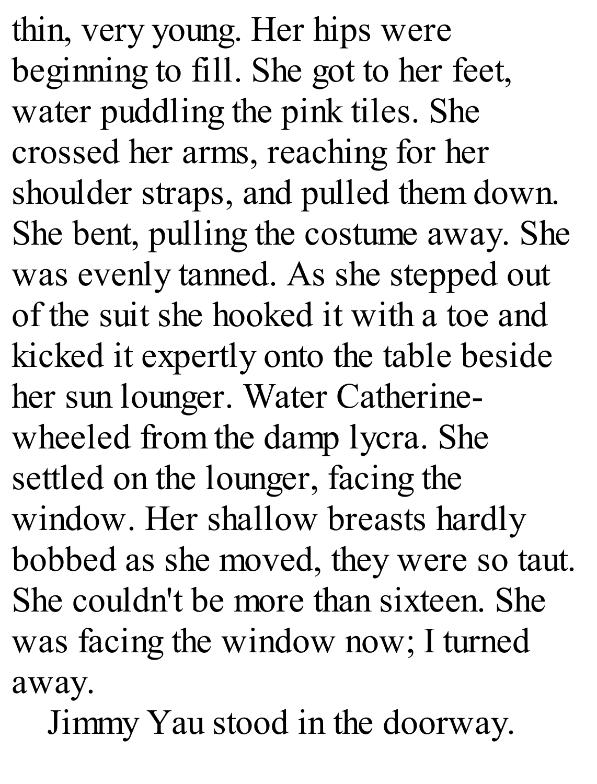thin, very young. Her hips were beginning to fill. She got to her feet, water puddling the pink tiles. She crossed her arms, reaching for her shoulder straps, and pulled them down. She bent, pulling the costume away. She was evenly tanned. As she stepped out of the suit she hooked it with a toe and kicked it expertly onto the table beside her sun lounger. Water Catherinewheeled from the damp lycra. She settled on the lounger, facing the window. Her shallow breasts hardly bobbed as she moved, they were so taut. She couldn't be more than sixteen. She was facing the window now; I turned away.

Jimmy Yau stood in the doorway.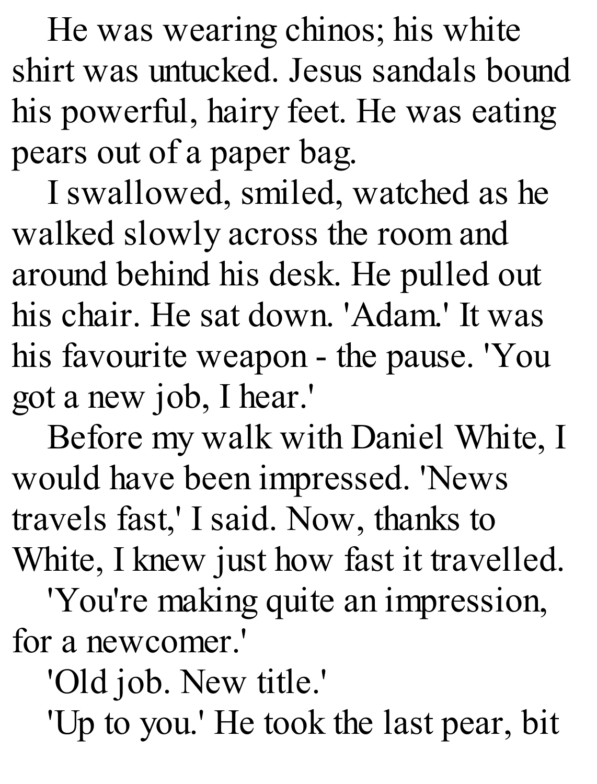He was wearing chinos; his white shirt was untucked. Jesus sandals bound his powerful, hairy feet. He was eating pears out of a paper bag.

I swallowed, smiled, watched as he walked slowly across the room and around behind his desk. He pulled out his chair. He sat down. 'Adam.' It was his favourite weapon - the pause. 'You got a new job, I hear.'

Before my walk with Daniel White, I would have been impressed. 'News travels fast,' I said. Now, thanks to White, I knew just how fast it travelled.

'You're making quite an impression, for a newcomer.'

'Old job. New title.'

'Up to you.' He took the last pear, bit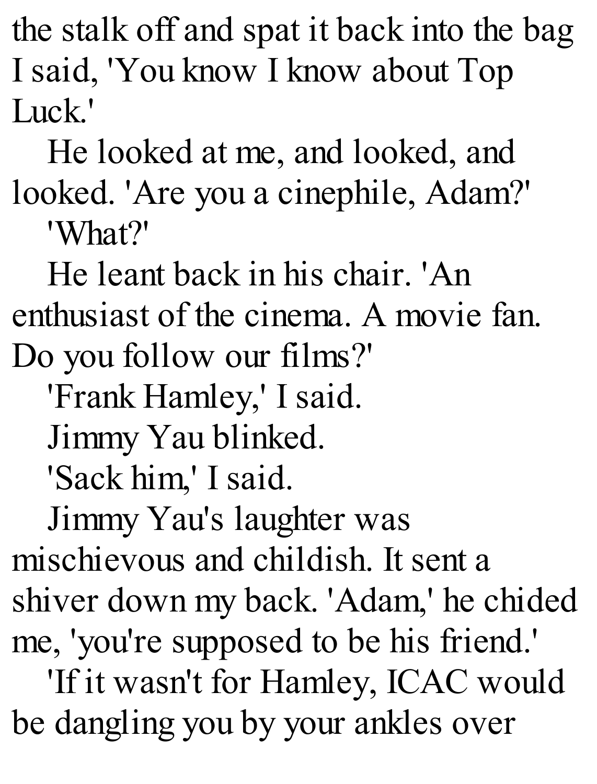the stalk off and spat it back into the bag I said, 'You know I know about Top Luck.'

He looked at me, and looked, and looked. 'Are you a cinephile, Adam?' 'What?'

He leant back in his chair. 'An enthusiast of the cinema. A movie fan. Do you follow our films?'

'Frank Hamley,' I said.

Jimmy Yau blinked.

'Sack him,' I said.

Jimmy Yau's laughter was mischievous and childish. It sent a shiver down my back. 'Adam,' he chided me, 'you're supposed to be his friend.'

'If it wasn't for Hamley, ICAC would be dangling you by your ankles over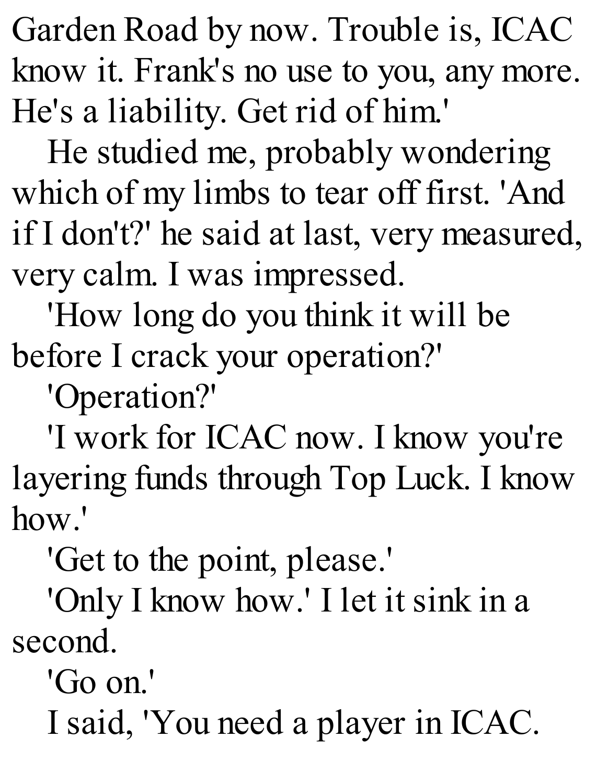Garden Road by now. Trouble is, ICAC know it. Frank's no use to you, any more. He's a liability. Get rid of him.'

He studied me, probably wondering which of my limbs to tear off first. 'And if I don't?' he said at last, very measured, very calm. I was impressed.

'How long do you think it will be before I crack your operation?'

'Operation?'

'I work for ICAC now. I know you're layering funds through Top Luck. I know how'

'Get to the point, please.'

'Only I know how.' I let it sink in a second.

'Go on.'

I said, 'You need a player in ICAC.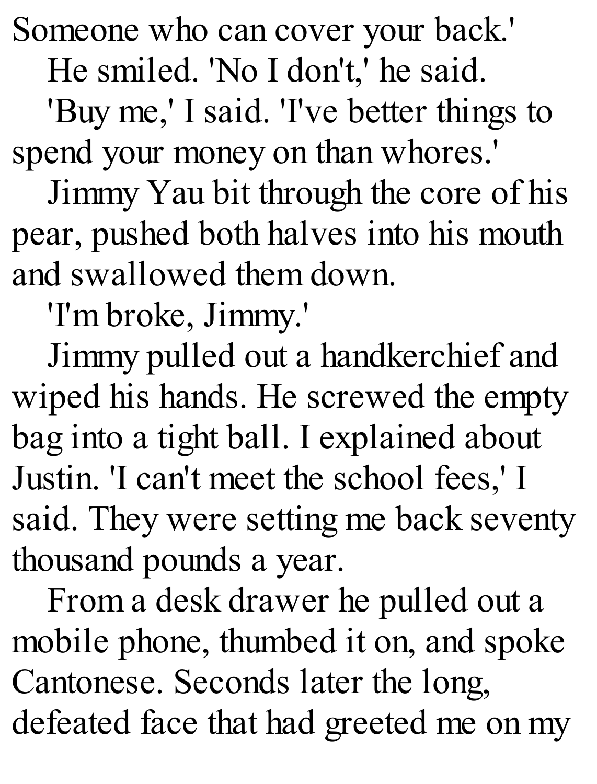Someone who can cover your back.'

He smiled. 'No I don't,' he said.

'Buy me,' I said. 'I've better things to spend your money on than whores.'

Jimmy Yau bit through the core of his pear, pushed both halves into his mouth and swallowed them down.

'I'm broke, Jimmy.'

Jimmy pulled out a handkerchief and wiped his hands. He screwed the empty bag into a tight ball. I explained about Justin. 'I can't meet the school fees,' I said. They were setting me back seventy thousand pounds a year.

From a desk drawer he pulled out a mobile phone, thumbed it on, and spoke Cantonese. Seconds later the long, defeated face that had greeted me on my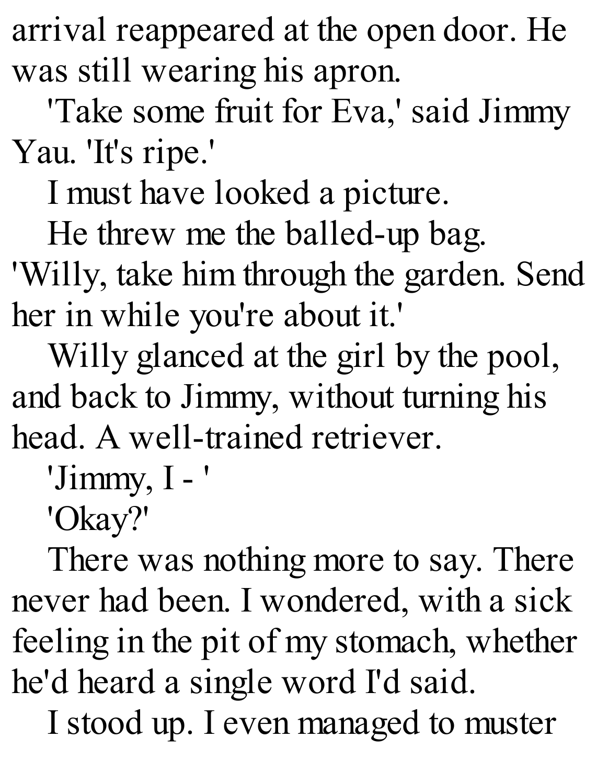arrival reappeared at the open door. He was still wearing his apron.

'Take some fruit for Eva,' said Jimmy Yau. 'It's ripe.'

I must have looked a picture.

He threw me the balled-up bag.

'Willy, take him through the garden. Send her in while you're about it.'

Willy glanced at the girl by the pool, and back to Jimmy, without turning his head. A well-trained retriever.

'Jimmy, I - '

'Okay?'

There was nothing more to say. There never had been. I wondered, with a sick feeling in the pit of my stomach, whether he'd heard a single word I'd said.

I stood up. I even managed to muster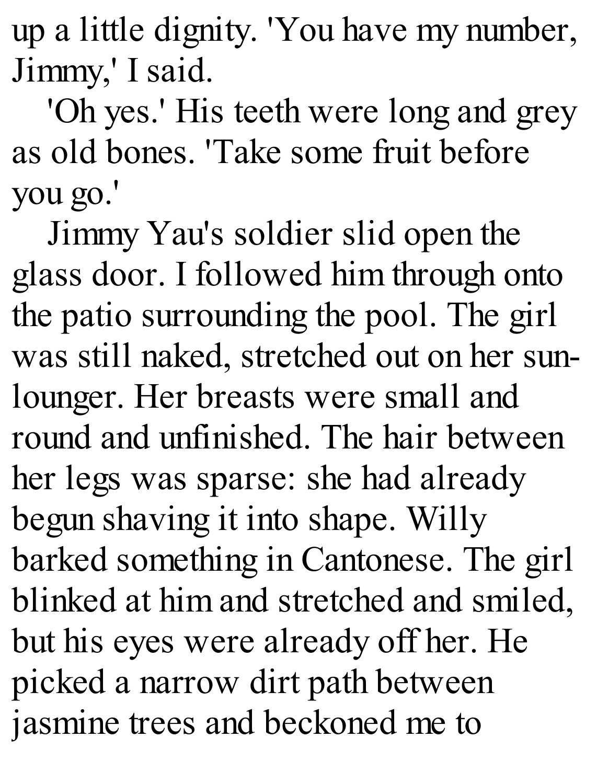up a little dignity. 'You have my number, Jimmy,' I said.

'Oh yes.' His teeth were long and grey as old bones. 'Take some fruit before you go.'

Jimmy Yau's soldier slid open the glass door. I followed him through onto the patio surrounding the pool. The girl was still naked, stretched out on her sunlounger. Her breasts were small and round and unfinished. The hair between her legs was sparse: she had already begun shaving it into shape. Willy barked something in Cantonese. The girl blinked at him and stretched and smiled, but his eyes were already off her. He picked a narrow dirt path between jasmine trees and beckoned me to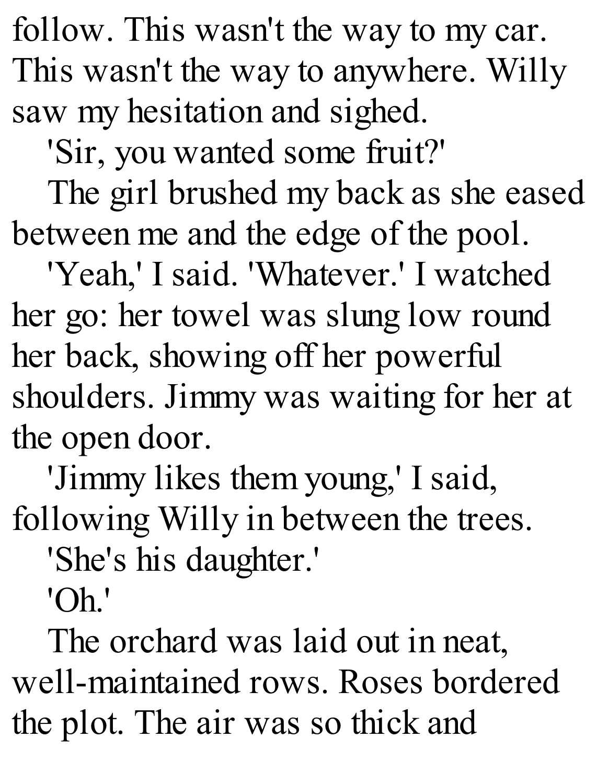follow. This wasn't the way to my car. This wasn't the way to anywhere. Willy saw my hesitation and sighed.

'Sir, you wanted some fruit?'

The girl brushed my back as she eased between me and the edge of the pool.

'Yeah,' I said. 'Whatever.' I watched her go: her towel was slung low round her back, showing off her powerful shoulders. Jimmy was waiting for her at the open door.

'Jimmy likes them young,' I said, following Willy in between the trees. 'She's his daughter.'

 $'Oh'$ 

The orchard was laid out in neat, well-maintained rows. Roses bordered the plot. The air was so thick and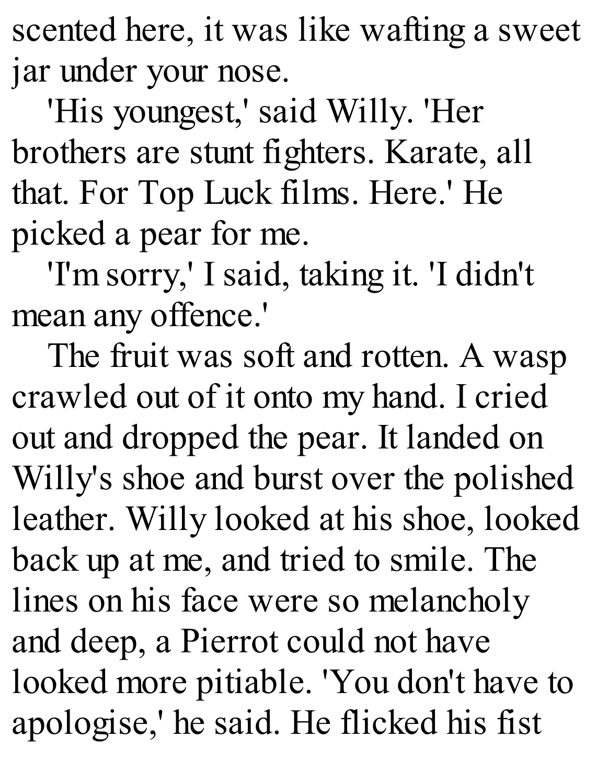scented here, it was like wafting a sweet jar under your nose.

'His youngest,' said Willy. 'Her brothers are stunt fighters. Karate, all that. For Top Luck films. Here.' He picked a pear for me.

'I'm sorry,' I said, taking it. 'I didn't mean any offence.'

The fruit was soft and rotten. A wasp crawled out of it onto my hand. I cried out and dropped the pear. It landed on Willy's shoe and burst over the polished leather. Willy looked at his shoe, looked back up at me, and tried to smile. The lines on his face were so melancholy and deep, a Pierrot could not have looked more pitiable. 'You don't have to apologise,' he said. He flicked his fist